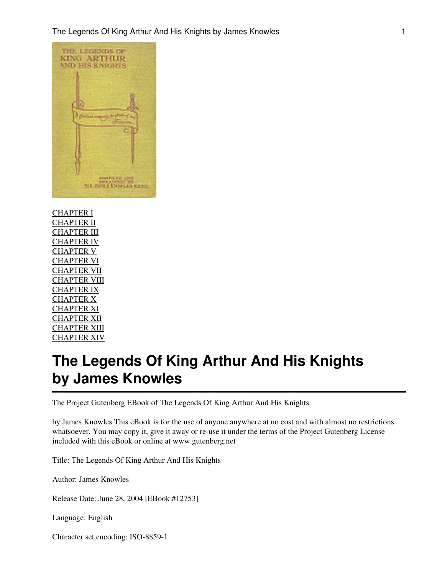

[CHAPTER I](#page-6-0) [CHAPTER II](#page-11-0) **[CHAPTER III](#page-19-0)** [CHAPTER IV](#page-26-0) [CHAPTER V](#page-32-0) [CHAPTER VI](#page-39-0) [CHAPTER VII](#page-48-0) [CHAPTER VIII](#page-53-0) [CHAPTER IX](#page-59-0) [CHAPTER X](#page-71-0) [CHAPTER XI](#page-84-0) [CHAPTER XII](#page-102-0) [CHAPTER XIII](#page-125-0) [CHAPTER XIV](#page-137-0)

# **The Legends Of King Arthur And His Knights by James Knowles**

The Project Gutenberg EBook of The Legends Of King Arthur And His Knights

by James Knowles This eBook is for the use of anyone anywhere at no cost and with almost no restrictions whatsoever. You may copy it, give it away or re-use it under the terms of the Project Gutenberg License included with this eBook or online at www.gutenberg.net

Title: The Legends Of King Arthur And His Knights

Author: James Knowles

Release Date: June 28, 2004 [EBook #12753]

Language: English

Character set encoding: ISO-8859-1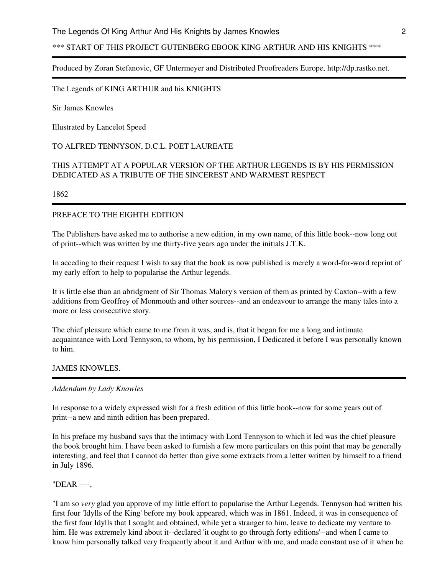# \*\*\* START OF THIS PROJECT GUTENBERG EBOOK KING ARTHUR AND HIS KNIGHTS \*\*\*

#### Produced by Zoran Stefanovic, GF Untermeyer and Distributed Proofreaders Europe, http://dp.rastko.net.

The Legends of KING ARTHUR and his KNIGHTS

Sir James Knowles

Illustrated by Lancelot Speed

#### TO ALFRED TENNYSON, D.C.L. POET LAUREATE

#### THIS ATTEMPT AT A POPULAR VERSION OF THE ARTHUR LEGENDS IS BY HIS PERMISSION DEDICATED AS A TRIBUTE OF THE SINCEREST AND WARMEST RESPECT

1862

#### PREFACE TO THE EIGHTH EDITION

The Publishers have asked me to authorise a new edition, in my own name, of this little book--now long out of print--which was written by me thirty-five years ago under the initials J.T.K.

In acceding to their request I wish to say that the book as now published is merely a word-for-word reprint of my early effort to help to popularise the Arthur legends.

It is little else than an abridgment of Sir Thomas Malory's version of them as printed by Caxton--with a few additions from Geoffrey of Monmouth and other sources--and an endeavour to arrange the many tales into a more or less consecutive story.

The chief pleasure which came to me from it was, and is, that it began for me a long and intimate acquaintance with Lord Tennyson, to whom, by his permission, I Dedicated it before I was personally known to him.

#### JAMES KNOWLES.

#### *Addendum by Lady Knowles*

In response to a widely expressed wish for a fresh edition of this little book--now for some years out of print--a new and ninth edition has been prepared.

In his preface my husband says that the intimacy with Lord Tennyson to which it led was the chief pleasure the book brought him. I have been asked to furnish a few more particulars on this point that may be generally interesting, and feel that I cannot do better than give some extracts from a letter written by himself to a friend in July 1896.

#### "DEAR ----,

"I am so *very* glad you approve of my little effort to popularise the Arthur Legends. Tennyson had written his first four 'Idylls of the King' before my book appeared, which was in 1861. Indeed, it was in consequence of the first four Idylls that I sought and obtained, while yet a stranger to him, leave to dedicate my venture to him. He was extremely kind about it--declared 'it ought to go through forty editions'--and when I came to know him personally talked very frequently about it and Arthur with me, and made constant use of it when he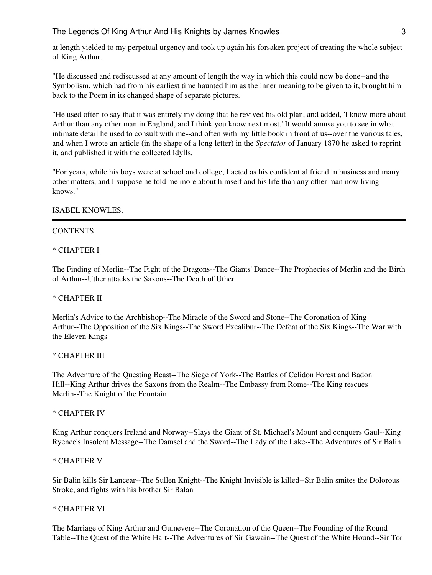at length yielded to my perpetual urgency and took up again his forsaken project of treating the whole subject of King Arthur.

"He discussed and rediscussed at any amount of length the way in which this could now be done--and the Symbolism, which had from his earliest time haunted him as the inner meaning to be given to it, brought him back to the Poem in its changed shape of separate pictures.

"He used often to say that it was entirely my doing that he revived his old plan, and added, 'I know more about Arthur than any other man in England, and I think you know next most.' It would amuse you to see in what intimate detail he used to consult with me--and often with my little book in front of us--over the various tales, and when I wrote an article (in the shape of a long letter) in the *Spectator* of January 1870 he asked to reprint it, and published it with the collected Idylls.

"For years, while his boys were at school and college, I acted as his confidential friend in business and many other matters, and I suppose he told me more about himself and his life than any other man now living knows."

#### ISABEL KNOWLES.

#### **CONTENTS**

#### \* CHAPTER I

The Finding of Merlin--The Fight of the Dragons--The Giants' Dance--The Prophecies of Merlin and the Birth of Arthur--Uther attacks the Saxons--The Death of Uther

#### \* CHAPTER II

Merlin's Advice to the Archbishop--The Miracle of the Sword and Stone--The Coronation of King Arthur--The Opposition of the Six Kings--The Sword Excalibur--The Defeat of the Six Kings--The War with the Eleven Kings

#### \* CHAPTER III

The Adventure of the Questing Beast--The Siege of York--The Battles of Celidon Forest and Badon Hill--King Arthur drives the Saxons from the Realm--The Embassy from Rome--The King rescues Merlin--The Knight of the Fountain

#### \* CHAPTER IV

King Arthur conquers Ireland and Norway--Slays the Giant of St. Michael's Mount and conquers Gaul--King Ryence's Insolent Message--The Damsel and the Sword--The Lady of the Lake--The Adventures of Sir Balin

#### \* CHAPTER V

Sir Balin kills Sir Lancear--The Sullen Knight--The Knight Invisible is killed--Sir Balin smites the Dolorous Stroke, and fights with his brother Sir Balan

#### \* CHAPTER VI

The Marriage of King Arthur and Guinevere--The Coronation of the Queen--The Founding of the Round Table--The Quest of the White Hart--The Adventures of Sir Gawain--The Quest of the White Hound--Sir Tor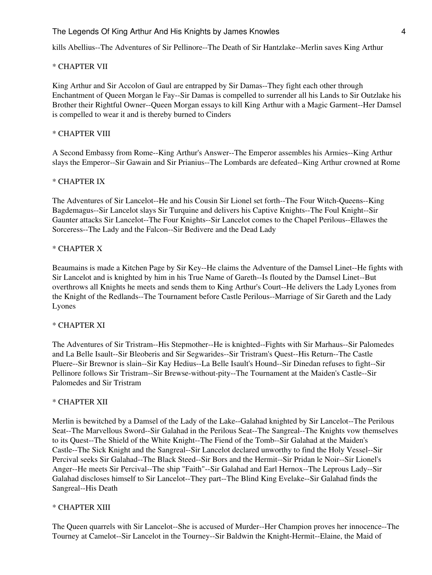kills Abellius--The Adventures of Sir Pellinore--The Death of Sir Hantzlake--Merlin saves King Arthur

#### \* CHAPTER VII

King Arthur and Sir Accolon of Gaul are entrapped by Sir Damas--They fight each other through Enchantment of Queen Morgan le Fay--Sir Damas is compelled to surrender all his Lands to Sir Outzlake his Brother their Rightful Owner--Queen Morgan essays to kill King Arthur with a Magic Garment--Her Damsel is compelled to wear it and is thereby burned to Cinders

#### \* CHAPTER VIII

A Second Embassy from Rome--King Arthur's Answer--The Emperor assembles his Armies--King Arthur slays the Emperor--Sir Gawain and Sir Prianius--The Lombards are defeated--King Arthur crowned at Rome

#### \* CHAPTER IX

The Adventures of Sir Lancelot--He and his Cousin Sir Lionel set forth--The Four Witch-Queens--King Bagdemagus--Sir Lancelot slays Sir Turquine and delivers his Captive Knights--The Foul Knight--Sir Gaunter attacks Sir Lancelot--The Four Knights--Sir Lancelot comes to the Chapel Perilous--Ellawes the Sorceress--The Lady and the Falcon--Sir Bedivere and the Dead Lady

#### \* CHAPTER X

Beaumains is made a Kitchen Page by Sir Key--He claims the Adventure of the Damsel Linet--He fights with Sir Lancelot and is knighted by him in his True Name of Gareth--Is flouted by the Damsel Linet--But overthrows all Knights he meets and sends them to King Arthur's Court--He delivers the Lady Lyones from the Knight of the Redlands--The Tournament before Castle Perilous--Marriage of Sir Gareth and the Lady Lyones

#### \* CHAPTER XI

The Adventures of Sir Tristram--His Stepmother--He is knighted--Fights with Sir Marhaus--Sir Palomedes and La Belle Isault--Sir Bleoberis and Sir Segwarides--Sir Tristram's Quest--His Return--The Castle Pluere--Sir Brewnor is slain--Sir Kay Hedius--La Belle Isault's Hound--Sir Dinedan refuses to fight--Sir Pellinore follows Sir Tristram--Sir Brewse-without-pity--The Tournament at the Maiden's Castle--Sir Palomedes and Sir Tristram

#### \* CHAPTER XII

Merlin is bewitched by a Damsel of the Lady of the Lake--Galahad knighted by Sir Lancelot--The Perilous Seat--The Marvellous Sword--Sir Galahad in the Perilous Seat--The Sangreal--The Knights vow themselves to its Quest--The Shield of the White Knight--The Fiend of the Tomb--Sir Galahad at the Maiden's Castle--The Sick Knight and the Sangreal--Sir Lancelot declared unworthy to find the Holy Vessel--Sir Percival seeks Sir Galahad--The Black Steed--Sir Bors and the Hermit--Sir Pridan le Noir--Sir Lionel's Anger--He meets Sir Percival--The ship "Faith"--Sir Galahad and Earl Hernox--The Leprous Lady--Sir Galahad discloses himself to Sir Lancelot--They part--The Blind King Evelake--Sir Galahad finds the Sangreal--His Death

#### \* CHAPTER XIII

The Queen quarrels with Sir Lancelot--She is accused of Murder--Her Champion proves her innocence--The Tourney at Camelot--Sir Lancelot in the Tourney--Sir Baldwin the Knight-Hermit--Elaine, the Maid of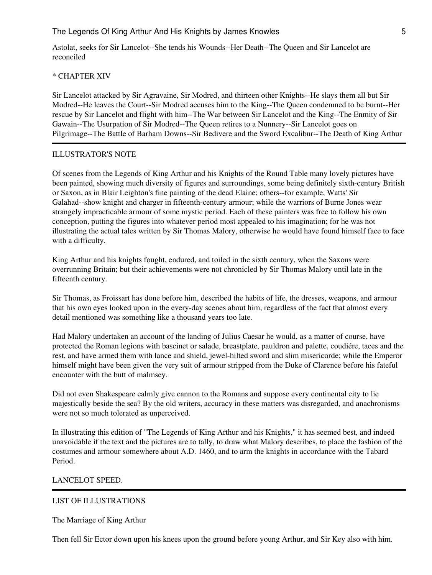Astolat, seeks for Sir Lancelot--She tends his Wounds--Her Death--The Queen and Sir Lancelot are reconciled

#### \* CHAPTER XIV

Sir Lancelot attacked by Sir Agravaine, Sir Modred, and thirteen other Knights--He slays them all but Sir Modred--He leaves the Court--Sir Modred accuses him to the King--The Queen condemned to be burnt--Her rescue by Sir Lancelot and flight with him--The War between Sir Lancelot and the King--The Enmity of Sir Gawain--The Usurpation of Sir Modred--The Queen retires to a Nunnery--Sir Lancelot goes on Pilgrimage--The Battle of Barham Downs--Sir Bedivere and the Sword Excalibur--The Death of King Arthur

#### ILLUSTRATOR'S NOTE

Of scenes from the Legends of King Arthur and his Knights of the Round Table many lovely pictures have been painted, showing much diversity of figures and surroundings, some being definitely sixth-century British or Saxon, as in Blair Leighton's fine painting of the dead Elaine; others--for example, Watts' Sir Galahad--show knight and charger in fifteenth-century armour; while the warriors of Burne Jones wear strangely impracticable armour of some mystic period. Each of these painters was free to follow his own conception, putting the figures into whatever period most appealed to his imagination; for he was not illustrating the actual tales written by Sir Thomas Malory, otherwise he would have found himself face to face with a difficulty.

King Arthur and his knights fought, endured, and toiled in the sixth century, when the Saxons were overrunning Britain; but their achievements were not chronicled by Sir Thomas Malory until late in the fifteenth century.

Sir Thomas, as Froissart has done before him, described the habits of life, the dresses, weapons, and armour that his own eyes looked upon in the every-day scenes about him, regardless of the fact that almost every detail mentioned was something like a thousand years too late.

Had Malory undertaken an account of the landing of Julius Caesar he would, as a matter of course, have protected the Roman legions with bascinet or salade, breastplate, pauldron and palette, coudiére, taces and the rest, and have armed them with lance and shield, jewel-hilted sword and slim misericorde; while the Emperor himself might have been given the very suit of armour stripped from the Duke of Clarence before his fateful encounter with the butt of malmsey.

Did not even Shakespeare calmly give cannon to the Romans and suppose every continental city to lie majestically beside the sea? By the old writers, accuracy in these matters was disregarded, and anachronisms were not so much tolerated as unperceived.

In illustrating this edition of "The Legends of King Arthur and his Knights," it has seemed best, and indeed unavoidable if the text and the pictures are to tally, to draw what Malory describes, to place the fashion of the costumes and armour somewhere about A.D. 1460, and to arm the knights in accordance with the Tabard Period.

#### LANCELOT SPEED.

#### LIST OF ILLUSTRATIONS

The Marriage of King Arthur

Then fell Sir Ector down upon his knees upon the ground before young Arthur, and Sir Key also with him.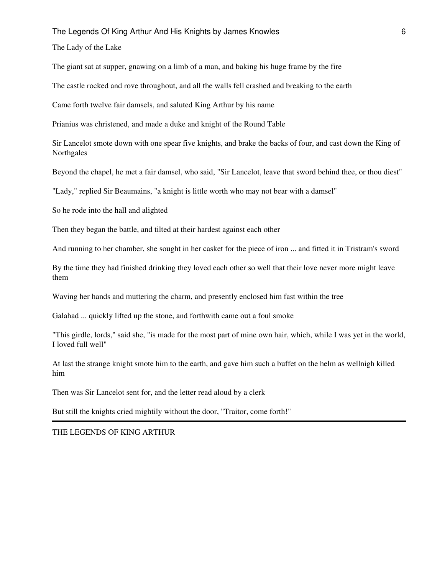The Lady of the Lake

The giant sat at supper, gnawing on a limb of a man, and baking his huge frame by the fire

The castle rocked and rove throughout, and all the walls fell crashed and breaking to the earth

Came forth twelve fair damsels, and saluted King Arthur by his name

Prianius was christened, and made a duke and knight of the Round Table

Sir Lancelot smote down with one spear five knights, and brake the backs of four, and cast down the King of Northgales

Beyond the chapel, he met a fair damsel, who said, "Sir Lancelot, leave that sword behind thee, or thou diest"

"Lady," replied Sir Beaumains, "a knight is little worth who may not bear with a damsel"

So he rode into the hall and alighted

Then they began the battle, and tilted at their hardest against each other

And running to her chamber, she sought in her casket for the piece of iron ... and fitted it in Tristram's sword

By the time they had finished drinking they loved each other so well that their love never more might leave them

Waving her hands and muttering the charm, and presently enclosed him fast within the tree

Galahad ... quickly lifted up the stone, and forthwith came out a foul smoke

"This girdle, lords," said she, "is made for the most part of mine own hair, which, while I was yet in the world, I loved full well"

At last the strange knight smote him to the earth, and gave him such a buffet on the helm as wellnigh killed him

Then was Sir Lancelot sent for, and the letter read aloud by a clerk

But still the knights cried mightily without the door, "Traitor, come forth!"

THE LEGENDS OF KING ARTHUR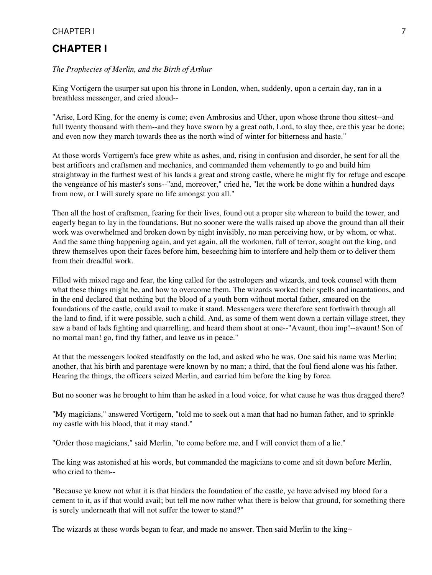# <span id="page-6-0"></span>**CHAPTER I**

#### *The Prophecies of Merlin, and the Birth of Arthur*

King Vortigern the usurper sat upon his throne in London, when, suddenly, upon a certain day, ran in a breathless messenger, and cried aloud--

"Arise, Lord King, for the enemy is come; even Ambrosius and Uther, upon whose throne thou sittest--and full twenty thousand with them--and they have sworn by a great oath, Lord, to slay thee, ere this year be done; and even now they march towards thee as the north wind of winter for bitterness and haste."

At those words Vortigern's face grew white as ashes, and, rising in confusion and disorder, he sent for all the best artificers and craftsmen and mechanics, and commanded them vehemently to go and build him straightway in the furthest west of his lands a great and strong castle, where he might fly for refuge and escape the vengeance of his master's sons--"and, moreover," cried he, "let the work be done within a hundred days from now, or I will surely spare no life amongst you all."

Then all the host of craftsmen, fearing for their lives, found out a proper site whereon to build the tower, and eagerly began to lay in the foundations. But no sooner were the walls raised up above the ground than all their work was overwhelmed and broken down by night invisibly, no man perceiving how, or by whom, or what. And the same thing happening again, and yet again, all the workmen, full of terror, sought out the king, and threw themselves upon their faces before him, beseeching him to interfere and help them or to deliver them from their dreadful work.

Filled with mixed rage and fear, the king called for the astrologers and wizards, and took counsel with them what these things might be, and how to overcome them. The wizards worked their spells and incantations, and in the end declared that nothing but the blood of a youth born without mortal father, smeared on the foundations of the castle, could avail to make it stand. Messengers were therefore sent forthwith through all the land to find, if it were possible, such a child. And, as some of them went down a certain village street, they saw a band of lads fighting and quarrelling, and heard them shout at one--"Avaunt, thou imp!--avaunt! Son of no mortal man! go, find thy father, and leave us in peace."

At that the messengers looked steadfastly on the lad, and asked who he was. One said his name was Merlin; another, that his birth and parentage were known by no man; a third, that the foul fiend alone was his father. Hearing the things, the officers seized Merlin, and carried him before the king by force.

But no sooner was he brought to him than he asked in a loud voice, for what cause he was thus dragged there?

"My magicians," answered Vortigern, "told me to seek out a man that had no human father, and to sprinkle my castle with his blood, that it may stand."

"Order those magicians," said Merlin, "to come before me, and I will convict them of a lie."

The king was astonished at his words, but commanded the magicians to come and sit down before Merlin, who cried to them--

"Because ye know not what it is that hinders the foundation of the castle, ye have advised my blood for a cement to it, as if that would avail; but tell me now rather what there is below that ground, for something there is surely underneath that will not suffer the tower to stand?"

The wizards at these words began to fear, and made no answer. Then said Merlin to the king--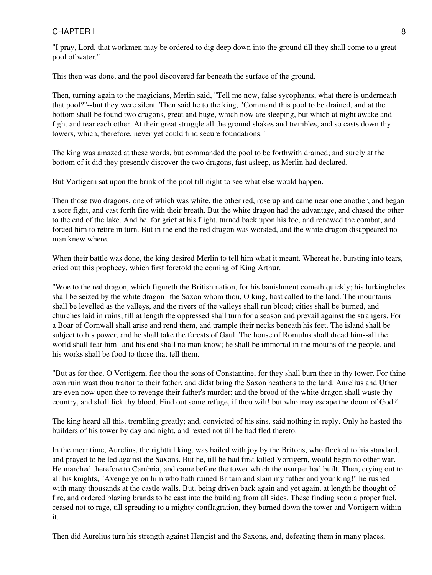# CHAPTER I and the set of the set of the set of the set of the set of the set of the set of the set of the set of the set of the set of the set of the set of the set of the set of the set of the set of the set of the set of

"I pray, Lord, that workmen may be ordered to dig deep down into the ground till they shall come to a great pool of water."

This then was done, and the pool discovered far beneath the surface of the ground.

Then, turning again to the magicians, Merlin said, "Tell me now, false sycophants, what there is underneath that pool?"--but they were silent. Then said he to the king, "Command this pool to be drained, and at the bottom shall be found two dragons, great and huge, which now are sleeping, but which at night awake and fight and tear each other. At their great struggle all the ground shakes and trembles, and so casts down thy towers, which, therefore, never yet could find secure foundations."

The king was amazed at these words, but commanded the pool to be forthwith drained; and surely at the bottom of it did they presently discover the two dragons, fast asleep, as Merlin had declared.

But Vortigern sat upon the brink of the pool till night to see what else would happen.

Then those two dragons, one of which was white, the other red, rose up and came near one another, and began a sore fight, and cast forth fire with their breath. But the white dragon had the advantage, and chased the other to the end of the lake. And he, for grief at his flight, turned back upon his foe, and renewed the combat, and forced him to retire in turn. But in the end the red dragon was worsted, and the white dragon disappeared no man knew where.

When their battle was done, the king desired Merlin to tell him what it meant. Whereat he, bursting into tears, cried out this prophecy, which first foretold the coming of King Arthur.

"Woe to the red dragon, which figureth the British nation, for his banishment cometh quickly; his lurkingholes shall be seized by the white dragon--the Saxon whom thou, O king, hast called to the land. The mountains shall be levelled as the valleys, and the rivers of the valleys shall run blood; cities shall be burned, and churches laid in ruins; till at length the oppressed shall turn for a season and prevail against the strangers. For a Boar of Cornwall shall arise and rend them, and trample their necks beneath his feet. The island shall be subject to his power, and he shall take the forests of Gaul. The house of Romulus shall dread him--all the world shall fear him--and his end shall no man know; he shall be immortal in the mouths of the people, and his works shall be food to those that tell them.

"But as for thee, O Vortigern, flee thou the sons of Constantine, for they shall burn thee in thy tower. For thine own ruin wast thou traitor to their father, and didst bring the Saxon heathens to the land. Aurelius and Uther are even now upon thee to revenge their father's murder; and the brood of the white dragon shall waste thy country, and shall lick thy blood. Find out some refuge, if thou wilt! but who may escape the doom of God?"

The king heard all this, trembling greatly; and, convicted of his sins, said nothing in reply. Only he hasted the builders of his tower by day and night, and rested not till he had fled thereto.

In the meantime, Aurelius, the rightful king, was hailed with joy by the Britons, who flocked to his standard, and prayed to be led against the Saxons. But he, till he had first killed Vortigern, would begin no other war. He marched therefore to Cambria, and came before the tower which the usurper had built. Then, crying out to all his knights, "Avenge ye on him who hath ruined Britain and slain my father and your king!" he rushed with many thousands at the castle walls. But, being driven back again and yet again, at length he thought of fire, and ordered blazing brands to be cast into the building from all sides. These finding soon a proper fuel, ceased not to rage, till spreading to a mighty conflagration, they burned down the tower and Vortigern within it.

Then did Aurelius turn his strength against Hengist and the Saxons, and, defeating them in many places,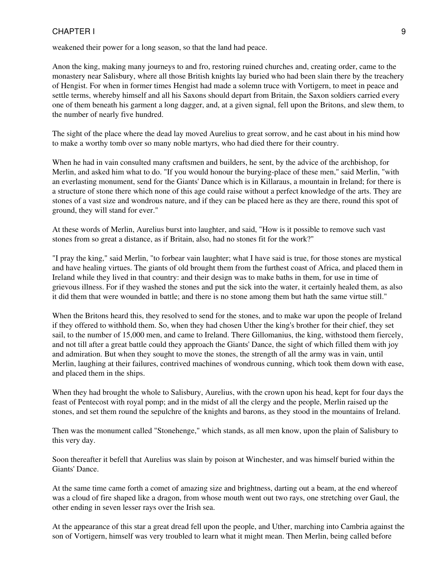weakened their power for a long season, so that the land had peace.

Anon the king, making many journeys to and fro, restoring ruined churches and, creating order, came to the monastery near Salisbury, where all those British knights lay buried who had been slain there by the treachery of Hengist. For when in former times Hengist had made a solemn truce with Vortigern, to meet in peace and settle terms, whereby himself and all his Saxons should depart from Britain, the Saxon soldiers carried every one of them beneath his garment a long dagger, and, at a given signal, fell upon the Britons, and slew them, to the number of nearly five hundred.

The sight of the place where the dead lay moved Aurelius to great sorrow, and he cast about in his mind how to make a worthy tomb over so many noble martyrs, who had died there for their country.

When he had in vain consulted many craftsmen and builders, he sent, by the advice of the archbishop, for Merlin, and asked him what to do. "If you would honour the burying-place of these men," said Merlin, "with an everlasting monument, send for the Giants' Dance which is in Killaraus, a mountain in Ireland; for there is a structure of stone there which none of this age could raise without a perfect knowledge of the arts. They are stones of a vast size and wondrous nature, and if they can be placed here as they are there, round this spot of ground, they will stand for ever."

At these words of Merlin, Aurelius burst into laughter, and said, "How is it possible to remove such vast stones from so great a distance, as if Britain, also, had no stones fit for the work?"

"I pray the king," said Merlin, "to forbear vain laughter; what I have said is true, for those stones are mystical and have healing virtues. The giants of old brought them from the furthest coast of Africa, and placed them in Ireland while they lived in that country: and their design was to make baths in them, for use in time of grievous illness. For if they washed the stones and put the sick into the water, it certainly healed them, as also it did them that were wounded in battle; and there is no stone among them but hath the same virtue still."

When the Britons heard this, they resolved to send for the stones, and to make war upon the people of Ireland if they offered to withhold them. So, when they had chosen Uther the king's brother for their chief, they set sail, to the number of 15,000 men, and came to Ireland. There Gillomanius, the king, withstood them fiercely, and not till after a great battle could they approach the Giants' Dance, the sight of which filled them with joy and admiration. But when they sought to move the stones, the strength of all the army was in vain, until Merlin, laughing at their failures, contrived machines of wondrous cunning, which took them down with ease, and placed them in the ships.

When they had brought the whole to Salisbury, Aurelius, with the crown upon his head, kept for four days the feast of Pentecost with royal pomp; and in the midst of all the clergy and the people, Merlin raised up the stones, and set them round the sepulchre of the knights and barons, as they stood in the mountains of Ireland.

Then was the monument called "Stonehenge," which stands, as all men know, upon the plain of Salisbury to this very day.

Soon thereafter it befell that Aurelius was slain by poison at Winchester, and was himself buried within the Giants' Dance.

At the same time came forth a comet of amazing size and brightness, darting out a beam, at the end whereof was a cloud of fire shaped like a dragon, from whose mouth went out two rays, one stretching over Gaul, the other ending in seven lesser rays over the Irish sea.

At the appearance of this star a great dread fell upon the people, and Uther, marching into Cambria against the son of Vortigern, himself was very troubled to learn what it might mean. Then Merlin, being called before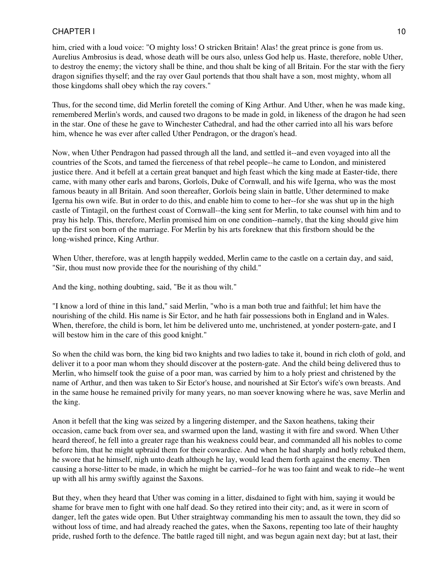him, cried with a loud voice: "O mighty loss! O stricken Britain! Alas! the great prince is gone from us. Aurelius Ambrosius is dead, whose death will be ours also, unless God help us. Haste, therefore, noble Uther, to destroy the enemy; the victory shall be thine, and thou shalt be king of all Britain. For the star with the fiery dragon signifies thyself; and the ray over Gaul portends that thou shalt have a son, most mighty, whom all those kingdoms shall obey which the ray covers."

Thus, for the second time, did Merlin foretell the coming of King Arthur. And Uther, when he was made king, remembered Merlin's words, and caused two dragons to be made in gold, in likeness of the dragon he had seen in the star. One of these he gave to Winchester Cathedral, and had the other carried into all his wars before him, whence he was ever after called Uther Pendragon, or the dragon's head.

Now, when Uther Pendragon had passed through all the land, and settled it--and even voyaged into all the countries of the Scots, and tamed the fierceness of that rebel people--he came to London, and ministered justice there. And it befell at a certain great banquet and high feast which the king made at Easter-tide, there came, with many other earls and barons, Gorloïs, Duke of Cornwall, and his wife Igerna, who was the most famous beauty in all Britain. And soon thereafter, Gorloïs being slain in battle, Uther determined to make Igerna his own wife. But in order to do this, and enable him to come to her--for she was shut up in the high castle of Tintagil, on the furthest coast of Cornwall--the king sent for Merlin, to take counsel with him and to pray his help. This, therefore, Merlin promised him on one condition--namely, that the king should give him up the first son born of the marriage. For Merlin by his arts foreknew that this firstborn should be the long-wished prince, King Arthur.

When Uther, therefore, was at length happily wedded, Merlin came to the castle on a certain day, and said, "Sir, thou must now provide thee for the nourishing of thy child."

And the king, nothing doubting, said, "Be it as thou wilt."

"I know a lord of thine in this land," said Merlin, "who is a man both true and faithful; let him have the nourishing of the child. His name is Sir Ector, and he hath fair possessions both in England and in Wales. When, therefore, the child is born, let him be delivered unto me, unchristened, at yonder postern-gate, and I will bestow him in the care of this good knight."

So when the child was born, the king bid two knights and two ladies to take it, bound in rich cloth of gold, and deliver it to a poor man whom they should discover at the postern-gate. And the child being delivered thus to Merlin, who himself took the guise of a poor man, was carried by him to a holy priest and christened by the name of Arthur, and then was taken to Sir Ector's house, and nourished at Sir Ector's wife's own breasts. And in the same house he remained privily for many years, no man soever knowing where he was, save Merlin and the king.

Anon it befell that the king was seized by a lingering distemper, and the Saxon heathens, taking their occasion, came back from over sea, and swarmed upon the land, wasting it with fire and sword. When Uther heard thereof, he fell into a greater rage than his weakness could bear, and commanded all his nobles to come before him, that he might upbraid them for their cowardice. And when he had sharply and hotly rebuked them, he swore that he himself, nigh unto death although he lay, would lead them forth against the enemy. Then causing a horse-litter to be made, in which he might be carried--for he was too faint and weak to ride--he went up with all his army swiftly against the Saxons.

But they, when they heard that Uther was coming in a litter, disdained to fight with him, saying it would be shame for brave men to fight with one half dead. So they retired into their city; and, as it were in scorn of danger, left the gates wide open. But Uther straightway commanding his men to assault the town, they did so without loss of time, and had already reached the gates, when the Saxons, repenting too late of their haughty pride, rushed forth to the defence. The battle raged till night, and was begun again next day; but at last, their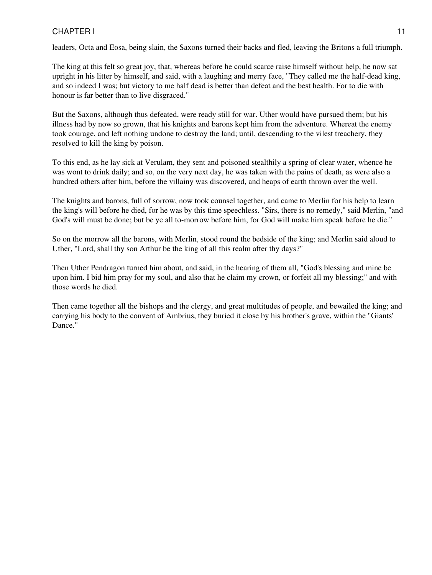leaders, Octa and Eosa, being slain, the Saxons turned their backs and fled, leaving the Britons a full triumph.

The king at this felt so great joy, that, whereas before he could scarce raise himself without help, he now sat upright in his litter by himself, and said, with a laughing and merry face, "They called me the half-dead king, and so indeed I was; but victory to me half dead is better than defeat and the best health. For to die with honour is far better than to live disgraced."

But the Saxons, although thus defeated, were ready still for war. Uther would have pursued them; but his illness had by now so grown, that his knights and barons kept him from the adventure. Whereat the enemy took courage, and left nothing undone to destroy the land; until, descending to the vilest treachery, they resolved to kill the king by poison.

To this end, as he lay sick at Verulam, they sent and poisoned stealthily a spring of clear water, whence he was wont to drink daily; and so, on the very next day, he was taken with the pains of death, as were also a hundred others after him, before the villainy was discovered, and heaps of earth thrown over the well.

The knights and barons, full of sorrow, now took counsel together, and came to Merlin for his help to learn the king's will before he died, for he was by this time speechless. "Sirs, there is no remedy," said Merlin, "and God's will must be done; but be ye all to-morrow before him, for God will make him speak before he die."

So on the morrow all the barons, with Merlin, stood round the bedside of the king; and Merlin said aloud to Uther, "Lord, shall thy son Arthur be the king of all this realm after thy days?"

Then Uther Pendragon turned him about, and said, in the hearing of them all, "God's blessing and mine be upon him. I bid him pray for my soul, and also that he claim my crown, or forfeit all my blessing;" and with those words he died.

Then came together all the bishops and the clergy, and great multitudes of people, and bewailed the king; and carrying his body to the convent of Ambrius, they buried it close by his brother's grave, within the "Giants' Dance."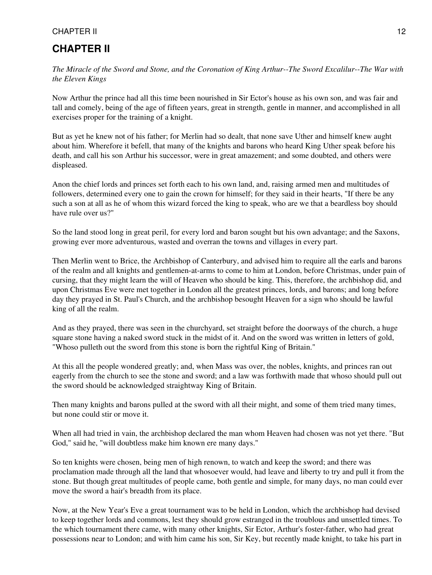# <span id="page-11-0"></span>**CHAPTER II**

*The Miracle of the Sword and Stone, and the Coronation of King Arthur--The Sword Excalilur--The War with the Eleven Kings*

Now Arthur the prince had all this time been nourished in Sir Ector's house as his own son, and was fair and tall and comely, being of the age of fifteen years, great in strength, gentle in manner, and accomplished in all exercises proper for the training of a knight.

But as yet he knew not of his father; for Merlin had so dealt, that none save Uther and himself knew aught about him. Wherefore it befell, that many of the knights and barons who heard King Uther speak before his death, and call his son Arthur his successor, were in great amazement; and some doubted, and others were displeased.

Anon the chief lords and princes set forth each to his own land, and, raising armed men and multitudes of followers, determined every one to gain the crown for himself; for they said in their hearts, "If there be any such a son at all as he of whom this wizard forced the king to speak, who are we that a beardless boy should have rule over us?"

So the land stood long in great peril, for every lord and baron sought but his own advantage; and the Saxons, growing ever more adventurous, wasted and overran the towns and villages in every part.

Then Merlin went to Brice, the Archbishop of Canterbury, and advised him to require all the earls and barons of the realm and all knights and gentlemen-at-arms to come to him at London, before Christmas, under pain of cursing, that they might learn the will of Heaven who should be king. This, therefore, the archbishop did, and upon Christmas Eve were met together in London all the greatest princes, lords, and barons; and long before day they prayed in St. Paul's Church, and the archbishop besought Heaven for a sign who should be lawful king of all the realm.

And as they prayed, there was seen in the churchyard, set straight before the doorways of the church, a huge square stone having a naked sword stuck in the midst of it. And on the sword was written in letters of gold, "Whoso pulleth out the sword from this stone is born the rightful King of Britain."

At this all the people wondered greatly; and, when Mass was over, the nobles, knights, and princes ran out eagerly from the church to see the stone and sword; and a law was forthwith made that whoso should pull out the sword should be acknowledged straightway King of Britain.

Then many knights and barons pulled at the sword with all their might, and some of them tried many times, but none could stir or move it.

When all had tried in vain, the archbishop declared the man whom Heaven had chosen was not yet there. "But God," said he, "will doubtless make him known ere many days."

So ten knights were chosen, being men of high renown, to watch and keep the sword; and there was proclamation made through all the land that whosoever would, had leave and liberty to try and pull it from the stone. But though great multitudes of people came, both gentle and simple, for many days, no man could ever move the sword a hair's breadth from its place.

Now, at the New Year's Eve a great tournament was to be held in London, which the archbishop had devised to keep together lords and commons, lest they should grow estranged in the troublous and unsettled times. To the which tournament there came, with many other knights, Sir Ector, Arthur's foster-father, who had great possessions near to London; and with him came his son, Sir Key, but recently made knight, to take his part in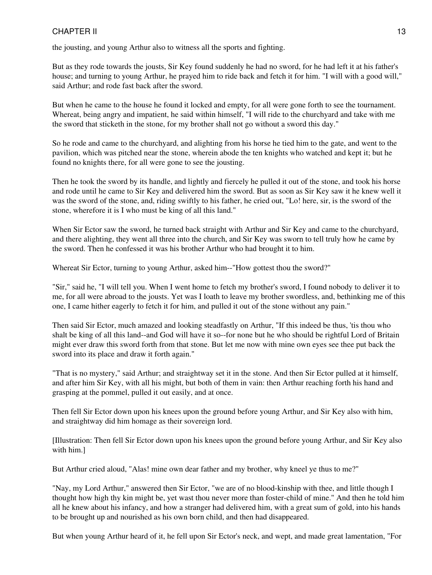the jousting, and young Arthur also to witness all the sports and fighting.

But as they rode towards the jousts, Sir Key found suddenly he had no sword, for he had left it at his father's house; and turning to young Arthur, he prayed him to ride back and fetch it for him. "I will with a good will," said Arthur; and rode fast back after the sword.

But when he came to the house he found it locked and empty, for all were gone forth to see the tournament. Whereat, being angry and impatient, he said within himself, "I will ride to the churchyard and take with me the sword that sticketh in the stone, for my brother shall not go without a sword this day."

So he rode and came to the churchyard, and alighting from his horse he tied him to the gate, and went to the pavilion, which was pitched near the stone, wherein abode the ten knights who watched and kept it; but he found no knights there, for all were gone to see the jousting.

Then he took the sword by its handle, and lightly and fiercely he pulled it out of the stone, and took his horse and rode until he came to Sir Key and delivered him the sword. But as soon as Sir Key saw it he knew well it was the sword of the stone, and, riding swiftly to his father, he cried out, "Lo! here, sir, is the sword of the stone, wherefore it is I who must be king of all this land."

When Sir Ector saw the sword, he turned back straight with Arthur and Sir Key and came to the churchyard, and there alighting, they went all three into the church, and Sir Key was sworn to tell truly how he came by the sword. Then he confessed it was his brother Arthur who had brought it to him.

Whereat Sir Ector, turning to young Arthur, asked him--"How gottest thou the sword?"

"Sir," said he, "I will tell you. When I went home to fetch my brother's sword, I found nobody to deliver it to me, for all were abroad to the jousts. Yet was I loath to leave my brother swordless, and, bethinking me of this one, I came hither eagerly to fetch it for him, and pulled it out of the stone without any pain."

Then said Sir Ector, much amazed and looking steadfastly on Arthur, "If this indeed be thus, 'tis thou who shalt be king of all this land--and God will have it so--for none but he who should be rightful Lord of Britain might ever draw this sword forth from that stone. But let me now with mine own eyes see thee put back the sword into its place and draw it forth again."

"That is no mystery," said Arthur; and straightway set it in the stone. And then Sir Ector pulled at it himself, and after him Sir Key, with all his might, but both of them in vain: then Arthur reaching forth his hand and grasping at the pommel, pulled it out easily, and at once.

Then fell Sir Ector down upon his knees upon the ground before young Arthur, and Sir Key also with him, and straightway did him homage as their sovereign lord.

[Illustration: Then fell Sir Ector down upon his knees upon the ground before young Arthur, and Sir Key also with him.]

But Arthur cried aloud, "Alas! mine own dear father and my brother, why kneel ye thus to me?"

"Nay, my Lord Arthur," answered then Sir Ector, "we are of no blood-kinship with thee, and little though I thought how high thy kin might be, yet wast thou never more than foster-child of mine." And then he told him all he knew about his infancy, and how a stranger had delivered him, with a great sum of gold, into his hands to be brought up and nourished as his own born child, and then had disappeared.

But when young Arthur heard of it, he fell upon Sir Ector's neck, and wept, and made great lamentation, "For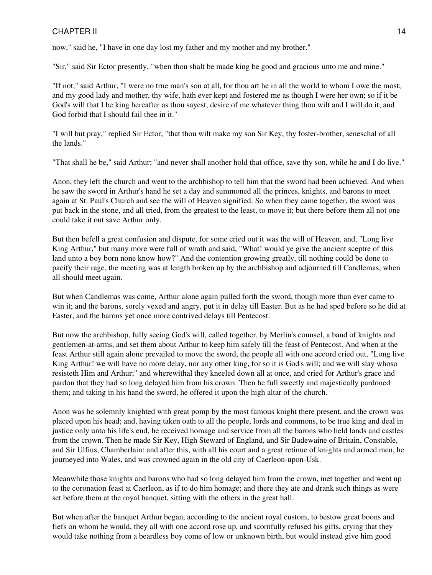now," said he, "I have in one day lost my father and my mother and my brother."

"Sir," said Sir Ector presently, "when thou shalt be made king be good and gracious unto me and mine."

"If not," said Arthur, "I were no true man's son at all, for thou art he in all the world to whom I owe the most; and my good lady and mother, thy wife, hath ever kept and fostered me as though I were her own; so if it be God's will that I be king hereafter as thou sayest, desire of me whatever thing thou wilt and I will do it; and God forbid that I should fail thee in it."

"I will but pray," replied Sir Ector, "that thou wilt make my son Sir Key, thy foster-brother, seneschal of all the lands."

"That shall he be," said Arthur; "and never shall another hold that office, save thy son, while he and I do live."

Anon, they left the church and went to the archbishop to tell him that the sword had been achieved. And when he saw the sword in Arthur's hand he set a day and summoned all the princes, knights, and barons to meet again at St. Paul's Church and see the will of Heaven signified. So when they came together, the sword was put back in the stone, and all tried, from the greatest to the least, to move it; but there before them all not one could take it out save Arthur only.

But then befell a great confusion and dispute, for some cried out it was the will of Heaven, and, "Long live King Arthur," but many more were full of wrath and said, "What! would ye give the ancient sceptre of this land unto a boy born none know how?" And the contention growing greatly, till nothing could be done to pacify their rage, the meeting was at length broken up by the archbishop and adjourned till Candlemas, when all should meet again.

But when Candlemas was come, Arthur alone again pulled forth the sword, though more than ever came to win it; and the barons, sorely vexed and angry, put it in delay till Easter. But as he had sped before so he did at Easter, and the barons yet once more contrived delays till Pentecost.

But now the archbishop, fully seeing God's will, called together, by Merlin's counsel, a band of knights and gentlemen-at-arms, and set them about Arthur to keep him safely till the feast of Pentecost. And when at the feast Arthur still again alone prevailed to move the sword, the people all with one accord cried out, "Long live King Arthur! we will have no more delay, nor any other king, for so it is God's will; and we will slay whoso resisteth Him and Arthur;" and wherewithal they kneeled down all at once, and cried for Arthur's grace and pardon that they had so long delayed him from his crown. Then he full sweetly and majestically pardoned them; and taking in his hand the sword, he offered it upon the high altar of the church.

Anon was he solemnly knighted with great pomp by the most famous knight there present, and the crown was placed upon his head; and, having taken oath to all the people, lords and commons, to be true king and deal in justice only unto his life's end, he received homage and service from all the barons who held lands and castles from the crown. Then he made Sir Key, High Steward of England, and Sir Badewaine of Britain, Constable, and Sir Ulfius, Chamberlain: and after this, with all his court and a great retinue of knights and armed men, he journeyed into Wales, and was crowned again in the old city of Caerleon-upon-Usk.

Meanwhile those knights and barons who had so long delayed him from the crown, met together and went up to the coronation feast at Caerleon, as if to do him homage; and there they ate and drank such things as were set before them at the royal banquet, sitting with the others in the great hall.

But when after the banquet Arthur began, according to the ancient royal custom, to bestow great boons and fiefs on whom he would, they all with one accord rose up, and scornfully refused his gifts, crying that they would take nothing from a beardless boy come of low or unknown birth, but would instead give him good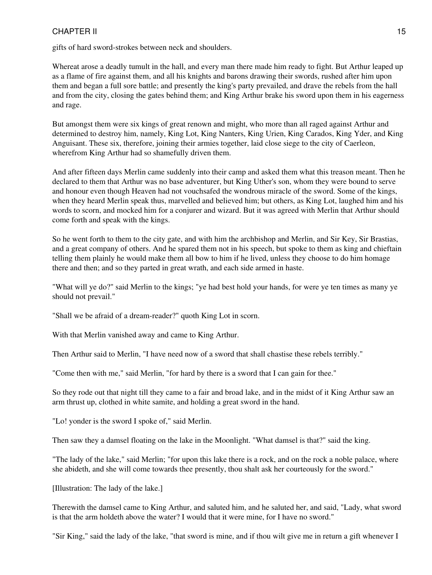gifts of hard sword-strokes between neck and shoulders.

Whereat arose a deadly tumult in the hall, and every man there made him ready to fight. But Arthur leaped up as a flame of fire against them, and all his knights and barons drawing their swords, rushed after him upon them and began a full sore battle; and presently the king's party prevailed, and drave the rebels from the hall and from the city, closing the gates behind them; and King Arthur brake his sword upon them in his eagerness and rage.

But amongst them were six kings of great renown and might, who more than all raged against Arthur and determined to destroy him, namely, King Lot, King Nanters, King Urien, King Carados, King Yder, and King Anguisant. These six, therefore, joining their armies together, laid close siege to the city of Caerleon, wherefrom King Arthur had so shamefully driven them.

And after fifteen days Merlin came suddenly into their camp and asked them what this treason meant. Then he declared to them that Arthur was no base adventurer, but King Uther's son, whom they were bound to serve and honour even though Heaven had not vouchsafed the wondrous miracle of the sword. Some of the kings, when they heard Merlin speak thus, marvelled and believed him; but others, as King Lot, laughed him and his words to scorn, and mocked him for a conjurer and wizard. But it was agreed with Merlin that Arthur should come forth and speak with the kings.

So he went forth to them to the city gate, and with him the archbishop and Merlin, and Sir Key, Sir Brastias, and a great company of others. And he spared them not in his speech, but spoke to them as king and chieftain telling them plainly he would make them all bow to him if he lived, unless they choose to do him homage there and then; and so they parted in great wrath, and each side armed in haste.

"What will ye do?" said Merlin to the kings; "ye had best hold your hands, for were ye ten times as many ye should not prevail."

"Shall we be afraid of a dream-reader?" quoth King Lot in scorn.

With that Merlin vanished away and came to King Arthur.

Then Arthur said to Merlin, "I have need now of a sword that shall chastise these rebels terribly."

"Come then with me," said Merlin, "for hard by there is a sword that I can gain for thee."

So they rode out that night till they came to a fair and broad lake, and in the midst of it King Arthur saw an arm thrust up, clothed in white samite, and holding a great sword in the hand.

"Lo! yonder is the sword I spoke of," said Merlin.

Then saw they a damsel floating on the lake in the Moonlight. "What damsel is that?" said the king.

"The lady of the lake," said Merlin; "for upon this lake there is a rock, and on the rock a noble palace, where she abideth, and she will come towards thee presently, thou shalt ask her courteously for the sword."

[Illustration: The lady of the lake.]

Therewith the damsel came to King Arthur, and saluted him, and he saluted her, and said, "Lady, what sword is that the arm holdeth above the water? I would that it were mine, for I have no sword."

"Sir King," said the lady of the lake, "that sword is mine, and if thou wilt give me in return a gift whenever I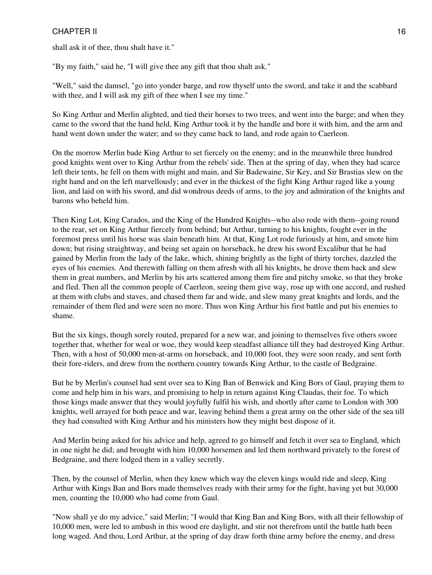shall ask it of thee, thou shalt have it."

"By my faith," said he, "I will give thee any gift that thou shalt ask."

"Well," said the damsel, "go into yonder barge, and row thyself unto the sword, and take it and the scabbard with thee, and I will ask my gift of thee when I see my time."

So King Arthur and Merlin alighted, and tied their horses to two trees, and went into the barge; and when they came to the sword that the hand held, King Arthur took it by the handle and bore it with him, and the arm and hand went down under the water; and so they came back to land, and rode again to Caerleon.

On the morrow Merlin bade King Arthur to set fiercely on the enemy; and in the meanwhile three hundred good knights went over to King Arthur from the rebels' side. Then at the spring of day, when they had scarce left their tents, he fell on them with might and main, and Sir Badewaine, Sir Key, and Sir Brastias slew on the right hand and on the left marvellously; and ever in the thickest of the fight King Arthur raged like a young lion, and laid on with his sword, and did wondrous deeds of arms, to the joy and admiration of the knights and barons who beheld him.

Then King Lot, King Carados, and the King of the Hundred Knights--who also rode with them--going round to the rear, set on King Arthur fiercely from behind; but Arthur, turning to his knights, fought ever in the foremost press until his horse was slain beneath him. At that, King Lot rode furiously at him, and smote him down; but rising straightway, and being set again on horseback, he drew his sword Excalibur that he had gained by Merlin from the lady of the lake, which, shining brightly as the light of thirty torches, dazzled the eyes of his enemies. And therewith falling on them afresh with all his knights, he drove them back and slew them in great numbers, and Merlin by his arts scattered among them fire and pitchy smoke, so that they broke and fled. Then all the common people of Caerleon, seeing them give way, rose up with one accord, and rushed at them with clubs and staves, and chased them far and wide, and slew many great knights and lords, and the remainder of them fled and were seen no more. Thus won King Arthur his first battle and put his enemies to shame.

But the six kings, though sorely routed, prepared for a new war, and joining to themselves five others swore together that, whether for weal or woe, they would keep steadfast alliance till they had destroyed King Arthur. Then, with a host of 50,000 men-at-arms on horseback, and 10,000 foot, they were soon ready, and sent forth their fore-riders, and drew from the northern country towards King Arthur, to the castle of Bedgraine.

But he by Merlin's counsel had sent over sea to King Ban of Benwick and King Bors of Gaul, praying them to come and help him in his wars, and promising to help in return against King Claudas, their foe. To which those kings made answer that they would joyfully fulfil his wish, and shortly after came to London with 300 knights, well arrayed for both peace and war, leaving behind them a great army on the other side of the sea till they had consulted with King Arthur and his ministers how they might best dispose of it.

And Merlin being asked for his advice and help, agreed to go himself and fetch it over sea to England, which in one night he did; and brought with him 10,000 horsemen and led them northward privately to the forest of Bedgraine, and there lodged them in a valley secretly.

Then, by the counsel of Merlin, when they knew which way the eleven kings would ride and sleep, King Arthur with Kings Ban and Bors made themselves ready with their army for the fight, having yet but 30,000 men, counting the 10,000 who had come from Gaul.

"Now shall ye do my advice," said Merlin; "I would that King Ban and King Bors, with all their fellowship of 10,000 men, were led to ambush in this wood ere daylight, and stir not therefrom until the battle hath been long waged. And thou, Lord Arthur, at the spring of day draw forth thine army before the enemy, and dress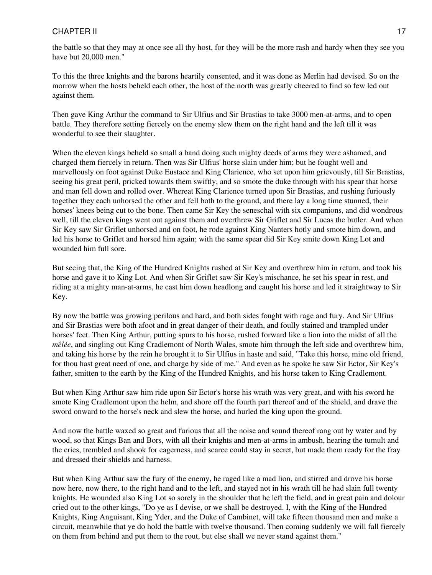the battle so that they may at once see all thy host, for they will be the more rash and hardy when they see you have but 20,000 men."

To this the three knights and the barons heartily consented, and it was done as Merlin had devised. So on the morrow when the hosts beheld each other, the host of the north was greatly cheered to find so few led out against them.

Then gave King Arthur the command to Sir Ulfius and Sir Brastias to take 3000 men-at-arms, and to open battle. They therefore setting fiercely on the enemy slew them on the right hand and the left till it was wonderful to see their slaughter.

When the eleven kings beheld so small a band doing such mighty deeds of arms they were ashamed, and charged them fiercely in return. Then was Sir Ulfius' horse slain under him; but he fought well and marvellously on foot against Duke Eustace and King Clarience, who set upon him grievously, till Sir Brastias, seeing his great peril, pricked towards them swiftly, and so smote the duke through with his spear that horse and man fell down and rolled over. Whereat King Clarience turned upon Sir Brastias, and rushing furiously together they each unhorsed the other and fell both to the ground, and there lay a long time stunned, their horses' knees being cut to the bone. Then came Sir Key the seneschal with six companions, and did wondrous well, till the eleven kings went out against them and overthrew Sir Griflet and Sir Lucas the butler. And when Sir Key saw Sir Griflet unhorsed and on foot, he rode against King Nanters hotly and smote him down, and led his horse to Griflet and horsed him again; with the same spear did Sir Key smite down King Lot and wounded him full sore.

But seeing that, the King of the Hundred Knights rushed at Sir Key and overthrew him in return, and took his horse and gave it to King Lot. And when Sir Griflet saw Sir Key's mischance, he set his spear in rest, and riding at a mighty man-at-arms, he cast him down headlong and caught his horse and led it straightway to Sir Key.

By now the battle was growing perilous and hard, and both sides fought with rage and fury. And Sir Ulfius and Sir Brastias were both afoot and in great danger of their death, and foully stained and trampled under horses' feet. Then King Arthur, putting spurs to his horse, rushed forward like a lion into the midst of all the *mêlée*, and singling out King Cradlemont of North Wales, smote him through the left side and overthrew him, and taking his horse by the rein he brought it to Sir Ulfius in haste and said, "Take this horse, mine old friend, for thou hast great need of one, and charge by side of me." And even as he spoke he saw Sir Ector, Sir Key's father, smitten to the earth by the King of the Hundred Knights, and his horse taken to King Cradlemont.

But when King Arthur saw him ride upon Sir Ector's horse his wrath was very great, and with his sword he smote King Cradlemont upon the helm, and shore off the fourth part thereof and of the shield, and drave the sword onward to the horse's neck and slew the horse, and hurled the king upon the ground.

And now the battle waxed so great and furious that all the noise and sound thereof rang out by water and by wood, so that Kings Ban and Bors, with all their knights and men-at-arms in ambush, hearing the tumult and the cries, trembled and shook for eagerness, and scarce could stay in secret, but made them ready for the fray and dressed their shields and harness.

But when King Arthur saw the fury of the enemy, he raged like a mad lion, and stirred and drove his horse now here, now there, to the right hand and to the left, and stayed not in his wrath till he had slain full twenty knights. He wounded also King Lot so sorely in the shoulder that he left the field, and in great pain and dolour cried out to the other kings, "Do ye as I devise, or we shall be destroyed. I, with the King of the Hundred Knights, King Anguisant, King Yder, and the Duke of Cambinet, will take fifteen thousand men and make a circuit, meanwhile that ye do hold the battle with twelve thousand. Then coming suddenly we will fall fiercely on them from behind and put them to the rout, but else shall we never stand against them."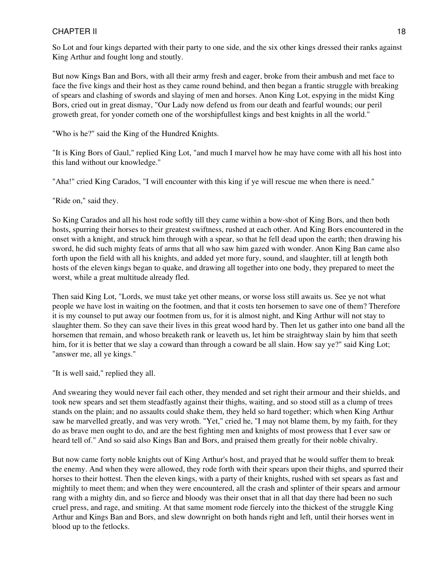So Lot and four kings departed with their party to one side, and the six other kings dressed their ranks against King Arthur and fought long and stoutly.

But now Kings Ban and Bors, with all their army fresh and eager, broke from their ambush and met face to face the five kings and their host as they came round behind, and then began a frantic struggle with breaking of spears and clashing of swords and slaying of men and horses. Anon King Lot, espying in the midst King Bors, cried out in great dismay, "Our Lady now defend us from our death and fearful wounds; our peril groweth great, for yonder cometh one of the worshipfullest kings and best knights in all the world."

"Who is he?" said the King of the Hundred Knights.

"It is King Bors of Gaul," replied King Lot, "and much I marvel how he may have come with all his host into this land without our knowledge."

"Aha!" cried King Carados, "I will encounter with this king if ye will rescue me when there is need."

"Ride on," said they.

So King Carados and all his host rode softly till they came within a bow-shot of King Bors, and then both hosts, spurring their horses to their greatest swiftness, rushed at each other. And King Bors encountered in the onset with a knight, and struck him through with a spear, so that he fell dead upon the earth; then drawing his sword, he did such mighty feats of arms that all who saw him gazed with wonder. Anon King Ban came also forth upon the field with all his knights, and added yet more fury, sound, and slaughter, till at length both hosts of the eleven kings began to quake, and drawing all together into one body, they prepared to meet the worst, while a great multitude already fled.

Then said King Lot, "Lords, we must take yet other means, or worse loss still awaits us. See ye not what people we have lost in waiting on the footmen, and that it costs ten horsemen to save one of them? Therefore it is my counsel to put away our footmen from us, for it is almost night, and King Arthur will not stay to slaughter them. So they can save their lives in this great wood hard by. Then let us gather into one band all the horsemen that remain, and whoso breaketh rank or leaveth us, let him be straightway slain by him that seeth him, for it is better that we slay a coward than through a coward be all slain. How say ye?" said King Lot; "answer me, all ye kings."

"It is well said," replied they all.

And swearing they would never fail each other, they mended and set right their armour and their shields, and took new spears and set them steadfastly against their thighs, waiting, and so stood still as a clump of trees stands on the plain; and no assaults could shake them, they held so hard together; which when King Arthur saw he marvelled greatly, and was very wroth. "Yet," cried he, "I may not blame them, by my faith, for they do as brave men ought to do, and are the best fighting men and knights of most prowess that I ever saw or heard tell of." And so said also Kings Ban and Bors, and praised them greatly for their noble chivalry.

But now came forty noble knights out of King Arthur's host, and prayed that he would suffer them to break the enemy. And when they were allowed, they rode forth with their spears upon their thighs, and spurred their horses to their hottest. Then the eleven kings, with a party of their knights, rushed with set spears as fast and mightily to meet them; and when they were encountered, all the crash and splinter of their spears and armour rang with a mighty din, and so fierce and bloody was their onset that in all that day there had been no such cruel press, and rage, and smiting. At that same moment rode fiercely into the thickest of the struggle King Arthur and Kings Ban and Bors, and slew downright on both hands right and left, until their horses went in blood up to the fetlocks.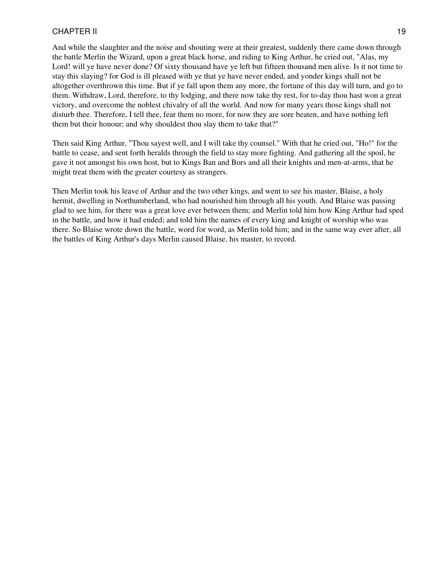And while the slaughter and the noise and shouting were at their greatest, suddenly there came down through the battle Merlin the Wizard, upon a great black horse, and riding to King Arthur, he cried out, "Alas, my Lord! will ye have never done? Of sixty thousand have ye left but fifteen thousand men alive. Is it not time to stay this slaying? for God is ill pleased with ye that ye have never ended, and yonder kings shall not be altogether overthrown this time. But if ye fall upon them any more, the fortune of this day will turn, and go to them. Withdraw, Lord, therefore, to thy lodging, and there now take thy rest, for to-day thou hast won a great victory, and overcome the noblest chivalry of all the world. And now for many years those kings shall not disturb thee. Therefore, I tell thee, fear them no more, for now they are sore beaten, and have nothing left them but their honour; and why shouldest thou slay them to take that?"

Then said King Arthur, "Thou sayest well, and I will take thy counsel." With that he cried out, "Ho!" for the battle to cease, and sent forth heralds through the field to stay more fighting. And gathering all the spoil, he gave it not amongst his own host, but to Kings Ban and Bors and all their knights and men-at-arms, that he might treat them with the greater courtesy as strangers.

Then Merlin took his leave of Arthur and the two other kings, and went to see his master, Blaise, a holy hermit, dwelling in Northumberland, who had nourished him through all his youth. And Blaise was passing glad to see him, for there was a great love ever between them; and Merlin told him how King Arthur had sped in the battle, and how it had ended; and told him the names of every king and knight of worship who was there. So Blaise wrote down the battle, word for word, as Merlin told him; and in the same way ever after, all the battles of King Arthur's days Merlin caused Blaise, his master, to record.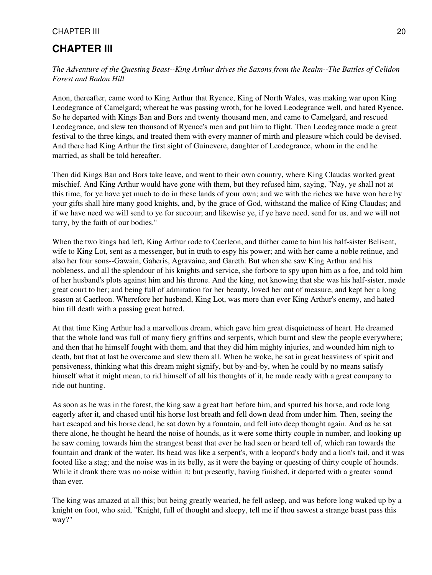# <span id="page-19-0"></span>**CHAPTER III**

*The Adventure of the Questing Beast--King Arthur drives the Saxons from the Realm--The Battles of Celidon Forest and Badon Hill*

Anon, thereafter, came word to King Arthur that Ryence, King of North Wales, was making war upon King Leodegrance of Camelgard; whereat he was passing wroth, for he loved Leodegrance well, and hated Ryence. So he departed with Kings Ban and Bors and twenty thousand men, and came to Camelgard, and rescued Leodegrance, and slew ten thousand of Ryence's men and put him to flight. Then Leodegrance made a great festival to the three kings, and treated them with every manner of mirth and pleasure which could be devised. And there had King Arthur the first sight of Guinevere, daughter of Leodegrance, whom in the end he married, as shall be told hereafter.

Then did Kings Ban and Bors take leave, and went to their own country, where King Claudas worked great mischief. And King Arthur would have gone with them, but they refused him, saying, "Nay, ye shall not at this time, for ye have yet much to do in these lands of your own; and we with the riches we have won here by your gifts shall hire many good knights, and, by the grace of God, withstand the malice of King Claudas; and if we have need we will send to ye for succour; and likewise ye, if ye have need, send for us, and we will not tarry, by the faith of our bodies."

When the two kings had left, King Arthur rode to Caerleon, and thither came to him his half-sister Belisent, wife to King Lot, sent as a messenger, but in truth to espy his power; and with her came a noble retinue, and also her four sons--Gawain, Gaheris, Agravaine, and Gareth. But when she saw King Arthur and his nobleness, and all the splendour of his knights and service, she forbore to spy upon him as a foe, and told him of her husband's plots against him and his throne. And the king, not knowing that she was his half-sister, made great court to her; and being full of admiration for her beauty, loved her out of measure, and kept her a long season at Caerleon. Wherefore her husband, King Lot, was more than ever King Arthur's enemy, and hated him till death with a passing great hatred.

At that time King Arthur had a marvellous dream, which gave him great disquietness of heart. He dreamed that the whole land was full of many fiery griffins and serpents, which burnt and slew the people everywhere; and then that he himself fought with them, and that they did him mighty injuries, and wounded him nigh to death, but that at last he overcame and slew them all. When he woke, he sat in great heaviness of spirit and pensiveness, thinking what this dream might signify, but by-and-by, when he could by no means satisfy himself what it might mean, to rid himself of all his thoughts of it, he made ready with a great company to ride out hunting.

As soon as he was in the forest, the king saw a great hart before him, and spurred his horse, and rode long eagerly after it, and chased until his horse lost breath and fell down dead from under him. Then, seeing the hart escaped and his horse dead, he sat down by a fountain, and fell into deep thought again. And as he sat there alone, he thought he heard the noise of hounds, as it were some thirty couple in number, and looking up he saw coming towards him the strangest beast that ever he had seen or heard tell of, which ran towards the fountain and drank of the water. Its head was like a serpent's, with a leopard's body and a lion's tail, and it was footed like a stag; and the noise was in its belly, as it were the baying or questing of thirty couple of hounds. While it drank there was no noise within it; but presently, having finished, it departed with a greater sound than ever.

The king was amazed at all this; but being greatly wearied, he fell asleep, and was before long waked up by a knight on foot, who said, "Knight, full of thought and sleepy, tell me if thou sawest a strange beast pass this way?"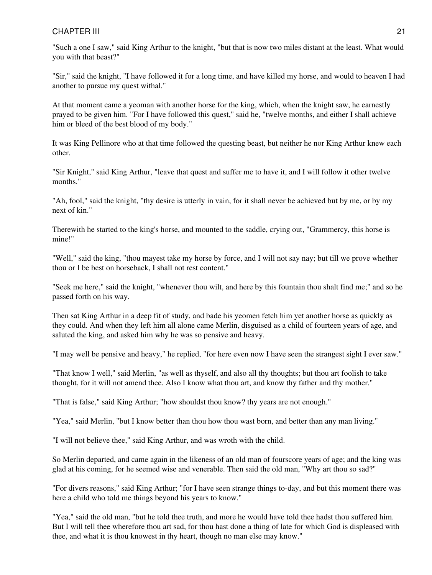"Such a one I saw," said King Arthur to the knight, "but that is now two miles distant at the least. What would you with that beast?"

"Sir," said the knight, "I have followed it for a long time, and have killed my horse, and would to heaven I had another to pursue my quest withal."

At that moment came a yeoman with another horse for the king, which, when the knight saw, he earnestly prayed to be given him. "For I have followed this quest," said he, "twelve months, and either I shall achieve him or bleed of the best blood of my body."

It was King Pellinore who at that time followed the questing beast, but neither he nor King Arthur knew each other.

"Sir Knight," said King Arthur, "leave that quest and suffer me to have it, and I will follow it other twelve months."

"Ah, fool," said the knight, "thy desire is utterly in vain, for it shall never be achieved but by me, or by my next of kin."

Therewith he started to the king's horse, and mounted to the saddle, crying out, "Grammercy, this horse is mine!"

"Well," said the king, "thou mayest take my horse by force, and I will not say nay; but till we prove whether thou or I be best on horseback, I shall not rest content."

"Seek me here," said the knight, "whenever thou wilt, and here by this fountain thou shalt find me;" and so he passed forth on his way.

Then sat King Arthur in a deep fit of study, and bade his yeomen fetch him yet another horse as quickly as they could. And when they left him all alone came Merlin, disguised as a child of fourteen years of age, and saluted the king, and asked him why he was so pensive and heavy.

"I may well be pensive and heavy," he replied, "for here even now I have seen the strangest sight I ever saw."

"That know I well," said Merlin, "as well as thyself, and also all thy thoughts; but thou art foolish to take thought, for it will not amend thee. Also I know what thou art, and know thy father and thy mother."

"That is false," said King Arthur; "how shouldst thou know? thy years are not enough."

"Yea," said Merlin, "but I know better than thou how thou wast born, and better than any man living."

"I will not believe thee," said King Arthur, and was wroth with the child.

So Merlin departed, and came again in the likeness of an old man of fourscore years of age; and the king was glad at his coming, for he seemed wise and venerable. Then said the old man, "Why art thou so sad?"

"For divers reasons," said King Arthur; "for I have seen strange things to-day, and but this moment there was here a child who told me things beyond his years to know."

"Yea," said the old man, "but he told thee truth, and more he would have told thee hadst thou suffered him. But I will tell thee wherefore thou art sad, for thou hast done a thing of late for which God is displeased with thee, and what it is thou knowest in thy heart, though no man else may know."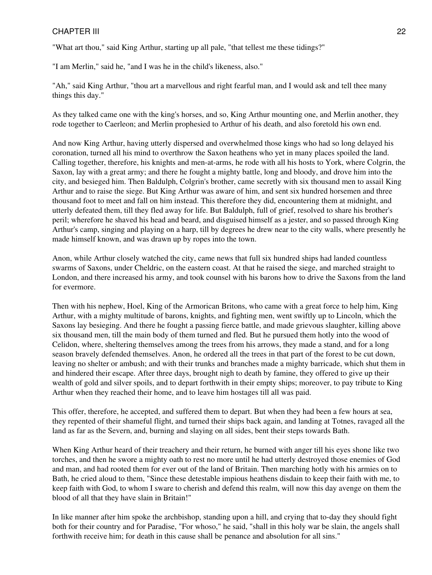"What art thou," said King Arthur, starting up all pale, "that tellest me these tidings?"

"I am Merlin," said he, "and I was he in the child's likeness, also."

"Ah," said King Arthur, "thou art a marvellous and right fearful man, and I would ask and tell thee many things this day."

As they talked came one with the king's horses, and so, King Arthur mounting one, and Merlin another, they rode together to Caerleon; and Merlin prophesied to Arthur of his death, and also foretold his own end.

And now King Arthur, having utterly dispersed and overwhelmed those kings who had so long delayed his coronation, turned all his mind to overthrow the Saxon heathens who yet in many places spoiled the land. Calling together, therefore, his knights and men-at-arms, he rode with all his hosts to York, where Colgrin, the Saxon, lay with a great army; and there he fought a mighty battle, long and bloody, and drove him into the city, and besieged him. Then Baldulph, Colgrin's brother, came secretly with six thousand men to assail King Arthur and to raise the siege. But King Arthur was aware of him, and sent six hundred horsemen and three thousand foot to meet and fall on him instead. This therefore they did, encountering them at midnight, and utterly defeated them, till they fled away for life. But Baldulph, full of grief, resolved to share his brother's peril; wherefore he shaved his head and beard, and disguised himself as a jester, and so passed through King Arthur's camp, singing and playing on a harp, till by degrees he drew near to the city walls, where presently he made himself known, and was drawn up by ropes into the town.

Anon, while Arthur closely watched the city, came news that full six hundred ships had landed countless swarms of Saxons, under Cheldric, on the eastern coast. At that he raised the siege, and marched straight to London, and there increased his army, and took counsel with his barons how to drive the Saxons from the land for evermore.

Then with his nephew, Hoel, King of the Armorican Britons, who came with a great force to help him, King Arthur, with a mighty multitude of barons, knights, and fighting men, went swiftly up to Lincoln, which the Saxons lay besieging. And there he fought a passing fierce battle, and made grievous slaughter, killing above six thousand men, till the main body of them turned and fled. But he pursued them hotly into the wood of Celidon, where, sheltering themselves among the trees from his arrows, they made a stand, and for a long season bravely defended themselves. Anon, he ordered all the trees in that part of the forest to be cut down, leaving no shelter or ambush; and with their trunks and branches made a mighty barricade, which shut them in and hindered their escape. After three days, brought nigh to death by famine, they offered to give up their wealth of gold and silver spoils, and to depart forthwith in their empty ships; moreover, to pay tribute to King Arthur when they reached their home, and to leave him hostages till all was paid.

This offer, therefore, he accepted, and suffered them to depart. But when they had been a few hours at sea, they repented of their shameful flight, and turned their ships back again, and landing at Totnes, ravaged all the land as far as the Severn, and, burning and slaying on all sides, bent their steps towards Bath.

When King Arthur heard of their treachery and their return, he burned with anger till his eyes shone like two torches, and then he swore a mighty oath to rest no more until he had utterly destroyed those enemies of God and man, and had rooted them for ever out of the land of Britain. Then marching hotly with his armies on to Bath, he cried aloud to them, "Since these detestable impious heathens disdain to keep their faith with me, to keep faith with God, to whom I sware to cherish and defend this realm, will now this day avenge on them the blood of all that they have slain in Britain!"

In like manner after him spoke the archbishop, standing upon a hill, and crying that to-day they should fight both for their country and for Paradise, "For whoso," he said, "shall in this holy war be slain, the angels shall forthwith receive him; for death in this cause shall be penance and absolution for all sins."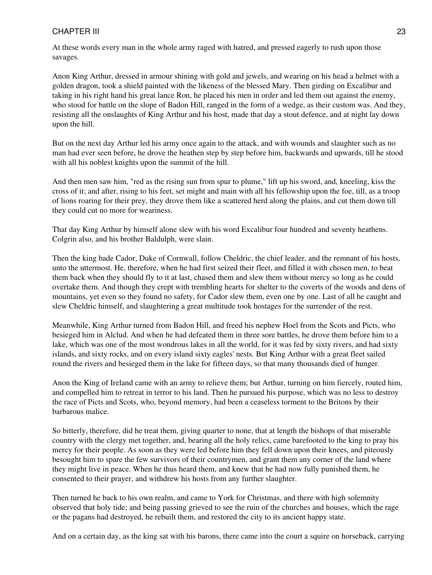At these words every man in the whole army raged with hatred, and pressed eagerly to rush upon those savages.

Anon King Arthur, dressed in armour shining with gold and jewels, and wearing on his head a helmet with a golden dragon, took a shield painted with the likeness of the blessed Mary. Then girding on Excalibur and taking in his right hand his great lance Ron, he placed his men in order and led them out against the enemy, who stood for battle on the slope of Badon Hill, ranged in the form of a wedge, as their custom was. And they, resisting all the onslaughts of King Arthur and his host, made that day a stout defence, and at night lay down upon the hill.

But on the next day Arthur led his army once again to the attack, and with wounds and slaughter such as no man had ever seen before, he drove the heathen step by step before him, backwards and upwards, till he stood with all his noblest knights upon the summit of the hill.

And then men saw him, "red as the rising sun from spur to plume," lift up his sword, and, kneeling, kiss the cross of it; and after, rising to his feet, set might and main with all his fellowship upon the foe, till, as a troop of lions roaring for their prey, they drove them like a scattered herd along the plains, and cut them down till they could cut no more for weariness.

That day King Arthur by himself alone slew with his word Excalibur four hundred and seventy heathens. Colgrin also, and his brother Baldulph, were slain.

Then the king bade Cador, Duke of Cornwall, follow Cheldric, the chief leader, and the remnant of his hosts, unto the uttermost. He, therefore, when he had first seized their fleet, and filled it with chosen men, to beat them back when they should fly to it at last, chased them and slew them without mercy so long as he could overtake them. And though they crept with trembling hearts for shelter to the coverts of the woods and dens of mountains, yet even so they found no safety, for Cador slew them, even one by one. Last of all he caught and slew Cheldric himself, and slaughtering a great multitude took hostages for the surrender of the rest.

Meanwhile, King Arthur turned from Badon Hill, and freed his nephew Hoel from the Scots and Picts, who besieged him in Alclud. And when he had defeated them in three sore battles, he drove them before him to a lake, which was one of the most wondrous lakes in all the world, for it was fed by sixty rivers, and had sixty islands, and sixty rocks, and on every island sixty eagles' nests. But King Arthur with a great fleet sailed round the rivers and besieged them in the lake for fifteen days, so that many thousands died of hunger.

Anon the King of Ireland came with an army to relieve them; but Arthur, turning on him fiercely, routed him, and compelled him to retreat in terror to his land. Then he pursued his purpose, which was no less to destroy the race of Picts and Scots, who, beyond memory, had been a ceaseless torment to the Britons by their barbarous malice.

So bitterly, therefore, did he treat them, giving quarter to none, that at length the bishops of that miserable country with the clergy met together, and, bearing all the holy relics, came barefooted to the king to pray his mercy for their people. As soon as they were led before him they fell down upon their knees, and piteously besought him to spare the few survivors of their countrymen, and grant them any corner of the land where they might live in peace. When he thus heard them, and knew that he had now fully punished them, he consented to their prayer, and withdrew his hosts from any further slaughter.

Then turned he back to his own realm, and came to York for Christmas, and there with high solemnity observed that holy tide; and being passing grieved to see the ruin of the churches and houses, which the rage or the pagans had destroyed, he rebuilt them, and restored the city to its ancient happy state.

And on a certain day, as the king sat with his barons, there came into the court a squire on horseback, carrying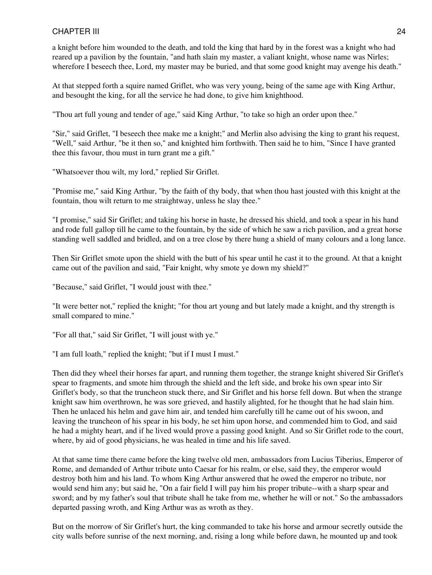a knight before him wounded to the death, and told the king that hard by in the forest was a knight who had reared up a pavilion by the fountain, "and hath slain my master, a valiant knight, whose name was Nirles; wherefore I beseech thee, Lord, my master may be buried, and that some good knight may avenge his death."

At that stepped forth a squire named Griflet, who was very young, being of the same age with King Arthur, and besought the king, for all the service he had done, to give him knighthood.

"Thou art full young and tender of age," said King Arthur, "to take so high an order upon thee."

"Sir," said Griflet, "I beseech thee make me a knight;" and Merlin also advising the king to grant his request, "Well," said Arthur, "be it then so," and knighted him forthwith. Then said he to him, "Since I have granted thee this favour, thou must in turn grant me a gift."

"Whatsoever thou wilt, my lord," replied Sir Griflet.

"Promise me," said King Arthur, "by the faith of thy body, that when thou hast jousted with this knight at the fountain, thou wilt return to me straightway, unless he slay thee."

"I promise," said Sir Griflet; and taking his horse in haste, he dressed his shield, and took a spear in his hand and rode full gallop till he came to the fountain, by the side of which he saw a rich pavilion, and a great horse standing well saddled and bridled, and on a tree close by there hung a shield of many colours and a long lance.

Then Sir Griflet smote upon the shield with the butt of his spear until he cast it to the ground. At that a knight came out of the pavilion and said, "Fair knight, why smote ye down my shield?"

"Because," said Griflet, "I would joust with thee."

"It were better not," replied the knight; "for thou art young and but lately made a knight, and thy strength is small compared to mine."

"For all that," said Sir Griflet, "I will joust with ye."

"I am full loath," replied the knight; "but if I must I must."

Then did they wheel their horses far apart, and running them together, the strange knight shivered Sir Griflet's spear to fragments, and smote him through the shield and the left side, and broke his own spear into Sir Griflet's body, so that the truncheon stuck there, and Sir Griflet and his horse fell down. But when the strange knight saw him overthrown, he was sore grieved, and hastily alighted, for he thought that he had slain him. Then he unlaced his helm and gave him air, and tended him carefully till he came out of his swoon, and leaving the truncheon of his spear in his body, he set him upon horse, and commended him to God, and said he had a mighty heart, and if he lived would prove a passing good knight. And so Sir Griflet rode to the court, where, by aid of good physicians, he was healed in time and his life saved.

At that same time there came before the king twelve old men, ambassadors from Lucius Tiberius, Emperor of Rome, and demanded of Arthur tribute unto Caesar for his realm, or else, said they, the emperor would destroy both him and his land. To whom King Arthur answered that he owed the emperor no tribute, nor would send him any; but said he, "On a fair field I will pay him his proper tribute--with a sharp spear and sword; and by my father's soul that tribute shall he take from me, whether he will or not." So the ambassadors departed passing wroth, and King Arthur was as wroth as they.

But on the morrow of Sir Griflet's hurt, the king commanded to take his horse and armour secretly outside the city walls before sunrise of the next morning, and, rising a long while before dawn, he mounted up and took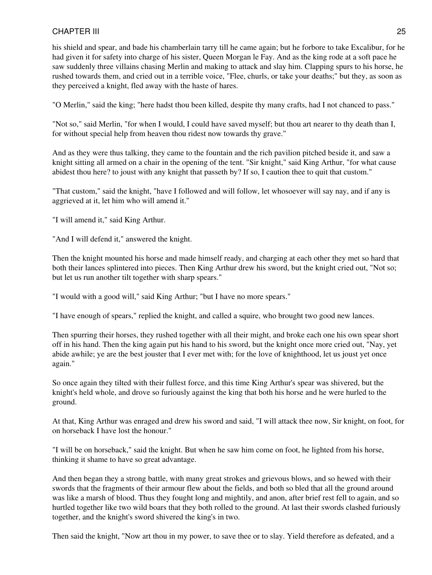his shield and spear, and bade his chamberlain tarry till he came again; but he forbore to take Excalibur, for he had given it for safety into charge of his sister, Queen Morgan le Fay. And as the king rode at a soft pace he saw suddenly three villains chasing Merlin and making to attack and slay him. Clapping spurs to his horse, he rushed towards them, and cried out in a terrible voice, "Flee, churls, or take your deaths;" but they, as soon as they perceived a knight, fled away with the haste of hares.

"O Merlin," said the king; "here hadst thou been killed, despite thy many crafts, had I not chanced to pass."

"Not so," said Merlin, "for when I would, I could have saved myself; but thou art nearer to thy death than I, for without special help from heaven thou ridest now towards thy grave."

And as they were thus talking, they came to the fountain and the rich pavilion pitched beside it, and saw a knight sitting all armed on a chair in the opening of the tent. "Sir knight," said King Arthur, "for what cause abidest thou here? to joust with any knight that passeth by? If so, I caution thee to quit that custom."

"That custom," said the knight, "have I followed and will follow, let whosoever will say nay, and if any is aggrieved at it, let him who will amend it."

"I will amend it," said King Arthur.

"And I will defend it," answered the knight.

Then the knight mounted his horse and made himself ready, and charging at each other they met so hard that both their lances splintered into pieces. Then King Arthur drew his sword, but the knight cried out, "Not so; but let us run another tilt together with sharp spears."

"I would with a good will," said King Arthur; "but I have no more spears."

"I have enough of spears," replied the knight, and called a squire, who brought two good new lances.

Then spurring their horses, they rushed together with all their might, and broke each one his own spear short off in his hand. Then the king again put his hand to his sword, but the knight once more cried out, "Nay, yet abide awhile; ye are the best jouster that I ever met with; for the love of knighthood, let us joust yet once again."

So once again they tilted with their fullest force, and this time King Arthur's spear was shivered, but the knight's held whole, and drove so furiously against the king that both his horse and he were hurled to the ground.

At that, King Arthur was enraged and drew his sword and said, "I will attack thee now, Sir knight, on foot, for on horseback I have lost the honour."

"I will be on horseback," said the knight. But when he saw him come on foot, he lighted from his horse, thinking it shame to have so great advantage.

And then began they a strong battle, with many great strokes and grievous blows, and so hewed with their swords that the fragments of their armour flew about the fields, and both so bled that all the ground around was like a marsh of blood. Thus they fought long and mightily, and anon, after brief rest fell to again, and so hurtled together like two wild boars that they both rolled to the ground. At last their swords clashed furiously together, and the knight's sword shivered the king's in two.

Then said the knight, "Now art thou in my power, to save thee or to slay. Yield therefore as defeated, and a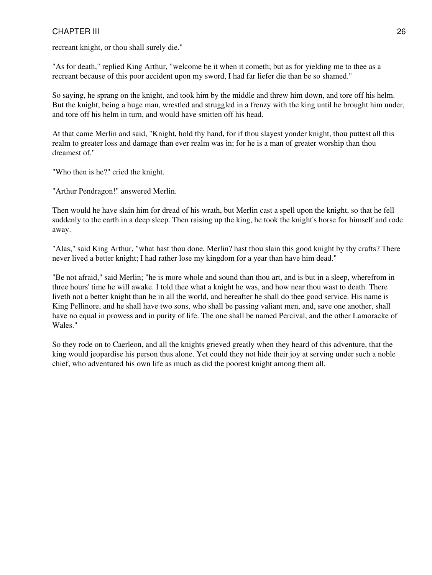recreant knight, or thou shall surely die."

"As for death," replied King Arthur, "welcome be it when it cometh; but as for yielding me to thee as a recreant because of this poor accident upon my sword, I had far liefer die than be so shamed."

So saying, he sprang on the knight, and took him by the middle and threw him down, and tore off his helm. But the knight, being a huge man, wrestled and struggled in a frenzy with the king until he brought him under, and tore off his helm in turn, and would have smitten off his head.

At that came Merlin and said, "Knight, hold thy hand, for if thou slayest yonder knight, thou puttest all this realm to greater loss and damage than ever realm was in; for he is a man of greater worship than thou dreamest of."

"Who then is he?" cried the knight.

"Arthur Pendragon!" answered Merlin.

Then would he have slain him for dread of his wrath, but Merlin cast a spell upon the knight, so that he fell suddenly to the earth in a deep sleep. Then raising up the king, he took the knight's horse for himself and rode away.

"Alas," said King Arthur, "what hast thou done, Merlin? hast thou slain this good knight by thy crafts? There never lived a better knight; I had rather lose my kingdom for a year than have him dead."

"Be not afraid," said Merlin; "he is more whole and sound than thou art, and is but in a sleep, wherefrom in three hours' time he will awake. I told thee what a knight he was, and how near thou wast to death. There liveth not a better knight than he in all the world, and hereafter he shall do thee good service. His name is King Pellinore, and he shall have two sons, who shall be passing valiant men, and, save one another, shall have no equal in prowess and in purity of life. The one shall be named Percival, and the other Lamoracke of Wales."

So they rode on to Caerleon, and all the knights grieved greatly when they heard of this adventure, that the king would jeopardise his person thus alone. Yet could they not hide their joy at serving under such a noble chief, who adventured his own life as much as did the poorest knight among them all.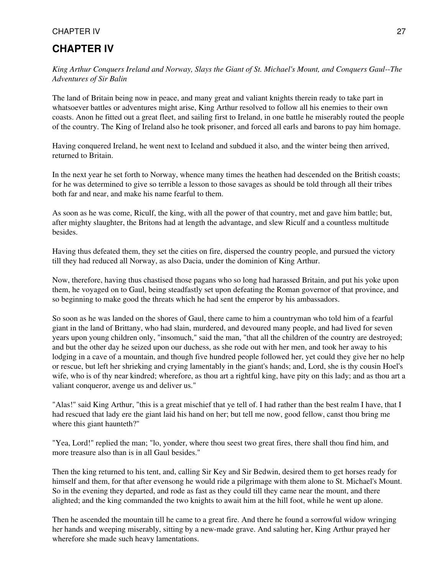# <span id="page-26-0"></span>**CHAPTER IV**

*King Arthur Conquers Ireland and Norway, Slays the Giant of St. Michael's Mount, and Conquers Gaul--The Adventures of Sir Balin*

The land of Britain being now in peace, and many great and valiant knights therein ready to take part in whatsoever battles or adventures might arise, King Arthur resolved to follow all his enemies to their own coasts. Anon he fitted out a great fleet, and sailing first to Ireland, in one battle he miserably routed the people of the country. The King of Ireland also he took prisoner, and forced all earls and barons to pay him homage.

Having conquered Ireland, he went next to Iceland and subdued it also, and the winter being then arrived, returned to Britain.

In the next year he set forth to Norway, whence many times the heathen had descended on the British coasts; for he was determined to give so terrible a lesson to those savages as should be told through all their tribes both far and near, and make his name fearful to them.

As soon as he was come, Riculf, the king, with all the power of that country, met and gave him battle; but, after mighty slaughter, the Britons had at length the advantage, and slew Riculf and a countless multitude besides.

Having thus defeated them, they set the cities on fire, dispersed the country people, and pursued the victory till they had reduced all Norway, as also Dacia, under the dominion of King Arthur.

Now, therefore, having thus chastised those pagans who so long had harassed Britain, and put his yoke upon them, he voyaged on to Gaul, being steadfastly set upon defeating the Roman governor of that province, and so beginning to make good the threats which he had sent the emperor by his ambassadors.

So soon as he was landed on the shores of Gaul, there came to him a countryman who told him of a fearful giant in the land of Brittany, who had slain, murdered, and devoured many people, and had lived for seven years upon young children only, "insomuch," said the man, "that all the children of the country are destroyed; and but the other day he seized upon our duchess, as she rode out with her men, and took her away to his lodging in a cave of a mountain, and though five hundred people followed her, yet could they give her no help or rescue, but left her shrieking and crying lamentably in the giant's hands; and, Lord, she is thy cousin Hoel's wife, who is of thy near kindred; wherefore, as thou art a rightful king, have pity on this lady; and as thou art a valiant conqueror, avenge us and deliver us."

"Alas!" said King Arthur, "this is a great mischief that ye tell of. I had rather than the best realm I have, that I had rescued that lady ere the giant laid his hand on her; but tell me now, good fellow, canst thou bring me where this giant haunteth?"

"Yea, Lord!" replied the man; "lo, yonder, where thou seest two great fires, there shall thou find him, and more treasure also than is in all Gaul besides."

Then the king returned to his tent, and, calling Sir Key and Sir Bedwin, desired them to get horses ready for himself and them, for that after evensong he would ride a pilgrimage with them alone to St. Michael's Mount. So in the evening they departed, and rode as fast as they could till they came near the mount, and there alighted; and the king commanded the two knights to await him at the hill foot, while he went up alone.

Then he ascended the mountain till he came to a great fire. And there he found a sorrowful widow wringing her hands and weeping miserably, sitting by a new-made grave. And saluting her, King Arthur prayed her wherefore she made such heavy lamentations.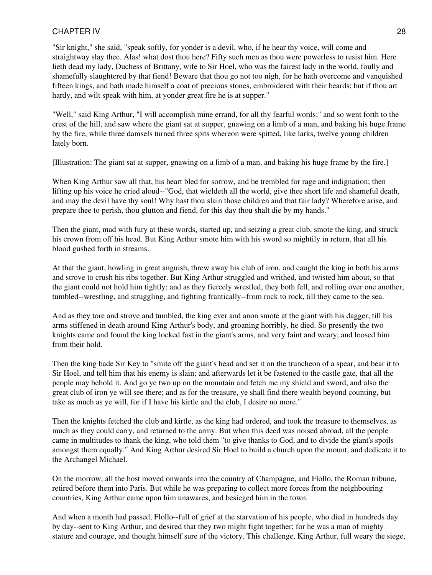"Sir knight," she said, "speak softly, for yonder is a devil, who, if he hear thy voice, will come and straightway slay thee. Alas! what dost thou here? Fifty such men as thou were powerless to resist him. Here lieth dead my lady, Duchess of Brittany, wife to Sir Hoel, who was the fairest lady in the world, foully and shamefully slaughtered by that fiend! Beware that thou go not too nigh, for he hath overcome and vanquished fifteen kings, and hath made himself a coat of precious stones, embroidered with their beards; but if thou art hardy, and wilt speak with him, at yonder great fire he is at supper."

"Well," said King Arthur, "I will accomplish mine errand, for all thy fearful words;" and so went forth to the crest of the hill, and saw where the giant sat at supper, gnawing on a limb of a man, and baking his huge frame by the fire, while three damsels turned three spits whereon were spitted, like larks, twelve young children lately born.

[Illustration: The giant sat at supper, gnawing on a limb of a man, and baking his huge frame by the fire.]

When King Arthur saw all that, his heart bled for sorrow, and he trembled for rage and indignation; then lifting up his voice he cried aloud--"God, that wieldeth all the world, give thee short life and shameful death, and may the devil have thy soul! Why hast thou slain those children and that fair lady? Wherefore arise, and prepare thee to perish, thou glutton and fiend, for this day thou shalt die by my hands."

Then the giant, mad with fury at these words, started up, and seizing a great club, smote the king, and struck his crown from off his head. But King Arthur smote him with his sword so mightily in return, that all his blood gushed forth in streams.

At that the giant, howling in great anguish, threw away his club of iron, and caught the king in both his arms and strove to crush his ribs together. But King Arthur struggled and writhed, and twisted him about, so that the giant could not hold him tightly; and as they fiercely wrestled, they both fell, and rolling over one another, tumbled--wrestling, and struggling, and fighting frantically--from rock to rock, till they came to the sea.

And as they tore and strove and tumbled, the king ever and anon smote at the giant with his dagger, till his arms stiffened in death around King Arthur's body, and groaning horribly, he died. So presently the two knights came and found the king locked fast in the giant's arms, and very faint and weary, and loosed him from their hold.

Then the king bade Sir Key to "smite off the giant's head and set it on the truncheon of a spear, and bear it to Sir Hoel, and tell him that his enemy is slain; and afterwards let it be fastened to the castle gate, that all the people may behold it. And go ye two up on the mountain and fetch me my shield and sword, and also the great club of iron ye will see there; and as for the treasure, ye shall find there wealth beyond counting, but take as much as ye will, for if I have his kirtle and the club, I desire no more."

Then the knights fetched the club and kirtle, as the king had ordered, and took the treasure to themselves, as much as they could carry, and returned to the army. But when this deed was noised abroad, all the people came in multitudes to thank the king, who told them "to give thanks to God, and to divide the giant's spoils amongst them equally." And King Arthur desired Sir Hoel to build a church upon the mount, and dedicate it to the Archangel Michael.

On the morrow, all the host moved onwards into the country of Champagne, and Flollo, the Roman tribune, retired before them into Paris. But while he was preparing to collect more forces from the neighbouring countries, King Arthur came upon him unawares, and besieged him in the town.

And when a month had passed, Flollo--full of grief at the starvation of his people, who died in hundreds day by day--sent to King Arthur, and desired that they two might fight together; for he was a man of mighty stature and courage, and thought himself sure of the victory. This challenge, King Arthur, full weary the siege,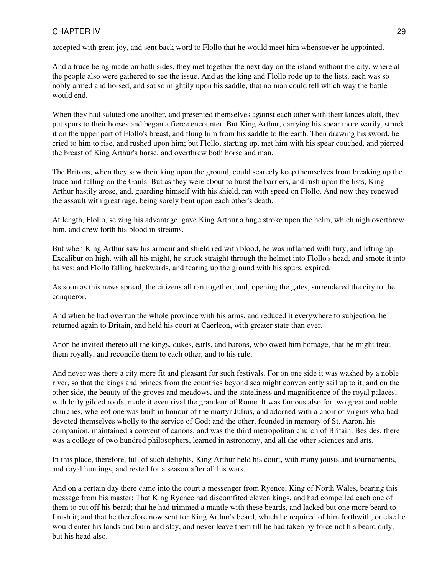accepted with great joy, and sent back word to Flollo that he would meet him whensoever he appointed.

And a truce being made on both sides, they met together the next day on the island without the city, where all the people also were gathered to see the issue. And as the king and Flollo rode up to the lists, each was so nobly armed and horsed, and sat so mightily upon his saddle, that no man could tell which way the battle would end.

When they had saluted one another, and presented themselves against each other with their lances aloft, they put spurs to their horses and began a fierce encounter. But King Arthur, carrying his spear more warily, struck it on the upper part of Flollo's breast, and flung him from his saddle to the earth. Then drawing his sword, he cried to him to rise, and rushed upon him; but Flollo, starting up, met him with his spear couched, and pierced the breast of King Arthur's horse, and overthrew both horse and man.

The Britons, when they saw their king upon the ground, could scarcely keep themselves from breaking up the truce and falling on the Gauls. But as they were about to burst the barriers, and rush upon the lists, King Arthur hastily arose, and, guarding himself with his shield, ran with speed on Flollo. And now they renewed the assault with great rage, being sorely bent upon each other's death.

At length, Flollo, seizing his advantage, gave King Arthur a huge stroke upon the helm, which nigh overthrew him, and drew forth his blood in streams.

But when King Arthur saw his armour and shield red with blood, he was inflamed with fury, and lifting up Excalibur on high, with all his might, he struck straight through the helmet into Flollo's head, and smote it into halves; and Flollo falling backwards, and tearing up the ground with his spurs, expired.

As soon as this news spread, the citizens all ran together, and, opening the gates, surrendered the city to the conqueror.

And when he had overrun the whole province with his arms, and reduced it everywhere to subjection, he returned again to Britain, and held his court at Caerleon, with greater state than ever.

Anon he invited thereto all the kings, dukes, earls, and barons, who owed him homage, that he might treat them royally, and reconcile them to each other, and to his rule.

And never was there a city more fit and pleasant for such festivals. For on one side it was washed by a noble river, so that the kings and princes from the countries beyond sea might conveniently sail up to it; and on the other side, the beauty of the groves and meadows, and the stateliness and magnificence of the royal palaces, with lofty gilded roofs, made it even rival the grandeur of Rome. It was famous also for two great and noble churches, whereof one was built in honour of the martyr Julius, and adorned with a choir of virgins who had devoted themselves wholly to the service of God; and the other, founded in memory of St. Aaron, his companion, maintained a convent of canons, and was the third metropolitan church of Britain. Besides, there was a college of two hundred philosophers, learned in astronomy, and all the other sciences and arts.

In this place, therefore, full of such delights, King Arthur held his court, with many jousts and tournaments, and royal huntings, and rested for a season after all his wars.

And on a certain day there came into the court a messenger from Ryence, King of North Wales, bearing this message from his master: That King Ryence had discomfited eleven kings, and had compelled each one of them to cut off his beard; that he had trimmed a mantle with these beards, and lacked but one more beard to finish it; and that he therefore now sent for King Arthur's beard, which he required of him forthwith, or else he would enter his lands and burn and slay, and never leave them till he had taken by force not his beard only, but his head also.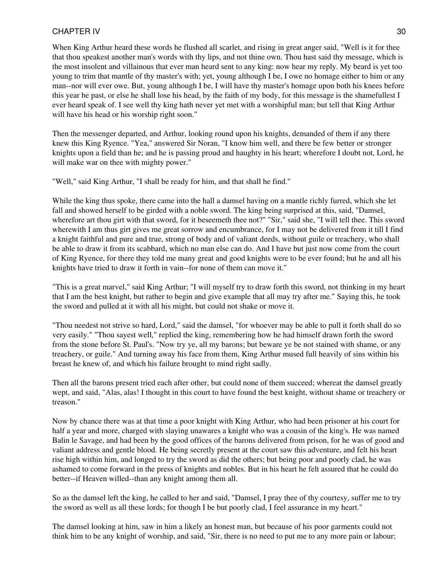When King Arthur heard these words he flushed all scarlet, and rising in great anger said, "Well is it for thee that thou speakest another man's words with thy lips, and not thine own. Thou hast said thy message, which is the most insolent and villainous that ever man heard sent to any king: now hear my reply. My beard is yet too young to trim that mantle of thy master's with; yet, young although I be, I owe no homage either to him or any man--nor will ever owe. But, young although I be, I will have thy master's homage upon both his knees before this year be past, or else he shall lose his head, by the faith of my body, for this message is the shamefullest I ever heard speak of. I see well thy king hath never yet met with a worshipful man; but tell that King Arthur will have his head or his worship right soon."

Then the messenger departed, and Arthur, looking round upon his knights, demanded of them if any there knew this King Ryence. "Yea," answered Sir Noran, "I know him well, and there be few better or stronger knights upon a field than he; and he is passing proud and haughty in his heart; wherefore I doubt not, Lord, he will make war on thee with mighty power."

"Well," said King Arthur, "I shall be ready for him, and that shall he find."

While the king thus spoke, there came into the hall a damsel having on a mantle richly furred, which she let fall and showed herself to be girded with a noble sword. The king being surprised at this, said, "Damsel, wherefore art thou girt with that sword, for it beseemeth thee not?" "Sir," said she, "I will tell thee. This sword wherewith I am thus girt gives me great sorrow and encumbrance, for I may not be delivered from it till I find a knight faithful and pure and true, strong of body and of valiant deeds, without guile or treachery, who shall be able to draw it from its scabbard, which no man else can do. And I have but just now come from the court of King Ryence, for there they told me many great and good knights were to be ever found; but he and all his knights have tried to draw it forth in vain--for none of them can move it."

"This is a great marvel," said King Arthur; "I will myself try to draw forth this sword, not thinking in my heart that I am the best knight, but rather to begin and give example that all may try after me." Saying this, he took the sword and pulled at it with all his might, but could not shake or move it.

"Thou needest not strive so hard, Lord," said the damsel, "for whoever may be able to pull it forth shall do so very easily." "Thou sayest well," replied the king, remembering how he had himself drawn forth the sword from the stone before St. Paul's. "Now try ye, all my barons; but beware ye be not stained with shame, or any treachery, or guile." And turning away his face from them, King Arthur mused full heavily of sins within his breast he knew of, and which his failure brought to mind right sadly.

Then all the barons present tried each after other, but could none of them succeed; whereat the damsel greatly wept, and said, "Alas, alas! I thought in this court to have found the best knight, without shame or treachery or treason."

Now by chance there was at that time a poor knight with King Arthur, who had been prisoner at his court for half a year and more, charged with slaying unawares a knight who was a cousin of the king's. He was named Balin le Savage, and had been by the good offices of the barons delivered from prison, for he was of good and valiant address and gentle blood. He being secretly present at the court saw this adventure, and felt his heart rise high within him, and longed to try the sword as did the others; but being poor and poorly clad, he was ashamed to come forward in the press of knights and nobles. But in his heart he felt assured that he could do better--if Heaven willed--than any knight among them all.

So as the damsel left the king, he called to her and said, "Damsel, I pray thee of thy courtesy, suffer me to try the sword as well as all these lords; for though I be but poorly clad, I feel assurance in my heart."

The damsel looking at him, saw in him a likely an honest man, but because of his poor garments could not think him to be any knight of worship, and said, "Sir, there is no need to put me to any more pain or labour;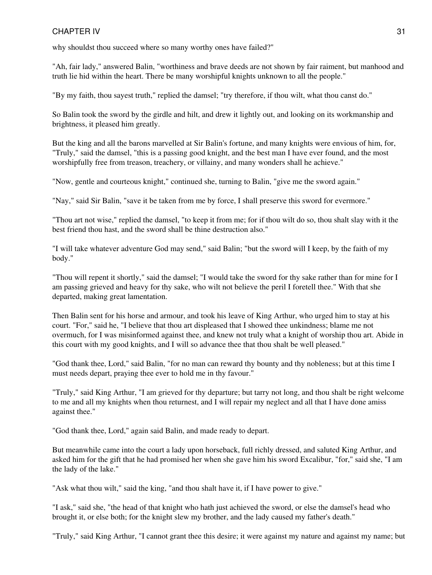why shouldst thou succeed where so many worthy ones have failed?"

"Ah, fair lady," answered Balin, "worthiness and brave deeds are not shown by fair raiment, but manhood and truth lie hid within the heart. There be many worshipful knights unknown to all the people."

"By my faith, thou sayest truth," replied the damsel; "try therefore, if thou wilt, what thou canst do."

So Balin took the sword by the girdle and hilt, and drew it lightly out, and looking on its workmanship and brightness, it pleased him greatly.

But the king and all the barons marvelled at Sir Balin's fortune, and many knights were envious of him, for, "Truly," said the damsel, "this is a passing good knight, and the best man I have ever found, and the most worshipfully free from treason, treachery, or villainy, and many wonders shall he achieve."

"Now, gentle and courteous knight," continued she, turning to Balin, "give me the sword again."

"Nay," said Sir Balin, "save it be taken from me by force, I shall preserve this sword for evermore."

"Thou art not wise," replied the damsel, "to keep it from me; for if thou wilt do so, thou shalt slay with it the best friend thou hast, and the sword shall be thine destruction also."

"I will take whatever adventure God may send," said Balin; "but the sword will I keep, by the faith of my body."

"Thou will repent it shortly," said the damsel; "I would take the sword for thy sake rather than for mine for I am passing grieved and heavy for thy sake, who wilt not believe the peril I foretell thee." With that she departed, making great lamentation.

Then Balin sent for his horse and armour, and took his leave of King Arthur, who urged him to stay at his court. "For," said he, "I believe that thou art displeased that I showed thee unkindness; blame me not overmuch, for I was misinformed against thee, and knew not truly what a knight of worship thou art. Abide in this court with my good knights, and I will so advance thee that thou shalt be well pleased."

"God thank thee, Lord," said Balin, "for no man can reward thy bounty and thy nobleness; but at this time I must needs depart, praying thee ever to hold me in thy favour."

"Truly," said King Arthur, "I am grieved for thy departure; but tarry not long, and thou shalt be right welcome to me and all my knights when thou returnest, and I will repair my neglect and all that I have done amiss against thee."

"God thank thee, Lord," again said Balin, and made ready to depart.

But meanwhile came into the court a lady upon horseback, full richly dressed, and saluted King Arthur, and asked him for the gift that he had promised her when she gave him his sword Excalibur, "for," said she, "I am the lady of the lake."

"Ask what thou wilt," said the king, "and thou shalt have it, if I have power to give."

"I ask," said she, "the head of that knight who hath just achieved the sword, or else the damsel's head who brought it, or else both; for the knight slew my brother, and the lady caused my father's death."

"Truly," said King Arthur, "I cannot grant thee this desire; it were against my nature and against my name; but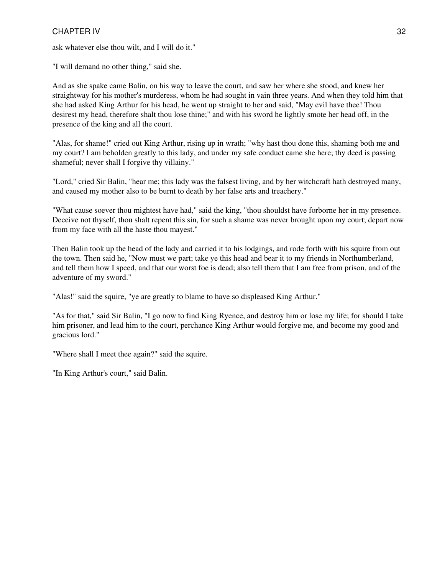ask whatever else thou wilt, and I will do it."

"I will demand no other thing," said she.

And as she spake came Balin, on his way to leave the court, and saw her where she stood, and knew her straightway for his mother's murderess, whom he had sought in vain three years. And when they told him that she had asked King Arthur for his head, he went up straight to her and said, "May evil have thee! Thou desirest my head, therefore shalt thou lose thine;" and with his sword he lightly smote her head off, in the presence of the king and all the court.

"Alas, for shame!" cried out King Arthur, rising up in wrath; "why hast thou done this, shaming both me and my court? I am beholden greatly to this lady, and under my safe conduct came she here; thy deed is passing shameful; never shall I forgive thy villainy."

"Lord," cried Sir Balin, "hear me; this lady was the falsest living, and by her witchcraft hath destroyed many, and caused my mother also to be burnt to death by her false arts and treachery."

"What cause soever thou mightest have had," said the king, "thou shouldst have forborne her in my presence. Deceive not thyself, thou shalt repent this sin, for such a shame was never brought upon my court; depart now from my face with all the haste thou mayest."

Then Balin took up the head of the lady and carried it to his lodgings, and rode forth with his squire from out the town. Then said he, "Now must we part; take ye this head and bear it to my friends in Northumberland, and tell them how I speed, and that our worst foe is dead; also tell them that I am free from prison, and of the adventure of my sword."

"Alas!" said the squire, "ye are greatly to blame to have so displeased King Arthur."

"As for that," said Sir Balin, "I go now to find King Ryence, and destroy him or lose my life; for should I take him prisoner, and lead him to the court, perchance King Arthur would forgive me, and become my good and gracious lord."

"Where shall I meet thee again?" said the squire.

"In King Arthur's court," said Balin.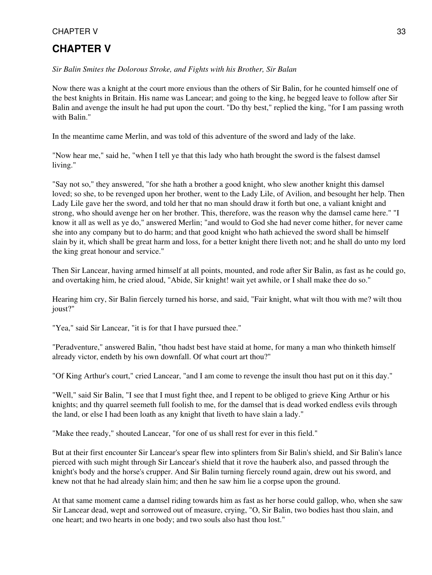# <span id="page-32-0"></span>**CHAPTER V**

*Sir Balin Smites the Dolorous Stroke, and Fights with his Brother, Sir Balan*

Now there was a knight at the court more envious than the others of Sir Balin, for he counted himself one of the best knights in Britain. His name was Lancear; and going to the king, he begged leave to follow after Sir Balin and avenge the insult he had put upon the court. "Do thy best," replied the king, "for I am passing wroth with Balin."

In the meantime came Merlin, and was told of this adventure of the sword and lady of the lake.

"Now hear me," said he, "when I tell ye that this lady who hath brought the sword is the falsest damsel living."

"Say not so," they answered, "for she hath a brother a good knight, who slew another knight this damsel loved; so she, to be revenged upon her brother, went to the Lady Lile, of Avilion, and besought her help. Then Lady Lile gave her the sword, and told her that no man should draw it forth but one, a valiant knight and strong, who should avenge her on her brother. This, therefore, was the reason why the damsel came here." "I know it all as well as ye do," answered Merlin; "and would to God she had never come hither, for never came she into any company but to do harm; and that good knight who hath achieved the sword shall be himself slain by it, which shall be great harm and loss, for a better knight there liveth not; and he shall do unto my lord the king great honour and service."

Then Sir Lancear, having armed himself at all points, mounted, and rode after Sir Balin, as fast as he could go, and overtaking him, he cried aloud, "Abide, Sir knight! wait yet awhile, or I shall make thee do so."

Hearing him cry, Sir Balin fiercely turned his horse, and said, "Fair knight, what wilt thou with me? wilt thou joust?"

"Yea," said Sir Lancear, "it is for that I have pursued thee."

"Peradventure," answered Balin, "thou hadst best have staid at home, for many a man who thinketh himself already victor, endeth by his own downfall. Of what court art thou?"

"Of King Arthur's court," cried Lancear, "and I am come to revenge the insult thou hast put on it this day."

"Well," said Sir Balin, "I see that I must fight thee, and I repent to be obliged to grieve King Arthur or his knights; and thy quarrel seemeth full foolish to me, for the damsel that is dead worked endless evils through the land, or else I had been loath as any knight that liveth to have slain a lady."

"Make thee ready," shouted Lancear, "for one of us shall rest for ever in this field."

But at their first encounter Sir Lancear's spear flew into splinters from Sir Balin's shield, and Sir Balin's lance pierced with such might through Sir Lancear's shield that it rove the hauberk also, and passed through the knight's body and the horse's crupper. And Sir Balin turning fiercely round again, drew out his sword, and knew not that he had already slain him; and then he saw him lie a corpse upon the ground.

At that same moment came a damsel riding towards him as fast as her horse could gallop, who, when she saw Sir Lancear dead, wept and sorrowed out of measure, crying, "O, Sir Balin, two bodies hast thou slain, and one heart; and two hearts in one body; and two souls also hast thou lost."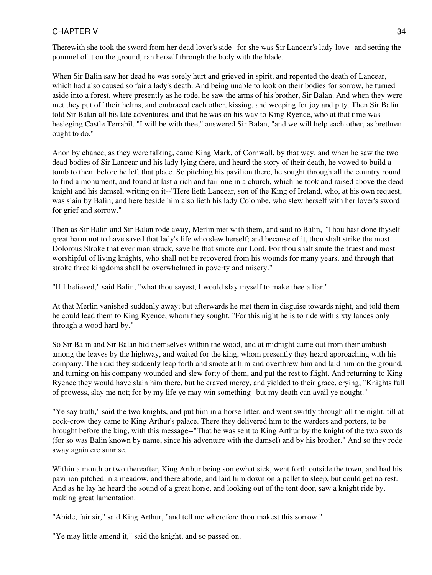Therewith she took the sword from her dead lover's side--for she was Sir Lancear's lady-love--and setting the pommel of it on the ground, ran herself through the body with the blade.

When Sir Balin saw her dead he was sorely hurt and grieved in spirit, and repented the death of Lancear, which had also caused so fair a lady's death. And being unable to look on their bodies for sorrow, he turned aside into a forest, where presently as he rode, he saw the arms of his brother, Sir Balan. And when they were met they put off their helms, and embraced each other, kissing, and weeping for joy and pity. Then Sir Balin told Sir Balan all his late adventures, and that he was on his way to King Ryence, who at that time was besieging Castle Terrabil. "I will be with thee," answered Sir Balan, "and we will help each other, as brethren ought to do."

Anon by chance, as they were talking, came King Mark, of Cornwall, by that way, and when he saw the two dead bodies of Sir Lancear and his lady lying there, and heard the story of their death, he vowed to build a tomb to them before he left that place. So pitching his pavilion there, he sought through all the country round to find a monument, and found at last a rich and fair one in a church, which he took and raised above the dead knight and his damsel, writing on it--"Here lieth Lancear, son of the King of Ireland, who, at his own request, was slain by Balin; and here beside him also lieth his lady Colombe, who slew herself with her lover's sword for grief and sorrow."

Then as Sir Balin and Sir Balan rode away, Merlin met with them, and said to Balin, "Thou hast done thyself great harm not to have saved that lady's life who slew herself; and because of it, thou shalt strike the most Dolorous Stroke that ever man struck, save he that smote our Lord. For thou shalt smite the truest and most worshipful of living knights, who shall not be recovered from his wounds for many years, and through that stroke three kingdoms shall be overwhelmed in poverty and misery."

"If I believed," said Balin, "what thou sayest, I would slay myself to make thee a liar."

At that Merlin vanished suddenly away; but afterwards he met them in disguise towards night, and told them he could lead them to King Ryence, whom they sought. "For this night he is to ride with sixty lances only through a wood hard by."

So Sir Balin and Sir Balan hid themselves within the wood, and at midnight came out from their ambush among the leaves by the highway, and waited for the king, whom presently they heard approaching with his company. Then did they suddenly leap forth and smote at him and overthrew him and laid him on the ground, and turning on his company wounded and slew forty of them, and put the rest to flight. And returning to King Ryence they would have slain him there, but he craved mercy, and yielded to their grace, crying, "Knights full of prowess, slay me not; for by my life ye may win something--but my death can avail ye nought."

"Ye say truth," said the two knights, and put him in a horse-litter, and went swiftly through all the night, till at cock-crow they came to King Arthur's palace. There they delivered him to the warders and porters, to be brought before the king, with this message--"That he was sent to King Arthur by the knight of the two swords (for so was Balin known by name, since his adventure with the damsel) and by his brother." And so they rode away again ere sunrise.

Within a month or two thereafter, King Arthur being somewhat sick, went forth outside the town, and had his pavilion pitched in a meadow, and there abode, and laid him down on a pallet to sleep, but could get no rest. And as he lay he heard the sound of a great horse, and looking out of the tent door, saw a knight ride by, making great lamentation.

"Abide, fair sir," said King Arthur, "and tell me wherefore thou makest this sorrow."

"Ye may little amend it," said the knight, and so passed on.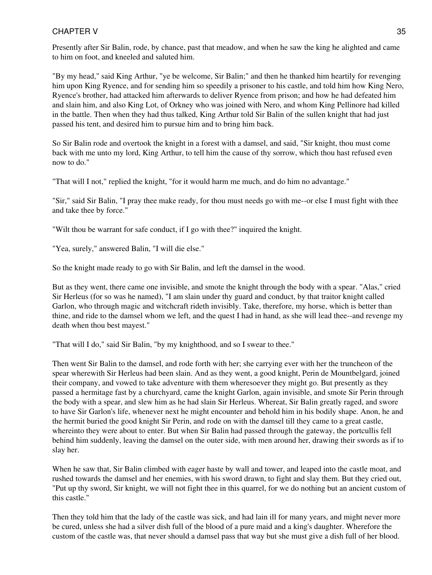Presently after Sir Balin, rode, by chance, past that meadow, and when he saw the king he alighted and came to him on foot, and kneeled and saluted him.

"By my head," said King Arthur, "ye be welcome, Sir Balin;" and then he thanked him heartily for revenging him upon King Ryence, and for sending him so speedily a prisoner to his castle, and told him how King Nero, Ryence's brother, had attacked him afterwards to deliver Ryence from prison; and how he had defeated him and slain him, and also King Lot, of Orkney who was joined with Nero, and whom King Pellinore had killed in the battle. Then when they had thus talked, King Arthur told Sir Balin of the sullen knight that had just passed his tent, and desired him to pursue him and to bring him back.

So Sir Balin rode and overtook the knight in a forest with a damsel, and said, "Sir knight, thou must come back with me unto my lord, King Arthur, to tell him the cause of thy sorrow, which thou hast refused even now to do."

"That will I not," replied the knight, "for it would harm me much, and do him no advantage."

"Sir," said Sir Balin, "I pray thee make ready, for thou must needs go with me--or else I must fight with thee and take thee by force."

"Wilt thou be warrant for safe conduct, if I go with thee?" inquired the knight.

"Yea, surely," answered Balin, "I will die else."

So the knight made ready to go with Sir Balin, and left the damsel in the wood.

But as they went, there came one invisible, and smote the knight through the body with a spear. "Alas," cried Sir Herleus (for so was he named), "I am slain under thy guard and conduct, by that traitor knight called Garlon, who through magic and witchcraft rideth invisibly. Take, therefore, my horse, which is better than thine, and ride to the damsel whom we left, and the quest I had in hand, as she will lead thee--and revenge my death when thou best mayest."

"That will I do," said Sir Balin, "by my knighthood, and so I swear to thee."

Then went Sir Balin to the damsel, and rode forth with her; she carrying ever with her the truncheon of the spear wherewith Sir Herleus had been slain. And as they went, a good knight, Perin de Mountbelgard, joined their company, and vowed to take adventure with them wheresoever they might go. But presently as they passed a hermitage fast by a churchyard, came the knight Garlon, again invisible, and smote Sir Perin through the body with a spear, and slew him as he had slain Sir Herleus. Whereat, Sir Balin greatly raged, and swore to have Sir Garlon's life, whenever next he might encounter and behold him in his bodily shape. Anon, he and the hermit buried the good knight Sir Perin, and rode on with the damsel till they came to a great castle, whereinto they were about to enter. But when Sir Balin had passed through the gateway, the portcullis fell behind him suddenly, leaving the damsel on the outer side, with men around her, drawing their swords as if to slay her.

When he saw that, Sir Balin climbed with eager haste by wall and tower, and leaped into the castle moat, and rushed towards the damsel and her enemies, with his sword drawn, to fight and slay them. But they cried out, "Put up thy sword, Sir knight, we will not fight thee in this quarrel, for we do nothing but an ancient custom of this castle."

Then they told him that the lady of the castle was sick, and had lain ill for many years, and might never more be cured, unless she had a silver dish full of the blood of a pure maid and a king's daughter. Wherefore the custom of the castle was, that never should a damsel pass that way but she must give a dish full of her blood.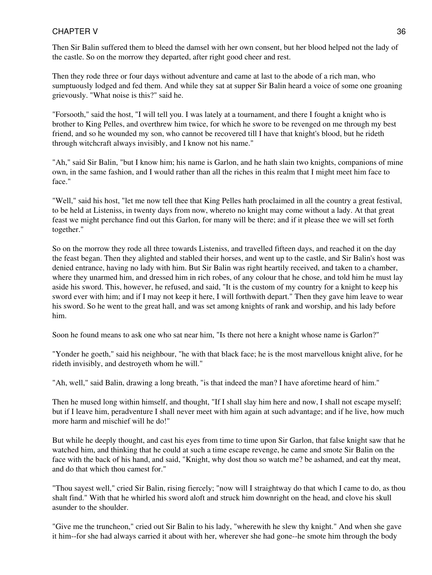Then Sir Balin suffered them to bleed the damsel with her own consent, but her blood helped not the lady of the castle. So on the morrow they departed, after right good cheer and rest.

Then they rode three or four days without adventure and came at last to the abode of a rich man, who sumptuously lodged and fed them. And while they sat at supper Sir Balin heard a voice of some one groaning grievously. "What noise is this?" said he.

"Forsooth," said the host, "I will tell you. I was lately at a tournament, and there I fought a knight who is brother to King Pelles, and overthrew him twice, for which he swore to be revenged on me through my best friend, and so he wounded my son, who cannot be recovered till I have that knight's blood, but he rideth through witchcraft always invisibly, and I know not his name."

"Ah," said Sir Balin, "but I know him; his name is Garlon, and he hath slain two knights, companions of mine own, in the same fashion, and I would rather than all the riches in this realm that I might meet him face to face."

"Well," said his host, "let me now tell thee that King Pelles hath proclaimed in all the country a great festival, to be held at Listeniss, in twenty days from now, whereto no knight may come without a lady. At that great feast we might perchance find out this Garlon, for many will be there; and if it please thee we will set forth together."

So on the morrow they rode all three towards Listeniss, and travelled fifteen days, and reached it on the day the feast began. Then they alighted and stabled their horses, and went up to the castle, and Sir Balin's host was denied entrance, having no lady with him. But Sir Balin was right heartily received, and taken to a chamber, where they unarmed him, and dressed him in rich robes, of any colour that he chose, and told him he must lay aside his sword. This, however, he refused, and said, "It is the custom of my country for a knight to keep his sword ever with him; and if I may not keep it here, I will forthwith depart." Then they gave him leave to wear his sword. So he went to the great hall, and was set among knights of rank and worship, and his lady before him.

Soon he found means to ask one who sat near him, "Is there not here a knight whose name is Garlon?"

"Yonder he goeth," said his neighbour, "he with that black face; he is the most marvellous knight alive, for he rideth invisibly, and destroyeth whom he will."

"Ah, well," said Balin, drawing a long breath, "is that indeed the man? I have aforetime heard of him."

Then he mused long within himself, and thought, "If I shall slay him here and now, I shall not escape myself; but if I leave him, peradventure I shall never meet with him again at such advantage; and if he live, how much more harm and mischief will he do!"

But while he deeply thought, and cast his eyes from time to time upon Sir Garlon, that false knight saw that he watched him, and thinking that he could at such a time escape revenge, he came and smote Sir Balin on the face with the back of his hand, and said, "Knight, why dost thou so watch me? be ashamed, and eat thy meat, and do that which thou camest for."

"Thou sayest well," cried Sir Balin, rising fiercely; "now will I straightway do that which I came to do, as thou shalt find." With that he whirled his sword aloft and struck him downright on the head, and clove his skull asunder to the shoulder.

"Give me the truncheon," cried out Sir Balin to his lady, "wherewith he slew thy knight." And when she gave it him--for she had always carried it about with her, wherever she had gone--he smote him through the body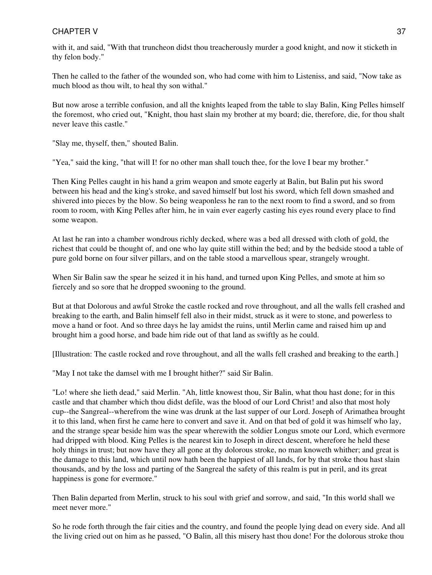with it, and said, "With that truncheon didst thou treacherously murder a good knight, and now it sticketh in thy felon body."

Then he called to the father of the wounded son, who had come with him to Listeniss, and said, "Now take as much blood as thou wilt, to heal thy son withal."

But now arose a terrible confusion, and all the knights leaped from the table to slay Balin, King Pelles himself the foremost, who cried out, "Knight, thou hast slain my brother at my board; die, therefore, die, for thou shalt never leave this castle."

"Slay me, thyself, then," shouted Balin.

"Yea," said the king, "that will I! for no other man shall touch thee, for the love I bear my brother."

Then King Pelles caught in his hand a grim weapon and smote eagerly at Balin, but Balin put his sword between his head and the king's stroke, and saved himself but lost his sword, which fell down smashed and shivered into pieces by the blow. So being weaponless he ran to the next room to find a sword, and so from room to room, with King Pelles after him, he in vain ever eagerly casting his eyes round every place to find some weapon.

At last he ran into a chamber wondrous richly decked, where was a bed all dressed with cloth of gold, the richest that could be thought of, and one who lay quite still within the bed; and by the bedside stood a table of pure gold borne on four silver pillars, and on the table stood a marvellous spear, strangely wrought.

When Sir Balin saw the spear he seized it in his hand, and turned upon King Pelles, and smote at him so fiercely and so sore that he dropped swooning to the ground.

But at that Dolorous and awful Stroke the castle rocked and rove throughout, and all the walls fell crashed and breaking to the earth, and Balin himself fell also in their midst, struck as it were to stone, and powerless to move a hand or foot. And so three days he lay amidst the ruins, until Merlin came and raised him up and brought him a good horse, and bade him ride out of that land as swiftly as he could.

[Illustration: The castle rocked and rove throughout, and all the walls fell crashed and breaking to the earth.]

"May I not take the damsel with me I brought hither?" said Sir Balin.

"Lo! where she lieth dead," said Merlin. "Ah, little knowest thou, Sir Balin, what thou hast done; for in this castle and that chamber which thou didst defile, was the blood of our Lord Christ! and also that most holy cup--the Sangreal--wherefrom the wine was drunk at the last supper of our Lord. Joseph of Arimathea brought it to this land, when first he came here to convert and save it. And on that bed of gold it was himself who lay, and the strange spear beside him was the spear wherewith the soldier Longus smote our Lord, which evermore had dripped with blood. King Pelles is the nearest kin to Joseph in direct descent, wherefore he held these holy things in trust; but now have they all gone at thy dolorous stroke, no man knoweth whither; and great is the damage to this land, which until now hath been the happiest of all lands, for by that stroke thou hast slain thousands, and by the loss and parting of the Sangreal the safety of this realm is put in peril, and its great happiness is gone for evermore."

Then Balin departed from Merlin, struck to his soul with grief and sorrow, and said, "In this world shall we meet never more."

So he rode forth through the fair cities and the country, and found the people lying dead on every side. And all the living cried out on him as he passed, "O Balin, all this misery hast thou done! For the dolorous stroke thou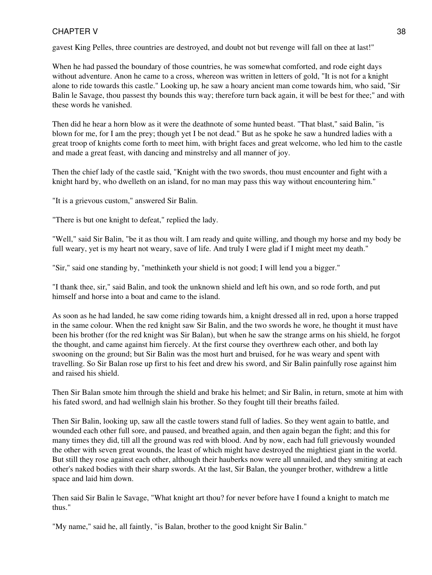gavest King Pelles, three countries are destroyed, and doubt not but revenge will fall on thee at last!"

When he had passed the boundary of those countries, he was somewhat comforted, and rode eight days without adventure. Anon he came to a cross, whereon was written in letters of gold, "It is not for a knight alone to ride towards this castle." Looking up, he saw a hoary ancient man come towards him, who said, "Sir Balin le Savage, thou passest thy bounds this way; therefore turn back again, it will be best for thee;" and with these words he vanished.

Then did he hear a horn blow as it were the deathnote of some hunted beast. "That blast," said Balin, "is blown for me, for I am the prey; though yet I be not dead." But as he spoke he saw a hundred ladies with a great troop of knights come forth to meet him, with bright faces and great welcome, who led him to the castle and made a great feast, with dancing and minstrelsy and all manner of joy.

Then the chief lady of the castle said, "Knight with the two swords, thou must encounter and fight with a knight hard by, who dwelleth on an island, for no man may pass this way without encountering him."

"It is a grievous custom," answered Sir Balin.

"There is but one knight to defeat," replied the lady.

"Well," said Sir Balin, "be it as thou wilt. I am ready and quite willing, and though my horse and my body be full weary, yet is my heart not weary, save of life. And truly I were glad if I might meet my death."

"Sir," said one standing by, "methinketh your shield is not good; I will lend you a bigger."

"I thank thee, sir," said Balin, and took the unknown shield and left his own, and so rode forth, and put himself and horse into a boat and came to the island.

As soon as he had landed, he saw come riding towards him, a knight dressed all in red, upon a horse trapped in the same colour. When the red knight saw Sir Balin, and the two swords he wore, he thought it must have been his brother (for the red knight was Sir Balan), but when he saw the strange arms on his shield, he forgot the thought, and came against him fiercely. At the first course they overthrew each other, and both lay swooning on the ground; but Sir Balin was the most hurt and bruised, for he was weary and spent with travelling. So Sir Balan rose up first to his feet and drew his sword, and Sir Balin painfully rose against him and raised his shield.

Then Sir Balan smote him through the shield and brake his helmet; and Sir Balin, in return, smote at him with his fated sword, and had wellnigh slain his brother. So they fought till their breaths failed.

Then Sir Balin, looking up, saw all the castle towers stand full of ladies. So they went again to battle, and wounded each other full sore, and paused, and breathed again, and then again began the fight; and this for many times they did, till all the ground was red with blood. And by now, each had full grievously wounded the other with seven great wounds, the least of which might have destroyed the mightiest giant in the world. But still they rose against each other, although their hauberks now were all unnailed, and they smiting at each other's naked bodies with their sharp swords. At the last, Sir Balan, the younger brother, withdrew a little space and laid him down.

Then said Sir Balin le Savage, "What knight art thou? for never before have I found a knight to match me thus."

"My name," said he, all faintly, "is Balan, brother to the good knight Sir Balin."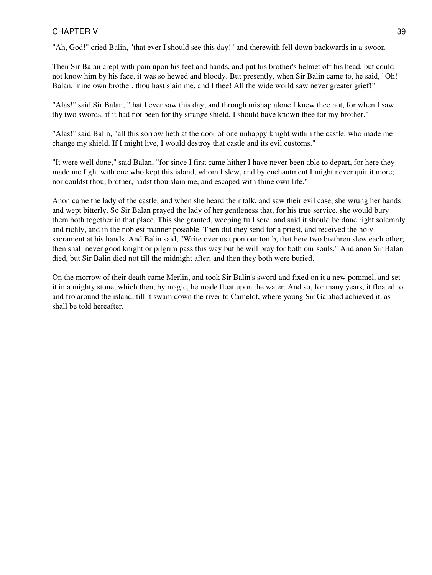"Ah, God!" cried Balin, "that ever I should see this day!" and therewith fell down backwards in a swoon.

Then Sir Balan crept with pain upon his feet and hands, and put his brother's helmet off his head, but could not know him by his face, it was so hewed and bloody. But presently, when Sir Balin came to, he said, "Oh! Balan, mine own brother, thou hast slain me, and I thee! All the wide world saw never greater grief!"

"Alas!" said Sir Balan, "that I ever saw this day; and through mishap alone I knew thee not, for when I saw thy two swords, if it had not been for thy strange shield, I should have known thee for my brother."

"Alas!" said Balin, "all this sorrow lieth at the door of one unhappy knight within the castle, who made me change my shield. If I might live, I would destroy that castle and its evil customs."

"It were well done," said Balan, "for since I first came hither I have never been able to depart, for here they made me fight with one who kept this island, whom I slew, and by enchantment I might never quit it more; nor couldst thou, brother, hadst thou slain me, and escaped with thine own life."

Anon came the lady of the castle, and when she heard their talk, and saw their evil case, she wrung her hands and wept bitterly. So Sir Balan prayed the lady of her gentleness that, for his true service, she would bury them both together in that place. This she granted, weeping full sore, and said it should be done right solemnly and richly, and in the noblest manner possible. Then did they send for a priest, and received the holy sacrament at his hands. And Balin said, "Write over us upon our tomb, that here two brethren slew each other; then shall never good knight or pilgrim pass this way but he will pray for both our souls." And anon Sir Balan died, but Sir Balin died not till the midnight after; and then they both were buried.

On the morrow of their death came Merlin, and took Sir Balin's sword and fixed on it a new pommel, and set it in a mighty stone, which then, by magic, he made float upon the water. And so, for many years, it floated to and fro around the island, till it swam down the river to Camelot, where young Sir Galahad achieved it, as shall be told hereafter.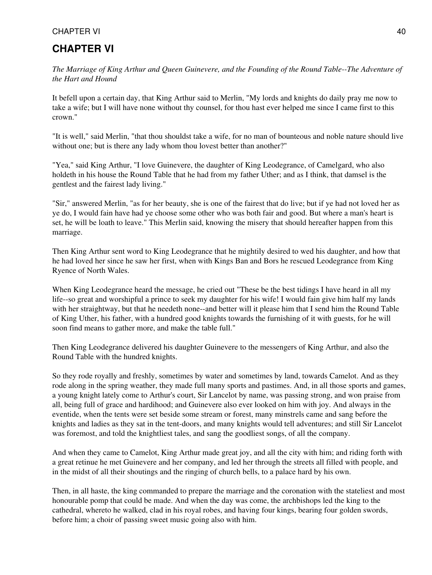# **CHAPTER VI**

*The Marriage of King Arthur and Queen Guinevere, and the Founding of the Round Table--The Adventure of the Hart and Hound*

It befell upon a certain day, that King Arthur said to Merlin, "My lords and knights do daily pray me now to take a wife; but I will have none without thy counsel, for thou hast ever helped me since I came first to this crown."

"It is well," said Merlin, "that thou shouldst take a wife, for no man of bounteous and noble nature should live without one; but is there any lady whom thou lovest better than another?"

"Yea," said King Arthur, "I love Guinevere, the daughter of King Leodegrance, of Camelgard, who also holdeth in his house the Round Table that he had from my father Uther; and as I think, that damsel is the gentlest and the fairest lady living."

"Sir," answered Merlin, "as for her beauty, she is one of the fairest that do live; but if ye had not loved her as ye do, I would fain have had ye choose some other who was both fair and good. But where a man's heart is set, he will be loath to leave." This Merlin said, knowing the misery that should hereafter happen from this marriage.

Then King Arthur sent word to King Leodegrance that he mightily desired to wed his daughter, and how that he had loved her since he saw her first, when with Kings Ban and Bors he rescued Leodegrance from King Ryence of North Wales.

When King Leodegrance heard the message, he cried out "These be the best tidings I have heard in all my life--so great and worshipful a prince to seek my daughter for his wife! I would fain give him half my lands with her straightway, but that he needeth none--and better will it please him that I send him the Round Table of King Uther, his father, with a hundred good knights towards the furnishing of it with guests, for he will soon find means to gather more, and make the table full."

Then King Leodegrance delivered his daughter Guinevere to the messengers of King Arthur, and also the Round Table with the hundred knights.

So they rode royally and freshly, sometimes by water and sometimes by land, towards Camelot. And as they rode along in the spring weather, they made full many sports and pastimes. And, in all those sports and games, a young knight lately come to Arthur's court, Sir Lancelot by name, was passing strong, and won praise from all, being full of grace and hardihood; and Guinevere also ever looked on him with joy. And always in the eventide, when the tents were set beside some stream or forest, many minstrels came and sang before the knights and ladies as they sat in the tent-doors, and many knights would tell adventures; and still Sir Lancelot was foremost, and told the knightliest tales, and sang the goodliest songs, of all the company.

And when they came to Camelot, King Arthur made great joy, and all the city with him; and riding forth with a great retinue he met Guinevere and her company, and led her through the streets all filled with people, and in the midst of all their shoutings and the ringing of church bells, to a palace hard by his own.

Then, in all haste, the king commanded to prepare the marriage and the coronation with the stateliest and most honourable pomp that could be made. And when the day was come, the archbishops led the king to the cathedral, whereto he walked, clad in his royal robes, and having four kings, bearing four golden swords, before him; a choir of passing sweet music going also with him.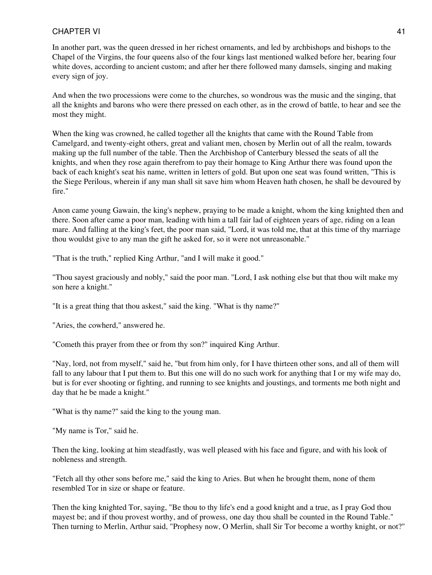In another part, was the queen dressed in her richest ornaments, and led by archbishops and bishops to the Chapel of the Virgins, the four queens also of the four kings last mentioned walked before her, bearing four white doves, according to ancient custom; and after her there followed many damsels, singing and making every sign of joy.

And when the two processions were come to the churches, so wondrous was the music and the singing, that all the knights and barons who were there pressed on each other, as in the crowd of battle, to hear and see the most they might.

When the king was crowned, he called together all the knights that came with the Round Table from Camelgard, and twenty-eight others, great and valiant men, chosen by Merlin out of all the realm, towards making up the full number of the table. Then the Archbishop of Canterbury blessed the seats of all the knights, and when they rose again therefrom to pay their homage to King Arthur there was found upon the back of each knight's seat his name, written in letters of gold. But upon one seat was found written, "This is the Siege Perilous, wherein if any man shall sit save him whom Heaven hath chosen, he shall be devoured by fire."

Anon came young Gawain, the king's nephew, praying to be made a knight, whom the king knighted then and there. Soon after came a poor man, leading with him a tall fair lad of eighteen years of age, riding on a lean mare. And falling at the king's feet, the poor man said, "Lord, it was told me, that at this time of thy marriage thou wouldst give to any man the gift he asked for, so it were not unreasonable."

"That is the truth," replied King Arthur, "and I will make it good."

"Thou sayest graciously and nobly," said the poor man. "Lord, I ask nothing else but that thou wilt make my son here a knight."

"It is a great thing that thou askest," said the king. "What is thy name?"

"Aries, the cowherd," answered he.

"Cometh this prayer from thee or from thy son?" inquired King Arthur.

"Nay, lord, not from myself," said he, "but from him only, for I have thirteen other sons, and all of them will fall to any labour that I put them to. But this one will do no such work for anything that I or my wife may do, but is for ever shooting or fighting, and running to see knights and joustings, and torments me both night and day that he be made a knight."

"What is thy name?" said the king to the young man.

"My name is Tor," said he.

Then the king, looking at him steadfastly, was well pleased with his face and figure, and with his look of nobleness and strength.

"Fetch all thy other sons before me," said the king to Aries. But when he brought them, none of them resembled Tor in size or shape or feature.

Then the king knighted Tor, saying, "Be thou to thy life's end a good knight and a true, as I pray God thou mayest be; and if thou provest worthy, and of prowess, one day thou shall be counted in the Round Table." Then turning to Merlin, Arthur said, "Prophesy now, O Merlin, shall Sir Tor become a worthy knight, or not?"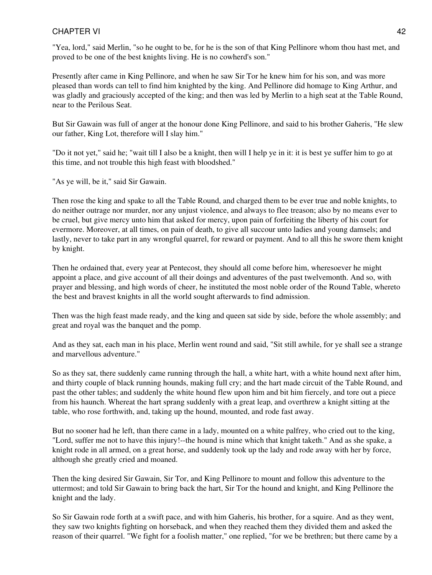"Yea, lord," said Merlin, "so he ought to be, for he is the son of that King Pellinore whom thou hast met, and proved to be one of the best knights living. He is no cowherd's son."

Presently after came in King Pellinore, and when he saw Sir Tor he knew him for his son, and was more pleased than words can tell to find him knighted by the king. And Pellinore did homage to King Arthur, and was gladly and graciously accepted of the king; and then was led by Merlin to a high seat at the Table Round, near to the Perilous Seat.

But Sir Gawain was full of anger at the honour done King Pellinore, and said to his brother Gaheris, "He slew our father, King Lot, therefore will I slay him."

"Do it not yet," said he; "wait till I also be a knight, then will I help ye in it: it is best ye suffer him to go at this time, and not trouble this high feast with bloodshed."

"As ye will, be it," said Sir Gawain.

Then rose the king and spake to all the Table Round, and charged them to be ever true and noble knights, to do neither outrage nor murder, nor any unjust violence, and always to flee treason; also by no means ever to be cruel, but give mercy unto him that asked for mercy, upon pain of forfeiting the liberty of his court for evermore. Moreover, at all times, on pain of death, to give all succour unto ladies and young damsels; and lastly, never to take part in any wrongful quarrel, for reward or payment. And to all this he swore them knight by knight.

Then he ordained that, every year at Pentecost, they should all come before him, wheresoever he might appoint a place, and give account of all their doings and adventures of the past twelvemonth. And so, with prayer and blessing, and high words of cheer, he instituted the most noble order of the Round Table, whereto the best and bravest knights in all the world sought afterwards to find admission.

Then was the high feast made ready, and the king and queen sat side by side, before the whole assembly; and great and royal was the banquet and the pomp.

And as they sat, each man in his place, Merlin went round and said, "Sit still awhile, for ye shall see a strange and marvellous adventure."

So as they sat, there suddenly came running through the hall, a white hart, with a white hound next after him, and thirty couple of black running hounds, making full cry; and the hart made circuit of the Table Round, and past the other tables; and suddenly the white hound flew upon him and bit him fiercely, and tore out a piece from his haunch. Whereat the hart sprang suddenly with a great leap, and overthrew a knight sitting at the table, who rose forthwith, and, taking up the hound, mounted, and rode fast away.

But no sooner had he left, than there came in a lady, mounted on a white palfrey, who cried out to the king, "Lord, suffer me not to have this injury!--the hound is mine which that knight taketh." And as she spake, a knight rode in all armed, on a great horse, and suddenly took up the lady and rode away with her by force, although she greatly cried and moaned.

Then the king desired Sir Gawain, Sir Tor, and King Pellinore to mount and follow this adventure to the uttermost; and told Sir Gawain to bring back the hart, Sir Tor the hound and knight, and King Pellinore the knight and the lady.

So Sir Gawain rode forth at a swift pace, and with him Gaheris, his brother, for a squire. And as they went, they saw two knights fighting on horseback, and when they reached them they divided them and asked the reason of their quarrel. "We fight for a foolish matter," one replied, "for we be brethren; but there came by a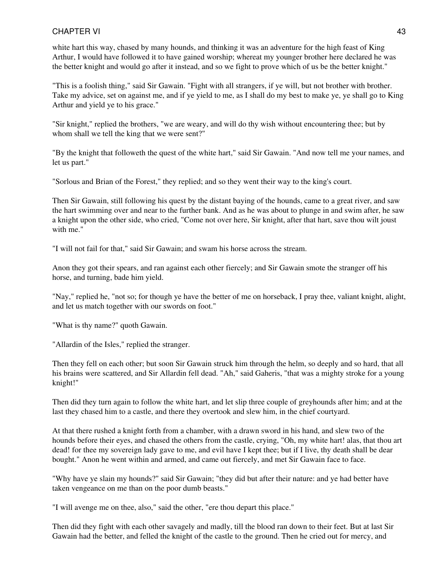white hart this way, chased by many hounds, and thinking it was an adventure for the high feast of King Arthur, I would have followed it to have gained worship; whereat my younger brother here declared he was the better knight and would go after it instead, and so we fight to prove which of us be the better knight."

"This is a foolish thing," said Sir Gawain. "Fight with all strangers, if ye will, but not brother with brother. Take my advice, set on against me, and if ye yield to me, as I shall do my best to make ye, ye shall go to King Arthur and yield ye to his grace."

"Sir knight," replied the brothers, "we are weary, and will do thy wish without encountering thee; but by whom shall we tell the king that we were sent?"

"By the knight that followeth the quest of the white hart," said Sir Gawain. "And now tell me your names, and let us part."

"Sorlous and Brian of the Forest," they replied; and so they went their way to the king's court.

Then Sir Gawain, still following his quest by the distant baying of the hounds, came to a great river, and saw the hart swimming over and near to the further bank. And as he was about to plunge in and swim after, he saw a knight upon the other side, who cried, "Come not over here, Sir knight, after that hart, save thou wilt joust with me."

"I will not fail for that," said Sir Gawain; and swam his horse across the stream.

Anon they got their spears, and ran against each other fiercely; and Sir Gawain smote the stranger off his horse, and turning, bade him yield.

"Nay," replied he, "not so; for though ye have the better of me on horseback, I pray thee, valiant knight, alight, and let us match together with our swords on foot."

"What is thy name?" quoth Gawain.

"Allardin of the Isles," replied the stranger.

Then they fell on each other; but soon Sir Gawain struck him through the helm, so deeply and so hard, that all his brains were scattered, and Sir Allardin fell dead. "Ah," said Gaheris, "that was a mighty stroke for a young knight!"

Then did they turn again to follow the white hart, and let slip three couple of greyhounds after him; and at the last they chased him to a castle, and there they overtook and slew him, in the chief courtyard.

At that there rushed a knight forth from a chamber, with a drawn sword in his hand, and slew two of the hounds before their eyes, and chased the others from the castle, crying, "Oh, my white hart! alas, that thou art dead! for thee my sovereign lady gave to me, and evil have I kept thee; but if I live, thy death shall be dear bought." Anon he went within and armed, and came out fiercely, and met Sir Gawain face to face.

"Why have ye slain my hounds?" said Sir Gawain; "they did but after their nature: and ye had better have taken vengeance on me than on the poor dumb beasts."

"I will avenge me on thee, also," said the other, "ere thou depart this place."

Then did they fight with each other savagely and madly, till the blood ran down to their feet. But at last Sir Gawain had the better, and felled the knight of the castle to the ground. Then he cried out for mercy, and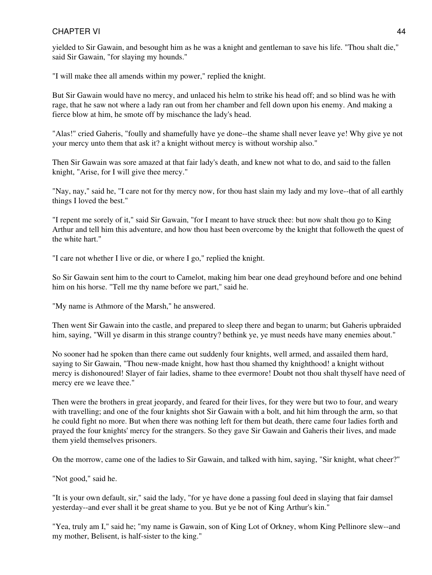yielded to Sir Gawain, and besought him as he was a knight and gentleman to save his life. "Thou shalt die," said Sir Gawain, "for slaying my hounds."

"I will make thee all amends within my power," replied the knight.

But Sir Gawain would have no mercy, and unlaced his helm to strike his head off; and so blind was he with rage, that he saw not where a lady ran out from her chamber and fell down upon his enemy. And making a fierce blow at him, he smote off by mischance the lady's head.

"Alas!" cried Gaheris, "foully and shamefully have ye done--the shame shall never leave ye! Why give ye not your mercy unto them that ask it? a knight without mercy is without worship also."

Then Sir Gawain was sore amazed at that fair lady's death, and knew not what to do, and said to the fallen knight, "Arise, for I will give thee mercy."

"Nay, nay," said he, "I care not for thy mercy now, for thou hast slain my lady and my love--that of all earthly things I loved the best."

"I repent me sorely of it," said Sir Gawain, "for I meant to have struck thee: but now shalt thou go to King Arthur and tell him this adventure, and how thou hast been overcome by the knight that followeth the quest of the white hart."

"I care not whether I live or die, or where I go," replied the knight.

So Sir Gawain sent him to the court to Camelot, making him bear one dead greyhound before and one behind him on his horse. "Tell me thy name before we part," said he.

"My name is Athmore of the Marsh," he answered.

Then went Sir Gawain into the castle, and prepared to sleep there and began to unarm; but Gaheris upbraided him, saying, "Will ye disarm in this strange country? bethink ye, ye must needs have many enemies about."

No sooner had he spoken than there came out suddenly four knights, well armed, and assailed them hard, saying to Sir Gawain, "Thou new-made knight, how hast thou shamed thy knighthood! a knight without mercy is dishonoured! Slayer of fair ladies, shame to thee evermore! Doubt not thou shalt thyself have need of mercy ere we leave thee."

Then were the brothers in great jeopardy, and feared for their lives, for they were but two to four, and weary with travelling; and one of the four knights shot Sir Gawain with a bolt, and hit him through the arm, so that he could fight no more. But when there was nothing left for them but death, there came four ladies forth and prayed the four knights' mercy for the strangers. So they gave Sir Gawain and Gaheris their lives, and made them yield themselves prisoners.

On the morrow, came one of the ladies to Sir Gawain, and talked with him, saying, "Sir knight, what cheer?"

"Not good," said he.

"It is your own default, sir," said the lady, "for ye have done a passing foul deed in slaying that fair damsel yesterday--and ever shall it be great shame to you. But ye be not of King Arthur's kin."

"Yea, truly am I," said he; "my name is Gawain, son of King Lot of Orkney, whom King Pellinore slew--and my mother, Belisent, is half-sister to the king."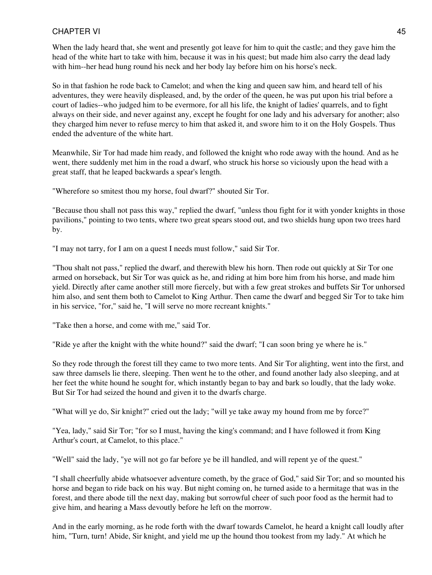When the lady heard that, she went and presently got leave for him to quit the castle; and they gave him the head of the white hart to take with him, because it was in his quest; but made him also carry the dead lady with him--her head hung round his neck and her body lay before him on his horse's neck.

So in that fashion he rode back to Camelot; and when the king and queen saw him, and heard tell of his adventures, they were heavily displeased, and, by the order of the queen, he was put upon his trial before a court of ladies--who judged him to be evermore, for all his life, the knight of ladies' quarrels, and to fight always on their side, and never against any, except he fought for one lady and his adversary for another; also they charged him never to refuse mercy to him that asked it, and swore him to it on the Holy Gospels. Thus ended the adventure of the white hart.

Meanwhile, Sir Tor had made him ready, and followed the knight who rode away with the hound. And as he went, there suddenly met him in the road a dwarf, who struck his horse so viciously upon the head with a great staff, that he leaped backwards a spear's length.

"Wherefore so smitest thou my horse, foul dwarf?" shouted Sir Tor.

"Because thou shall not pass this way," replied the dwarf, "unless thou fight for it with yonder knights in those pavilions," pointing to two tents, where two great spears stood out, and two shields hung upon two trees hard by.

"I may not tarry, for I am on a quest I needs must follow," said Sir Tor.

"Thou shalt not pass," replied the dwarf, and therewith blew his horn. Then rode out quickly at Sir Tor one armed on horseback, but Sir Tor was quick as he, and riding at him bore him from his horse, and made him yield. Directly after came another still more fiercely, but with a few great strokes and buffets Sir Tor unhorsed him also, and sent them both to Camelot to King Arthur. Then came the dwarf and begged Sir Tor to take him in his service, "for," said he, "I will serve no more recreant knights."

"Take then a horse, and come with me," said Tor.

"Ride ye after the knight with the white hound?" said the dwarf; "I can soon bring ye where he is."

So they rode through the forest till they came to two more tents. And Sir Tor alighting, went into the first, and saw three damsels lie there, sleeping. Then went he to the other, and found another lady also sleeping, and at her feet the white hound he sought for, which instantly began to bay and bark so loudly, that the lady woke. But Sir Tor had seized the hound and given it to the dwarfs charge.

"What will ye do, Sir knight?" cried out the lady; "will ye take away my hound from me by force?"

"Yea, lady," said Sir Tor; "for so I must, having the king's command; and I have followed it from King Arthur's court, at Camelot, to this place."

"Well" said the lady, "ye will not go far before ye be ill handled, and will repent ye of the quest."

"I shall cheerfully abide whatsoever adventure cometh, by the grace of God," said Sir Tor; and so mounted his horse and began to ride back on his way. But night coming on, he turned aside to a hermitage that was in the forest, and there abode till the next day, making but sorrowful cheer of such poor food as the hermit had to give him, and hearing a Mass devoutly before he left on the morrow.

And in the early morning, as he rode forth with the dwarf towards Camelot, he heard a knight call loudly after him, "Turn, turn! Abide, Sir knight, and yield me up the hound thou tookest from my lady." At which he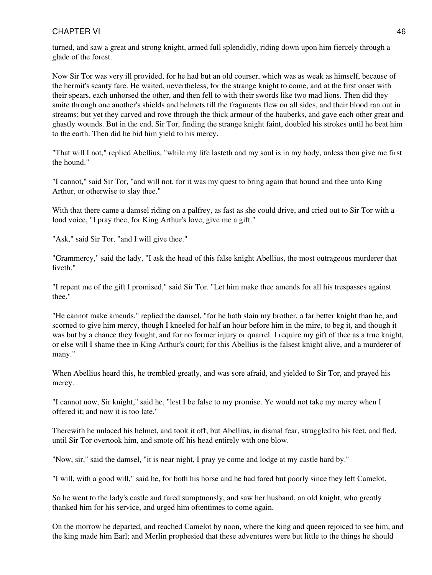turned, and saw a great and strong knight, armed full splendidly, riding down upon him fiercely through a glade of the forest.

Now Sir Tor was very ill provided, for he had but an old courser, which was as weak as himself, because of the hermit's scanty fare. He waited, nevertheless, for the strange knight to come, and at the first onset with their spears, each unhorsed the other, and then fell to with their swords like two mad lions. Then did they smite through one another's shields and helmets till the fragments flew on all sides, and their blood ran out in streams; but yet they carved and rove through the thick armour of the hauberks, and gave each other great and ghastly wounds. But in the end, Sir Tor, finding the strange knight faint, doubled his strokes until he beat him to the earth. Then did he bid him yield to his mercy.

"That will I not," replied Abellius, "while my life lasteth and my soul is in my body, unless thou give me first the hound."

"I cannot," said Sir Tor, "and will not, for it was my quest to bring again that hound and thee unto King Arthur, or otherwise to slay thee."

With that there came a damsel riding on a palfrey, as fast as she could drive, and cried out to Sir Tor with a loud voice, "I pray thee, for King Arthur's love, give me a gift."

"Ask," said Sir Tor, "and I will give thee."

"Grammercy," said the lady, "I ask the head of this false knight Abellius, the most outrageous murderer that liveth."

"I repent me of the gift I promised," said Sir Tor. "Let him make thee amends for all his trespasses against thee."

"He cannot make amends," replied the damsel, "for he hath slain my brother, a far better knight than he, and scorned to give him mercy, though I kneeled for half an hour before him in the mire, to beg it, and though it was but by a chance they fought, and for no former injury or quarrel. I require my gift of thee as a true knight, or else will I shame thee in King Arthur's court; for this Abellius is the falsest knight alive, and a murderer of many."

When Abellius heard this, he trembled greatly, and was sore afraid, and yielded to Sir Tor, and prayed his mercy.

"I cannot now, Sir knight," said he, "lest I be false to my promise. Ye would not take my mercy when I offered it; and now it is too late."

Therewith he unlaced his helmet, and took it off; but Abellius, in dismal fear, struggled to his feet, and fled, until Sir Tor overtook him, and smote off his head entirely with one blow.

"Now, sir," said the damsel, "it is near night, I pray ye come and lodge at my castle hard by."

"I will, with a good will," said he, for both his horse and he had fared but poorly since they left Camelot.

So he went to the lady's castle and fared sumptuously, and saw her husband, an old knight, who greatly thanked him for his service, and urged him oftentimes to come again.

On the morrow he departed, and reached Camelot by noon, where the king and queen rejoiced to see him, and the king made him Earl; and Merlin prophesied that these adventures were but little to the things he should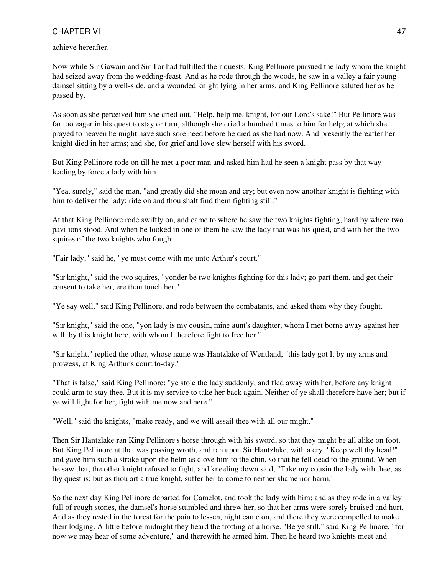achieve hereafter.

Now while Sir Gawain and Sir Tor had fulfilled their quests, King Pellinore pursued the lady whom the knight had seized away from the wedding-feast. And as he rode through the woods, he saw in a valley a fair young damsel sitting by a well-side, and a wounded knight lying in her arms, and King Pellinore saluted her as he passed by.

As soon as she perceived him she cried out, "Help, help me, knight, for our Lord's sake!" But Pellinore was far too eager in his quest to stay or turn, although she cried a hundred times to him for help; at which she prayed to heaven he might have such sore need before he died as she had now. And presently thereafter her knight died in her arms; and she, for grief and love slew herself with his sword.

But King Pellinore rode on till he met a poor man and asked him had he seen a knight pass by that way leading by force a lady with him.

"Yea, surely," said the man, "and greatly did she moan and cry; but even now another knight is fighting with him to deliver the lady; ride on and thou shalt find them fighting still."

At that King Pellinore rode swiftly on, and came to where he saw the two knights fighting, hard by where two pavilions stood. And when he looked in one of them he saw the lady that was his quest, and with her the two squires of the two knights who fought.

"Fair lady," said he, "ye must come with me unto Arthur's court."

"Sir knight," said the two squires, "yonder be two knights fighting for this lady; go part them, and get their consent to take her, ere thou touch her."

"Ye say well," said King Pellinore, and rode between the combatants, and asked them why they fought.

"Sir knight," said the one, "yon lady is my cousin, mine aunt's daughter, whom I met borne away against her will, by this knight here, with whom I therefore fight to free her."

"Sir knight," replied the other, whose name was Hantzlake of Wentland, "this lady got I, by my arms and prowess, at King Arthur's court to-day."

"That is false," said King Pellinore; "ye stole the lady suddenly, and fled away with her, before any knight could arm to stay thee. But it is my service to take her back again. Neither of ye shall therefore have her; but if ye will fight for her, fight with me now and here."

"Well," said the knights, "make ready, and we will assail thee with all our might."

Then Sir Hantzlake ran King Pellinore's horse through with his sword, so that they might be all alike on foot. But King Pellinore at that was passing wroth, and ran upon Sir Hantzlake, with a cry, "Keep well thy head!" and gave him such a stroke upon the helm as clove him to the chin, so that he fell dead to the ground. When he saw that, the other knight refused to fight, and kneeling down said, "Take my cousin the lady with thee, as thy quest is; but as thou art a true knight, suffer her to come to neither shame nor harm."

So the next day King Pellinore departed for Camelot, and took the lady with him; and as they rode in a valley full of rough stones, the damsel's horse stumbled and threw her, so that her arms were sorely bruised and hurt. And as they rested in the forest for the pain to lessen, night came on, and there they were compelled to make their lodging. A little before midnight they heard the trotting of a horse. "Be ye still," said King Pellinore, "for now we may hear of some adventure," and therewith he armed him. Then he heard two knights meet and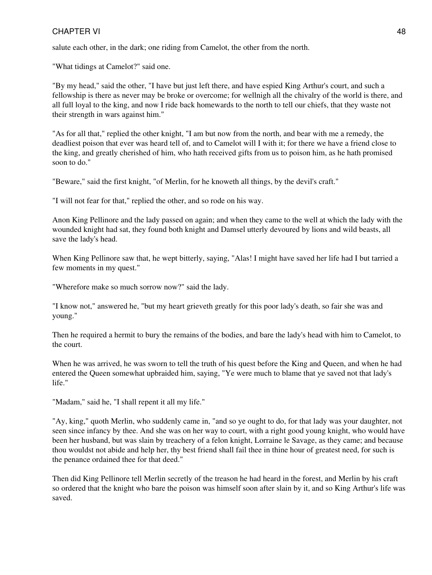salute each other, in the dark; one riding from Camelot, the other from the north.

"What tidings at Camelot?" said one.

"By my head," said the other, "I have but just left there, and have espied King Arthur's court, and such a fellowship is there as never may be broke or overcome; for wellnigh all the chivalry of the world is there, and all full loyal to the king, and now I ride back homewards to the north to tell our chiefs, that they waste not their strength in wars against him."

"As for all that," replied the other knight, "I am but now from the north, and bear with me a remedy, the deadliest poison that ever was heard tell of, and to Camelot will I with it; for there we have a friend close to the king, and greatly cherished of him, who hath received gifts from us to poison him, as he hath promised soon to do."

"Beware," said the first knight, "of Merlin, for he knoweth all things, by the devil's craft."

"I will not fear for that," replied the other, and so rode on his way.

Anon King Pellinore and the lady passed on again; and when they came to the well at which the lady with the wounded knight had sat, they found both knight and Damsel utterly devoured by lions and wild beasts, all save the lady's head.

When King Pellinore saw that, he wept bitterly, saying, "Alas! I might have saved her life had I but tarried a few moments in my quest."

"Wherefore make so much sorrow now?" said the lady.

"I know not," answered he, "but my heart grieveth greatly for this poor lady's death, so fair she was and young."

Then he required a hermit to bury the remains of the bodies, and bare the lady's head with him to Camelot, to the court.

When he was arrived, he was sworn to tell the truth of his quest before the King and Queen, and when he had entered the Queen somewhat upbraided him, saying, "Ye were much to blame that ye saved not that lady's life."

"Madam," said he, "I shall repent it all my life."

"Ay, king," quoth Merlin, who suddenly came in, "and so ye ought to do, for that lady was your daughter, not seen since infancy by thee. And she was on her way to court, with a right good young knight, who would have been her husband, but was slain by treachery of a felon knight, Lorraine le Savage, as they came; and because thou wouldst not abide and help her, thy best friend shall fail thee in thine hour of greatest need, for such is the penance ordained thee for that deed."

Then did King Pellinore tell Merlin secretly of the treason he had heard in the forest, and Merlin by his craft so ordered that the knight who bare the poison was himself soon after slain by it, and so King Arthur's life was saved.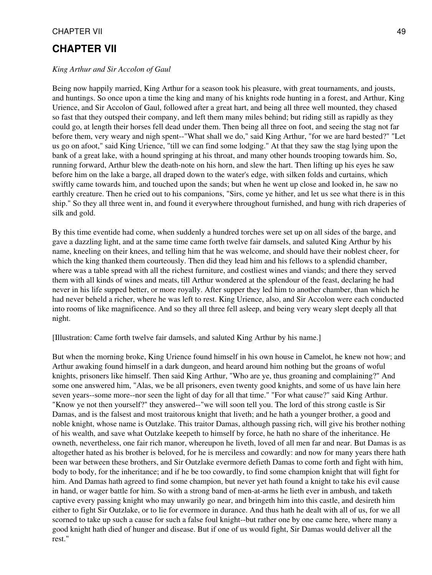# **CHAPTER VII**

#### *King Arthur and Sir Accolon of Gaul*

Being now happily married, King Arthur for a season took his pleasure, with great tournaments, and jousts, and huntings. So once upon a time the king and many of his knights rode hunting in a forest, and Arthur, King Urience, and Sir Accolon of Gaul, followed after a great hart, and being all three well mounted, they chased so fast that they outsped their company, and left them many miles behind; but riding still as rapidly as they could go, at length their horses fell dead under them. Then being all three on foot, and seeing the stag not far before them, very weary and nigh spent--"What shall we do," said King Arthur, "for we are hard bested?" "Let us go on afoot," said King Urience, "till we can find some lodging." At that they saw the stag lying upon the bank of a great lake, with a hound springing at his throat, and many other hounds trooping towards him. So, running forward, Arthur blew the death-note on his horn, and slew the hart. Then lifting up his eyes he saw before him on the lake a barge, all draped down to the water's edge, with silken folds and curtains, which swiftly came towards him, and touched upon the sands; but when he went up close and looked in, he saw no earthly creature. Then he cried out to his companions, "Sirs, come ye hither, and let us see what there is in this ship." So they all three went in, and found it everywhere throughout furnished, and hung with rich draperies of silk and gold.

By this time eventide had come, when suddenly a hundred torches were set up on all sides of the barge, and gave a dazzling light, and at the same time came forth twelve fair damsels, and saluted King Arthur by his name, kneeling on their knees, and telling him that he was welcome, and should have their noblest cheer, for which the king thanked them courteously. Then did they lead him and his fellows to a splendid chamber, where was a table spread with all the richest furniture, and costliest wines and viands; and there they served them with all kinds of wines and meats, till Arthur wondered at the splendour of the feast, declaring he had never in his life supped better, or more royally. After supper they led him to another chamber, than which he had never beheld a richer, where he was left to rest. King Urience, also, and Sir Accolon were each conducted into rooms of like magnificence. And so they all three fell asleep, and being very weary slept deeply all that night.

[Illustration: Came forth twelve fair damsels, and saluted King Arthur by his name.]

But when the morning broke, King Urience found himself in his own house in Camelot, he knew not how; and Arthur awaking found himself in a dark dungeon, and heard around him nothing but the groans of woful knights, prisoners like himself. Then said King Arthur, "Who are ye, thus groaning and complaining?" And some one answered him, "Alas, we be all prisoners, even twenty good knights, and some of us have lain here seven years--some more--nor seen the light of day for all that time." "For what cause?" said King Arthur. "Know ye not then yourself?" they answered--"we will soon tell you. The lord of this strong castle is Sir Damas, and is the falsest and most traitorous knight that liveth; and he hath a younger brother, a good and noble knight, whose name is Outzlake. This traitor Damas, although passing rich, will give his brother nothing of his wealth, and save what Outzlake keepeth to himself by force, he hath no share of the inheritance. He owneth, nevertheless, one fair rich manor, whereupon he liveth, loved of all men far and near. But Damas is as altogether hated as his brother is beloved, for he is merciless and cowardly: and now for many years there hath been war between these brothers, and Sir Outzlake evermore defieth Damas to come forth and fight with him, body to body, for the inheritance; and if he be too cowardly, to find some champion knight that will fight for him. And Damas hath agreed to find some champion, but never yet hath found a knight to take his evil cause in hand, or wager battle for him. So with a strong band of men-at-arms he lieth ever in ambush, and taketh captive every passing knight who may unwarily go near, and bringeth him into this castle, and desireth him either to fight Sir Outzlake, or to lie for evermore in durance. And thus hath he dealt with all of us, for we all scorned to take up such a cause for such a false foul knight--but rather one by one came here, where many a good knight hath died of hunger and disease. But if one of us would fight, Sir Damas would deliver all the rest."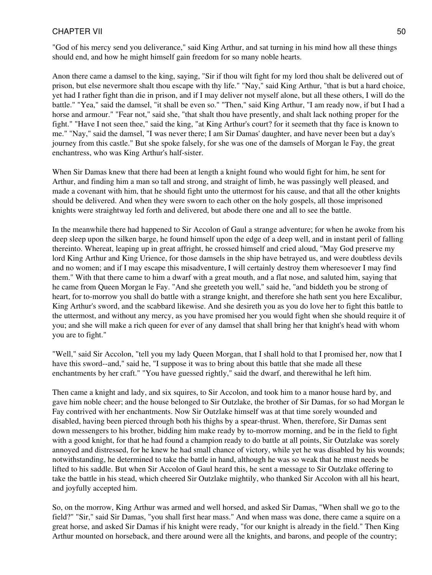"God of his mercy send you deliverance," said King Arthur, and sat turning in his mind how all these things should end, and how he might himself gain freedom for so many noble hearts.

Anon there came a damsel to the king, saying, "Sir if thou wilt fight for my lord thou shalt be delivered out of prison, but else nevermore shalt thou escape with thy life." "Nay," said King Arthur, "that is but a hard choice, yet had I rather fight than die in prison, and if I may deliver not myself alone, but all these others, I will do the battle." "Yea," said the damsel, "it shall be even so." "Then," said King Arthur, "I am ready now, if but I had a horse and armour." "Fear not," said she, "that shalt thou have presently, and shalt lack nothing proper for the fight." "Have I not seen thee," said the king, "at King Arthur's court? for it seemeth that thy face is known to me." "Nay," said the damsel, "I was never there; I am Sir Damas' daughter, and have never been but a day's journey from this castle." But she spoke falsely, for she was one of the damsels of Morgan le Fay, the great enchantress, who was King Arthur's half-sister.

When Sir Damas knew that there had been at length a knight found who would fight for him, he sent for Arthur, and finding him a man so tall and strong, and straight of limb, he was passingly well pleased, and made a covenant with him, that he should fight unto the uttermost for his cause, and that all the other knights should be delivered. And when they were sworn to each other on the holy gospels, all those imprisoned knights were straightway led forth and delivered, but abode there one and all to see the battle.

In the meanwhile there had happened to Sir Accolon of Gaul a strange adventure; for when he awoke from his deep sleep upon the silken barge, he found himself upon the edge of a deep well, and in instant peril of falling thereinto. Whereat, leaping up in great affright, he crossed himself and cried aloud, "May God preserve my lord King Arthur and King Urience, for those damsels in the ship have betrayed us, and were doubtless devils and no women; and if I may escape this misadventure, I will certainly destroy them wheresoever I may find them." With that there came to him a dwarf with a great mouth, and a flat nose, and saluted him, saying that he came from Queen Morgan le Fay. "And she greeteth you well," said he, "and biddeth you be strong of heart, for to-morrow you shall do battle with a strange knight, and therefore she hath sent you here Excalibur, King Arthur's sword, and the scabbard likewise. And she desireth you as you do love her to fight this battle to the uttermost, and without any mercy, as you have promised her you would fight when she should require it of you; and she will make a rich queen for ever of any damsel that shall bring her that knight's head with whom you are to fight."

"Well," said Sir Accolon, "tell you my lady Queen Morgan, that I shall hold to that I promised her, now that I have this sword--and," said he, "I suppose it was to bring about this battle that she made all these enchantments by her craft." "You have guessed rightly," said the dwarf, and therewithal he left him.

Then came a knight and lady, and six squires, to Sir Accolon, and took him to a manor house hard by, and gave him noble cheer; and the house belonged to Sir Outzlake, the brother of Sir Damas, for so had Morgan le Fay contrived with her enchantments. Now Sir Outzlake himself was at that time sorely wounded and disabled, having been pierced through both his thighs by a spear-thrust. When, therefore, Sir Damas sent down messengers to his brother, bidding him make ready by to-morrow morning, and be in the field to fight with a good knight, for that he had found a champion ready to do battle at all points, Sir Outzlake was sorely annoyed and distressed, for he knew he had small chance of victory, while yet he was disabled by his wounds; notwithstanding, he determined to take the battle in hand, although he was so weak that he must needs be lifted to his saddle. But when Sir Accolon of Gaul heard this, he sent a message to Sir Outzlake offering to take the battle in his stead, which cheered Sir Outzlake mightily, who thanked Sir Accolon with all his heart, and joyfully accepted him.

So, on the morrow, King Arthur was armed and well horsed, and asked Sir Damas, "When shall we go to the field?" "Sir," said Sir Damas, "you shall first hear mass." And when mass was done, there came a squire on a great horse, and asked Sir Damas if his knight were ready, "for our knight is already in the field." Then King Arthur mounted on horseback, and there around were all the knights, and barons, and people of the country;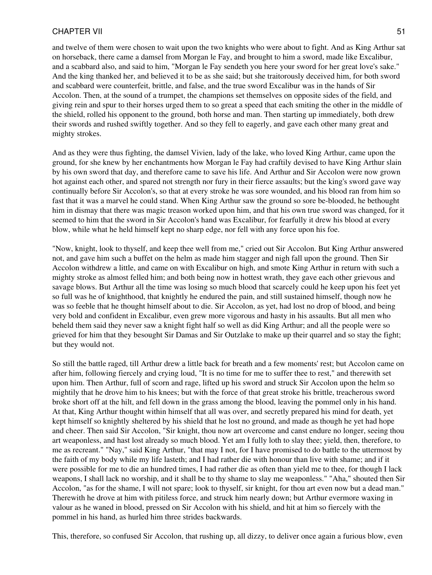and twelve of them were chosen to wait upon the two knights who were about to fight. And as King Arthur sat on horseback, there came a damsel from Morgan le Fay, and brought to him a sword, made like Excalibur, and a scabbard also, and said to him, "Morgan le Fay sendeth you here your sword for her great love's sake." And the king thanked her, and believed it to be as she said; but she traitorously deceived him, for both sword and scabbard were counterfeit, brittle, and false, and the true sword Excalibur was in the hands of Sir Accolon. Then, at the sound of a trumpet, the champions set themselves on opposite sides of the field, and giving rein and spur to their horses urged them to so great a speed that each smiting the other in the middle of the shield, rolled his opponent to the ground, both horse and man. Then starting up immediately, both drew their swords and rushed swiftly together. And so they fell to eagerly, and gave each other many great and mighty strokes.

And as they were thus fighting, the damsel Vivien, lady of the lake, who loved King Arthur, came upon the ground, for she knew by her enchantments how Morgan le Fay had craftily devised to have King Arthur slain by his own sword that day, and therefore came to save his life. And Arthur and Sir Accolon were now grown hot against each other, and spared not strength nor fury in their fierce assaults; but the king's sword gave way continually before Sir Accolon's, so that at every stroke he was sore wounded, and his blood ran from him so fast that it was a marvel he could stand. When King Arthur saw the ground so sore be-blooded, he bethought him in dismay that there was magic treason worked upon him, and that his own true sword was changed, for it seemed to him that the sword in Sir Accolon's hand was Excalibur, for fearfully it drew his blood at every blow, while what he held himself kept no sharp edge, nor fell with any force upon his foe.

"Now, knight, look to thyself, and keep thee well from me," cried out Sir Accolon. But King Arthur answered not, and gave him such a buffet on the helm as made him stagger and nigh fall upon the ground. Then Sir Accolon withdrew a little, and came on with Excalibur on high, and smote King Arthur in return with such a mighty stroke as almost felled him; and both being now in hottest wrath, they gave each other grievous and savage blows. But Arthur all the time was losing so much blood that scarcely could he keep upon his feet yet so full was he of knighthood, that knightly he endured the pain, and still sustained himself, though now he was so feeble that he thought himself about to die. Sir Accolon, as yet, had lost no drop of blood, and being very bold and confident in Excalibur, even grew more vigorous and hasty in his assaults. But all men who beheld them said they never saw a knight fight half so well as did King Arthur; and all the people were so grieved for him that they besought Sir Damas and Sir Outzlake to make up their quarrel and so stay the fight; but they would not.

So still the battle raged, till Arthur drew a little back for breath and a few moments' rest; but Accolon came on after him, following fiercely and crying loud, "It is no time for me to suffer thee to rest," and therewith set upon him. Then Arthur, full of scorn and rage, lifted up his sword and struck Sir Accolon upon the helm so mightily that he drove him to his knees; but with the force of that great stroke his brittle, treacherous sword broke short off at the hilt, and fell down in the grass among the blood, leaving the pommel only in his hand. At that, King Arthur thought within himself that all was over, and secretly prepared his mind for death, yet kept himself so knightly sheltered by his shield that he lost no ground, and made as though he yet had hope and cheer. Then said Sir Accolon, "Sir knight, thou now art overcome and canst endure no longer, seeing thou art weaponless, and hast lost already so much blood. Yet am I fully loth to slay thee; yield, then, therefore, to me as recreant." "Nay," said King Arthur, "that may I not, for I have promised to do battle to the uttermost by the faith of my body while my life lasteth; and I had rather die with honour than live with shame; and if it were possible for me to die an hundred times, I had rather die as often than yield me to thee, for though I lack weapons, I shall lack no worship, and it shall be to thy shame to slay me weaponless." "Aha," shouted then Sir Accolon, "as for the shame, I will not spare; look to thyself, sir knight, for thou art even now but a dead man." Therewith he drove at him with pitiless force, and struck him nearly down; but Arthur evermore waxing in valour as he waned in blood, pressed on Sir Accolon with his shield, and hit at him so fiercely with the pommel in his hand, as hurled him three strides backwards.

This, therefore, so confused Sir Accolon, that rushing up, all dizzy, to deliver once again a furious blow, even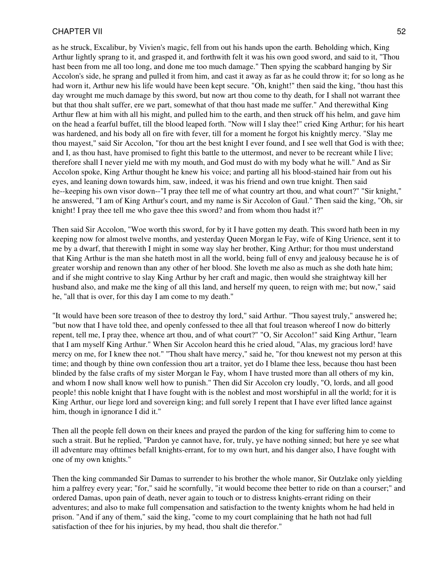as he struck, Excalibur, by Vivien's magic, fell from out his hands upon the earth. Beholding which, King Arthur lightly sprang to it, and grasped it, and forthwith felt it was his own good sword, and said to it, "Thou hast been from me all too long, and done me too much damage." Then spying the scabbard hanging by Sir Accolon's side, he sprang and pulled it from him, and cast it away as far as he could throw it; for so long as he had worn it, Arthur new his life would have been kept secure. "Oh, knight!" then said the king, "thou hast this day wrought me much damage by this sword, but now art thou come to thy death, for I shall not warrant thee but that thou shalt suffer, ere we part, somewhat of that thou hast made me suffer." And therewithal King Arthur flew at him with all his might, and pulled him to the earth, and then struck off his helm, and gave him on the head a fearful buffet, till the blood leaped forth. "Now will I slay thee!" cried King Arthur; for his heart was hardened, and his body all on fire with fever, till for a moment he forgot his knightly mercy. "Slay me thou mayest," said Sir Accolon, "for thou art the best knight I ever found, and I see well that God is with thee; and I, as thou hast, have promised to fight this battle to the uttermost, and never to be recreant while I live; therefore shall I never yield me with my mouth, and God must do with my body what he will." And as Sir Accolon spoke, King Arthur thought he knew his voice; and parting all his blood-stained hair from out his eyes, and leaning down towards him, saw, indeed, it was his friend and own true knight. Then said he--keeping his own visor down--"I pray thee tell me of what country art thou, and what court?" "Sir knight," he answered, "I am of King Arthur's court, and my name is Sir Accolon of Gaul." Then said the king, "Oh, sir knight! I pray thee tell me who gave thee this sword? and from whom thou hadst it?"

Then said Sir Accolon, "Woe worth this sword, for by it I have gotten my death. This sword hath been in my keeping now for almost twelve months, and yesterday Queen Morgan le Fay, wife of King Urience, sent it to me by a dwarf, that therewith I might in some way slay her brother, King Arthur; for thou must understand that King Arthur is the man she hateth most in all the world, being full of envy and jealousy because he is of greater worship and renown than any other of her blood. She loveth me also as much as she doth hate him; and if she might contrive to slay King Arthur by her craft and magic, then would she straightway kill her husband also, and make me the king of all this land, and herself my queen, to reign with me; but now," said he, "all that is over, for this day I am come to my death."

"It would have been sore treason of thee to destroy thy lord," said Arthur. "Thou sayest truly," answered he; "but now that I have told thee, and openly confessed to thee all that foul treason whereof I now do bitterly repent, tell me, I pray thee, whence art thou, and of what court?" "O, Sir Accolon!" said King Arthur, "learn that I am myself King Arthur." When Sir Accolon heard this he cried aloud, "Alas, my gracious lord! have mercy on me, for I knew thee not." "Thou shalt have mercy," said he, "for thou knewest not my person at this time; and though by thine own confession thou art a traitor, yet do I blame thee less, because thou hast been blinded by the false crafts of my sister Morgan le Fay, whom I have trusted more than all others of my kin, and whom I now shall know well how to punish." Then did Sir Accolon cry loudly, "O, lords, and all good people! this noble knight that I have fought with is the noblest and most worshipful in all the world; for it is King Arthur, our liege lord and sovereign king; and full sorely I repent that I have ever lifted lance against him, though in ignorance I did it."

Then all the people fell down on their knees and prayed the pardon of the king for suffering him to come to such a strait. But he replied, "Pardon ye cannot have, for, truly, ye have nothing sinned; but here ye see what ill adventure may ofttimes befall knights-errant, for to my own hurt, and his danger also, I have fought with one of my own knights."

Then the king commanded Sir Damas to surrender to his brother the whole manor, Sir Outzlake only yielding him a palfrey every year; "for," said he scornfully, "it would become thee better to ride on than a courser;" and ordered Damas, upon pain of death, never again to touch or to distress knights-errant riding on their adventures; and also to make full compensation and satisfaction to the twenty knights whom he had held in prison. "And if any of them," said the king, "come to my court complaining that he hath not had full satisfaction of thee for his injuries, by my head, thou shalt die therefor."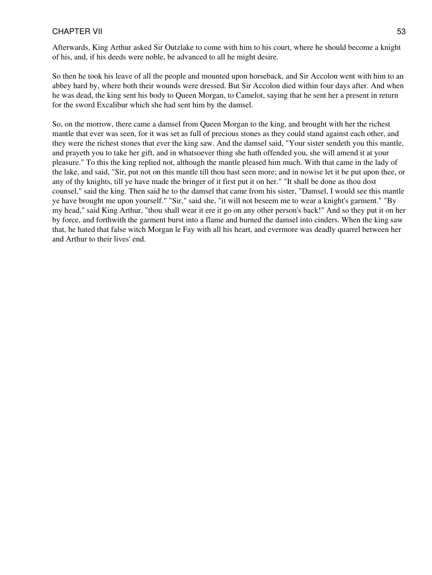Afterwards, King Arthur asked Sir Outzlake to come with him to his court, where he should become a knight of his, and, if his deeds were noble, be advanced to all he might desire.

So then he took his leave of all the people and mounted upon horseback, and Sir Accolon went with him to an abbey hard by, where both their wounds were dressed. But Sir Accolon died within four days after. And when he was dead, the king sent his body to Queen Morgan, to Camelot, saying that he sent her a present in return for the sword Excalibur which she had sent him by the damsel.

So, on the morrow, there came a damsel from Queen Morgan to the king, and brought with her the richest mantle that ever was seen, for it was set as full of precious stones as they could stand against each other, and they were the richest stones that ever the king saw. And the damsel said, "Your sister sendeth you this mantle, and prayeth you to take her gift, and in whatsoever thing she hath offended you, she will amend it at your pleasure." To this the king replied not, although the mantle pleased him much. With that came in the lady of the lake, and said, "Sir, put not on this mantle till thou hast seen more; and in nowise let it be put upon thee, or any of thy knights, till ye have made the bringer of it first put it on her." "It shall be done as thou dost counsel," said the king. Then said he to the damsel that came from his sister, "Damsel, I would see this mantle ye have brought me upon yourself." "Sir," said she, "it will not beseem me to wear a knight's garment." "By my head," said King Arthur, "thou shall wear it ere it go on any other person's back!" And so they put it on her by force, and forthwith the garment burst into a flame and burned the damsel into cinders. When the king saw that, he hated that false witch Morgan le Fay with all his heart, and evermore was deadly quarrel between her and Arthur to their lives' end.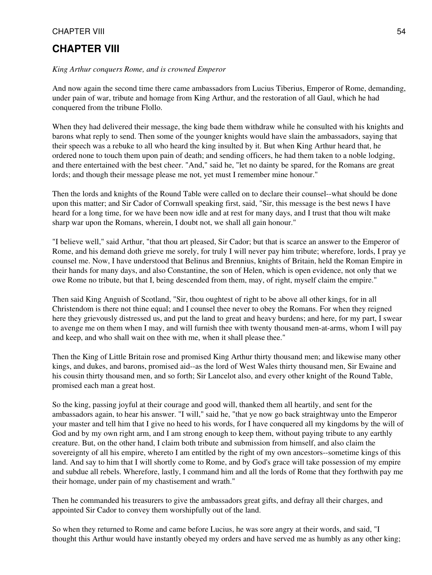# **CHAPTER VIII**

#### *King Arthur conquers Rome, and is crowned Emperor*

And now again the second time there came ambassadors from Lucius Tiberius, Emperor of Rome, demanding, under pain of war, tribute and homage from King Arthur, and the restoration of all Gaul, which he had conquered from the tribune Flollo.

When they had delivered their message, the king bade them withdraw while he consulted with his knights and barons what reply to send. Then some of the younger knights would have slain the ambassadors, saying that their speech was a rebuke to all who heard the king insulted by it. But when King Arthur heard that, he ordered none to touch them upon pain of death; and sending officers, he had them taken to a noble lodging, and there entertained with the best cheer. "And," said he, "let no dainty be spared, for the Romans are great lords; and though their message please me not, yet must I remember mine honour."

Then the lords and knights of the Round Table were called on to declare their counsel--what should be done upon this matter; and Sir Cador of Cornwall speaking first, said, "Sir, this message is the best news I have heard for a long time, for we have been now idle and at rest for many days, and I trust that thou wilt make sharp war upon the Romans, wherein, I doubt not, we shall all gain honour."

"I believe well," said Arthur, "that thou art pleased, Sir Cador; but that is scarce an answer to the Emperor of Rome, and his demand doth grieve me sorely, for truly I will never pay him tribute; wherefore, lords, I pray ye counsel me. Now, I have understood that Belinus and Brennius, knights of Britain, held the Roman Empire in their hands for many days, and also Constantine, the son of Helen, which is open evidence, not only that we owe Rome no tribute, but that I, being descended from them, may, of right, myself claim the empire."

Then said King Anguish of Scotland, "Sir, thou oughtest of right to be above all other kings, for in all Christendom is there not thine equal; and I counsel thee never to obey the Romans. For when they reigned here they grievously distressed us, and put the land to great and heavy burdens; and here, for my part, I swear to avenge me on them when I may, and will furnish thee with twenty thousand men-at-arms, whom I will pay and keep, and who shall wait on thee with me, when it shall please thee."

Then the King of Little Britain rose and promised King Arthur thirty thousand men; and likewise many other kings, and dukes, and barons, promised aid--as the lord of West Wales thirty thousand men, Sir Ewaine and his cousin thirty thousand men, and so forth; Sir Lancelot also, and every other knight of the Round Table, promised each man a great host.

So the king, passing joyful at their courage and good will, thanked them all heartily, and sent for the ambassadors again, to hear his answer. "I will," said he, "that ye now go back straightway unto the Emperor your master and tell him that I give no heed to his words, for I have conquered all my kingdoms by the will of God and by my own right arm, and I am strong enough to keep them, without paying tribute to any earthly creature. But, on the other hand, I claim both tribute and submission from himself, and also claim the sovereignty of all his empire, whereto I am entitled by the right of my own ancestors--sometime kings of this land. And say to him that I will shortly come to Rome, and by God's grace will take possession of my empire and subdue all rebels. Wherefore, lastly, I command him and all the lords of Rome that they forthwith pay me their homage, under pain of my chastisement and wrath."

Then he commanded his treasurers to give the ambassadors great gifts, and defray all their charges, and appointed Sir Cador to convey them worshipfully out of the land.

So when they returned to Rome and came before Lucius, he was sore angry at their words, and said, "I thought this Arthur would have instantly obeyed my orders and have served me as humbly as any other king;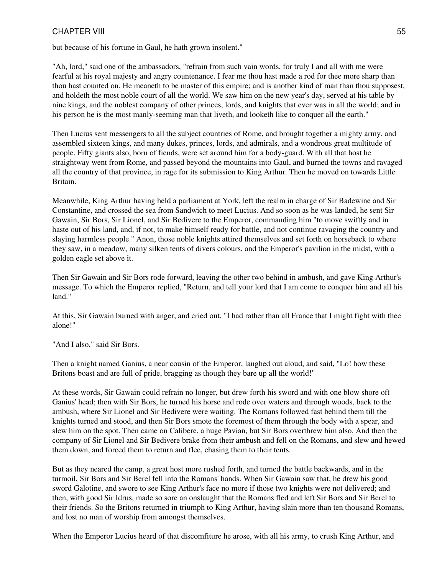but because of his fortune in Gaul, he hath grown insolent."

"Ah, lord," said one of the ambassadors, "refrain from such vain words, for truly I and all with me were fearful at his royal majesty and angry countenance. I fear me thou hast made a rod for thee more sharp than thou hast counted on. He meaneth to be master of this empire; and is another kind of man than thou supposest, and holdeth the most noble court of all the world. We saw him on the new year's day, served at his table by nine kings, and the noblest company of other princes, lords, and knights that ever was in all the world; and in his person he is the most manly-seeming man that liveth, and looketh like to conquer all the earth."

Then Lucius sent messengers to all the subject countries of Rome, and brought together a mighty army, and assembled sixteen kings, and many dukes, princes, lords, and admirals, and a wondrous great multitude of people. Fifty giants also, born of fiends, were set around him for a body-guard. With all that host he straightway went from Rome, and passed beyond the mountains into Gaul, and burned the towns and ravaged all the country of that province, in rage for its submission to King Arthur. Then he moved on towards Little Britain.

Meanwhile, King Arthur having held a parliament at York, left the realm in charge of Sir Badewine and Sir Constantine, and crossed the sea from Sandwich to meet Lucius. And so soon as he was landed, he sent Sir Gawain, Sir Bors, Sir Lionel, and Sir Bedivere to the Emperor, commanding him "to move swiftly and in haste out of his land, and, if not, to make himself ready for battle, and not continue ravaging the country and slaying harmless people." Anon, those noble knights attired themselves and set forth on horseback to where they saw, in a meadow, many silken tents of divers colours, and the Emperor's pavilion in the midst, with a golden eagle set above it.

Then Sir Gawain and Sir Bors rode forward, leaving the other two behind in ambush, and gave King Arthur's message. To which the Emperor replied, "Return, and tell your lord that I am come to conquer him and all his land."

At this, Sir Gawain burned with anger, and cried out, "I had rather than all France that I might fight with thee alone!"

"And I also," said Sir Bors.

Then a knight named Ganius, a near cousin of the Emperor, laughed out aloud, and said, "Lo! how these Britons boast and are full of pride, bragging as though they bare up all the world!"

At these words, Sir Gawain could refrain no longer, but drew forth his sword and with one blow shore oft Ganius' head; then with Sir Bors, he turned his horse and rode over waters and through woods, back to the ambush, where Sir Lionel and Sir Bedivere were waiting. The Romans followed fast behind them till the knights turned and stood, and then Sir Bors smote the foremost of them through the body with a spear, and slew him on the spot. Then came on Calibere, a huge Pavian, but Sir Bors overthrew him also. And then the company of Sir Lionel and Sir Bedivere brake from their ambush and fell on the Romans, and slew and hewed them down, and forced them to return and flee, chasing them to their tents.

But as they neared the camp, a great host more rushed forth, and turned the battle backwards, and in the turmoil, Sir Bors and Sir Berel fell into the Romans' hands. When Sir Gawain saw that, he drew his good sword Galotine, and swore to see King Arthur's face no more if those two knights were not delivered; and then, with good Sir Idrus, made so sore an onslaught that the Romans fled and left Sir Bors and Sir Berel to their friends. So the Britons returned in triumph to King Arthur, having slain more than ten thousand Romans, and lost no man of worship from amongst themselves.

When the Emperor Lucius heard of that discomfiture he arose, with all his army, to crush King Arthur, and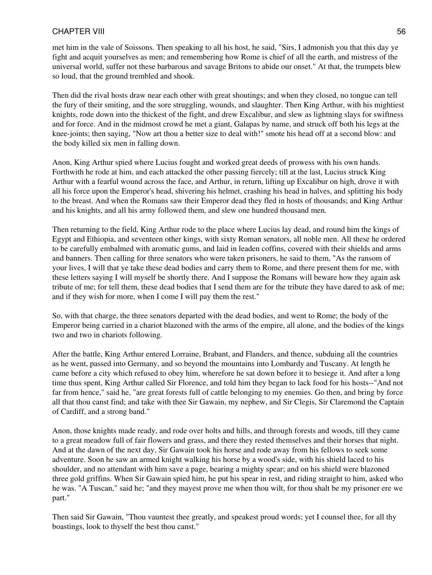met him in the vale of Soissons. Then speaking to all his host, he said, "Sirs, I admonish you that this day ye fight and acquit yourselves as men; and remembering how Rome is chief of all the earth, and mistress of the universal world, suffer not these barbarous and savage Britons to abide our onset." At that, the trumpets blew so loud, that the ground trembled and shook.

Then did the rival hosts draw near each other with great shoutings; and when they closed, no tongue can tell the fury of their smiting, and the sore struggling, wounds, and slaughter. Then King Arthur, with his mightiest knights, rode down into the thickest of the fight, and drew Excalibur, and slew as lightning slays for swiftness and for force. And in the midmost crowd he met a giant, Galapas by name, and struck off both his legs at the knee-joints; then saying, "Now art thou a better size to deal with!" smote his head off at a second blow: and the body killed six men in falling down.

Anon, King Arthur spied where Lucius fought and worked great deeds of prowess with his own hands. Forthwith he rode at him, and each attacked the other passing fiercely; till at the last, Lucius struck King Arthur with a fearful wound across the face, and Arthur, in return, lifting up Excalibur on high, drove it with all his force upon the Emperor's head, shivering his helmet, crashing his head in halves, and splitting his body to the breast. And when the Romans saw their Emperor dead they fled in hosts of thousands; and King Arthur and his knights, and all his army followed them, and slew one hundred thousand men.

Then returning to the field, King Arthur rode to the place where Lucius lay dead, and round him the kings of Egypt and Ethiopia, and seventeen other kings, with sixty Roman senators, all noble men. All these he ordered to be carefully embalmed with aromatic gums, and laid in leaden coffins, covered with their shields and arms and banners. Then calling for three senators who were taken prisoners, he said to them, "As the ransom of your lives, I will that ye take these dead bodies and carry them to Rome, and there present them for me, with these letters saying I will myself be shortly there. And I suppose the Romans will beware how they again ask tribute of me; for tell them, these dead bodies that I send them are for the tribute they have dared to ask of me; and if they wish for more, when I come I will pay them the rest."

So, with that charge, the three senators departed with the dead bodies, and went to Rome; the body of the Emperor being carried in a chariot blazoned with the arms of the empire, all alone, and the bodies of the kings two and two in chariots following.

After the battle, King Arthur entered Lorraine, Brabant, and Flanders, and thence, subduing all the countries as he went, passed into Germany, and so beyond the mountains into Lombardy and Tuscany. At length he came before a city which refused to obey him, wherefore he sat down before it to besiege it. And after a long time thus spent, King Arthur called Sir Florence, and told him they began to lack food for his hosts--"And not far from hence," said he, "are great forests full of cattle belonging to my enemies. Go then, and bring by force all that thou canst find; and take with thee Sir Gawain, my nephew, and Sir Clegis, Sir Claremond the Captain of Cardiff, and a strong band."

Anon, those knights made ready, and rode over holts and hills, and through forests and woods, till they came to a great meadow full of fair flowers and grass, and there they rested themselves and their horses that night. And at the dawn of the next day, Sir Gawain took his horse and rode away from his fellows to seek some adventure. Soon he saw an armed knight walking his horse by a wood's side, with his shield laced to his shoulder, and no attendant with him save a page, bearing a mighty spear; and on his shield were blazoned three gold griffins. When Sir Gawain spied him, he put his spear in rest, and riding straight to him, asked who he was. "A Tuscan," said he; "and they mayest prove me when thou wilt, for thou shalt be my prisoner ere we part."

Then said Sir Gawain, "Thou vauntest thee greatly, and speakest proud words; yet I counsel thee, for all thy boastings, look to thyself the best thou canst."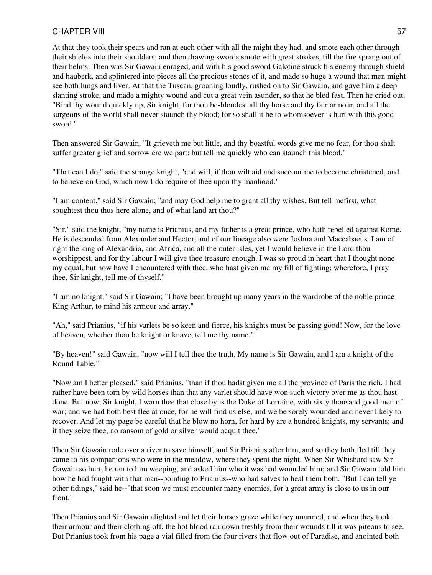At that they took their spears and ran at each other with all the might they had, and smote each other through their shields into their shoulders; and then drawing swords smote with great strokes, till the fire sprang out of their helms. Then was Sir Gawain enraged, and with his good sword Galotine struck his enerny through shield and hauberk, and splintered into pieces all the precious stones of it, and made so huge a wound that men might see both lungs and liver. At that the Tuscan, groaning loudly, rushed on to Sir Gawain, and gave him a deep slanting stroke, and made a mighty wound and cut a great vein asunder, so that he bled fast. Then he cried out, "Bind thy wound quickly up, Sir knight, for thou be-bloodest all thy horse and thy fair armour, and all the surgeons of the world shall never staunch thy blood; for so shall it be to whomsoever is hurt with this good sword."

Then answered Sir Gawain, "It grieveth me but little, and thy boastful words give me no fear, for thou shalt suffer greater grief and sorrow ere we part; but tell me quickly who can staunch this blood."

"That can I do," said the strange knight, "and will, if thou wilt aid and succour me to become christened, and to believe on God, which now I do require of thee upon thy manhood."

"I am content," said Sir Gawain; "and may God help me to grant all thy wishes. But tell mefirst, what soughtest thou thus here alone, and of what land art thou?"

"Sir," said the knight, "my name is Prianius, and my father is a great prince, who hath rebelled against Rome. He is descended from Alexander and Hector, and of our lineage also were Joshua and Maccabaeus. I am of right the king of Alexandria, and Africa, and all the outer isles, yet I would believe in the Lord thou worshippest, and for thy labour I will give thee treasure enough. I was so proud in heart that I thought none my equal, but now have I encountered with thee, who hast given me my fill of fighting; wherefore, I pray thee, Sir knight, tell me of thyself."

"I am no knight," said Sir Gawain; "I have been brought up many years in the wardrobe of the noble prince King Arthur, to mind his armour and array."

"Ah," said Prianius, "if his varlets be so keen and fierce, his knights must be passing good! Now, for the love of heaven, whether thou be knight or knave, tell me thy name."

"By heaven!" said Gawain, "now will I tell thee the truth. My name is Sir Gawain, and I am a knight of the Round Table."

"Now am I better pleased," said Prianius, "than if thou hadst given me all the province of Paris the rich. I had rather have been torn by wild horses than that any varlet should have won such victory over me as thou hast done. But now, Sir knight, I warn thee that close by is the Duke of Lorraine, with sixty thousand good men of war; and we had both best flee at once, for he will find us else, and we be sorely wounded and never likely to recover. And let my page be careful that he blow no horn, for hard by are a hundred knights, my servants; and if they seize thee, no ransom of gold or silver would acquit thee."

Then Sir Gawain rode over a river to save himself, and Sir Prianius after him, and so they both fled till they came to his companions who were in the meadow, where they spent the night. When Sir Whishard saw Sir Gawain so hurt, he ran to him weeping, and asked him who it was had wounded him; and Sir Gawain told him how he had fought with that man--pointing to Prianius--who had salves to heal them both. "But I can tell ye other tidings," said he--"that soon we must encounter many enemies, for a great army is close to us in our front."

Then Prianius and Sir Gawain alighted and let their horses graze while they unarmed, and when they took their armour and their clothing off, the hot blood ran down freshly from their wounds till it was piteous to see. But Prianius took from his page a vial filled from the four rivers that flow out of Paradise, and anointed both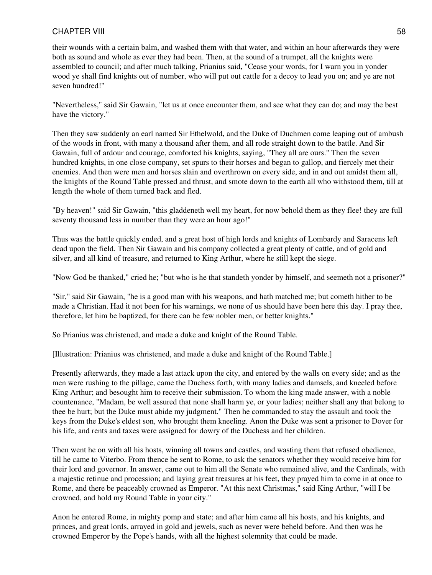their wounds with a certain balm, and washed them with that water, and within an hour afterwards they were both as sound and whole as ever they had been. Then, at the sound of a trumpet, all the knights were assembled to council; and after much talking, Prianius said, "Cease your words, for I warn you in yonder wood ye shall find knights out of number, who will put out cattle for a decoy to lead you on; and ye are not seven hundred!"

"Nevertheless," said Sir Gawain, "let us at once encounter them, and see what they can do; and may the best have the victory."

Then they saw suddenly an earl named Sir Ethelwold, and the Duke of Duchmen come leaping out of ambush of the woods in front, with many a thousand after them, and all rode straight down to the battle. And Sir Gawain, full of ardour and courage, comforted his knights, saying, "They all are ours." Then the seven hundred knights, in one close company, set spurs to their horses and began to gallop, and fiercely met their enemies. And then were men and horses slain and overthrown on every side, and in and out amidst them all, the knights of the Round Table pressed and thrust, and smote down to the earth all who withstood them, till at length the whole of them turned back and fled.

"By heaven!" said Sir Gawain, "this gladdeneth well my heart, for now behold them as they flee! they are full seventy thousand less in number than they were an hour ago!"

Thus was the battle quickly ended, and a great host of high lords and knights of Lombardy and Saracens left dead upon the field. Then Sir Gawain and his company collected a great plenty of cattle, and of gold and silver, and all kind of treasure, and returned to King Arthur, where he still kept the siege.

"Now God be thanked," cried he; "but who is he that standeth yonder by himself, and seemeth not a prisoner?"

"Sir," said Sir Gawain, "he is a good man with his weapons, and hath matched me; but cometh hither to be made a Christian. Had it not been for his warnings, we none of us should have been here this day. I pray thee, therefore, let him be baptized, for there can be few nobler men, or better knights."

So Prianius was christened, and made a duke and knight of the Round Table.

[Illustration: Prianius was christened, and made a duke and knight of the Round Table.]

Presently afterwards, they made a last attack upon the city, and entered by the walls on every side; and as the men were rushing to the pillage, came the Duchess forth, with many ladies and damsels, and kneeled before King Arthur; and besought him to receive their submission. To whom the king made answer, with a noble countenance, "Madam, be well assured that none shall harm ye, or your ladies; neither shall any that belong to thee be hurt; but the Duke must abide my judgment." Then he commanded to stay the assault and took the keys from the Duke's eldest son, who brought them kneeling. Anon the Duke was sent a prisoner to Dover for his life, and rents and taxes were assigned for dowry of the Duchess and her children.

Then went he on with all his hosts, winning all towns and castles, and wasting them that refused obedience, till he came to Viterbo. From thence he sent to Rome, to ask the senators whether they would receive him for their lord and governor. In answer, came out to him all the Senate who remained alive, and the Cardinals, with a majestic retinue and procession; and laying great treasures at his feet, they prayed him to come in at once to Rome, and there be peaceably crowned as Emperor. "At this next Christmas," said King Arthur, "will I be crowned, and hold my Round Table in your city."

Anon he entered Rome, in mighty pomp and state; and after him came all his hosts, and his knights, and princes, and great lords, arrayed in gold and jewels, such as never were beheld before. And then was he crowned Emperor by the Pope's hands, with all the highest solemnity that could be made.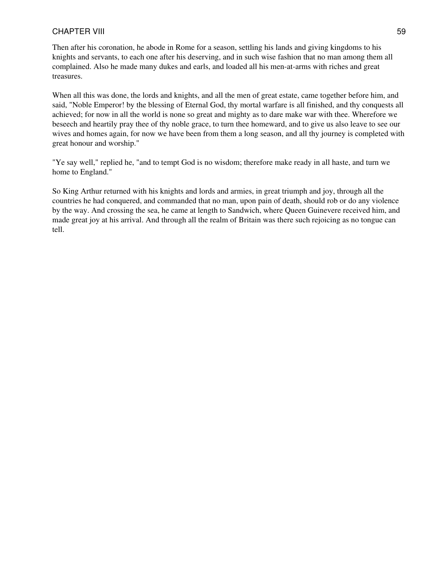Then after his coronation, he abode in Rome for a season, settling his lands and giving kingdoms to his knights and servants, to each one after his deserving, and in such wise fashion that no man among them all complained. Also he made many dukes and earls, and loaded all his men-at-arms with riches and great treasures.

When all this was done, the lords and knights, and all the men of great estate, came together before him, and said, "Noble Emperor! by the blessing of Eternal God, thy mortal warfare is all finished, and thy conquests all achieved; for now in all the world is none so great and mighty as to dare make war with thee. Wherefore we beseech and heartily pray thee of thy noble grace, to turn thee homeward, and to give us also leave to see our wives and homes again, for now we have been from them a long season, and all thy journey is completed with great honour and worship."

"Ye say well," replied he, "and to tempt God is no wisdom; therefore make ready in all haste, and turn we home to England."

So King Arthur returned with his knights and lords and armies, in great triumph and joy, through all the countries he had conquered, and commanded that no man, upon pain of death, should rob or do any violence by the way. And crossing the sea, he came at length to Sandwich, where Queen Guinevere received him, and made great joy at his arrival. And through all the realm of Britain was there such rejoicing as no tongue can tell.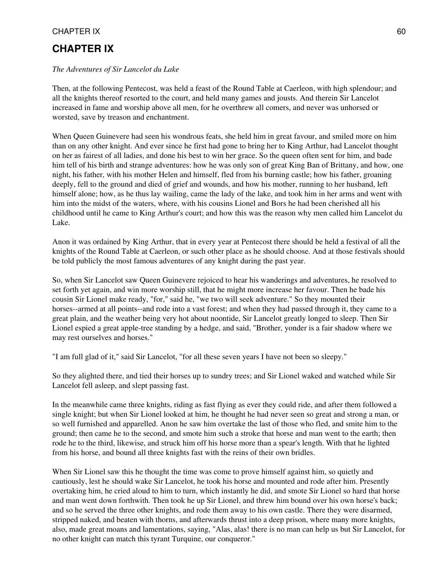# **CHAPTER IX**

## *The Adventures of Sir Lancelot du Lake*

Then, at the following Pentecost, was held a feast of the Round Table at Caerleon, with high splendour; and all the knights thereof resorted to the court, and held many games and jousts. And therein Sir Lancelot increased in fame and worship above all men, for he overthrew all comers, and never was unhorsed or worsted, save by treason and enchantment.

When Queen Guinevere had seen his wondrous feats, she held him in great favour, and smiled more on him than on any other knight. And ever since he first had gone to bring her to King Arthur, had Lancelot thought on her as fairest of all ladies, and done his best to win her grace. So the queen often sent for him, and bade him tell of his birth and strange adventures: how he was only son of great King Ban of Brittany, and how, one night, his father, with his mother Helen and himself, fled from his burning castle; how his father, groaning deeply, fell to the ground and died of grief and wounds, and how his mother, running to her husband, left himself alone; how, as he thus lay wailing, came the lady of the lake, and took him in her arms and went with him into the midst of the waters, where, with his cousins Lionel and Bors he had been cherished all his childhood until he came to King Arthur's court; and how this was the reason why men called him Lancelot du Lake.

Anon it was ordained by King Arthur, that in every year at Pentecost there should be held a festival of all the knights of the Round Table at Caerleon, or such other place as he should choose. And at those festivals should be told publicly the most famous adventures of any knight during the past year.

So, when Sir Lancelot saw Queen Guinevere rejoiced to hear his wanderings and adventures, he resolved to set forth yet again, and win more worship still, that he might more increase her favour. Then he bade his cousin Sir Lionel make ready, "for," said he, "we two will seek adventure." So they mounted their horses--armed at all points--and rode into a vast forest; and when they had passed through it, they came to a great plain, and the weather being very hot about noontide, Sir Lancelot greatly longed to sleep. Then Sir Lionel espied a great apple-tree standing by a hedge, and said, "Brother, yonder is a fair shadow where we may rest ourselves and horses."

"I am full glad of it," said Sir Lancelot, "for all these seven years I have not been so sleepy."

So they alighted there, and tied their horses up to sundry trees; and Sir Lionel waked and watched while Sir Lancelot fell asleep, and slept passing fast.

In the meanwhile came three knights, riding as fast flying as ever they could ride, and after them followed a single knight; but when Sir Lionel looked at him, he thought he had never seen so great and strong a man, or so well furnished and apparelled. Anon he saw him overtake the last of those who fled, and smite him to the ground; then came he to the second, and smote him such a stroke that horse and man went to the earth; then rode he to the third, likewise, and struck him off his horse more than a spear's length. With that he lighted from his horse, and bound all three knights fast with the reins of their own bridles.

When Sir Lionel saw this he thought the time was come to prove himself against him, so quietly and cautiously, lest he should wake Sir Lancelot, he took his horse and mounted and rode after him. Presently overtaking him, he cried aloud to him to turn, which instantly he did, and smote Sir Lionel so hard that horse and man went down forthwith. Then took he up Sir Lionel, and threw him bound over his own horse's back; and so he served the three other knights, and rode them away to his own castle. There they were disarmed, stripped naked, and beaten with thorns, and afterwards thrust into a deep prison, where many more knights, also, made great moans and lamentations, saying, "Alas, alas! there is no man can help us but Sir Lancelot, for no other knight can match this tyrant Turquine, our conqueror."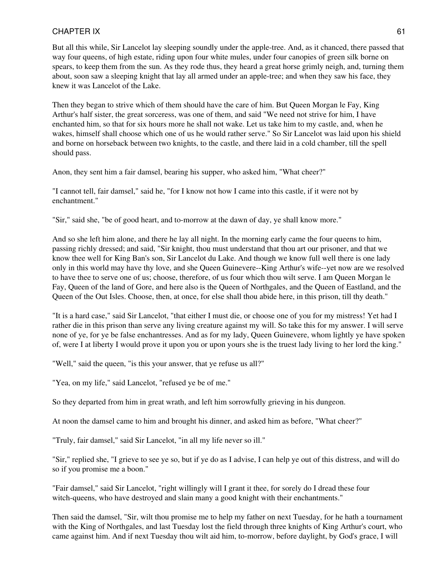But all this while, Sir Lancelot lay sleeping soundly under the apple-tree. And, as it chanced, there passed that way four queens, of high estate, riding upon four white mules, under four canopies of green silk borne on spears, to keep them from the sun. As they rode thus, they heard a great horse grimly neigh, and, turning them about, soon saw a sleeping knight that lay all armed under an apple-tree; and when they saw his face, they knew it was Lancelot of the Lake.

Then they began to strive which of them should have the care of him. But Queen Morgan le Fay, King Arthur's half sister, the great sorceress, was one of them, and said "We need not strive for him, I have enchanted him, so that for six hours more he shall not wake. Let us take him to my castle, and, when he wakes, himself shall choose which one of us he would rather serve." So Sir Lancelot was laid upon his shield and borne on horseback between two knights, to the castle, and there laid in a cold chamber, till the spell should pass.

Anon, they sent him a fair damsel, bearing his supper, who asked him, "What cheer?"

"I cannot tell, fair damsel," said he, "for I know not how I came into this castle, if it were not by enchantment."

"Sir," said she, "be of good heart, and to-morrow at the dawn of day, ye shall know more."

And so she left him alone, and there he lay all night. In the morning early came the four queens to him, passing richly dressed; and said, "Sir knight, thou must understand that thou art our prisoner, and that we know thee well for King Ban's son, Sir Lancelot du Lake. And though we know full well there is one lady only in this world may have thy love, and she Queen Guinevere--King Arthur's wife--yet now are we resolved to have thee to serve one of us; choose, therefore, of us four which thou wilt serve. I am Queen Morgan le Fay, Queen of the land of Gore, and here also is the Queen of Northgales, and the Queen of Eastland, and the Queen of the Out Isles. Choose, then, at once, for else shall thou abide here, in this prison, till thy death."

"It is a hard case," said Sir Lancelot, "that either I must die, or choose one of you for my mistress! Yet had I rather die in this prison than serve any living creature against my will. So take this for my answer. I will serve none of ye, for ye be false enchantresses. And as for my lady, Queen Guinevere, whom lightly ye have spoken of, were I at liberty I would prove it upon you or upon yours she is the truest lady living to her lord the king."

"Well," said the queen, "is this your answer, that ye refuse us all?"

"Yea, on my life," said Lancelot, "refused ye be of me."

So they departed from him in great wrath, and left him sorrowfully grieving in his dungeon.

At noon the damsel came to him and brought his dinner, and asked him as before, "What cheer?"

"Truly, fair damsel," said Sir Lancelot, "in all my life never so ill."

"Sir," replied she, "I grieve to see ye so, but if ye do as I advise, I can help ye out of this distress, and will do so if you promise me a boon."

"Fair damsel," said Sir Lancelot, "right willingly will I grant it thee, for sorely do I dread these four witch-queens, who have destroyed and slain many a good knight with their enchantments."

Then said the damsel, "Sir, wilt thou promise me to help my father on next Tuesday, for he hath a tournament with the King of Northgales, and last Tuesday lost the field through three knights of King Arthur's court, who came against him. And if next Tuesday thou wilt aid him, to-morrow, before daylight, by God's grace, I will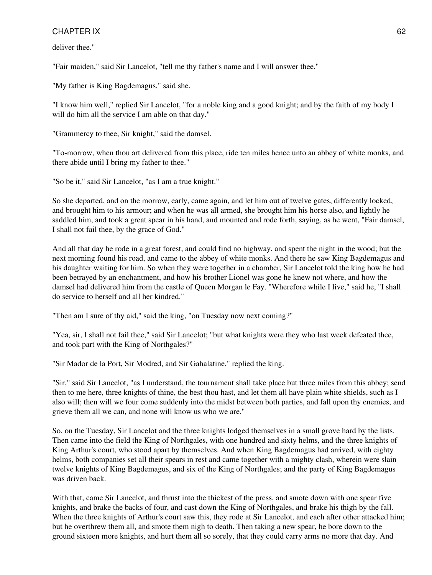deliver thee."

"Fair maiden," said Sir Lancelot, "tell me thy father's name and I will answer thee."

"My father is King Bagdemagus," said she.

"I know him well," replied Sir Lancelot, "for a noble king and a good knight; and by the faith of my body I will do him all the service I am able on that day."

"Grammercy to thee, Sir knight," said the damsel.

"To-morrow, when thou art delivered from this place, ride ten miles hence unto an abbey of white monks, and there abide until I bring my father to thee."

"So be it," said Sir Lancelot, "as I am a true knight."

So she departed, and on the morrow, early, came again, and let him out of twelve gates, differently locked, and brought him to his armour; and when he was all armed, she brought him his horse also, and lightly he saddled him, and took a great spear in his hand, and mounted and rode forth, saying, as he went, "Fair damsel, I shall not fail thee, by the grace of God."

And all that day he rode in a great forest, and could find no highway, and spent the night in the wood; but the next morning found his road, and came to the abbey of white monks. And there he saw King Bagdemagus and his daughter waiting for him. So when they were together in a chamber, Sir Lancelot told the king how he had been betrayed by an enchantment, and how his brother Lionel was gone he knew not where, and how the damsel had delivered him from the castle of Queen Morgan le Fay. "Wherefore while I live," said he, "I shall do service to herself and all her kindred."

"Then am I sure of thy aid," said the king, "on Tuesday now next coming?"

"Yea, sir, I shall not fail thee," said Sir Lancelot; "but what knights were they who last week defeated thee, and took part with the King of Northgales?"

"Sir Mador de la Port, Sir Modred, and Sir Gahalatine," replied the king.

"Sir," said Sir Lancelot, "as I understand, the tournament shall take place but three miles from this abbey; send then to me here, three knights of thine, the best thou hast, and let them all have plain white shields, such as I also will; then will we four come suddenly into the midst between both parties, and fall upon thy enemies, and grieve them all we can, and none will know us who we are."

So, on the Tuesday, Sir Lancelot and the three knights lodged themselves in a small grove hard by the lists. Then came into the field the King of Northgales, with one hundred and sixty helms, and the three knights of King Arthur's court, who stood apart by themselves. And when King Bagdemagus had arrived, with eighty helms, both companies set all their spears in rest and came together with a mighty clash, wherein were slain twelve knights of King Bagdemagus, and six of the King of Northgales; and the party of King Bagdemagus was driven back.

With that, came Sir Lancelot, and thrust into the thickest of the press, and smote down with one spear five knights, and brake the backs of four, and cast down the King of Northgales, and brake his thigh by the fall. When the three knights of Arthur's court saw this, they rode at Sir Lancelot, and each after other attacked him; but he overthrew them all, and smote them nigh to death. Then taking a new spear, he bore down to the ground sixteen more knights, and hurt them all so sorely, that they could carry arms no more that day. And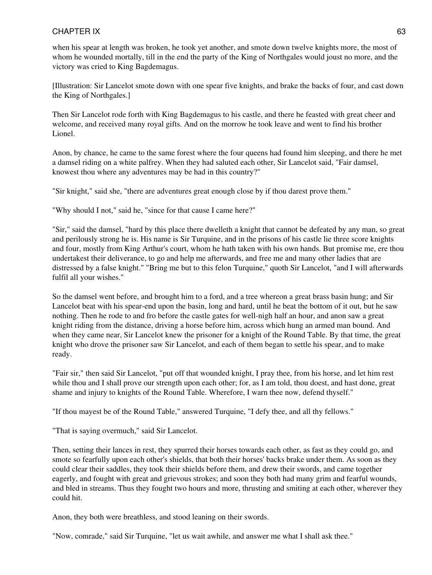when his spear at length was broken, he took yet another, and smote down twelve knights more, the most of whom he wounded mortally, till in the end the party of the King of Northgales would joust no more, and the victory was cried to King Bagdemagus.

[Illustration: Sir Lancelot smote down with one spear five knights, and brake the backs of four, and cast down the King of Northgales.]

Then Sir Lancelot rode forth with King Bagdemagus to his castle, and there he feasted with great cheer and welcome, and received many royal gifts. And on the morrow he took leave and went to find his brother Lionel.

Anon, by chance, he came to the same forest where the four queens had found him sleeping, and there he met a damsel riding on a white palfrey. When they had saluted each other, Sir Lancelot said, "Fair damsel, knowest thou where any adventures may be had in this country?"

"Sir knight," said she, "there are adventures great enough close by if thou darest prove them."

"Why should I not," said he, "since for that cause I came here?"

"Sir," said the damsel, "hard by this place there dwelleth a knight that cannot be defeated by any man, so great and perilously strong he is. His name is Sir Turquine, and in the prisons of his castle lie three score knights and four, mostly from King Arthur's court, whom he hath taken with his own hands. But promise me, ere thou undertakest their deliverance, to go and help me afterwards, and free me and many other ladies that are distressed by a false knight." "Bring me but to this felon Turquine," quoth Sir Lancelot, "and I will afterwards fulfil all your wishes."

So the damsel went before, and brought him to a ford, and a tree whereon a great brass basin hung; and Sir Lancelot beat with his spear-end upon the basin, long and hard, until he beat the bottom of it out, but he saw nothing. Then he rode to and fro before the castle gates for well-nigh half an hour, and anon saw a great knight riding from the distance, driving a horse before him, across which hung an armed man bound. And when they came near, Sir Lancelot knew the prisoner for a knight of the Round Table. By that time, the great knight who drove the prisoner saw Sir Lancelot, and each of them began to settle his spear, and to make ready.

"Fair sir," then said Sir Lancelot, "put off that wounded knight, I pray thee, from his horse, and let him rest while thou and I shall prove our strength upon each other; for, as I am told, thou doest, and hast done, great shame and injury to knights of the Round Table. Wherefore, I warn thee now, defend thyself."

"If thou mayest be of the Round Table," answered Turquine, "I defy thee, and all thy fellows."

"That is saying overmuch," said Sir Lancelot.

Then, setting their lances in rest, they spurred their horses towards each other, as fast as they could go, and smote so fearfully upon each other's shields, that both their horses' backs brake under them. As soon as they could clear their saddles, they took their shields before them, and drew their swords, and came together eagerly, and fought with great and grievous strokes; and soon they both had many grim and fearful wounds, and bled in streams. Thus they fought two hours and more, thrusting and smiting at each other, wherever they could hit.

Anon, they both were breathless, and stood leaning on their swords.

"Now, comrade," said Sir Turquine, "let us wait awhile, and answer me what I shall ask thee."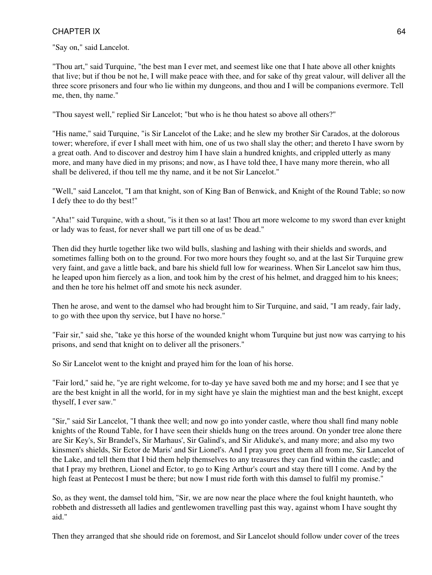"Say on," said Lancelot.

"Thou art," said Turquine, "the best man I ever met, and seemest like one that I hate above all other knights that live; but if thou be not he, I will make peace with thee, and for sake of thy great valour, will deliver all the three score prisoners and four who lie within my dungeons, and thou and I will be companions evermore. Tell me, then, thy name."

"Thou sayest well," replied Sir Lancelot; "but who is he thou hatest so above all others?"

"His name," said Turquine, "is Sir Lancelot of the Lake; and he slew my brother Sir Carados, at the dolorous tower; wherefore, if ever I shall meet with him, one of us two shall slay the other; and thereto I have sworn by a great oath. And to discover and destroy him I have slain a hundred knights, and crippled utterly as many more, and many have died in my prisons; and now, as I have told thee, I have many more therein, who all shall be delivered, if thou tell me thy name, and it be not Sir Lancelot."

"Well," said Lancelot, "I am that knight, son of King Ban of Benwick, and Knight of the Round Table; so now I defy thee to do thy best!"

"Aha!" said Turquine, with a shout, "is it then so at last! Thou art more welcome to my sword than ever knight or lady was to feast, for never shall we part till one of us be dead."

Then did they hurtle together like two wild bulls, slashing and lashing with their shields and swords, and sometimes falling both on to the ground. For two more hours they fought so, and at the last Sir Turquine grew very faint, and gave a little back, and bare his shield full low for weariness. When Sir Lancelot saw him thus, he leaped upon him fiercely as a lion, and took him by the crest of his helmet, and dragged him to his knees; and then he tore his helmet off and smote his neck asunder.

Then he arose, and went to the damsel who had brought him to Sir Turquine, and said, "I am ready, fair lady, to go with thee upon thy service, but I have no horse."

"Fair sir," said she, "take ye this horse of the wounded knight whom Turquine but just now was carrying to his prisons, and send that knight on to deliver all the prisoners."

So Sir Lancelot went to the knight and prayed him for the loan of his horse.

"Fair lord," said he, "ye are right welcome, for to-day ye have saved both me and my horse; and I see that ye are the best knight in all the world, for in my sight have ye slain the mightiest man and the best knight, except thyself, I ever saw."

"Sir," said Sir Lancelot, "I thank thee well; and now go into yonder castle, where thou shall find many noble knights of the Round Table, for I have seen their shields hung on the trees around. On yonder tree alone there are Sir Key's, Sir Brandel's, Sir Marhaus', Sir Galind's, and Sir Aliduke's, and many more; and also my two kinsmen's shields, Sir Ector de Maris' and Sir Lionel's. And I pray you greet them all from me, Sir Lancelot of the Lake, and tell them that I bid them help themselves to any treasures they can find within the castle; and that I pray my brethren, Lionel and Ector, to go to King Arthur's court and stay there till I come. And by the high feast at Pentecost I must be there; but now I must ride forth with this damsel to fulfil my promise."

So, as they went, the damsel told him, "Sir, we are now near the place where the foul knight haunteth, who robbeth and distresseth all ladies and gentlewomen travelling past this way, against whom I have sought thy aid."

Then they arranged that she should ride on foremost, and Sir Lancelot should follow under cover of the trees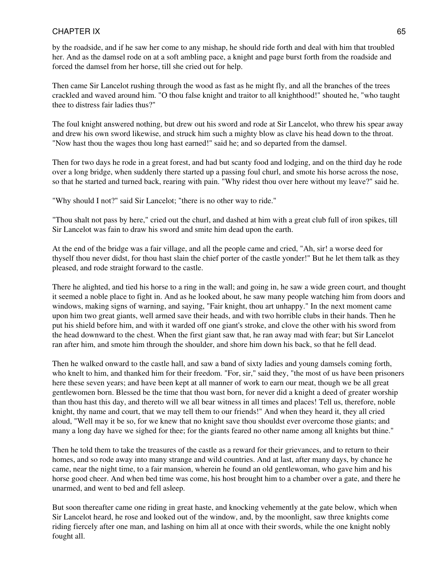by the roadside, and if he saw her come to any mishap, he should ride forth and deal with him that troubled her. And as the damsel rode on at a soft ambling pace, a knight and page burst forth from the roadside and forced the damsel from her horse, till she cried out for help.

Then came Sir Lancelot rushing through the wood as fast as he might fly, and all the branches of the trees crackled and waved around him. "O thou false knight and traitor to all knighthood!" shouted he, "who taught thee to distress fair ladies thus?"

The foul knight answered nothing, but drew out his sword and rode at Sir Lancelot, who threw his spear away and drew his own sword likewise, and struck him such a mighty blow as clave his head down to the throat. "Now hast thou the wages thou long hast earned!" said he; and so departed from the damsel.

Then for two days he rode in a great forest, and had but scanty food and lodging, and on the third day he rode over a long bridge, when suddenly there started up a passing foul churl, and smote his horse across the nose, so that he started and turned back, rearing with pain. "Why ridest thou over here without my leave?" said he.

"Why should I not?" said Sir Lancelot; "there is no other way to ride."

"Thou shalt not pass by here," cried out the churl, and dashed at him with a great club full of iron spikes, till Sir Lancelot was fain to draw his sword and smite him dead upon the earth.

At the end of the bridge was a fair village, and all the people came and cried, "Ah, sir! a worse deed for thyself thou never didst, for thou hast slain the chief porter of the castle yonder!" But he let them talk as they pleased, and rode straight forward to the castle.

There he alighted, and tied his horse to a ring in the wall; and going in, he saw a wide green court, and thought it seemed a noble place to fight in. And as he looked about, he saw many people watching him from doors and windows, making signs of warning, and saying, "Fair knight, thou art unhappy." In the next moment came upon him two great giants, well armed save their heads, and with two horrible clubs in their hands. Then he put his shield before him, and with it warded off one giant's stroke, and clove the other with his sword from the head downward to the chest. When the first giant saw that, he ran away mad with fear; but Sir Lancelot ran after him, and smote him through the shoulder, and shore him down his back, so that he fell dead.

Then he walked onward to the castle hall, and saw a band of sixty ladies and young damsels coming forth, who knelt to him, and thanked him for their freedom. "For, sir," said they, "the most of us have been prisoners here these seven years; and have been kept at all manner of work to earn our meat, though we be all great gentlewomen born. Blessed be the time that thou wast born, for never did a knight a deed of greater worship than thou hast this day, and thereto will we all bear witness in all times and places! Tell us, therefore, noble knight, thy name and court, that we may tell them to our friends!" And when they heard it, they all cried aloud, "Well may it be so, for we knew that no knight save thou shouldst ever overcome those giants; and many a long day have we sighed for thee; for the giants feared no other name among all knights but thine."

Then he told them to take the treasures of the castle as a reward for their grievances, and to return to their homes, and so rode away into many strange and wild countries. And at last, after many days, by chance he came, near the night time, to a fair mansion, wherein he found an old gentlewoman, who gave him and his horse good cheer. And when bed time was come, his host brought him to a chamber over a gate, and there he unarmed, and went to bed and fell asleep.

But soon thereafter came one riding in great haste, and knocking vehemently at the gate below, which when Sir Lancelot heard, he rose and looked out of the window, and, by the moonlight, saw three knights come riding fiercely after one man, and lashing on him all at once with their swords, while the one knight nobly fought all.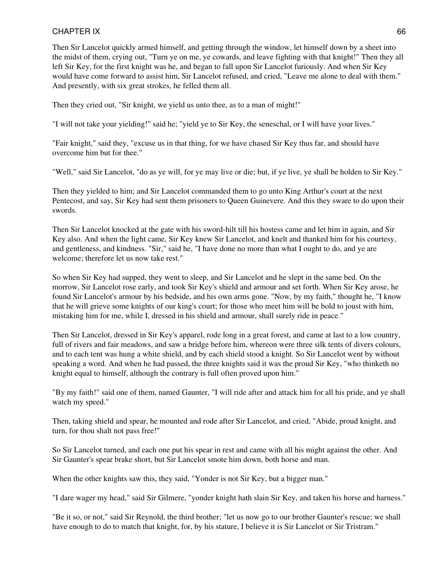Then Sir Lancelot quickly armed himself, and getting through the window, let himself down by a sheet into the midst of them, crying out, "Turn ye on me, ye cowards, and leave fighting with that knight!" Then they all left Sir Key, for the first knight was he, and began to fall upon Sir Lancelot furiously. And when Sir Key would have come forward to assist him, Sir Lancelot refused, and cried, "Leave me alone to deal with them." And presently, with six great strokes, he felled them all.

Then they cried out, "Sir knight, we yield us unto thee, as to a man of might!"

"I will not take your yielding!" said he; "yield ye to Sir Key, the seneschal, or I will have your lives."

"Fair knight," said they, "excuse us in that thing, for we have chased Sir Key thus far, and should have overcome him but for thee."

"Well," said Sir Lancelot, "do as ye will, for ye may live or die; but, if ye live, ye shall be holden to Sir Key."

Then they yielded to him; and Sir Lancelot commanded them to go unto King Arthur's court at the next Pentecost, and say, Sir Key had sent them prisoners to Queen Guinevere. And this they sware to do upon their swords.

Then Sir Lancelot knocked at the gate with his sword-hilt till his hostess came and let him in again, and Sir Key also. And when the light came, Sir Key knew Sir Lancelot, and knelt and thanked him for his courtesy, and gentleness, and kindness. "Sir," said he, "I have done no more than what I ought to do, and ye are welcome; therefore let us now take rest."

So when Sir Key had supped, they went to sleep, and Sir Lancelot and he slept in the same bed. On the morrow, Sir Lancelot rose early, and took Sir Key's shield and armour and set forth. When Sir Key arose, he found Sir Lancelot's armour by his bedside, and his own arms gone. "Now, by my faith," thought he, "I know that he will grieve some knights of our king's court; for those who meet him will be bold to joust with him, mistaking him for me, while I, dressed in his shield and armour, shall surely ride in peace."

Then Sir Lancelot, dressed in Sir Key's apparel, rode long in a great forest, and came at last to a low country, full of rivers and fair meadows, and saw a bridge before him, whereon were three silk tents of divers colours, and to each tent was hung a white shield, and by each shield stood a knight. So Sir Lancelot went by without speaking a word. And when he had passed, the three knights said it was the proud Sir Key, "who thinketh no knight equal to himself, although the contrary is full often proved upon him."

"By my faith!" said one of them, named Gaunter, "I will ride after and attack him for all his pride, and ye shall watch my speed."

Then, taking shield and spear, he mounted and rode after Sir Lancelot, and cried, "Abide, proud knight, and turn, for thou shalt not pass free!"

So Sir Lancelot turned, and each one put his spear in rest and came with all his might against the other. And Sir Gaunter's spear brake short, but Sir Lancelot smote him down, both horse and man.

When the other knights saw this, they said, "Yonder is not Sir Key, but a bigger man."

"I dare wager my head," said Sir Gilmere, "yonder knight hath slain Sir Key, and taken his horse and harness."

"Be it so, or not," said Sir Reynold, the third brother; "let us now go to our brother Gaunter's rescue; we shall have enough to do to match that knight, for, by his stature, I believe it is Sir Lancelot or Sir Tristram."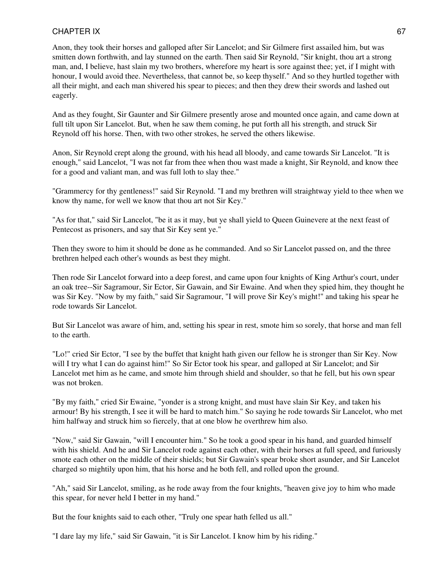Anon, they took their horses and galloped after Sir Lancelot; and Sir Gilmere first assailed him, but was smitten down forthwith, and lay stunned on the earth. Then said Sir Reynold, "Sir knight, thou art a strong man, and, I believe, hast slain my two brothers, wherefore my heart is sore against thee; yet, if I might with honour, I would avoid thee. Nevertheless, that cannot be, so keep thyself." And so they hurtled together with all their might, and each man shivered his spear to pieces; and then they drew their swords and lashed out eagerly.

And as they fought, Sir Gaunter and Sir Gilmere presently arose and mounted once again, and came down at full tilt upon Sir Lancelot. But, when he saw them coming, he put forth all his strength, and struck Sir Reynold off his horse. Then, with two other strokes, he served the others likewise.

Anon, Sir Reynold crept along the ground, with his head all bloody, and came towards Sir Lancelot. "It is enough," said Lancelot, "I was not far from thee when thou wast made a knight, Sir Reynold, and know thee for a good and valiant man, and was full loth to slay thee."

"Grammercy for thy gentleness!" said Sir Reynold. "I and my brethren will straightway yield to thee when we know thy name, for well we know that thou art not Sir Key."

"As for that," said Sir Lancelot, "be it as it may, but ye shall yield to Queen Guinevere at the next feast of Pentecost as prisoners, and say that Sir Key sent ye."

Then they swore to him it should be done as he commanded. And so Sir Lancelot passed on, and the three brethren helped each other's wounds as best they might.

Then rode Sir Lancelot forward into a deep forest, and came upon four knights of King Arthur's court, under an oak tree--Sir Sagramour, Sir Ector, Sir Gawain, and Sir Ewaine. And when they spied him, they thought he was Sir Key. "Now by my faith," said Sir Sagramour, "I will prove Sir Key's might!" and taking his spear he rode towards Sir Lancelot.

But Sir Lancelot was aware of him, and, setting his spear in rest, smote him so sorely, that horse and man fell to the earth.

"Lo!" cried Sir Ector, "I see by the buffet that knight hath given our fellow he is stronger than Sir Key. Now will I try what I can do against him!" So Sir Ector took his spear, and galloped at Sir Lancelot; and Sir Lancelot met him as he came, and smote him through shield and shoulder, so that he fell, but his own spear was not broken.

"By my faith," cried Sir Ewaine, "yonder is a strong knight, and must have slain Sir Key, and taken his armour! By his strength, I see it will be hard to match him." So saying he rode towards Sir Lancelot, who met him halfway and struck him so fiercely, that at one blow he overthrew him also.

"Now," said Sir Gawain, "will I encounter him." So he took a good spear in his hand, and guarded himself with his shield. And he and Sir Lancelot rode against each other, with their horses at full speed, and furiously smote each other on the middle of their shields; but Sir Gawain's spear broke short asunder, and Sir Lancelot charged so mightily upon him, that his horse and he both fell, and rolled upon the ground.

"Ah," said Sir Lancelot, smiling, as he rode away from the four knights, "heaven give joy to him who made this spear, for never held I better in my hand."

But the four knights said to each other, "Truly one spear hath felled us all."

"I dare lay my life," said Sir Gawain, "it is Sir Lancelot. I know him by his riding."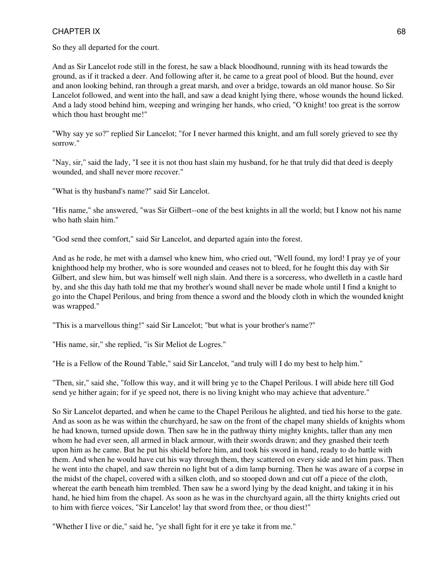So they all departed for the court.

And as Sir Lancelot rode still in the forest, he saw a black bloodhound, running with its head towards the ground, as if it tracked a deer. And following after it, he came to a great pool of blood. But the hound, ever and anon looking behind, ran through a great marsh, and over a bridge, towards an old manor house. So Sir Lancelot followed, and went into the hall, and saw a dead knight lying there, whose wounds the hound licked. And a lady stood behind him, weeping and wringing her hands, who cried, "O knight! too great is the sorrow which thou hast brought me!"

"Why say ye so?" replied Sir Lancelot; "for I never harmed this knight, and am full sorely grieved to see thy sorrow."

"Nay, sir," said the lady, "I see it is not thou hast slain my husband, for he that truly did that deed is deeply wounded, and shall never more recover."

"What is thy husband's name?" said Sir Lancelot.

"His name," she answered, "was Sir Gilbert--one of the best knights in all the world; but I know not his name who hath slain him."

"God send thee comfort," said Sir Lancelot, and departed again into the forest.

And as he rode, he met with a damsel who knew him, who cried out, "Well found, my lord! I pray ye of your knighthood help my brother, who is sore wounded and ceases not to bleed, for he fought this day with Sir Gilbert, and slew him, but was himself well nigh slain. And there is a sorceress, who dwelleth in a castle hard by, and she this day hath told me that my brother's wound shall never be made whole until I find a knight to go into the Chapel Perilous, and bring from thence a sword and the bloody cloth in which the wounded knight was wrapped."

"This is a marvellous thing!" said Sir Lancelot; "but what is your brother's name?"

"His name, sir," she replied, "is Sir Meliot de Logres."

"He is a Fellow of the Round Table," said Sir Lancelot, "and truly will I do my best to help him."

"Then, sir," said she, "follow this way, and it will bring ye to the Chapel Perilous. I will abide here till God send ye hither again; for if ye speed not, there is no living knight who may achieve that adventure."

So Sir Lancelot departed, and when he came to the Chapel Perilous he alighted, and tied his horse to the gate. And as soon as he was within the churchyard, he saw on the front of the chapel many shields of knights whom he had known, turned upside down. Then saw he in the pathway thirty mighty knights, taller than any men whom he had ever seen, all armed in black armour, with their swords drawn; and they gnashed their teeth upon him as he came. But he put his shield before him, and took his sword in hand, ready to do battle with them. And when he would have cut his way through them, they scattered on every side and let him pass. Then he went into the chapel, and saw therein no light but of a dim lamp burning. Then he was aware of a corpse in the midst of the chapel, covered with a silken cloth, and so stooped down and cut off a piece of the cloth, whereat the earth beneath him trembled. Then saw he a sword lying by the dead knight, and taking it in his hand, he hied him from the chapel. As soon as he was in the churchyard again, all the thirty knights cried out to him with fierce voices, "Sir Lancelot! lay that sword from thee, or thou diest!"

"Whether I live or die," said he, "ye shall fight for it ere ye take it from me."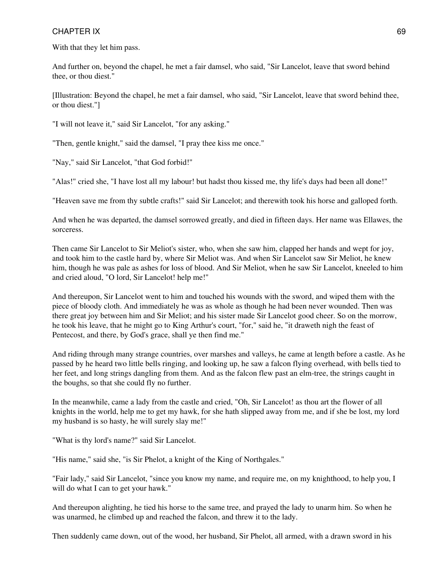With that they let him pass.

And further on, beyond the chapel, he met a fair damsel, who said, "Sir Lancelot, leave that sword behind thee, or thou diest."

[Illustration: Beyond the chapel, he met a fair damsel, who said, "Sir Lancelot, leave that sword behind thee, or thou diest."]

"I will not leave it," said Sir Lancelot, "for any asking."

"Then, gentle knight," said the damsel, "I pray thee kiss me once."

"Nay," said Sir Lancelot, "that God forbid!"

"Alas!" cried she, "I have lost all my labour! but hadst thou kissed me, thy life's days had been all done!"

"Heaven save me from thy subtle crafts!" said Sir Lancelot; and therewith took his horse and galloped forth.

And when he was departed, the damsel sorrowed greatly, and died in fifteen days. Her name was Ellawes, the sorceress.

Then came Sir Lancelot to Sir Meliot's sister, who, when she saw him, clapped her hands and wept for joy, and took him to the castle hard by, where Sir Meliot was. And when Sir Lancelot saw Sir Meliot, he knew him, though he was pale as ashes for loss of blood. And Sir Meliot, when he saw Sir Lancelot, kneeled to him and cried aloud, "O lord, Sir Lancelot! help me!"

And thereupon, Sir Lancelot went to him and touched his wounds with the sword, and wiped them with the piece of bloody cloth. And immediately he was as whole as though he had been never wounded. Then was there great joy between him and Sir Meliot; and his sister made Sir Lancelot good cheer. So on the morrow, he took his leave, that he might go to King Arthur's court, "for," said he, "it draweth nigh the feast of Pentecost, and there, by God's grace, shall ye then find me."

And riding through many strange countries, over marshes and valleys, he came at length before a castle. As he passed by he heard two little bells ringing, and looking up, he saw a falcon flying overhead, with bells tied to her feet, and long strings dangling from them. And as the falcon flew past an elm-tree, the strings caught in the boughs, so that she could fly no further.

In the meanwhile, came a lady from the castle and cried, "Oh, Sir Lancelot! as thou art the flower of all knights in the world, help me to get my hawk, for she hath slipped away from me, and if she be lost, my lord my husband is so hasty, he will surely slay me!"

"What is thy lord's name?" said Sir Lancelot.

"His name," said she, "is Sir Phelot, a knight of the King of Northgales."

"Fair lady," said Sir Lancelot, "since you know my name, and require me, on my knighthood, to help you, I will do what I can to get your hawk."

And thereupon alighting, he tied his horse to the same tree, and prayed the lady to unarm him. So when he was unarmed, he climbed up and reached the falcon, and threw it to the lady.

Then suddenly came down, out of the wood, her husband, Sir Phelot, all armed, with a drawn sword in his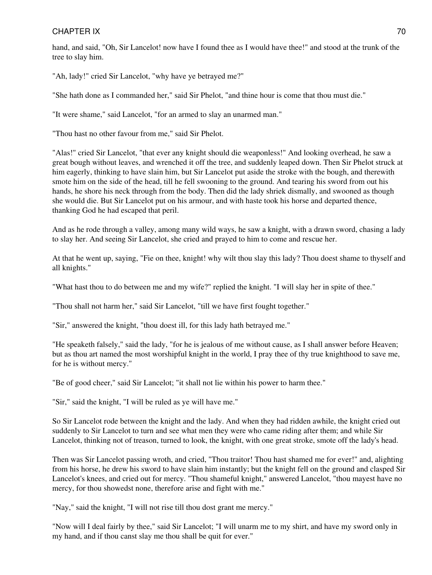# CHAPTER IX 2008 2009 12:00 12:00 12:00 12:00 12:00 12:00 12:00 12:00 12:00 12:00 12:00 12:00 12:00 12:00 12:00

hand, and said, "Oh, Sir Lancelot! now have I found thee as I would have thee!" and stood at the trunk of the tree to slay him.

"Ah, lady!" cried Sir Lancelot, "why have ye betrayed me?"

"She hath done as I commanded her," said Sir Phelot, "and thine hour is come that thou must die."

"It were shame," said Lancelot, "for an armed to slay an unarmed man."

"Thou hast no other favour from me," said Sir Phelot.

"Alas!" cried Sir Lancelot, "that ever any knight should die weaponless!" And looking overhead, he saw a great bough without leaves, and wrenched it off the tree, and suddenly leaped down. Then Sir Phelot struck at him eagerly, thinking to have slain him, but Sir Lancelot put aside the stroke with the bough, and therewith smote him on the side of the head, till he fell swooning to the ground. And tearing his sword from out his hands, he shore his neck through from the body. Then did the lady shriek dismally, and swooned as though she would die. But Sir Lancelot put on his armour, and with haste took his horse and departed thence, thanking God he had escaped that peril.

And as he rode through a valley, among many wild ways, he saw a knight, with a drawn sword, chasing a lady to slay her. And seeing Sir Lancelot, she cried and prayed to him to come and rescue her.

At that he went up, saying, "Fie on thee, knight! why wilt thou slay this lady? Thou doest shame to thyself and all knights."

"What hast thou to do between me and my wife?" replied the knight. "I will slay her in spite of thee."

"Thou shall not harm her," said Sir Lancelot, "till we have first fought together."

"Sir," answered the knight, "thou doest ill, for this lady hath betrayed me."

"He speaketh falsely," said the lady, "for he is jealous of me without cause, as I shall answer before Heaven; but as thou art named the most worshipful knight in the world, I pray thee of thy true knighthood to save me, for he is without mercy."

"Be of good cheer," said Sir Lancelot; "it shall not lie within his power to harm thee."

"Sir," said the knight, "I will be ruled as ye will have me."

So Sir Lancelot rode between the knight and the lady. And when they had ridden awhile, the knight cried out suddenly to Sir Lancelot to turn and see what men they were who came riding after them; and while Sir Lancelot, thinking not of treason, turned to look, the knight, with one great stroke, smote off the lady's head.

Then was Sir Lancelot passing wroth, and cried, "Thou traitor! Thou hast shamed me for ever!" and, alighting from his horse, he drew his sword to have slain him instantly; but the knight fell on the ground and clasped Sir Lancelot's knees, and cried out for mercy. "Thou shameful knight," answered Lancelot, "thou mayest have no mercy, for thou showedst none, therefore arise and fight with me."

"Nay," said the knight, "I will not rise till thou dost grant me mercy."

"Now will I deal fairly by thee," said Sir Lancelot; "I will unarm me to my shirt, and have my sword only in my hand, and if thou canst slay me thou shall be quit for ever."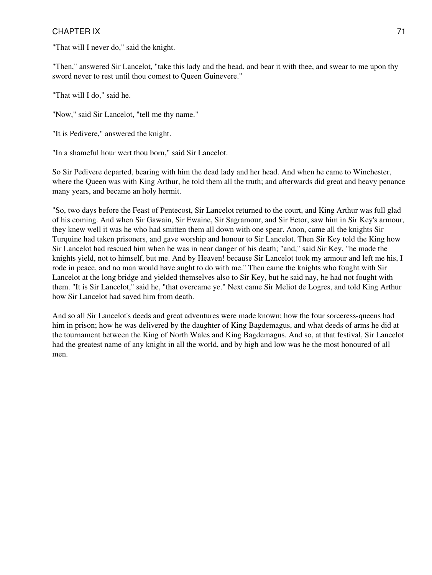"That will I never do," said the knight.

"Then," answered Sir Lancelot, "take this lady and the head, and bear it with thee, and swear to me upon thy sword never to rest until thou comest to Queen Guinevere."

"That will I do," said he.

"Now," said Sir Lancelot, "tell me thy name."

"It is Pedivere," answered the knight.

"In a shameful hour wert thou born," said Sir Lancelot.

So Sir Pedivere departed, bearing with him the dead lady and her head. And when he came to Winchester, where the Queen was with King Arthur, he told them all the truth; and afterwards did great and heavy penance many years, and became an holy hermit.

"So, two days before the Feast of Pentecost, Sir Lancelot returned to the court, and King Arthur was full glad of his coming. And when Sir Gawain, Sir Ewaine, Sir Sagramour, and Sir Ector, saw him in Sir Key's armour, they knew well it was he who had smitten them all down with one spear. Anon, came all the knights Sir Turquine had taken prisoners, and gave worship and honour to Sir Lancelot. Then Sir Key told the King how Sir Lancelot had rescued him when he was in near danger of his death; "and," said Sir Key, "he made the knights yield, not to himself, but me. And by Heaven! because Sir Lancelot took my armour and left me his, I rode in peace, and no man would have aught to do with me." Then came the knights who fought with Sir Lancelot at the long bridge and yielded themselves also to Sir Key, but he said nay, he had not fought with them. "It is Sir Lancelot," said he, "that overcame ye." Next came Sir Meliot de Logres, and told King Arthur how Sir Lancelot had saved him from death.

And so all Sir Lancelot's deeds and great adventures were made known; how the four sorceress-queens had him in prison; how he was delivered by the daughter of King Bagdemagus, and what deeds of arms he did at the tournament between the King of North Wales and King Bagdemagus. And so, at that festival, Sir Lancelot had the greatest name of any knight in all the world, and by high and low was he the most honoured of all men.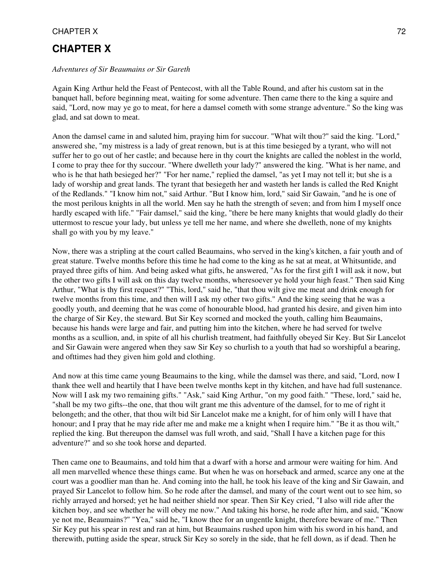# **CHAPTER X**

#### *Adventures of Sir Beaumains or Sir Gareth*

Again King Arthur held the Feast of Pentecost, with all the Table Round, and after his custom sat in the banquet hall, before beginning meat, waiting for some adventure. Then came there to the king a squire and said, "Lord, now may ye go to meat, for here a damsel cometh with some strange adventure." So the king was glad, and sat down to meat.

Anon the damsel came in and saluted him, praying him for succour. "What wilt thou?" said the king. "Lord," answered she, "my mistress is a lady of great renown, but is at this time besieged by a tyrant, who will not suffer her to go out of her castle; and because here in thy court the knights are called the noblest in the world, I come to pray thee for thy succour. "Where dwelleth your lady?" answered the king. "What is her name, and who is he that hath besieged her?" "For her name," replied the damsel, "as yet I may not tell it; but she is a lady of worship and great lands. The tyrant that besiegeth her and wasteth her lands is called the Red Knight of the Redlands." "I know him not," said Arthur. "But I know him, lord," said Sir Gawain, "and he is one of the most perilous knights in all the world. Men say he hath the strength of seven; and from him I myself once hardly escaped with life." "Fair damsel," said the king, "there be here many knights that would gladly do their uttermost to rescue your lady, but unless ye tell me her name, and where she dwelleth, none of my knights shall go with you by my leave."

Now, there was a stripling at the court called Beaumains, who served in the king's kitchen, a fair youth and of great stature. Twelve months before this time he had come to the king as he sat at meat, at Whitsuntide, and prayed three gifts of him. And being asked what gifts, he answered, "As for the first gift I will ask it now, but the other two gifts I will ask on this day twelve months, wheresoever ye hold your high feast." Then said King Arthur, "What is thy first request?" "This, lord," said he, "that thou wilt give me meat and drink enough for twelve months from this time, and then will I ask my other two gifts." And the king seeing that he was a goodly youth, and deeming that he was come of honourable blood, had granted his desire, and given him into the charge of Sir Key, the steward. But Sir Key scorned and mocked the youth, calling him Beaumains, because his hands were large and fair, and putting him into the kitchen, where he had served for twelve months as a scullion, and, in spite of all his churlish treatment, had faithfully obeyed Sir Key. But Sir Lancelot and Sir Gawain were angered when they saw Sir Key so churlish to a youth that had so worshipful a bearing, and ofttimes had they given him gold and clothing.

And now at this time came young Beaumains to the king, while the damsel was there, and said, "Lord, now I thank thee well and heartily that I have been twelve months kept in thy kitchen, and have had full sustenance. Now will I ask my two remaining gifts." "Ask," said King Arthur, "on my good faith." "These, lord," said he, "shall be my two gifts--the one, that thou wilt grant me this adventure of the damsel, for to me of right it belongeth; and the other, that thou wilt bid Sir Lancelot make me a knight, for of him only will I have that honour; and I pray that he may ride after me and make me a knight when I require him." "Be it as thou wilt," replied the king. But thereupon the damsel was full wroth, and said, "Shall I have a kitchen page for this adventure?" and so she took horse and departed.

Then came one to Beaumains, and told him that a dwarf with a horse and armour were waiting for him. And all men marvelled whence these things came. But when he was on horseback and armed, scarce any one at the court was a goodlier man than he. And coming into the hall, he took his leave of the king and Sir Gawain, and prayed Sir Lancelot to follow him. So he rode after the damsel, and many of the court went out to see him, so richly arrayed and horsed; yet he had neither shield nor spear. Then Sir Key cried, "I also will ride after the kitchen boy, and see whether he will obey me now." And taking his horse, he rode after him, and said, "Know ye not me, Beaumains?" "Yea," said he, "I know thee for an ungentle knight, therefore beware of me." Then Sir Key put his spear in rest and ran at him, but Beaumains rushed upon him with his sword in his hand, and therewith, putting aside the spear, struck Sir Key so sorely in the side, that he fell down, as if dead. Then he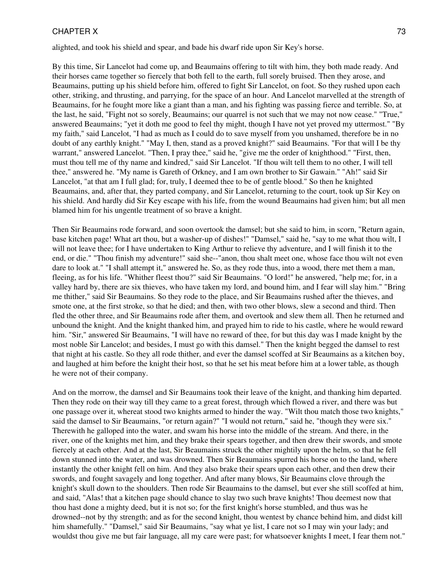alighted, and took his shield and spear, and bade his dwarf ride upon Sir Key's horse.

By this time, Sir Lancelot had come up, and Beaumains offering to tilt with him, they both made ready. And their horses came together so fiercely that both fell to the earth, full sorely bruised. Then they arose, and Beaumains, putting up his shield before him, offered to fight Sir Lancelot, on foot. So they rushed upon each other, striking, and thrusting, and parrying, for the space of an hour. And Lancelot marvelled at the strength of Beaumains, for he fought more like a giant than a man, and his fighting was passing fierce and terrible. So, at the last, he said, "Fight not so sorely, Beaumains; our quarrel is not such that we may not now cease." "True," answered Beaumains; "yet it doth me good to feel thy might, though I have not yet proved my uttermost." "By my faith," said Lancelot, "I had as much as I could do to save myself from you unshamed, therefore be in no doubt of any earthly knight." "May I, then, stand as a proved knight?" said Beaumains. "For that will I be thy warrant," answered Lancelot. "Then, I pray thee," said he, "give me the order of knighthood." "First, then, must thou tell me of thy name and kindred," said Sir Lancelot. "If thou wilt tell them to no other, I will tell thee," answered he. "My name is Gareth of Orkney, and I am own brother to Sir Gawain." "Ah!" said Sir Lancelot, "at that am I full glad; for, truly, I deemed thee to be of gentle blood." So then he knighted Beaumains, and, after that, they parted company, and Sir Lancelot, returning to the court, took up Sir Key on his shield. And hardly did Sir Key escape with his life, from the wound Beaumains had given him; but all men blamed him for his ungentle treatment of so brave a knight.

Then Sir Beaumains rode forward, and soon overtook the damsel; but she said to him, in scorn, "Return again, base kitchen page! What art thou, but a washer-up of dishes!" "Damsel," said he, "say to me what thou wilt, I will not leave thee; for I have undertaken to King Arthur to relieve thy adventure, and I will finish it to the end, or die." "Thou finish my adventure!" said she--"anon, thou shalt meet one, whose face thou wilt not even dare to look at." "I shall attempt it," answered he. So, as they rode thus, into a wood, there met them a man, fleeing, as for his life. "Whither fleest thou?" said Sir Beaumains. "O lord!" he answered, "help me; for, in a valley hard by, there are six thieves, who have taken my lord, and bound him, and I fear will slay him." "Bring me thither," said Sir Beaumains. So they rode to the place, and Sir Beaumains rushed after the thieves, and smote one, at the first stroke, so that he died; and then, with two other blows, slew a second and third. Then fled the other three, and Sir Beaumains rode after them, and overtook and slew them all. Then he returned and unbound the knight. And the knight thanked him, and prayed him to ride to his castle, where he would reward him. "Sir," answered Sir Beaumains, "I will have no reward of thee, for but this day was I made knight by the most noble Sir Lancelot; and besides, I must go with this damsel." Then the knight begged the damsel to rest that night at his castle. So they all rode thither, and ever the damsel scoffed at Sir Beaumains as a kitchen boy, and laughed at him before the knight their host, so that he set his meat before him at a lower table, as though he were not of their company.

And on the morrow, the damsel and Sir Beaumains took their leave of the knight, and thanking him departed. Then they rode on their way till they came to a great forest, through which flowed a river, and there was but one passage over it, whereat stood two knights armed to hinder the way. "Wilt thou match those two knights," said the damsel to Sir Beaumains, "or return again?" "I would not return," said he, "though they were six." Therewith he galloped into the water, and swam his horse into the middle of the stream. And there, in the river, one of the knights met him, and they brake their spears together, and then drew their swords, and smote fiercely at each other. And at the last, Sir Beaumains struck the other mightily upon the helm, so that he fell down stunned into the water, and was drowned. Then Sir Beaumains spurred his horse on to the land, where instantly the other knight fell on him. And they also brake their spears upon each other, and then drew their swords, and fought savagely and long together. And after many blows, Sir Beaumains clove through the knight's skull down to the shoulders. Then rode Sir Beaumains to the damsel, but ever she still scoffed at him, and said, "Alas! that a kitchen page should chance to slay two such brave knights! Thou deemest now that thou hast done a mighty deed, but it is not so; for the first knight's horse stumbled, and thus was he drowned--not by thy strength; and as for the second knight, thou wentest by chance behind him, and didst kill him shamefully." "Damsel," said Sir Beaumains, "say what ye list, I care not so I may win your lady; and wouldst thou give me but fair language, all my care were past; for whatsoever knights I meet, I fear them not."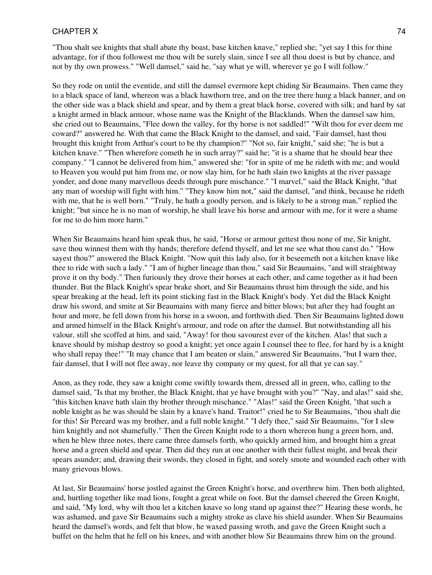"Thou shalt see knights that shall abate thy boast, base kitchen knave," replied she; "yet say I this for thine advantage, for if thou followest me thou wilt be surely slain, since I see all thou doest is but by chance, and not by thy own prowess." "Well damsel," said he, "say what ye will, wherever ye go I will follow."

So they rode on until the eventide, and still the damsel evermore kept chiding Sir Beaumains. Then came they to a black space of land, whereon was a black hawthorn tree, and on the tree there hung a black banner, and on the other side was a black shield and spear, and by them a great black horse, covered with silk; and hard by sat a knight armed in black armour, whose name was the Knight of the Blacklands. When the damsel saw him, she cried out to Beaumains, "Flee down the valley, for thy horse is not saddled!" "Wilt thou for ever deem me coward?" answered he. With that came the Black Knight to the damsel, and said, "Fair damsel, hast thou brought this knight from Arthur's court to be thy champion?" "Not so, fair knight," said she; "he is but a kitchen knave." "Then wherefore cometh he in such array?" said he; "it is a shame that he should bear thee company." "I cannot be delivered from him," answered she: "for in spite of me he rideth with me; and would to Heaven you would put him from me, or now slay him, for he hath slain two knights at the river passage yonder, and done many marvellous deeds through pure mischance." "I marvel," said the Black Knight, "that any man of worship will fight with him." "They know him not," said the damsel, "and think, because he rideth with me, that he is well born." "Truly, he hath a goodly person, and is likely to be a strong man," replied the knight; "but since he is no man of worship, he shall leave his horse and armour with me, for it were a shame for me to do him more harm."

When Sir Beaumains heard him speak thus, he said, "Horse or armour gettest thou none of me, Sir knight, save thou winnest them with thy hands; therefore defend thyself, and let me see what thou canst do." "How sayest thou?" answered the Black Knight. "Now quit this lady also, for it beseemeth not a kitchen knave like thee to ride with such a lady." "I am of higher lineage than thou," said Sir Beaumains, "and will straightway prove it on thy body." Then furiously they drove their horses at each other, and came together as it had been thunder. But the Black Knight's spear brake short, and Sir Beaumains thrust him through the side, and his spear breaking at the head, left its point sticking fast in the Black Knight's body. Yet did the Black Knight draw his sword, and smite at Sir Beaumains with many fierce and bitter blows; but after they had fought an hour and more, he fell down from his horse in a swoon, and forthwith died. Then Sir Beaumains lighted down and armed himself in the Black Knight's armour, and rode on after the damsel. But notwithstanding all his valour, still she scoffed at him, and said, "Away! for thou savourest ever of the kitchen. Alas! that such a knave should by mishap destroy so good a knight; yet once again I counsel thee to flee, for hard by is a knight who shall repay thee!" "It may chance that I am beaten or slain," answered Sir Beaumains, "but I warn thee, fair damsel, that I will not flee away, nor leave thy company or my quest, for all that ye can say."

Anon, as they rode, they saw a knight come swiftly towards them, dressed all in green, who, calling to the damsel said, "Is that my brother, the Black Knight, that ye have brought with you?" "Nay, and alas!" said she, "this kitchen knave hath slain thy brother through mischance." "Alas!" said the Green Knight, "that such a noble knight as he was should be slain by a knave's hand. Traitor!" cried he to Sir Beaumains, "thou shalt die for this! Sir Pereard was my brother, and a full noble knight." "I defy thee," said Sir Beaumains, "for I slew him knightly and not shamefully." Then the Green Knight rode to a thorn whereon hung a green horn, and, when he blew three notes, there came three damsels forth, who quickly armed him, and brought him a great horse and a green shield and spear. Then did they run at one another with their fullest might, and break their spears asunder; and, drawing their swords, they closed in fight, and sorely smote and wounded each other with many grievous blows.

At last, Sir Beaumains' horse jostled against the Green Knight's horse, and overthrew him. Then both alighted, and, hurtling together like mad lions, fought a great while on foot. But the damsel cheered the Green Knight, and said, "My lord, why wilt thou let a kitchen knave so long stand up against thee?" Hearing these words, he was ashamed, and gave Sir Beaumains such a mighty stroke as clave his shield asunder. When Sir Beaumains heard the damsel's words, and felt that blow, he waxed passing wroth, and gave the Green Knight such a buffet on the helm that he fell on his knees, and with another blow Sir Beaumains threw him on the ground.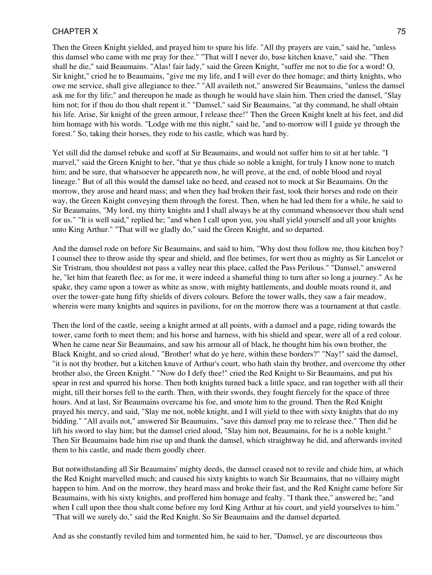Then the Green Knight yielded, and prayed him to spare his life. "All thy prayers are vain," said he, "unless this damsel who came with me pray for thee." "That will I never do, base kitchen knave," said she. "Then shall he die," said Beaumains. "Alas! fair lady," said the Green Knight, "suffer me not to die for a word! O, Sir knight," cried he to Beaumains, "give me my life, and I will ever do thee homage; and thirty knights, who owe me service, shall give allegiance to thee." "All availeth not," answered Sir Beaumains, "unless the damsel ask me for thy life;" and thereupon he made as though he would have slain him. Then cried the damsel, "Slay him not; for if thou do thou shalt repent it." "Damsel," said Sir Beaumains, "at thy command, he shall obtain his life. Arise, Sir knight of the green armour, I release thee!" Then the Green Knight knelt at his feet, and did him homage with his words. "Lodge with me this night," said he, "and to-morrow will I guide ye through the forest." So, taking their horses, they rode to his castle, which was hard by.

Yet still did the damsel rebuke and scoff at Sir Beaumains, and would not suffer him to sit at her table. "I marvel," said the Green Knight to her, "that ye thus chide so noble a knight, for truly I know none to match him; and be sure, that whatsoever he appeareth now, he will prove, at the end, of noble blood and royal lineage." But of all this would the damsel take no heed, and ceased not to mock at Sir Beaumains. On the morrow, they arose and heard mass; and when they had broken their fast, took their horses and rode on their way, the Green Knight conveying them through the forest. Then, when he had led them for a while, he said to Sir Beaumains, "My lord, my thirty knights and I shall always be at thy command whensoever thou shalt send for us." "It is well said," replied he; "and when I call upon you, you shall yield yourself and all your knights unto King Arthur." "That will we gladly do," said the Green Knight, and so departed.

And the damsel rode on before Sir Beaumains, and said to him, "Why dost thou follow me, thou kitchen boy? I counsel thee to throw aside thy spear and shield, and flee betimes, for wert thou as mighty as Sir Lancelot or Sir Tristram, thou shouldest not pass a valley near this place, called the Pass Perilous." "Damsel," answered he, "let him that feareth flee; as for me, it were indeed a shameful thing to turn after so long a journey." As he spake, they came upon a tower as white as snow, with mighty battlements, and double moats round it, and over the tower-gate hung fifty shields of divers colours. Before the tower walls, they saw a fair meadow, wherein were many knights and squires in pavilions, for on the morrow there was a tournament at that castle.

Then the lord of the castle, seeing a knight armed at all points, with a damsel and a page, riding towards the tower, came forth to meet them; and his horse and harness, with his shield and spear, were all of a red colour. When he came near Sir Beaumains, and saw his armour all of black, he thought him his own brother, the Black Knight, and so cried aloud, "Brother! what do ye here, within these borders?" "Nay!" said the damsel, "it is not thy brother, but a kitchen knave of Arthur's court, who hath slain thy brother, and overcome thy other brother also, the Green Knight." "Now do I defy thee!" cried the Red Knight to Sir Beaumains, and put his spear in rest and spurred his horse. Then both knights turned back a little space, and ran together with all their might, till their horses fell to the earth. Then, with their swords, they fought fiercely for the space of three hours. And at last, Sir Beaumains overcame his foe, and smote him to the ground. Then the Red Knight prayed his mercy, and said, "Slay me not, noble knight, and I will yield to thee with sixty knights that do my bidding." "All avails not," answered Sir Beaumains, "save this damsel pray me to release thee." Then did he lift his sword to slay him; but the damsel cried aloud, "Slay him not, Beaumains, for he is a noble knight." Then Sir Beaumains bade him rise up and thank the damsel, which straightway he did, and afterwards invited them to his castle, and made them goodly cheer.

But notwithstanding all Sir Beaumains' mighty deeds, the damsel ceased not to revile and chide him, at which the Red Knight marvelled much; and caused his sixty knights to watch Sir Beaumains, that no villainy might happen to him. And on the morrow, they heard mass and broke their fast, and the Red Knight came before Sir Beaumains, with his sixty knights, and proffered him homage and fealty. "I thank thee," answered he; "and when I call upon thee thou shalt come before my lord King Arthur at his court, and yield yourselves to him." "That will we surely do," said the Red Knight. So Sir Beaumains and the damsel departed.

And as she constantly reviled him and tormented him, he said to her, "Damsel, ye are discourteous thus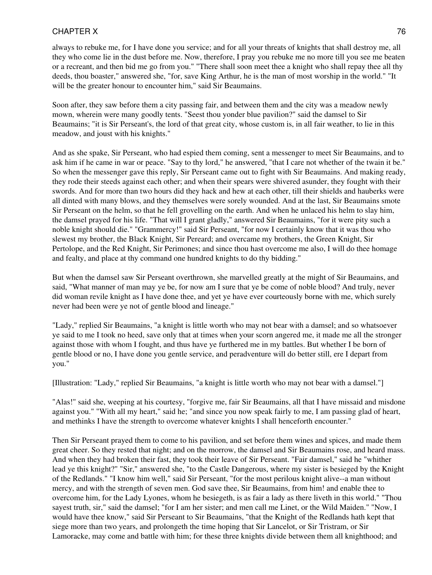always to rebuke me, for I have done you service; and for all your threats of knights that shall destroy me, all they who come lie in the dust before me. Now, therefore, I pray you rebuke me no more till you see me beaten or a recreant, and then bid me go from you." "There shall soon meet thee a knight who shall repay thee all thy deeds, thou boaster," answered she, "for, save King Arthur, he is the man of most worship in the world." "It will be the greater honour to encounter him," said Sir Beaumains.

Soon after, they saw before them a city passing fair, and between them and the city was a meadow newly mown, wherein were many goodly tents. "Seest thou yonder blue pavilion?" said the damsel to Sir Beaumains; "it is Sir Perseant's, the lord of that great city, whose custom is, in all fair weather, to lie in this meadow, and joust with his knights."

And as she spake, Sir Perseant, who had espied them coming, sent a messenger to meet Sir Beaumains, and to ask him if he came in war or peace. "Say to thy lord," he answered, "that I care not whether of the twain it be." So when the messenger gave this reply, Sir Perseant came out to fight with Sir Beaumains. And making ready, they rode their steeds against each other; and when their spears were shivered asunder, they fought with their swords. And for more than two hours did they hack and hew at each other, till their shields and hauberks were all dinted with many blows, and they themselves were sorely wounded. And at the last, Sir Beaumains smote Sir Perseant on the helm, so that he fell grovelling on the earth. And when he unlaced his helm to slay him, the damsel prayed for his life. "That will I grant gladly," answered Sir Beaumains, "for it were pity such a noble knight should die." "Grammercy!" said Sir Perseant, "for now I certainly know that it was thou who slewest my brother, the Black Knight, Sir Pereard; and overcame my brothers, the Green Knight, Sir Pertolope, and the Red Knight, Sir Perimones; and since thou hast overcome me also, I will do thee homage and fealty, and place at thy command one hundred knights to do thy bidding."

But when the damsel saw Sir Perseant overthrown, she marvelled greatly at the might of Sir Beaumains, and said, "What manner of man may ye be, for now am I sure that ye be come of noble blood? And truly, never did woman revile knight as I have done thee, and yet ye have ever courteously borne with me, which surely never had been were ye not of gentle blood and lineage."

"Lady," replied Sir Beaumains, "a knight is little worth who may not bear with a damsel; and so whatsoever ye said to me I took no heed, save only that at times when your scorn angered me, it made me all the stronger against those with whom I fought, and thus have ye furthered me in my battles. But whether I be born of gentle blood or no, I have done you gentle service, and peradventure will do better still, ere I depart from you."

[Illustration: "Lady," replied Sir Beaumains, "a knight is little worth who may not bear with a damsel."]

"Alas!" said she, weeping at his courtesy, "forgive me, fair Sir Beaumains, all that I have missaid and misdone against you." "With all my heart," said he; "and since you now speak fairly to me, I am passing glad of heart, and methinks I have the strength to overcome whatever knights I shall henceforth encounter."

Then Sir Perseant prayed them to come to his pavilion, and set before them wines and spices, and made them great cheer. So they rested that night; and on the morrow, the damsel and Sir Beaumains rose, and heard mass. And when they had broken their fast, they took their leave of Sir Perseant. "Fair damsel," said he "whither lead ye this knight?" "Sir," answered she, "to the Castle Dangerous, where my sister is besieged by the Knight of the Redlands." "I know him well," said Sir Perseant, "for the most perilous knight alive--a man without mercy, and with the strength of seven men. God save thee, Sir Beaumains, from him! and enable thee to overcome him, for the Lady Lyones, whom he besiegeth, is as fair a lady as there liveth in this world." "Thou sayest truth, sir," said the damsel; "for I am her sister; and men call me Linet, or the Wild Maiden." "Now, I would have thee know," said Sir Perseant to Sir Beaumains, "that the Knight of the Redlands hath kept that siege more than two years, and prolongeth the time hoping that Sir Lancelot, or Sir Tristram, or Sir Lamoracke, may come and battle with him; for these three knights divide between them all knighthood; and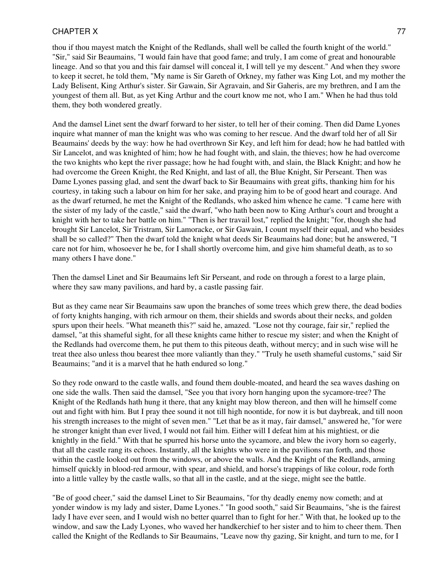thou if thou mayest match the Knight of the Redlands, shall well be called the fourth knight of the world." "Sir," said Sir Beaumains, "I would fain have that good fame; and truly, I am come of great and honourable lineage. And so that you and this fair damsel will conceal it, I will tell ye my descent." And when they swore to keep it secret, he told them, "My name is Sir Gareth of Orkney, my father was King Lot, and my mother the Lady Belisent, King Arthur's sister. Sir Gawain, Sir Agravain, and Sir Gaheris, are my brethren, and I am the youngest of them all. But, as yet King Arthur and the court know me not, who I am." When he had thus told them, they both wondered greatly.

And the damsel Linet sent the dwarf forward to her sister, to tell her of their coming. Then did Dame Lyones inquire what manner of man the knight was who was coming to her rescue. And the dwarf told her of all Sir Beaumains' deeds by the way: how he had overthrown Sir Key, and left him for dead; how he had battled with Sir Lancelot, and was knighted of him; how he had fought with, and slain, the thieves; how he had overcome the two knights who kept the river passage; how he had fought with, and slain, the Black Knight; and how he had overcome the Green Knight, the Red Knight, and last of all, the Blue Knight, Sir Perseant. Then was Dame Lyones passing glad, and sent the dwarf back to Sir Beaumains with great gifts, thanking him for his courtesy, in taking such a labour on him for her sake, and praying him to be of good heart and courage. And as the dwarf returned, he met the Knight of the Redlands, who asked him whence he came. "I came here with the sister of my lady of the castle," said the dwarf, "who hath been now to King Arthur's court and brought a knight with her to take her battle on him." "Then is her travail lost," replied the knight; "for, though she had brought Sir Lancelot, Sir Tristram, Sir Lamoracke, or Sir Gawain, I count myself their equal, and who besides shall be so called?" Then the dwarf told the knight what deeds Sir Beaumains had done; but he answered, "I care not for him, whosoever he be, for I shall shortly overcome him, and give him shameful death, as to so many others I have done."

Then the damsel Linet and Sir Beaumains left Sir Perseant, and rode on through a forest to a large plain, where they saw many pavilions, and hard by, a castle passing fair.

But as they came near Sir Beaumains saw upon the branches of some trees which grew there, the dead bodies of forty knights hanging, with rich armour on them, their shields and swords about their necks, and golden spurs upon their heels. "What meaneth this?" said he, amazed. "Lose not thy courage, fair sir," replied the damsel, "at this shameful sight, for all these knights came hither to rescue my sister; and when the Knight of the Redlands had overcome them, he put them to this piteous death, without mercy; and in such wise will he treat thee also unless thou bearest thee more valiantly than they." "Truly he useth shameful customs," said Sir Beaumains; "and it is a marvel that he hath endured so long."

So they rode onward to the castle walls, and found them double-moated, and heard the sea waves dashing on one side the walls. Then said the damsel, "See you that ivory horn hanging upon the sycamore-tree? The Knight of the Redlands hath hung it there, that any knight may blow thereon, and then will he himself come out and fight with him. But I pray thee sound it not till high noontide, for now it is but daybreak, and till noon his strength increases to the might of seven men." "Let that be as it may, fair damsel," answered he, "for were he stronger knight than ever lived, I would not fail him. Either will I defeat him at his mightiest, or die knightly in the field." With that he spurred his horse unto the sycamore, and blew the ivory horn so eagerly, that all the castle rang its echoes. Instantly, all the knights who were in the pavilions ran forth, and those within the castle looked out from the windows, or above the walls. And the Knight of the Redlands, arming himself quickly in blood-red armour, with spear, and shield, and horse's trappings of like colour, rode forth into a little valley by the castle walls, so that all in the castle, and at the siege, might see the battle.

"Be of good cheer," said the damsel Linet to Sir Beaumains, "for thy deadly enemy now cometh; and at yonder window is my lady and sister, Dame Lyones." "In good sooth," said Sir Beaumains, "she is the fairest lady I have ever seen, and I would wish no better quarrel than to fight for her." With that, he looked up to the window, and saw the Lady Lyones, who waved her handkerchief to her sister and to him to cheer them. Then called the Knight of the Redlands to Sir Beaumains, "Leave now thy gazing, Sir knight, and turn to me, for I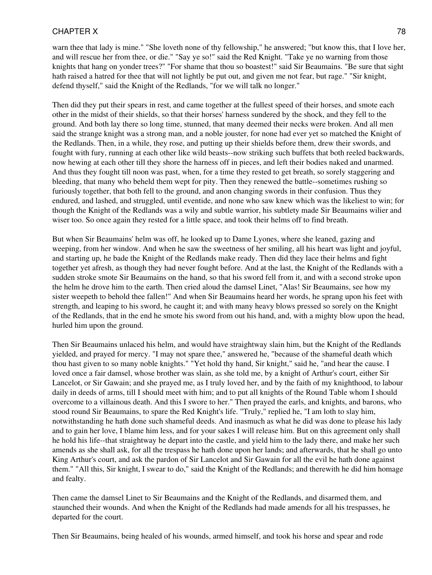warn thee that lady is mine." "She loveth none of thy fellowship," he answered; "but know this, that I love her, and will rescue her from thee, or die." "Say ye so!" said the Red Knight. "Take ye no warning from those knights that hang on yonder trees?" "For shame that thou so boastest!" said Sir Beaumains. "Be sure that sight hath raised a hatred for thee that will not lightly be put out, and given me not fear, but rage." "Sir knight, defend thyself," said the Knight of the Redlands, "for we will talk no longer."

Then did they put their spears in rest, and came together at the fullest speed of their horses, and smote each other in the midst of their shields, so that their horses' harness sundered by the shock, and they fell to the ground. And both lay there so long time, stunned, that many deemed their necks were broken. And all men said the strange knight was a strong man, and a noble jouster, for none had ever yet so matched the Knight of the Redlands. Then, in a while, they rose, and putting up their shields before them, drew their swords, and fought with fury, running at each other like wild beasts--now striking such buffets that both reeled backwards, now hewing at each other till they shore the harness off in pieces, and left their bodies naked and unarmed. And thus they fought till noon was past, when, for a time they rested to get breath, so sorely staggering and bleeding, that many who beheld them wept for pity. Then they renewed the battle--sometimes rushing so furiously together, that both fell to the ground, and anon changing swords in their confusion. Thus they endured, and lashed, and struggled, until eventide, and none who saw knew which was the likeliest to win; for though the Knight of the Redlands was a wily and subtle warrior, his subtlety made Sir Beaumains wilier and wiser too. So once again they rested for a little space, and took their helms off to find breath.

But when Sir Beaumains' helm was off, he looked up to Dame Lyones, where she leaned, gazing and weeping, from her window. And when he saw the sweetness of her smiling, all his heart was light and joyful, and starting up, he bade the Knight of the Redlands make ready. Then did they lace their helms and fight together yet afresh, as though they had never fought before. And at the last, the Knight of the Redlands with a sudden stroke smote Sir Beaumains on the hand, so that his sword fell from it, and with a second stroke upon the helm he drove him to the earth. Then cried aloud the damsel Linet, "Alas! Sir Beaumains, see how my sister weepeth to behold thee fallen!" And when Sir Beaumains heard her words, he sprang upon his feet with strength, and leaping to his sword, he caught it; and with many heavy blows pressed so sorely on the Knight of the Redlands, that in the end he smote his sword from out his hand, and, with a mighty blow upon the head, hurled him upon the ground.

Then Sir Beaumains unlaced his helm, and would have straightway slain him, but the Knight of the Redlands yielded, and prayed for mercy. "I may not spare thee," answered he, "because of the shameful death which thou hast given to so many noble knights." "Yet hold thy hand, Sir knight," said he, "and hear the cause. I loved once a fair damsel, whose brother was slain, as she told me, by a knight of Arthur's court, either Sir Lancelot, or Sir Gawain; and she prayed me, as I truly loved her, and by the faith of my knighthood, to labour daily in deeds of arms, till I should meet with him; and to put all knights of the Round Table whom I should overcome to a villainous death. And this I swore to her." Then prayed the earls, and knights, and barons, who stood round Sir Beaumains, to spare the Red Knight's life. "Truly," replied he, "I am loth to slay him, notwithstanding he hath done such shameful deeds. And inasmuch as what he did was done to please his lady and to gain her love, I blame him less, and for your sakes I will release him. But on this agreement only shall he hold his life--that straightway he depart into the castle, and yield him to the lady there, and make her such amends as she shall ask, for all the trespass he hath done upon her lands; and afterwards, that he shall go unto King Arthur's court, and ask the pardon of Sir Lancelot and Sir Gawain for all the evil he hath done against them." "All this, Sir knight, I swear to do," said the Knight of the Redlands; and therewith he did him homage and fealty.

Then came the damsel Linet to Sir Beaumains and the Knight of the Redlands, and disarmed them, and staunched their wounds. And when the Knight of the Redlands had made amends for all his trespasses, he departed for the court.

Then Sir Beaumains, being healed of his wounds, armed himself, and took his horse and spear and rode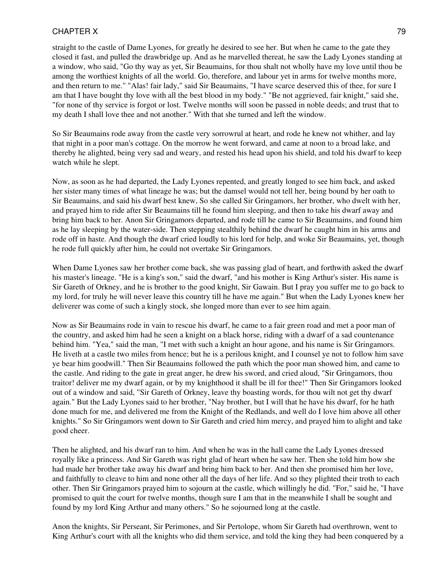straight to the castle of Dame Lyones, for greatly he desired to see her. But when he came to the gate they closed it fast, and pulled the drawbridge up. And as he marvelled thereat, he saw the Lady Lyones standing at a window, who said, "Go thy way as yet, Sir Beaumains, for thou shalt not wholly have my love until thou be among the worthiest knights of all the world. Go, therefore, and labour yet in arms for twelve months more, and then return to me." "Alas! fair lady," said Sir Beaumains, "I have scarce deserved this of thee, for sure I am that I have bought thy love with all the best blood in my body." "Be not aggrieved, fair knight," said she, "for none of thy service is forgot or lost. Twelve months will soon be passed in noble deeds; and trust that to my death I shall love thee and not another." With that she turned and left the window.

So Sir Beaumains rode away from the castle very sorrowrul at heart, and rode he knew not whither, and lay that night in a poor man's cottage. On the morrow he went forward, and came at noon to a broad lake, and thereby he alighted, being very sad and weary, and rested his head upon his shield, and told his dwarf to keep watch while he slept.

Now, as soon as he had departed, the Lady Lyones repented, and greatly longed to see him back, and asked her sister many times of what lineage he was; but the damsel would not tell her, being bound by her oath to Sir Beaumains, and said his dwarf best knew, So she called Sir Gringamors, her brother, who dwelt with her, and prayed him to ride after Sir Beaumains till he found him sleeping, and then to take his dwarf away and bring him back to her. Anon Sir Gringamors departed, and rode till he came to Sir Beaumains, and found him as he lay sleeping by the water-side. Then stepping stealthily behind the dwarf he caught him in his arms and rode off in haste. And though the dwarf cried loudly to his lord for help, and woke Sir Beaumains, yet, though he rode full quickly after him, he could not overtake Sir Gringamors.

When Dame Lyones saw her brother come back, she was passing glad of heart, and forthwith asked the dwarf his master's lineage. "He is a king's son," said the dwarf, "and his mother is King Arthur's sister. His name is Sir Gareth of Orkney, and he is brother to the good knight, Sir Gawain. But I pray you suffer me to go back to my lord, for truly he will never leave this country till he have me again." But when the Lady Lyones knew her deliverer was come of such a kingly stock, she longed more than ever to see him again.

Now as Sir Beaumains rode in vain to rescue his dwarf, he came to a fair green road and met a poor man of the country, and asked him had he seen a knight on a black horse, riding with a dwarf of a sad countenance behind him. "Yea," said the man, "I met with such a knight an hour agone, and his name is Sir Gringamors. He liveth at a castle two miles from hence; but he is a perilous knight, and I counsel ye not to follow him save ye bear him goodwill." Then Sir Beaumains followed the path which the poor man showed him, and came to the castle. And riding to the gate in great anger, he drew his sword, and cried aloud, "Sir Gringamors, thou traitor! deliver me my dwarf again, or by my knighthood it shall be ill for thee!" Then Sir Gringamors looked out of a window and said, "Sir Gareth of Orkney, leave thy boasting words, for thou wilt not get thy dwarf again." But the Lady Lyones said to her brother, "Nay brother, but I will that he have his dwarf, for he hath done much for me, and delivered me from the Knight of the Redlands, and well do I love him above all other knights." So Sir Gringamors went down to Sir Gareth and cried him mercy, and prayed him to alight and take good cheer.

Then he alighted, and his dwarf ran to him. And when he was in the hall came the Lady Lyones dressed royally like a princess. And Sir Gareth was right glad of heart when he saw her. Then she told him how she had made her brother take away his dwarf and bring him back to her. And then she promised him her love, and faithfully to cleave to him and none other all the days of her life. And so they plighted their troth to each other. Then Sir Gringamors prayed him to sojourn at the castle, which willingly he did. "For," said he, "I have promised to quit the court for twelve months, though sure I am that in the meanwhile I shall be sought and found by my lord King Arthur and many others." So he sojourned long at the castle.

Anon the knights, Sir Perseant, Sir Perimones, and Sir Pertolope, whom Sir Gareth had overthrown, went to King Arthur's court with all the knights who did them service, and told the king they had been conquered by a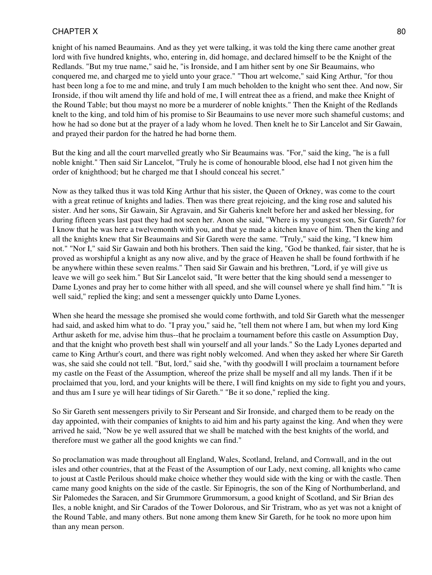knight of his named Beaumains. And as they yet were talking, it was told the king there came another great lord with five hundred knights, who, entering in, did homage, and declared himself to be the Knight of the Redlands. "But my true name," said he, "is Ironside, and I am hither sent by one Sir Beaumains, who conquered me, and charged me to yield unto your grace." "Thou art welcome," said King Arthur, "for thou hast been long a foe to me and mine, and truly I am much beholden to the knight who sent thee. And now, Sir Ironside, if thou wilt amend thy life and hold of me, I will entreat thee as a friend, and make thee Knight of the Round Table; but thou mayst no more be a murderer of noble knights." Then the Knight of the Redlands knelt to the king, and told him of his promise to Sir Beaumains to use never more such shameful customs; and how he had so done but at the prayer of a lady whom he loved. Then knelt he to Sir Lancelot and Sir Gawain, and prayed their pardon for the hatred he had borne them.

But the king and all the court marvelled greatly who Sir Beaumains was. "For," said the king, "he is a full noble knight." Then said Sir Lancelot, "Truly he is come of honourable blood, else had I not given him the order of knighthood; but he charged me that I should conceal his secret."

Now as they talked thus it was told King Arthur that his sister, the Queen of Orkney, was come to the court with a great retinue of knights and ladies. Then was there great rejoicing, and the king rose and saluted his sister. And her sons, Sir Gawain, Sir Agravain, and Sir Gaheris knelt before her and asked her blessing, for during fifteen years last past they had not seen her. Anon she said, "Where is my youngest son, Sir Gareth? for I know that he was here a twelvemonth with you, and that ye made a kitchen knave of him. Then the king and all the knights knew that Sir Beaumains and Sir Gareth were the same. "Truly," said the king, "I knew him not." "Nor I," said Sir Gawain and both his brothers. Then said the king, "God be thanked, fair sister, that he is proved as worshipful a knight as any now alive, and by the grace of Heaven he shall be found forthwith if he be anywhere within these seven realms." Then said Sir Gawain and his brethren, "Lord, if ye will give us leave we will go seek him." But Sir Lancelot said, "It were better that the king should send a messenger to Dame Lyones and pray her to come hither with all speed, and she will counsel where ye shall find him." "It is well said," replied the king; and sent a messenger quickly unto Dame Lyones.

When she heard the message she promised she would come forthwith, and told Sir Gareth what the messenger had said, and asked him what to do. "I pray you," said he, "tell them not where I am, but when my lord King Arthur asketh for me, advise him thus--that he proclaim a tournament before this castle on Assumption Day, and that the knight who proveth best shall win yourself and all your lands." So the Lady Lyones departed and came to King Arthur's court, and there was right nobly welcomed. And when they asked her where Sir Gareth was, she said she could not tell. "But, lord," said she, "with thy goodwill I will proclaim a tournament before my castle on the Feast of the Assumption, whereof the prize shall be myself and all my lands. Then if it be proclaimed that you, lord, and your knights will be there, I will find knights on my side to fight you and yours, and thus am I sure ye will hear tidings of Sir Gareth." "Be it so done," replied the king.

So Sir Gareth sent messengers privily to Sir Perseant and Sir Ironside, and charged them to be ready on the day appointed, with their companies of knights to aid him and his party against the king. And when they were arrived he said, "Now be ye well assured that we shall be matched with the best knights of the world, and therefore must we gather all the good knights we can find."

So proclamation was made throughout all England, Wales, Scotland, Ireland, and Cornwall, and in the out isles and other countries, that at the Feast of the Assumption of our Lady, next coming, all knights who came to joust at Castle Perilous should make choice whether they would side with the king or with the castle. Then came many good knights on the side of the castle. Sir Epinogris, the son of the King of Northumberland, and Sir Palomedes the Saracen, and Sir Grummore Grummorsum, a good knight of Scotland, and Sir Brian des Iles, a noble knight, and Sir Carados of the Tower Dolorous, and Sir Tristram, who as yet was not a knight of the Round Table, and many others. But none among them knew Sir Gareth, for he took no more upon him than any mean person.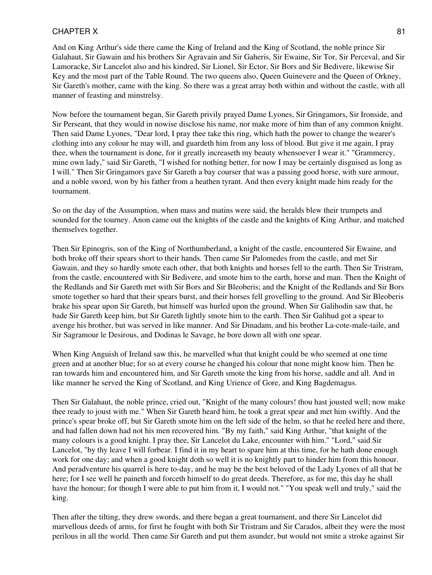And on King Arthur's side there came the King of Ireland and the King of Scotland, the noble prince Sir Galahaut, Sir Gawain and his brothers Sir Agravain and Sir Gaheris, Sir Ewaine, Sir Tor, Sir Perceval, and Sir Lamoracke, Sir Lancelot also and his kindred, Sir Lionel, Sir Ector, Sir Bors and Sir Bedivere, likewise Sir Key and the most part of the Table Round. The two queens also, Queen Guinevere and the Queen of Orkney, Sir Gareth's mother, came with the king. So there was a great array both within and without the castle, with all manner of feasting and minstrelsy.

Now before the tournament began, Sir Gareth privily prayed Dame Lyones, Sir Gringamors, Sir Ironside, and Sir Perseant, that they would in nowise disclose his name, nor make more of him than of any common knight. Then said Dame Lyones, "Dear lord, I pray thee take this ring, which hath the power to change the wearer's clothing into any colour he may will, and guardeth him from any loss of blood. But give it me again, I pray thee, when the tournament is done, for it greatly increaseth my beauty whensoever I wear it." "Grammercy, mine own lady," said Sir Gareth, "I wished for nothing better, for now I may be certainly disguised as long as I will." Then Sir Gringamors gave Sir Gareth a bay courser that was a passing good horse, with sure armour, and a noble sword, won by his father from a heathen tyrant. And then every knight made him ready for the tournament.

So on the day of the Assumption, when mass and matins were said, the heralds blew their trumpets and sounded for the tourney. Anon came out the knights of the castle and the knights of King Arthur, and matched themselves together.

Then Sir Epinogris, son of the King of Northumberland, a knight of the castle, encountered Sir Ewaine, and both broke off their spears short to their hands. Then came Sir Palomedes from the castle, and met Sir Gawain, and they so hardly smote each other, that both knights and horses fell to the earth. Then Sir Tristram, from the castle, encountered with Sir Bedivere, and smote him to the earth, horse and man. Then the Knight of the Redlands and Sir Gareth met with Sir Bors and Sir Bleoberis; and the Knight of the Redlands and Sir Bors smote together so hard that their spears burst, and their horses fell grovelling to the ground. And Sir Bleoberis brake his spear upon Sir Gareth, but himself was hurled upon the ground. When Sir Galihodin saw that, he bade Sir Gareth keep him, but Sir Gareth lightly smote him to the earth. Then Sir Galihud got a spear to avenge his brother, but was served in like manner. And Sir Dinadam, and his brother La-cote-male-taile, and Sir Sagramour le Desirous, and Dodinas le Savage, he bore down all with one spear.

When King Anguish of Ireland saw this, he marvelled what that knight could be who seemed at one time green and at another blue; for so at every course he changed his colour that none might know him. Then he ran towards him and encountered him, and Sir Gareth smote the king from his horse, saddle and all. And in like manner he served the King of Scotland, and King Urience of Gore, and King Bagdemagus.

Then Sir Galahaut, the noble prince, cried out, "Knight of the many colours! thou hast jousted well; now make thee ready to joust with me." When Sir Gareth heard him, he took a great spear and met him swiftly. And the prince's spear broke off, but Sir Gareth smote him on the left side of the helm, so that he reeled here and there, and had fallen down had not his men recovered him. "By my faith," said King Arthur, "that knight of the many colours is a good knight. I pray thee, Sir Lancelot du Lake, encounter with him." "Lord," said Sir Lancelot, "by thy leave I will forbear. I find it in my heart to spare him at this time, for he hath done enough work for one day; and when a good knight doth so well it is no knightly part to hinder him from this honour. And peradventure his quarrel is here to-day, and he may be the best beloved of the Lady Lyones of all that be here; for I see well he paineth and forceth himself to do great deeds. Therefore, as for me, this day he shall have the honour; for though I were able to put him from it, I would not." "You speak well and truly," said the king.

Then after the tilting, they drew swords, and there began a great tournament, and there Sir Lancelot did marvellous deeds of arms, for first he fought with both Sir Tristram and Sir Carados, albeit they were the most perilous in all the world. Then came Sir Gareth and put them asunder, but would not smite a stroke against Sir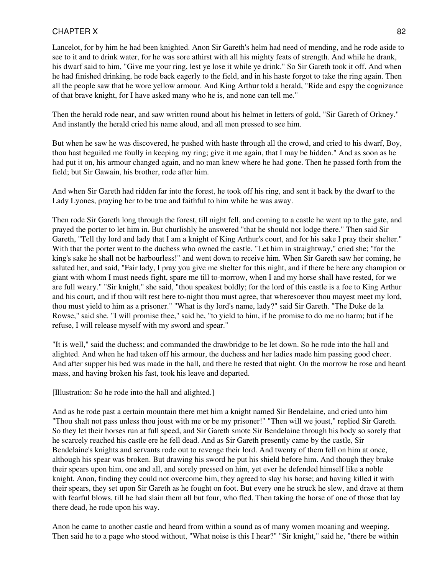Lancelot, for by him he had been knighted. Anon Sir Gareth's helm had need of mending, and he rode aside to see to it and to drink water, for he was sore athirst with all his mighty feats of strength. And while he drank, his dwarf said to him, "Give me your ring, lest ye lose it while ye drink." So Sir Gareth took it off. And when he had finished drinking, he rode back eagerly to the field, and in his haste forgot to take the ring again. Then all the people saw that he wore yellow armour. And King Arthur told a herald, "Ride and espy the cognizance of that brave knight, for I have asked many who he is, and none can tell me."

Then the herald rode near, and saw written round about his helmet in letters of gold, "Sir Gareth of Orkney." And instantly the herald cried his name aloud, and all men pressed to see him.

But when he saw he was discovered, he pushed with haste through all the crowd, and cried to his dwarf, Boy, thou hast beguiled me foully in keeping my ring; give it me again, that I may be hidden." And as soon as he had put it on, his armour changed again, and no man knew where he had gone. Then he passed forth from the field; but Sir Gawain, his brother, rode after him.

And when Sir Gareth had ridden far into the forest, he took off his ring, and sent it back by the dwarf to the Lady Lyones, praying her to be true and faithful to him while he was away.

Then rode Sir Gareth long through the forest, till night fell, and coming to a castle he went up to the gate, and prayed the porter to let him in. But churlishly he answered "that he should not lodge there." Then said Sir Gareth, "Tell thy lord and lady that I am a knight of King Arthur's court, and for his sake I pray their shelter." With that the porter went to the duchess who owned the castle. "Let him in straightway," cried she; "for the king's sake he shall not be harbourless!" and went down to receive him. When Sir Gareth saw her coming, he saluted her, and said, "Fair lady, I pray you give me shelter for this night, and if there be here any champion or giant with whom I must needs fight, spare me till to-morrow, when I and my horse shall have rested, for we are full weary." "Sir knight," she said, "thou speakest boldly; for the lord of this castle is a foe to King Arthur and his court, and if thou wilt rest here to-night thou must agree, that wheresoever thou mayest meet my lord, thou must yield to him as a prisoner." "What is thy lord's name, lady?" said Sir Gareth. "The Duke de la Rowse," said she. "I will promise thee," said he, "to yield to him, if he promise to do me no harm; but if he refuse, I will release myself with my sword and spear."

"It is well," said the duchess; and commanded the drawbridge to be let down. So he rode into the hall and alighted. And when he had taken off his armour, the duchess and her ladies made him passing good cheer. And after supper his bed was made in the hall, and there he rested that night. On the morrow he rose and heard mass, and having broken his fast, took his leave and departed.

[Illustration: So he rode into the hall and alighted.]

And as he rode past a certain mountain there met him a knight named Sir Bendelaine, and cried unto him "Thou shalt not pass unless thou joust with me or be my prisoner!" "Then will we joust," replied Sir Gareth. So they let their horses run at full speed, and Sir Gareth smote Sir Bendelaine through his body so sorely that he scarcely reached his castle ere he fell dead. And as Sir Gareth presently came by the castle, Sir Bendelaine's knights and servants rode out to revenge their lord. And twenty of them fell on him at once, although his spear was broken. But drawing his sword he put his shield before him. And though they brake their spears upon him, one and all, and sorely pressed on him, yet ever he defended himself like a noble knight. Anon, finding they could not overcome him, they agreed to slay his horse; and having killed it with their spears, they set upon Sir Gareth as he fought on foot. But every one he struck he slew, and drave at them with fearful blows, till he had slain them all but four, who fled. Then taking the horse of one of those that lay there dead, he rode upon his way.

Anon he came to another castle and heard from within a sound as of many women moaning and weeping. Then said he to a page who stood without, "What noise is this I hear?" "Sir knight," said he, "there be within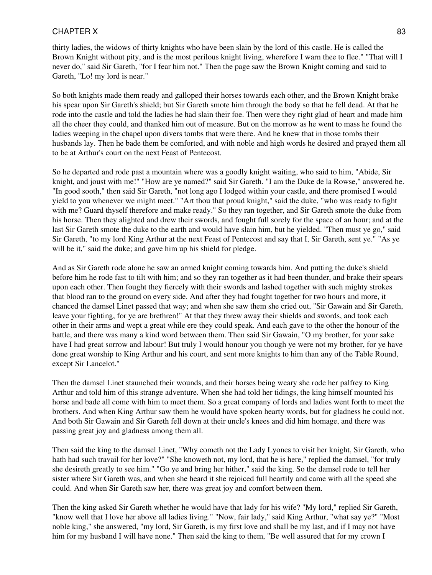thirty ladies, the widows of thirty knights who have been slain by the lord of this castle. He is called the Brown Knight without pity, and is the most perilous knight living, wherefore I warn thee to flee." "That will I never do," said Sir Gareth, "for I fear him not." Then the page saw the Brown Knight coming and said to Gareth, "Lo! my lord is near."

So both knights made them ready and galloped their horses towards each other, and the Brown Knight brake his spear upon Sir Gareth's shield; but Sir Gareth smote him through the body so that he fell dead. At that he rode into the castle and told the ladies he had slain their foe. Then were they right glad of heart and made him all the cheer they could, and thanked him out of measure. But on the morrow as he went to mass he found the ladies weeping in the chapel upon divers tombs that were there. And he knew that in those tombs their husbands lay. Then he bade them be comforted, and with noble and high words he desired and prayed them all to be at Arthur's court on the next Feast of Pentecost.

So he departed and rode past a mountain where was a goodly knight waiting, who said to him, "Abide, Sir knight, and joust with me!" "How are ye named?" said Sir Gareth. "I am the Duke de la Rowse," answered he. "In good sooth," then said Sir Gareth, "not long ago I lodged within your castle, and there promised I would yield to you whenever we might meet." "Art thou that proud knight," said the duke, "who was ready to fight with me? Guard thyself therefore and make ready." So they ran together, and Sir Gareth smote the duke from his horse. Then they alighted and drew their swords, and fought full sorely for the space of an hour; and at the last Sir Gareth smote the duke to the earth and would have slain him, but he yielded. "Then must ye go," said Sir Gareth, "to my lord King Arthur at the next Feast of Pentecost and say that I, Sir Gareth, sent ye." "As ye will be it," said the duke; and gave him up his shield for pledge.

And as Sir Gareth rode alone he saw an armed knight coming towards him. And putting the duke's shield before him he rode fast to tilt with him; and so they ran together as it had been thunder, and brake their spears upon each other. Then fought they fiercely with their swords and lashed together with such mighty strokes that blood ran to the ground on every side. And after they had fought together for two hours and more, it chanced the damsel Linet passed that way; and when she saw them she cried out, "Sir Gawain and Sir Gareth, leave your fighting, for ye are brethren!" At that they threw away their shields and swords, and took each other in their arms and wept a great while ere they could speak. And each gave to the other the honour of the battle, and there was many a kind word between them. Then said Sir Gawain, "O my brother, for your sake have I had great sorrow and labour! But truly I would honour you though ye were not my brother, for ye have done great worship to King Arthur and his court, and sent more knights to him than any of the Table Round, except Sir Lancelot."

Then the damsel Linet staunched their wounds, and their horses being weary she rode her palfrey to King Arthur and told him of this strange adventure. When she had told her tidings, the king himself mounted his horse and bade all come with him to meet them. So a great company of lords and ladies went forth to meet the brothers. And when King Arthur saw them he would have spoken hearty words, but for gladness he could not. And both Sir Gawain and Sir Gareth fell down at their uncle's knees and did him homage, and there was passing great joy and gladness among them all.

Then said the king to the damsel Linet, "Why cometh not the Lady Lyones to visit her knight, Sir Gareth, who hath had such travail for her love?" "She knoweth not, my lord, that he is here," replied the damsel, "for truly she desireth greatly to see him." "Go ye and bring her hither," said the king. So the damsel rode to tell her sister where Sir Gareth was, and when she heard it she rejoiced full heartily and came with all the speed she could. And when Sir Gareth saw her, there was great joy and comfort between them.

Then the king asked Sir Gareth whether he would have that lady for his wife? "My lord," replied Sir Gareth, "know well that I love her above all ladies living." "Now, fair lady," said King Arthur, "what say ye?" "Most noble king," she answered, "my lord, Sir Gareth, is my first love and shall be my last, and if I may not have him for my husband I will have none." Then said the king to them, "Be well assured that for my crown I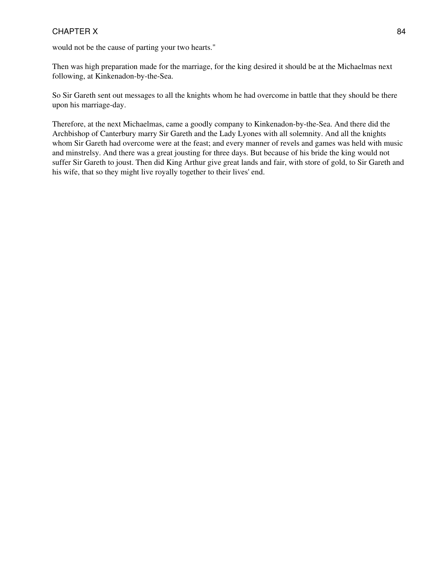would not be the cause of parting your two hearts."

Then was high preparation made for the marriage, for the king desired it should be at the Michaelmas next following, at Kinkenadon-by-the-Sea.

So Sir Gareth sent out messages to all the knights whom he had overcome in battle that they should be there upon his marriage-day.

Therefore, at the next Michaelmas, came a goodly company to Kinkenadon-by-the-Sea. And there did the Archbishop of Canterbury marry Sir Gareth and the Lady Lyones with all solemnity. And all the knights whom Sir Gareth had overcome were at the feast; and every manner of revels and games was held with music and minstrelsy. And there was a great jousting for three days. But because of his bride the king would not suffer Sir Gareth to joust. Then did King Arthur give great lands and fair, with store of gold, to Sir Gareth and his wife, that so they might live royally together to their lives' end.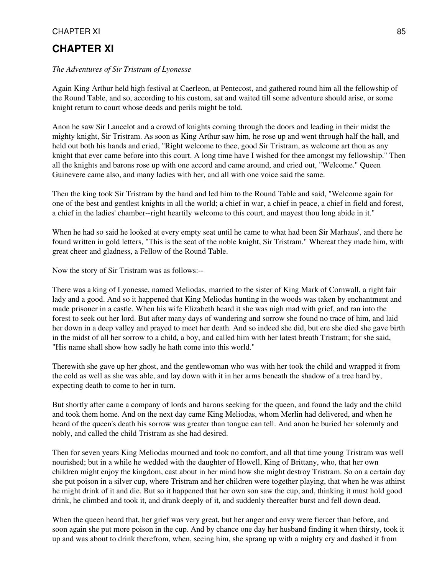# **CHAPTER XI**

#### *The Adventures of Sir Tristram of Lyonesse*

Again King Arthur held high festival at Caerleon, at Pentecost, and gathered round him all the fellowship of the Round Table, and so, according to his custom, sat and waited till some adventure should arise, or some knight return to court whose deeds and perils might be told.

Anon he saw Sir Lancelot and a crowd of knights coming through the doors and leading in their midst the mighty knight, Sir Tristram. As soon as King Arthur saw him, he rose up and went through half the hall, and held out both his hands and cried, "Right welcome to thee, good Sir Tristram, as welcome art thou as any knight that ever came before into this court. A long time have I wished for thee amongst my fellowship." Then all the knights and barons rose up with one accord and came around, and cried out, "Welcome." Queen Guinevere came also, and many ladies with her, and all with one voice said the same.

Then the king took Sir Tristram by the hand and led him to the Round Table and said, "Welcome again for one of the best and gentlest knights in all the world; a chief in war, a chief in peace, a chief in field and forest, a chief in the ladies' chamber--right heartily welcome to this court, and mayest thou long abide in it."

When he had so said he looked at every empty seat until he came to what had been Sir Marhaus', and there he found written in gold letters, "This is the seat of the noble knight, Sir Tristram." Whereat they made him, with great cheer and gladness, a Fellow of the Round Table.

Now the story of Sir Tristram was as follows:--

There was a king of Lyonesse, named Meliodas, married to the sister of King Mark of Cornwall, a right fair lady and a good. And so it happened that King Meliodas hunting in the woods was taken by enchantment and made prisoner in a castle. When his wife Elizabeth heard it she was nigh mad with grief, and ran into the forest to seek out her lord. But after many days of wandering and sorrow she found no trace of him, and laid her down in a deep valley and prayed to meet her death. And so indeed she did, but ere she died she gave birth in the midst of all her sorrow to a child, a boy, and called him with her latest breath Tristram; for she said, "His name shall show how sadly he hath come into this world."

Therewith she gave up her ghost, and the gentlewoman who was with her took the child and wrapped it from the cold as well as she was able, and lay down with it in her arms beneath the shadow of a tree hard by, expecting death to come to her in turn.

But shortly after came a company of lords and barons seeking for the queen, and found the lady and the child and took them home. And on the next day came King Meliodas, whom Merlin had delivered, and when he heard of the queen's death his sorrow was greater than tongue can tell. And anon he buried her solemnly and nobly, and called the child Tristram as she had desired.

Then for seven years King Meliodas mourned and took no comfort, and all that time young Tristram was well nourished; but in a while he wedded with the daughter of Howell, King of Brittany, who, that her own children might enjoy the kingdom, cast about in her mind how she might destroy Tristram. So on a certain day she put poison in a silver cup, where Tristram and her children were together playing, that when he was athirst he might drink of it and die. But so it happened that her own son saw the cup, and, thinking it must hold good drink, he climbed and took it, and drank deeply of it, and suddenly thereafter burst and fell down dead.

When the queen heard that, her grief was very great, but her anger and envy were fiercer than before, and soon again she put more poison in the cup. And by chance one day her husband finding it when thirsty, took it up and was about to drink therefrom, when, seeing him, she sprang up with a mighty cry and dashed it from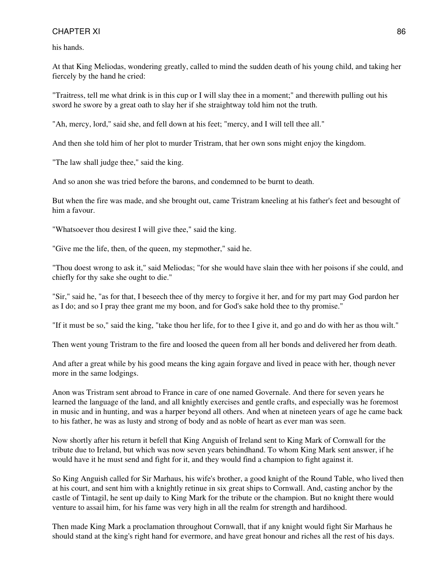his hands.

At that King Meliodas, wondering greatly, called to mind the sudden death of his young child, and taking her fiercely by the hand he cried:

"Traitress, tell me what drink is in this cup or I will slay thee in a moment;" and therewith pulling out his sword he swore by a great oath to slay her if she straightway told him not the truth.

"Ah, mercy, lord," said she, and fell down at his feet; "mercy, and I will tell thee all."

And then she told him of her plot to murder Tristram, that her own sons might enjoy the kingdom.

"The law shall judge thee," said the king.

And so anon she was tried before the barons, and condemned to be burnt to death.

But when the fire was made, and she brought out, came Tristram kneeling at his father's feet and besought of him a favour.

"Whatsoever thou desirest I will give thee," said the king.

"Give me the life, then, of the queen, my stepmother," said he.

"Thou doest wrong to ask it," said Meliodas; "for she would have slain thee with her poisons if she could, and chiefly for thy sake she ought to die."

"Sir," said he, "as for that, I beseech thee of thy mercy to forgive it her, and for my part may God pardon her as I do; and so I pray thee grant me my boon, and for God's sake hold thee to thy promise."

"If it must be so," said the king, "take thou her life, for to thee I give it, and go and do with her as thou wilt."

Then went young Tristram to the fire and loosed the queen from all her bonds and delivered her from death.

And after a great while by his good means the king again forgave and lived in peace with her, though never more in the same lodgings.

Anon was Tristram sent abroad to France in care of one named Governale. And there for seven years he learned the language of the land, and all knightly exercises and gentle crafts, and especially was he foremost in music and in hunting, and was a harper beyond all others. And when at nineteen years of age he came back to his father, he was as lusty and strong of body and as noble of heart as ever man was seen.

Now shortly after his return it befell that King Anguish of Ireland sent to King Mark of Cornwall for the tribute due to Ireland, but which was now seven years behindhand. To whom King Mark sent answer, if he would have it he must send and fight for it, and they would find a champion to fight against it.

So King Anguish called for Sir Marhaus, his wife's brother, a good knight of the Round Table, who lived then at his court, and sent him with a knightly retinue in six great ships to Cornwall. And, casting anchor by the castle of Tintagil, he sent up daily to King Mark for the tribute or the champion. But no knight there would venture to assail him, for his fame was very high in all the realm for strength and hardihood.

Then made King Mark a proclamation throughout Cornwall, that if any knight would fight Sir Marhaus he should stand at the king's right hand for evermore, and have great honour and riches all the rest of his days.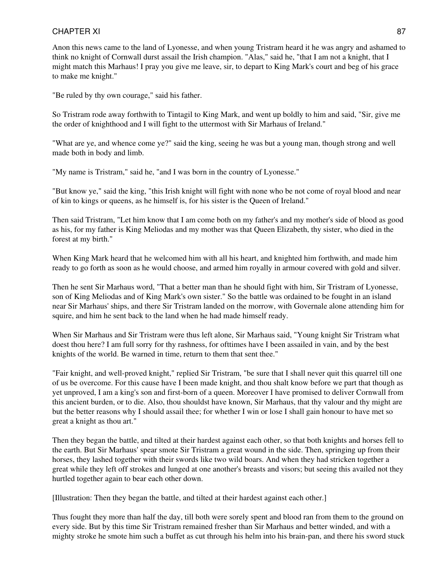Anon this news came to the land of Lyonesse, and when young Tristram heard it he was angry and ashamed to think no knight of Cornwall durst assail the Irish champion. "Alas," said he, "that I am not a knight, that I might match this Marhaus! I pray you give me leave, sir, to depart to King Mark's court and beg of his grace to make me knight."

"Be ruled by thy own courage," said his father.

So Tristram rode away forthwith to Tintagil to King Mark, and went up boldly to him and said, "Sir, give me the order of knighthood and I will fight to the uttermost with Sir Marhaus of Ireland."

"What are ye, and whence come ye?" said the king, seeing he was but a young man, though strong and well made both in body and limb.

"My name is Tristram," said he, "and I was born in the country of Lyonesse."

"But know ye," said the king, "this Irish knight will fight with none who be not come of royal blood and near of kin to kings or queens, as he himself is, for his sister is the Queen of Ireland."

Then said Tristram, "Let him know that I am come both on my father's and my mother's side of blood as good as his, for my father is King Meliodas and my mother was that Queen Elizabeth, thy sister, who died in the forest at my birth."

When King Mark heard that he welcomed him with all his heart, and knighted him forthwith, and made him ready to go forth as soon as he would choose, and armed him royally in armour covered with gold and silver.

Then he sent Sir Marhaus word, "That a better man than he should fight with him, Sir Tristram of Lyonesse, son of King Meliodas and of King Mark's own sister." So the battle was ordained to be fought in an island near Sir Marhaus' ships, and there Sir Tristram landed on the morrow, with Governale alone attending him for squire, and him he sent back to the land when he had made himself ready.

When Sir Marhaus and Sir Tristram were thus left alone, Sir Marhaus said, "Young knight Sir Tristram what doest thou here? I am full sorry for thy rashness, for ofttimes have I been assailed in vain, and by the best knights of the world. Be warned in time, return to them that sent thee."

"Fair knight, and well-proved knight," replied Sir Tristram, "be sure that I shall never quit this quarrel till one of us be overcome. For this cause have I been made knight, and thou shalt know before we part that though as yet unproved, I am a king's son and first-born of a queen. Moreover I have promised to deliver Cornwall from this ancient burden, or to die. Also, thou shouldst have known, Sir Marhaus, that thy valour and thy might are but the better reasons why I should assail thee; for whether I win or lose I shall gain honour to have met so great a knight as thou art."

Then they began the battle, and tilted at their hardest against each other, so that both knights and horses fell to the earth. But Sir Marhaus' spear smote Sir Tristram a great wound in the side. Then, springing up from their horses, they lashed together with their swords like two wild boars. And when they had stricken together a great while they left off strokes and lunged at one another's breasts and visors; but seeing this availed not they hurtled together again to bear each other down.

[Illustration: Then they began the battle, and tilted at their hardest against each other.]

Thus fought they more than half the day, till both were sorely spent and blood ran from them to the ground on every side. But by this time Sir Tristram remained fresher than Sir Marhaus and better winded, and with a mighty stroke he smote him such a buffet as cut through his helm into his brain-pan, and there his sword stuck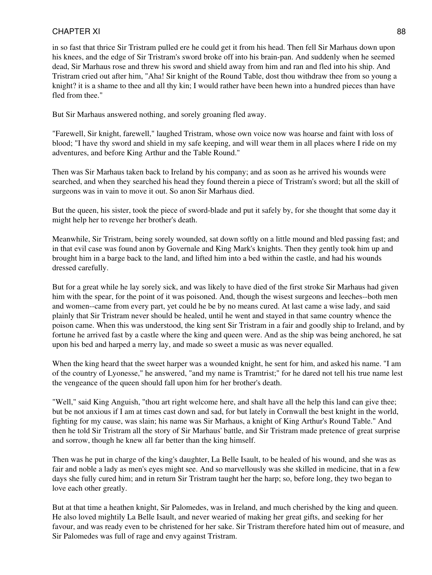in so fast that thrice Sir Tristram pulled ere he could get it from his head. Then fell Sir Marhaus down upon his knees, and the edge of Sir Tristram's sword broke off into his brain-pan. And suddenly when he seemed dead, Sir Marhaus rose and threw his sword and shield away from him and ran and fled into his ship. And Tristram cried out after him, "Aha! Sir knight of the Round Table, dost thou withdraw thee from so young a knight? it is a shame to thee and all thy kin; I would rather have been hewn into a hundred pieces than have fled from thee."

But Sir Marhaus answered nothing, and sorely groaning fled away.

"Farewell, Sir knight, farewell," laughed Tristram, whose own voice now was hoarse and faint with loss of blood; "I have thy sword and shield in my safe keeping, and will wear them in all places where I ride on my adventures, and before King Arthur and the Table Round."

Then was Sir Marhaus taken back to Ireland by his company; and as soon as he arrived his wounds were searched, and when they searched his head they found therein a piece of Tristram's sword; but all the skill of surgeons was in vain to move it out. So anon Sir Marhaus died.

But the queen, his sister, took the piece of sword-blade and put it safely by, for she thought that some day it might help her to revenge her brother's death.

Meanwhile, Sir Tristram, being sorely wounded, sat down softly on a little mound and bled passing fast; and in that evil case was found anon by Governale and King Mark's knights. Then they gently took him up and brought him in a barge back to the land, and lifted him into a bed within the castle, and had his wounds dressed carefully.

But for a great while he lay sorely sick, and was likely to have died of the first stroke Sir Marhaus had given him with the spear, for the point of it was poisoned. And, though the wisest surgeons and leeches--both men and women--came from every part, yet could he be by no means cured. At last came a wise lady, and said plainly that Sir Tristram never should be healed, until he went and stayed in that same country whence the poison came. When this was understood, the king sent Sir Tristram in a fair and goodly ship to Ireland, and by fortune he arrived fast by a castle where the king and queen were. And as the ship was being anchored, he sat upon his bed and harped a merry lay, and made so sweet a music as was never equalled.

When the king heard that the sweet harper was a wounded knight, he sent for him, and asked his name. "I am of the country of Lyonesse," he answered, "and my name is Tramtrist;" for he dared not tell his true name lest the vengeance of the queen should fall upon him for her brother's death.

"Well," said King Anguish, "thou art right welcome here, and shalt have all the help this land can give thee; but be not anxious if I am at times cast down and sad, for but lately in Cornwall the best knight in the world, fighting for my cause, was slain; his name was Sir Marhaus, a knight of King Arthur's Round Table." And then he told Sir Tristram all the story of Sir Marhaus' battle, and Sir Tristram made pretence of great surprise and sorrow, though he knew all far better than the king himself.

Then was he put in charge of the king's daughter, La Belle Isault, to be healed of his wound, and she was as fair and noble a lady as men's eyes might see. And so marvellously was she skilled in medicine, that in a few days she fully cured him; and in return Sir Tristram taught her the harp; so, before long, they two began to love each other greatly.

But at that time a heathen knight, Sir Palomedes, was in Ireland, and much cherished by the king and queen. He also loved mightily La Belle Isault, and never wearied of making her great gifts, and seeking for her favour, and was ready even to be christened for her sake. Sir Tristram therefore hated him out of measure, and Sir Palomedes was full of rage and envy against Tristram.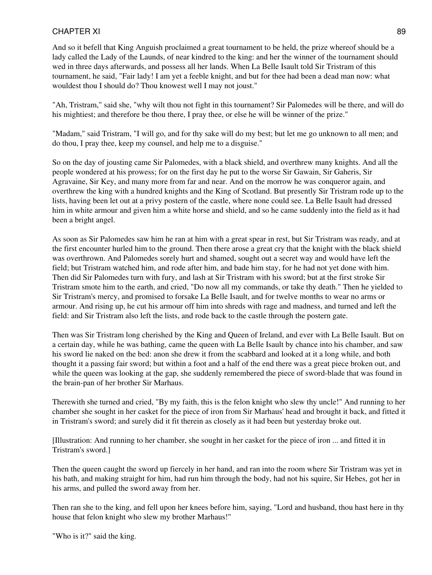And so it befell that King Anguish proclaimed a great tournament to be held, the prize whereof should be a lady called the Lady of the Launds, of near kindred to the king: and her the winner of the tournament should wed in three days afterwards, and possess all her lands. When La Belle Isault told Sir Tristram of this tournament, he said, "Fair lady! I am yet a feeble knight, and but for thee had been a dead man now: what wouldest thou I should do? Thou knowest well I may not joust."

"Ah, Tristram," said she, "why wilt thou not fight in this tournament? Sir Palomedes will be there, and will do his mightiest; and therefore be thou there, I pray thee, or else he will be winner of the prize."

"Madam," said Tristram, "I will go, and for thy sake will do my best; but let me go unknown to all men; and do thou, I pray thee, keep my counsel, and help me to a disguise."

So on the day of jousting came Sir Palomedes, with a black shield, and overthrew many knights. And all the people wondered at his prowess; for on the first day he put to the worse Sir Gawain, Sir Gaheris, Sir Agravaine, Sir Key, and many more from far and near. And on the morrow he was conqueror again, and overthrew the king with a hundred knights and the King of Scotland. But presently Sir Tristram rode up to the lists, having been let out at a privy postern of the castle, where none could see. La Belle Isault had dressed him in white armour and given him a white horse and shield, and so he came suddenly into the field as it had been a bright angel.

As soon as Sir Palomedes saw him he ran at him with a great spear in rest, but Sir Tristram was ready, and at the first encounter hurled him to the ground. Then there arose a great cry that the knight with the black shield was overthrown. And Palomedes sorely hurt and shamed, sought out a secret way and would have left the field; but Tristram watched him, and rode after him, and bade him stay, for he had not yet done with him. Then did Sir Palomedes turn with fury, and lash at Sir Tristram with his sword; but at the first stroke Sir Tristram smote him to the earth, and cried, "Do now all my commands, or take thy death." Then he yielded to Sir Tristram's mercy, and promised to forsake La Belle Isault, and for twelve months to wear no arms or armour. And rising up, he cut his armour off him into shreds with rage and madness, and turned and left the field: and Sir Tristram also left the lists, and rode back to the castle through the postern gate.

Then was Sir Tristram long cherished by the King and Queen of Ireland, and ever with La Belle Isault. But on a certain day, while he was bathing, came the queen with La Belle Isault by chance into his chamber, and saw his sword lie naked on the bed: anon she drew it from the scabbard and looked at it a long while, and both thought it a passing fair sword; but within a foot and a half of the end there was a great piece broken out, and while the queen was looking at the gap, she suddenly remembered the piece of sword-blade that was found in the brain-pan of her brother Sir Marhaus.

Therewith she turned and cried, "By my faith, this is the felon knight who slew thy uncle!" And running to her chamber she sought in her casket for the piece of iron from Sir Marhaus' head and brought it back, and fitted it in Tristram's sword; and surely did it fit therein as closely as it had been but yesterday broke out.

[Illustration: And running to her chamber, she sought in her casket for the piece of iron ... and fitted it in Tristram's sword.]

Then the queen caught the sword up fiercely in her hand, and ran into the room where Sir Tristram was yet in his bath, and making straight for him, had run him through the body, had not his squire, Sir Hebes, got her in his arms, and pulled the sword away from her.

Then ran she to the king, and fell upon her knees before him, saying, "Lord and husband, thou hast here in thy house that felon knight who slew my brother Marhaus!"

"Who is it?" said the king.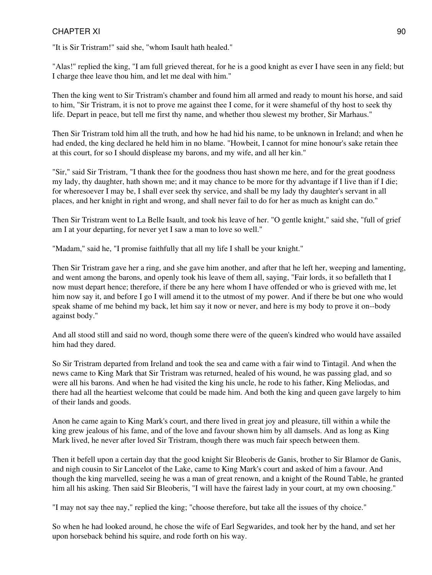"It is Sir Tristram!" said she, "whom Isault hath healed."

"Alas!" replied the king, "I am full grieved thereat, for he is a good knight as ever I have seen in any field; but I charge thee leave thou him, and let me deal with him."

Then the king went to Sir Tristram's chamber and found him all armed and ready to mount his horse, and said to him, "Sir Tristram, it is not to prove me against thee I come, for it were shameful of thy host to seek thy life. Depart in peace, but tell me first thy name, and whether thou slewest my brother, Sir Marhaus."

Then Sir Tristram told him all the truth, and how he had hid his name, to be unknown in Ireland; and when he had ended, the king declared he held him in no blame. "Howbeit, I cannot for mine honour's sake retain thee at this court, for so I should displease my barons, and my wife, and all her kin."

"Sir," said Sir Tristram, "I thank thee for the goodness thou hast shown me here, and for the great goodness my lady, thy daughter, hath shown me; and it may chance to be more for thy advantage if I live than if I die; for wheresoever I may be, I shall ever seek thy service, and shall be my lady thy daughter's servant in all places, and her knight in right and wrong, and shall never fail to do for her as much as knight can do."

Then Sir Tristram went to La Belle Isault, and took his leave of her. "O gentle knight," said she, "full of grief am I at your departing, for never yet I saw a man to love so well."

"Madam," said he, "I promise faithfully that all my life I shall be your knight."

Then Sir Tristram gave her a ring, and she gave him another, and after that he left her, weeping and lamenting, and went among the barons, and openly took his leave of them all, saying, "Fair lords, it so befalleth that I now must depart hence; therefore, if there be any here whom I have offended or who is grieved with me, let him now say it, and before I go I will amend it to the utmost of my power. And if there be but one who would speak shame of me behind my back, let him say it now or never, and here is my body to prove it on--body against body."

And all stood still and said no word, though some there were of the queen's kindred who would have assailed him had they dared.

So Sir Tristram departed from Ireland and took the sea and came with a fair wind to Tintagil. And when the news came to King Mark that Sir Tristram was returned, healed of his wound, he was passing glad, and so were all his barons. And when he had visited the king his uncle, he rode to his father, King Meliodas, and there had all the heartiest welcome that could be made him. And both the king and queen gave largely to him of their lands and goods.

Anon he came again to King Mark's court, and there lived in great joy and pleasure, till within a while the king grew jealous of his fame, and of the love and favour shown him by all damsels. And as long as King Mark lived, he never after loved Sir Tristram, though there was much fair speech between them.

Then it befell upon a certain day that the good knight Sir Bleoberis de Ganis, brother to Sir Blamor de Ganis, and nigh cousin to Sir Lancelot of the Lake, came to King Mark's court and asked of him a favour. And though the king marvelled, seeing he was a man of great renown, and a knight of the Round Table, he granted him all his asking. Then said Sir Bleoberis, "I will have the fairest lady in your court, at my own choosing."

"I may not say thee nay," replied the king; "choose therefore, but take all the issues of thy choice."

So when he had looked around, he chose the wife of Earl Segwarides, and took her by the hand, and set her upon horseback behind his squire, and rode forth on his way.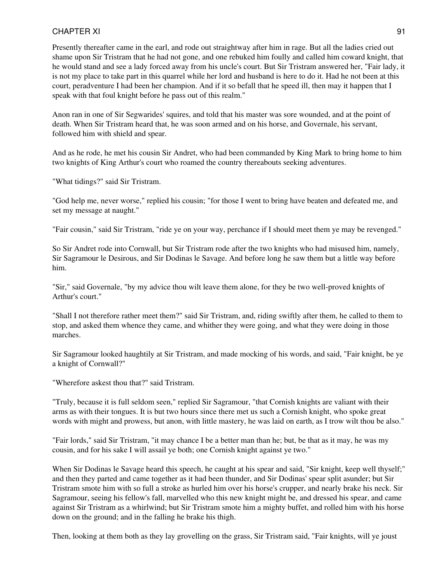Presently thereafter came in the earl, and rode out straightway after him in rage. But all the ladies cried out shame upon Sir Tristram that he had not gone, and one rebuked him foully and called him coward knight, that he would stand and see a lady forced away from his uncle's court. But Sir Tristram answered her, "Fair lady, it is not my place to take part in this quarrel while her lord and husband is here to do it. Had he not been at this court, peradventure I had been her champion. And if it so befall that he speed ill, then may it happen that I speak with that foul knight before he pass out of this realm."

Anon ran in one of Sir Segwarides' squires, and told that his master was sore wounded, and at the point of death. When Sir Tristram heard that, he was soon armed and on his horse, and Governale, his servant, followed him with shield and spear.

And as he rode, he met his cousin Sir Andret, who had been commanded by King Mark to bring home to him two knights of King Arthur's court who roamed the country thereabouts seeking adventures.

"What tidings?" said Sir Tristram.

"God help me, never worse," replied his cousin; "for those I went to bring have beaten and defeated me, and set my message at naught."

"Fair cousin," said Sir Tristram, "ride ye on your way, perchance if I should meet them ye may be revenged."

So Sir Andret rode into Cornwall, but Sir Tristram rode after the two knights who had misused him, namely, Sir Sagramour le Desirous, and Sir Dodinas le Savage. And before long he saw them but a little way before him.

"Sir," said Governale, "by my advice thou wilt leave them alone, for they be two well-proved knights of Arthur's court."

"Shall I not therefore rather meet them?" said Sir Tristram, and, riding swiftly after them, he called to them to stop, and asked them whence they came, and whither they were going, and what they were doing in those marches.

Sir Sagramour looked haughtily at Sir Tristram, and made mocking of his words, and said, "Fair knight, be ye a knight of Cornwall?"

"Wherefore askest thou that?" said Tristram.

"Truly, because it is full seldom seen," replied Sir Sagramour, "that Cornish knights are valiant with their arms as with their tongues. It is but two hours since there met us such a Cornish knight, who spoke great words with might and prowess, but anon, with little mastery, he was laid on earth, as I trow wilt thou be also."

"Fair lords," said Sir Tristram, "it may chance I be a better man than he; but, be that as it may, he was my cousin, and for his sake I will assail ye both; one Cornish knight against ye two."

When Sir Dodinas le Savage heard this speech, he caught at his spear and said, "Sir knight, keep well thyself;" and then they parted and came together as it had been thunder, and Sir Dodinas' spear split asunder; but Sir Tristram smote him with so full a stroke as hurled him over his horse's crupper, and nearly brake his neck. Sir Sagramour, seeing his fellow's fall, marvelled who this new knight might be, and dressed his spear, and came against Sir Tristram as a whirlwind; but Sir Tristram smote him a mighty buffet, and rolled him with his horse down on the ground; and in the falling he brake his thigh.

Then, looking at them both as they lay grovelling on the grass, Sir Tristram said, "Fair knights, will ye joust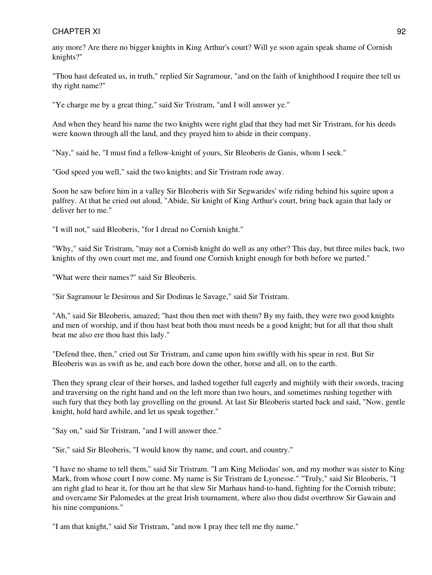any more? Are there no bigger knights in King Arthur's court? Will ye soon again speak shame of Cornish knights?"

"Thou hast defeated us, in truth," replied Sir Sagramour, "and on the faith of knighthood I require thee tell us thy right name?"

"Ye charge me by a great thing," said Sir Tristram, "and I will answer ye."

And when they heard his name the two knights were right glad that they had met Sir Tristram, for his deeds were known through all the land, and they prayed him to abide in their company.

"Nay," said he, "I must find a fellow-knight of yours, Sir Bleoberis de Ganis, whom I seek."

"God speed you well," said the two knights; and Sir Tristram rode away.

Soon he saw before him in a valley Sir Bleoberis with Sir Segwarides' wife riding behind his squire upon a palfrey. At that he cried out aloud, "Abide, Sir knight of King Arthur's court, bring back again that lady or deliver her to me."

"I will not," said Bleoberis, "for I dread no Cornish knight."

"Why," said Sir Tristram, "may not a Cornish knight do well as any other? This day, but three miles back, two knights of thy own court met me, and found one Cornish knight enough for both before we parted."

"What were their names?" said Sir Bleoberis.

"Sir Sagramour le Desirous and Sir Dodinas le Savage," said Sir Tristram.

"Ah," said Sir Bleoberis, amazed; "hast thou then met with them? By my faith, they were two good knights and men of worship, and if thou hast beat both thou must needs be a good knight; but for all that thou shalt beat me also ere thou hast this lady."

"Defend thee, then," cried out Sir Tristram, and came upon him swiftly with his spear in rest. But Sir Bleoberis was as swift as he, and each bore down the other, horse and all, on to the earth.

Then they sprang clear of their horses, and lashed together full eagerly and mightily with their swords, tracing and traversing on the right hand and on the left more than two hours, and sometimes rushing together with such fury that they both lay grovelling on the ground. At last Sir Bleoberis started back and said, "Now, gentle knight, hold hard awhile, and let us speak together."

"Say on," said Sir Tristram, "and I will answer thee."

"Sir," said Sir Bleoberis, "I would know thy name, and court, and country."

"I have no shame to tell them," said Sir Tristram. "I am King Meliodas' son, and my mother was sister to King Mark, from whose court I now come. My name is Sir Tristram de Lyonesse." "Truly," said Sir Bleoberis, "I am right glad to hear it, for thou art he that slew Sir Marhaus hand-to-hand, fighting for the Cornish tribute; and overcame Sir Palomedes at the great Irish tournament, where also thou didst overthrow Sir Gawain and his nine companions."

"I am that knight," said Sir Tristram, "and now I pray thee tell me thy name."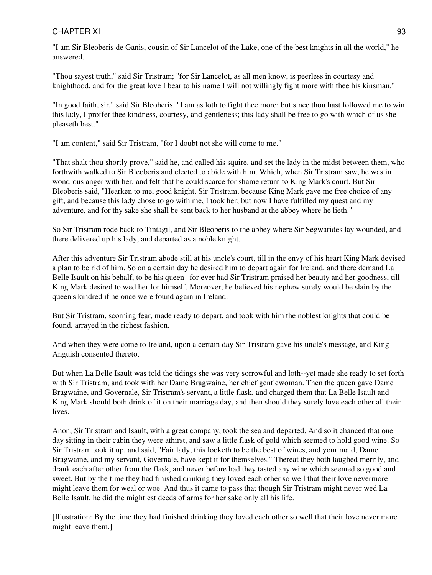"I am Sir Bleoberis de Ganis, cousin of Sir Lancelot of the Lake, one of the best knights in all the world," he answered.

"Thou sayest truth," said Sir Tristram; "for Sir Lancelot, as all men know, is peerless in courtesy and knighthood, and for the great love I bear to his name I will not willingly fight more with thee his kinsman."

"In good faith, sir," said Sir Bleoberis, "I am as loth to fight thee more; but since thou hast followed me to win this lady, I proffer thee kindness, courtesy, and gentleness; this lady shall be free to go with which of us she pleaseth best."

"I am content," said Sir Tristram, "for I doubt not she will come to me."

"That shalt thou shortly prove," said he, and called his squire, and set the lady in the midst between them, who forthwith walked to Sir Bleoberis and elected to abide with him. Which, when Sir Tristram saw, he was in wondrous anger with her, and felt that he could scarce for shame return to King Mark's court. But Sir Bleoberis said, "Hearken to me, good knight, Sir Tristram, because King Mark gave me free choice of any gift, and because this lady chose to go with me, I took her; but now I have fulfilled my quest and my adventure, and for thy sake she shall be sent back to her husband at the abbey where he lieth."

So Sir Tristram rode back to Tintagil, and Sir Bleoberis to the abbey where Sir Segwarides lay wounded, and there delivered up his lady, and departed as a noble knight.

After this adventure Sir Tristram abode still at his uncle's court, till in the envy of his heart King Mark devised a plan to be rid of him. So on a certain day he desired him to depart again for Ireland, and there demand La Belle Isault on his behalf, to be his queen--for ever had Sir Tristram praised her beauty and her goodness, till King Mark desired to wed her for himself. Moreover, he believed his nephew surely would be slain by the queen's kindred if he once were found again in Ireland.

But Sir Tristram, scorning fear, made ready to depart, and took with him the noblest knights that could be found, arrayed in the richest fashion.

And when they were come to Ireland, upon a certain day Sir Tristram gave his uncle's message, and King Anguish consented thereto.

But when La Belle Isault was told the tidings she was very sorrowful and loth--yet made she ready to set forth with Sir Tristram, and took with her Dame Bragwaine, her chief gentlewoman. Then the queen gave Dame Bragwaine, and Governale, Sir Tristram's servant, a little flask, and charged them that La Belle Isault and King Mark should both drink of it on their marriage day, and then should they surely love each other all their lives.

Anon, Sir Tristram and Isault, with a great company, took the sea and departed. And so it chanced that one day sitting in their cabin they were athirst, and saw a little flask of gold which seemed to hold good wine. So Sir Tristram took it up, and said, "Fair lady, this looketh to be the best of wines, and your maid, Dame Bragwaine, and my servant, Governale, have kept it for themselves." Thereat they both laughed merrily, and drank each after other from the flask, and never before had they tasted any wine which seemed so good and sweet. But by the time they had finished drinking they loved each other so well that their love nevermore might leave them for weal or woe. And thus it came to pass that though Sir Tristram might never wed La Belle Isault, he did the mightiest deeds of arms for her sake only all his life.

[Illustration: By the time they had finished drinking they loved each other so well that their love never more might leave them.]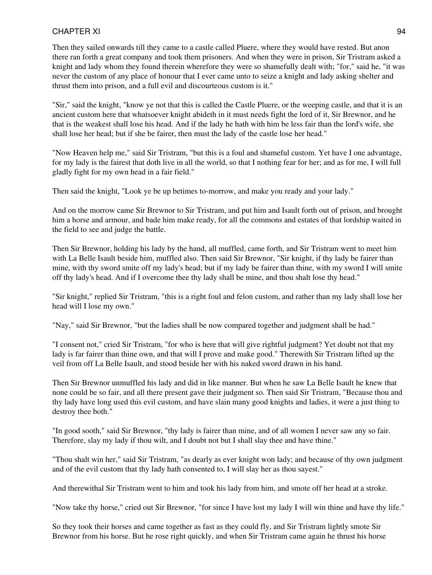Then they sailed onwards till they came to a castle called Pluere, where they would have rested. But anon there ran forth a great company and took them prisoners. And when they were in prison, Sir Tristram asked a knight and lady whom they found therein wherefore they were so shamefully dealt with; "for," said he, "it was never the custom of any place of honour that I ever came unto to seize a knight and lady asking shelter and thrust them into prison, and a full evil and discourteous custom is it."

"Sir," said the knight, "know ye not that this is called the Castle Pluere, or the weeping castle, and that it is an ancient custom here that whatsoever knight abideth in it must needs fight the lord of it, Sir Brewnor, and he that is the weakest shall lose his head. And if the lady he hath with him be less fair than the lord's wife, she shall lose her head; but if she be fairer, then must the lady of the castle lose her head."

"Now Heaven help me," said Sir Tristram, "but this is a foul and shameful custom. Yet have I one advantage, for my lady is the fairest that doth live in all the world, so that I nothing fear for her; and as for me, I will full gladly fight for my own head in a fair field."

Then said the knight, "Look ye be up betimes to-morrow, and make you ready and your lady."

And on the morrow came Sir Brewnor to Sir Tristram, and put him and Isault forth out of prison, and brought him a horse and armour, and bade him make ready, for all the commons and estates of that lordship waited in the field to see and judge the battle.

Then Sir Brewnor, holding his lady by the hand, all muffled, came forth, and Sir Tristram went to meet him with La Belle Isault beside him, muffled also. Then said Sir Brewnor, "Sir knight, if thy lady be fairer than mine, with thy sword smite off my lady's head; but if my lady be fairer than thine, with my sword I will smite off thy lady's head. And if I overcome thee thy lady shall be mine, and thou shalt lose thy head."

"Sir knight," replied Sir Tristram, "this is a right foul and felon custom, and rather than my lady shall lose her head will I lose my own."

"Nay," said Sir Brewnor, "but the ladies shall be now compared together and judgment shall be had."

"I consent not," cried Sir Tristram, "for who is here that will give rightful judgment? Yet doubt not that my lady is far fairer than thine own, and that will I prove and make good." Therewith Sir Tristram lifted up the veil from off La Belle Isault, and stood beside her with his naked sword drawn in his hand.

Then Sir Brewnor unmuffled his lady and did in like manner. But when he saw La Belle Isault he knew that none could be so fair, and all there present gave their judgment so. Then said Sir Tristram, "Because thou and thy lady have long used this evil custom, and have slain many good knights and ladies, it were a just thing to destroy thee both."

"In good sooth," said Sir Brewnor, "thy lady is fairer than mine, and of all women I never saw any so fair. Therefore, slay my lady if thou wilt, and I doubt not but I shall slay thee and have thine."

"Thou shalt win her," said Sir Tristram, "as dearly as ever knight won lady; and because of thy own judgment and of the evil custom that thy lady hath consented to, I will slay her as thou sayest."

And therewithal Sir Tristram went to him and took his lady from him, and smote off her head at a stroke.

"Now take thy horse," cried out Sir Brewnor, "for since I have lost my lady I will win thine and have thy life."

So they took their horses and came together as fast as they could fly, and Sir Tristram lightly smote Sir Brewnor from his horse. But he rose right quickly, and when Sir Tristram came again he thrust his horse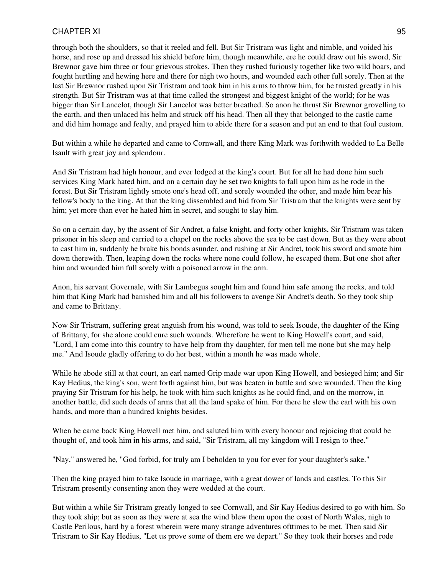through both the shoulders, so that it reeled and fell. But Sir Tristram was light and nimble, and voided his horse, and rose up and dressed his shield before him, though meanwhile, ere he could draw out his sword, Sir Brewnor gave him three or four grievous strokes. Then they rushed furiously together like two wild boars, and fought hurtling and hewing here and there for nigh two hours, and wounded each other full sorely. Then at the last Sir Brewnor rushed upon Sir Tristram and took him in his arms to throw him, for he trusted greatly in his strength. But Sir Tristram was at that time called the strongest and biggest knight of the world; for he was bigger than Sir Lancelot, though Sir Lancelot was better breathed. So anon he thrust Sir Brewnor grovelling to the earth, and then unlaced his helm and struck off his head. Then all they that belonged to the castle came and did him homage and fealty, and prayed him to abide there for a season and put an end to that foul custom.

But within a while he departed and came to Cornwall, and there King Mark was forthwith wedded to La Belle Isault with great joy and splendour.

And Sir Tristram had high honour, and ever lodged at the king's court. But for all he had done him such services King Mark hated him, and on a certain day he set two knights to fall upon him as he rode in the forest. But Sir Tristram lightly smote one's head off, and sorely wounded the other, and made him bear his fellow's body to the king. At that the king dissembled and hid from Sir Tristram that the knights were sent by him; yet more than ever he hated him in secret, and sought to slay him.

So on a certain day, by the assent of Sir Andret, a false knight, and forty other knights, Sir Tristram was taken prisoner in his sleep and carried to a chapel on the rocks above the sea to be cast down. But as they were about to cast him in, suddenly he brake his bonds asunder, and rushing at Sir Andret, took his sword and smote him down therewith. Then, leaping down the rocks where none could follow, he escaped them. But one shot after him and wounded him full sorely with a poisoned arrow in the arm.

Anon, his servant Governale, with Sir Lambegus sought him and found him safe among the rocks, and told him that King Mark had banished him and all his followers to avenge Sir Andret's death. So they took ship and came to Brittany.

Now Sir Tristram, suffering great anguish from his wound, was told to seek Isoude, the daughter of the King of Brittany, for she alone could cure such wounds. Wherefore he went to King Howell's court, and said, "Lord, I am come into this country to have help from thy daughter, for men tell me none but she may help me." And Isoude gladly offering to do her best, within a month he was made whole.

While he abode still at that court, an earl named Grip made war upon King Howell, and besieged him; and Sir Kay Hedius, the king's son, went forth against him, but was beaten in battle and sore wounded. Then the king praying Sir Tristram for his help, he took with him such knights as he could find, and on the morrow, in another battle, did such deeds of arms that all the land spake of him. For there he slew the earl with his own hands, and more than a hundred knights besides.

When he came back King Howell met him, and saluted him with every honour and rejoicing that could be thought of, and took him in his arms, and said, "Sir Tristram, all my kingdom will I resign to thee."

"Nay," answered he, "God forbid, for truly am I beholden to you for ever for your daughter's sake."

Then the king prayed him to take Isoude in marriage, with a great dower of lands and castles. To this Sir Tristram presently consenting anon they were wedded at the court.

But within a while Sir Tristram greatly longed to see Cornwall, and Sir Kay Hedius desired to go with him. So they took ship; but as soon as they were at sea the wind blew them upon the coast of North Wales, nigh to Castle Perilous, hard by a forest wherein were many strange adventures ofttimes to be met. Then said Sir Tristram to Sir Kay Hedius, "Let us prove some of them ere we depart." So they took their horses and rode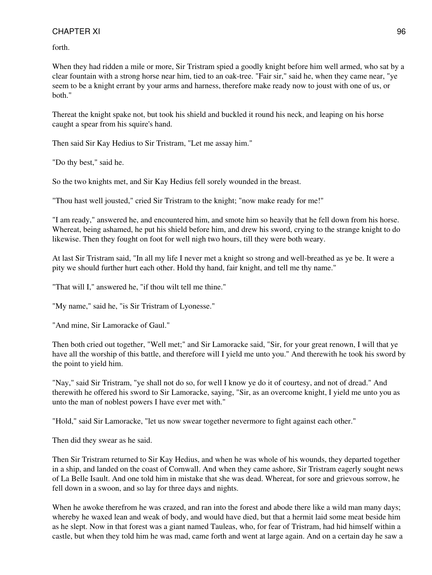forth.

When they had ridden a mile or more, Sir Tristram spied a goodly knight before him well armed, who sat by a clear fountain with a strong horse near him, tied to an oak-tree. "Fair sir," said he, when they came near, "ye seem to be a knight errant by your arms and harness, therefore make ready now to joust with one of us, or both."

Thereat the knight spake not, but took his shield and buckled it round his neck, and leaping on his horse caught a spear from his squire's hand.

Then said Sir Kay Hedius to Sir Tristram, "Let me assay him."

"Do thy best," said he.

So the two knights met, and Sir Kay Hedius fell sorely wounded in the breast.

"Thou hast well jousted," cried Sir Tristram to the knight; "now make ready for me!"

"I am ready," answered he, and encountered him, and smote him so heavily that he fell down from his horse. Whereat, being ashamed, he put his shield before him, and drew his sword, crying to the strange knight to do likewise. Then they fought on foot for well nigh two hours, till they were both weary.

At last Sir Tristram said, "In all my life I never met a knight so strong and well-breathed as ye be. It were a pity we should further hurt each other. Hold thy hand, fair knight, and tell me thy name."

"That will I," answered he, "if thou wilt tell me thine."

"My name," said he, "is Sir Tristram of Lyonesse."

"And mine, Sir Lamoracke of Gaul."

Then both cried out together, "Well met;" and Sir Lamoracke said, "Sir, for your great renown, I will that ye have all the worship of this battle, and therefore will I yield me unto you." And therewith he took his sword by the point to yield him.

"Nay," said Sir Tristram, "ye shall not do so, for well I know ye do it of courtesy, and not of dread." And therewith he offered his sword to Sir Lamoracke, saying, "Sir, as an overcome knight, I yield me unto you as unto the man of noblest powers I have ever met with."

"Hold," said Sir Lamoracke, "let us now swear together nevermore to fight against each other."

Then did they swear as he said.

Then Sir Tristram returned to Sir Kay Hedius, and when he was whole of his wounds, they departed together in a ship, and landed on the coast of Cornwall. And when they came ashore, Sir Tristram eagerly sought news of La Belle Isault. And one told him in mistake that she was dead. Whereat, for sore and grievous sorrow, he fell down in a swoon, and so lay for three days and nights.

When he awoke therefrom he was crazed, and ran into the forest and abode there like a wild man many days; whereby he waxed lean and weak of body, and would have died, but that a hermit laid some meat beside him as he slept. Now in that forest was a giant named Tauleas, who, for fear of Tristram, had hid himself within a castle, but when they told him he was mad, came forth and went at large again. And on a certain day he saw a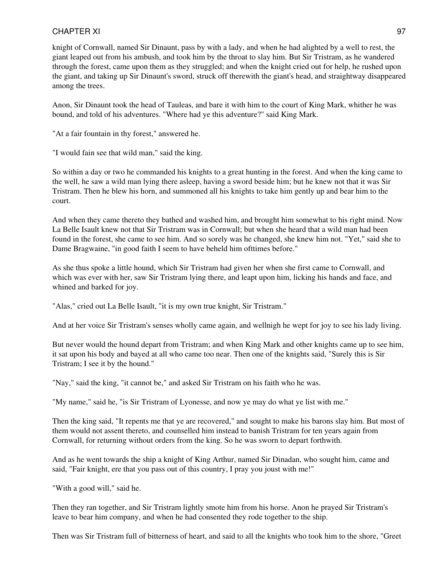knight of Cornwall, named Sir Dinaunt, pass by with a lady, and when he had alighted by a well to rest, the giant leaped out from his ambush, and took him by the throat to slay him. But Sir Tristram, as he wandered through the forest, came upon them as they struggled; and when the knight cried out for help, he rushed upon the giant, and taking up Sir Dinaunt's sword, struck off therewith the giant's head, and straightway disappeared among the trees.

Anon, Sir Dinaunt took the head of Tauleas, and bare it with him to the court of King Mark, whither he was bound, and told of his adventures. "Where had ye this adventure?" said King Mark.

"At a fair fountain in thy forest," answered he.

"I would fain see that wild man," said the king.

So within a day or two he commanded his knights to a great hunting in the forest. And when the king came to the well, he saw a wild man lying there asleep, having a sword beside him; but he knew not that it was Sir Tristram. Then he blew his horn, and summoned all his knights to take him gently up and bear him to the court.

And when they came thereto they bathed and washed him, and brought him somewhat to his right mind. Now La Belle Isault knew not that Sir Tristram was in Cornwall; but when she heard that a wild man had been found in the forest, she came to see him. And so sorely was he changed, she knew him not. "Yet," said she to Dame Bragwaine, "in good faith I seem to have beheld him ofttimes before."

As she thus spoke a little hound, which Sir Tristram had given her when she first came to Cornwall, and which was ever with her, saw Sir Tristram lying there, and leapt upon him, licking his hands and face, and whined and barked for joy.

"Alas," cried out La Belle Isault, "it is my own true knight, Sir Tristram."

And at her voice Sir Tristram's senses wholly came again, and wellnigh he wept for joy to see his lady living.

But never would the hound depart from Tristram; and when King Mark and other knights came up to see him, it sat upon his body and bayed at all who came too near. Then one of the knights said, "Surely this is Sir Tristram; I see it by the hound."

"Nay," said the king, "it cannot be," and asked Sir Tristram on his faith who he was.

"My name," said he, "is Sir Tristram of Lyonesse, and now ye may do what ye list with me."

Then the king said, "It repents me that ye are recovered," and sought to make his barons slay him. But most of them would not assent thereto, and counselled him instead to banish Tristram for ten years again from Cornwall, for returning without orders from the king. So he was sworn to depart forthwith.

And as he went towards the ship a knight of King Arthur, named Sir Dinadan, who sought him, came and said, "Fair knight, ere that you pass out of this country, I pray you joust with me!"

"With a good will," said he.

Then they ran together, and Sir Tristram lightly smote him from his horse. Anon he prayed Sir Tristram's leave to bear him company, and when he had consented they rode together to the ship.

Then was Sir Tristram full of bitterness of heart, and said to all the knights who took him to the shore, "Greet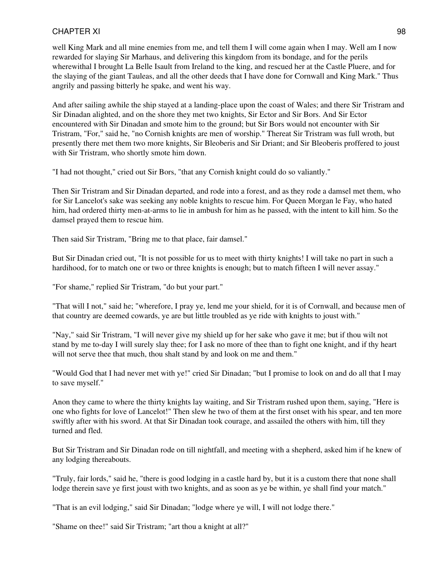well King Mark and all mine enemies from me, and tell them I will come again when I may. Well am I now rewarded for slaying Sir Marhaus, and delivering this kingdom from its bondage, and for the perils wherewithal I brought La Belle Isault from Ireland to the king, and rescued her at the Castle Pluere, and for the slaying of the giant Tauleas, and all the other deeds that I have done for Cornwall and King Mark." Thus angrily and passing bitterly he spake, and went his way.

And after sailing awhile the ship stayed at a landing-place upon the coast of Wales; and there Sir Tristram and Sir Dinadan alighted, and on the shore they met two knights, Sir Ector and Sir Bors. And Sir Ector encountered with Sir Dinadan and smote him to the ground; but Sir Bors would not encounter with Sir Tristram, "For," said he, "no Cornish knights are men of worship." Thereat Sir Tristram was full wroth, but presently there met them two more knights, Sir Bleoberis and Sir Driant; and Sir Bleoberis proffered to joust with Sir Tristram, who shortly smote him down.

"I had not thought," cried out Sir Bors, "that any Cornish knight could do so valiantly."

Then Sir Tristram and Sir Dinadan departed, and rode into a forest, and as they rode a damsel met them, who for Sir Lancelot's sake was seeking any noble knights to rescue him. For Queen Morgan le Fay, who hated him, had ordered thirty men-at-arms to lie in ambush for him as he passed, with the intent to kill him. So the damsel prayed them to rescue him.

Then said Sir Tristram, "Bring me to that place, fair damsel."

But Sir Dinadan cried out, "It is not possible for us to meet with thirty knights! I will take no part in such a hardihood, for to match one or two or three knights is enough; but to match fifteen I will never assay."

"For shame," replied Sir Tristram, "do but your part."

"That will I not," said he; "wherefore, I pray ye, lend me your shield, for it is of Cornwall, and because men of that country are deemed cowards, ye are but little troubled as ye ride with knights to joust with."

"Nay," said Sir Tristram, "I will never give my shield up for her sake who gave it me; but if thou wilt not stand by me to-day I will surely slay thee; for I ask no more of thee than to fight one knight, and if thy heart will not serve thee that much, thou shalt stand by and look on me and them."

"Would God that I had never met with ye!" cried Sir Dinadan; "but I promise to look on and do all that I may to save myself."

Anon they came to where the thirty knights lay waiting, and Sir Tristram rushed upon them, saying, "Here is one who fights for love of Lancelot!" Then slew he two of them at the first onset with his spear, and ten more swiftly after with his sword. At that Sir Dinadan took courage, and assailed the others with him, till they turned and fled.

But Sir Tristram and Sir Dinadan rode on till nightfall, and meeting with a shepherd, asked him if he knew of any lodging thereabouts.

"Truly, fair lords," said he, "there is good lodging in a castle hard by, but it is a custom there that none shall lodge therein save ye first joust with two knights, and as soon as ye be within, ye shall find your match."

"That is an evil lodging," said Sir Dinadan; "lodge where ye will, I will not lodge there."

"Shame on thee!" said Sir Tristram; "art thou a knight at all?"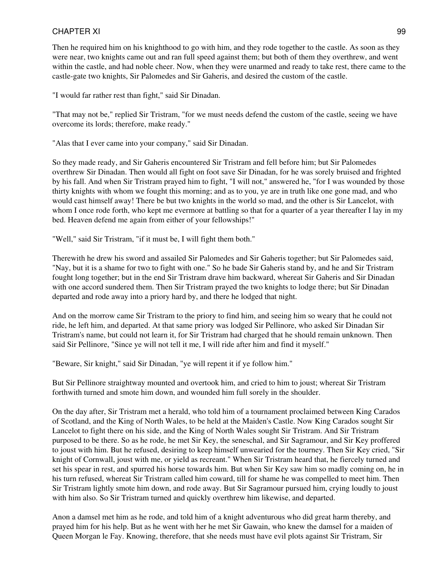Then he required him on his knighthood to go with him, and they rode together to the castle. As soon as they were near, two knights came out and ran full speed against them; but both of them they overthrew, and went within the castle, and had noble cheer. Now, when they were unarmed and ready to take rest, there came to the castle-gate two knights, Sir Palomedes and Sir Gaheris, and desired the custom of the castle.

"I would far rather rest than fight," said Sir Dinadan.

"That may not be," replied Sir Tristram, "for we must needs defend the custom of the castle, seeing we have overcome its lords; therefore, make ready."

"Alas that I ever came into your company," said Sir Dinadan.

So they made ready, and Sir Gaheris encountered Sir Tristram and fell before him; but Sir Palomedes overthrew Sir Dinadan. Then would all fight on foot save Sir Dinadan, for he was sorely bruised and frighted by his fall. And when Sir Tristram prayed him to fight, "I will not," answered he, "for I was wounded by those thirty knights with whom we fought this morning; and as to you, ye are in truth like one gone mad, and who would cast himself away! There be but two knights in the world so mad, and the other is Sir Lancelot, with whom I once rode forth, who kept me evermore at battling so that for a quarter of a year thereafter I lay in my bed. Heaven defend me again from either of your fellowships!"

"Well," said Sir Tristram, "if it must be, I will fight them both."

Therewith he drew his sword and assailed Sir Palomedes and Sir Gaheris together; but Sir Palomedes said, "Nay, but it is a shame for two to fight with one." So he bade Sir Gaheris stand by, and he and Sir Tristram fought long together; but in the end Sir Tristram drave him backward, whereat Sir Gaheris and Sir Dinadan with one accord sundered them. Then Sir Tristram prayed the two knights to lodge there; but Sir Dinadan departed and rode away into a priory hard by, and there he lodged that night.

And on the morrow came Sir Tristram to the priory to find him, and seeing him so weary that he could not ride, he left him, and departed. At that same priory was lodged Sir Pellinore, who asked Sir Dinadan Sir Tristram's name, but could not learn it, for Sir Tristram had charged that he should remain unknown. Then said Sir Pellinore, "Since ye will not tell it me, I will ride after him and find it myself."

"Beware, Sir knight," said Sir Dinadan, "ye will repent it if ye follow him."

But Sir Pellinore straightway mounted and overtook him, and cried to him to joust; whereat Sir Tristram forthwith turned and smote him down, and wounded him full sorely in the shoulder.

On the day after, Sir Tristram met a herald, who told him of a tournament proclaimed between King Carados of Scotland, and the King of North Wales, to be held at the Maiden's Castle. Now King Carados sought Sir Lancelot to fight there on his side, and the King of North Wales sought Sir Tristram. And Sir Tristram purposed to be there. So as he rode, he met Sir Key, the seneschal, and Sir Sagramour, and Sir Key proffered to joust with him. But he refused, desiring to keep himself unwearied for the tourney. Then Sir Key cried, "Sir knight of Cornwall, joust with me, or yield as recreant." When Sir Tristram heard that, he fiercely turned and set his spear in rest, and spurred his horse towards him. But when Sir Key saw him so madly coming on, he in his turn refused, whereat Sir Tristram called him coward, till for shame he was compelled to meet him. Then Sir Tristram lightly smote him down, and rode away. But Sir Sagramour pursued him, crying loudly to joust with him also. So Sir Tristram turned and quickly overthrew him likewise, and departed.

Anon a damsel met him as he rode, and told him of a knight adventurous who did great harm thereby, and prayed him for his help. But as he went with her he met Sir Gawain, who knew the damsel for a maiden of Queen Morgan le Fay. Knowing, therefore, that she needs must have evil plots against Sir Tristram, Sir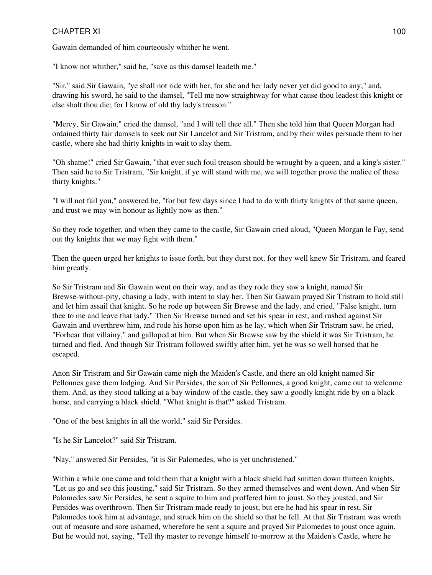Gawain demanded of him courteously whither he went.

"I know not whither," said he, "save as this damsel leadeth me."

"Sir," said Sir Gawain, "ye shall not ride with her, for she and her lady never yet did good to any;" and, drawing his sword, he said to the damsel, "Tell me now straightway for what cause thou leadest this knight or else shalt thou die; for I know of old thy lady's treason."

"Mercy, Sir Gawain," cried the damsel, "and I will tell thee all." Then she told him that Queen Morgan had ordained thirty fair damsels to seek out Sir Lancelot and Sir Tristram, and by their wiles persuade them to her castle, where she had thirty knights in wait to slay them.

"Oh shame!" cried Sir Gawain, "that ever such foul treason should be wrought by a queen, and a king's sister." Then said he to Sir Tristram, "Sir knight, if ye will stand with me, we will together prove the malice of these thirty knights."

"I will not fail you," answered he, "for but few days since I had to do with thirty knights of that same queen, and trust we may win honour as lightly now as then."

So they rode together, and when they came to the castle, Sir Gawain cried aloud, "Queen Morgan le Fay, send out thy knights that we may fight with them."

Then the queen urged her knights to issue forth, but they durst not, for they well knew Sir Tristram, and feared him greatly.

So Sir Tristram and Sir Gawain went on their way, and as they rode they saw a knight, named Sir Brewse-without-pity, chasing a lady, with intent to slay her. Then Sir Gawain prayed Sir Tristram to hold still and let him assail that knight. So he rode up between Sir Brewse and the lady, and cried, "False knight, turn thee to me and leave that lady." Then Sir Brewse turned and set his spear in rest, and rushed against Sir Gawain and overthrew him, and rode his horse upon him as he lay, which when Sir Tristram saw, he cried, "Forbear that villainy," and galloped at him. But when Sir Brewse saw by the shield it was Sir Tristram, he turned and fled. And though Sir Tristram followed swiftly after him, yet he was so well horsed that he escaped.

Anon Sir Tristram and Sir Gawain came nigh the Maiden's Castle, and there an old knight named Sir Pellonnes gave them lodging. And Sir Persides, the son of Sir Pellonnes, a good knight, came out to welcome them. And, as they stood talking at a bay window of the castle, they saw a goodly knight ride by on a black horse, and carrying a black shield. "What knight is that?" asked Tristram.

"One of the best knights in all the world," said Sir Persides.

"Is he Sir Lancelot?" said Sir Tristram.

"Nay," answered Sir Persides, "it is Sir Palomedes, who is yet unchristened."

Within a while one came and told them that a knight with a black shield had smitten down thirteen knights. "Let us go and see this jousting," said Sir Tristram. So they armed themselves and went down. And when Sir Palomedes saw Sir Persides, he sent a squire to him and proffered him to joust. So they jousted, and Sir Persides was overthrown. Then Sir Tristram made ready to joust, but ere he had his spear in rest, Sir Palomedes took him at advantage, and struck him on the shield so that he fell. At that Sir Tristram was wroth out of measure and sore ashamed, wherefore he sent a squire and prayed Sir Palomedes to joust once again. But he would not, saying, "Tell thy master to revenge himself to-morrow at the Maiden's Castle, where he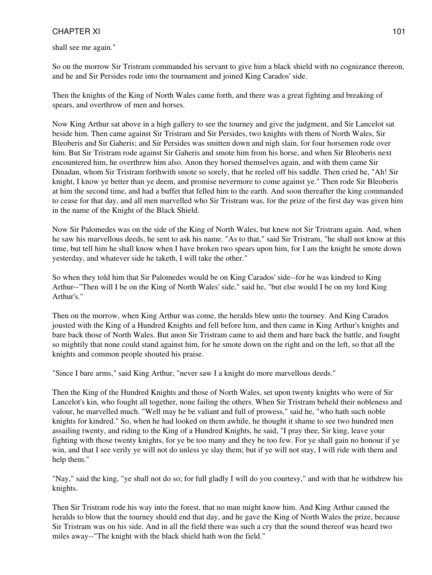shall see me again."

So on the morrow Sir Tristram commanded his servant to give him a black shield with no cognizance thereon, and he and Sir Persides rode into the tournament and joined King Carados' side.

Then the knights of the King of North Wales came forth, and there was a great fighting and breaking of spears, and overthrow of men and horses.

Now King Arthur sat above in a high gallery to see the tourney and give the judgment, and Sir Lancelot sat beside him. Then came against Sir Tristram and Sir Persides, two knights with them of North Wales, Sir Bleoberis and Sir Gaheris; and Sir Persides was smitten down and nigh slain, for four horsemen rode over him. But Sir Tristram rode against Sir Gaheris and smote him from his horse, and when Sir Bleoberis next encountered him, he overthrew him also. Anon they horsed themselves again, and with them came Sir Dinadan, whom Sir Tristram forthwith smote so sorely, that he reeled off his saddle. Then cried he, "Ah! Sir knight, I know ye better than ye deem, and promise nevermore to come against ye." Then rode Sir Bleoberis at him the second time, and had a buffet that felled him to the earth. And soon thereafter the king commanded to cease for that day, and all men marvelled who Sir Tristram was, for the prize of the first day was given him in the name of the Knight of the Black Shield.

Now Sir Palomedes was on the side of the King of North Wales, but knew not Sir Tristram again. And, when he saw his marvellous deeds, he sent to ask his name. "As to that," said Sir Tristram, "he shall not know at this time, but tell him he shall know when I have broken two spears upon him, for I am the knight he smote down yesterday, and whatever side he taketh, I will take the other."

So when they told him that Sir Palomedes would be on King Carados' side--for he was kindred to King Arthur--"Then will I be on the King of North Wales' side," said he, "but else would I be on my lord King Arthur's."

Then on the morrow, when King Arthur was come, the heralds blew unto the tourney. And King Carados jousted with the King of a Hundred Knights and fell before him, and then came in King Arthur's knights and bare back those of North Wales. But anon Sir Tristram came to aid them and bare back the battle, and fought so mightily that none could stand against him, for he smote down on the right and on the left, so that all the knights and common people shouted his praise.

"Since I bare arms," said King Arthur, "never saw I a knight do more marvellous deeds."

Then the King of the Hundred Knights and those of North Wales, set upon twenty knights who were of Sir Lancelot's kin, who fought all together, none failing the others. When Sir Tristram beheld their nobleness and valour, he marvelled much. "Well may he be valiant and full of prowess," said he, "who hath such noble knights for kindred." So, when he had looked on them awhile, he thought it shame to see two hundred men assailing twenty, and riding to the King of a Hundred Knights, he said, "I pray thee, Sir king, leave your fighting with those twenty knights, for ye be too many and they be too few. For ye shall gain no honour if ye win, and that I see verily ye will not do unless ye slay them; but if ye will not stay, I will ride with them and help them."

"Nay," said the king, "ye shall not do so; for full gladly I will do you courtesy," and with that he withdrew his knights.

Then Sir Tristram rode his way into the forest, that no man might know him. And King Arthur caused the heralds to blow that the tourney should end that day, and he gave the King of North Wales the prize, because Sir Tristram was on his side. And in all the field there was such a cry that the sound thereof was heard two miles away--"The knight with the black shield hath won the field."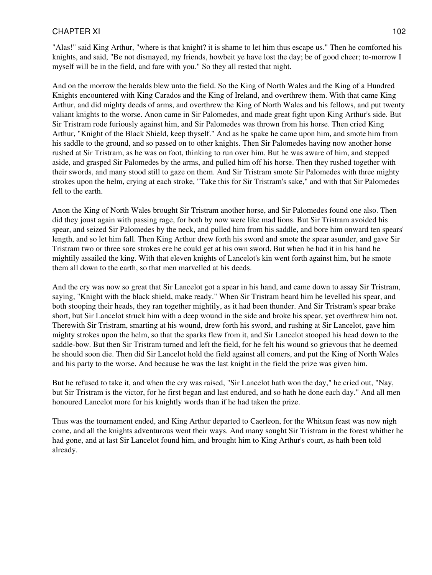"Alas!" said King Arthur, "where is that knight? it is shame to let him thus escape us." Then he comforted his knights, and said, "Be not dismayed, my friends, howbeit ye have lost the day; be of good cheer; to-morrow I myself will be in the field, and fare with you." So they all rested that night.

And on the morrow the heralds blew unto the field. So the King of North Wales and the King of a Hundred Knights encountered with King Carados and the King of Ireland, and overthrew them. With that came King Arthur, and did mighty deeds of arms, and overthrew the King of North Wales and his fellows, and put twenty valiant knights to the worse. Anon came in Sir Palomedes, and made great fight upon King Arthur's side. But Sir Tristram rode furiously against him, and Sir Palomedes was thrown from his horse. Then cried King Arthur, "Knight of the Black Shield, keep thyself." And as he spake he came upon him, and smote him from his saddle to the ground, and so passed on to other knights. Then Sir Palomedes having now another horse rushed at Sir Tristram, as he was on foot, thinking to run over him. But he was aware of him, and stepped aside, and grasped Sir Palomedes by the arms, and pulled him off his horse. Then they rushed together with their swords, and many stood still to gaze on them. And Sir Tristram smote Sir Palomedes with three mighty strokes upon the helm, crying at each stroke, "Take this for Sir Tristram's sake," and with that Sir Palomedes fell to the earth.

Anon the King of North Wales brought Sir Tristram another horse, and Sir Palomedes found one also. Then did they joust again with passing rage, for both by now were like mad lions. But Sir Tristram avoided his spear, and seized Sir Palomedes by the neck, and pulled him from his saddle, and bore him onward ten spears' length, and so let him fall. Then King Arthur drew forth his sword and smote the spear asunder, and gave Sir Tristram two or three sore strokes ere he could get at his own sword. But when he had it in his hand he mightily assailed the king. With that eleven knights of Lancelot's kin went forth against him, but he smote them all down to the earth, so that men marvelled at his deeds.

And the cry was now so great that Sir Lancelot got a spear in his hand, and came down to assay Sir Tristram, saying, "Knight with the black shield, make ready." When Sir Tristram heard him he levelled his spear, and both stooping their heads, they ran together mightily, as it had been thunder. And Sir Tristram's spear brake short, but Sir Lancelot struck him with a deep wound in the side and broke his spear, yet overthrew him not. Therewith Sir Tristram, smarting at his wound, drew forth his sword, and rushing at Sir Lancelot, gave him mighty strokes upon the helm, so that the sparks flew from it, and Sir Lancelot stooped his head down to the saddle-bow. But then Sir Tristram turned and left the field, for he felt his wound so grievous that he deemed he should soon die. Then did Sir Lancelot hold the field against all comers, and put the King of North Wales and his party to the worse. And because he was the last knight in the field the prize was given him.

But he refused to take it, and when the cry was raised, "Sir Lancelot hath won the day," he cried out, "Nay, but Sir Tristram is the victor, for he first began and last endured, and so hath he done each day." And all men honoured Lancelot more for his knightly words than if he had taken the prize.

Thus was the tournament ended, and King Arthur departed to Caerleon, for the Whitsun feast was now nigh come, and all the knights adventurous went their ways. And many sought Sir Tristram in the forest whither he had gone, and at last Sir Lancelot found him, and brought him to King Arthur's court, as hath been told already.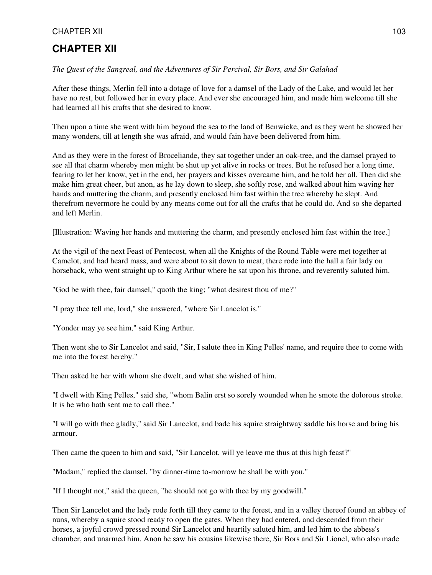# **CHAPTER XII**

#### *The Quest of the Sangreal, and the Adventures of Sir Percival, Sir Bors, and Sir Galahad*

After these things, Merlin fell into a dotage of love for a damsel of the Lady of the Lake, and would let her have no rest, but followed her in every place. And ever she encouraged him, and made him welcome till she had learned all his crafts that she desired to know.

Then upon a time she went with him beyond the sea to the land of Benwicke, and as they went he showed her many wonders, till at length she was afraid, and would fain have been delivered from him.

And as they were in the forest of Broceliande, they sat together under an oak-tree, and the damsel prayed to see all that charm whereby men might be shut up yet alive in rocks or trees. But he refused her a long time, fearing to let her know, yet in the end, her prayers and kisses overcame him, and he told her all. Then did she make him great cheer, but anon, as he lay down to sleep, she softly rose, and walked about him waving her hands and muttering the charm, and presently enclosed him fast within the tree whereby he slept. And therefrom nevermore he could by any means come out for all the crafts that he could do. And so she departed and left Merlin.

[Illustration: Waving her hands and muttering the charm, and presently enclosed him fast within the tree.]

At the vigil of the next Feast of Pentecost, when all the Knights of the Round Table were met together at Camelot, and had heard mass, and were about to sit down to meat, there rode into the hall a fair lady on horseback, who went straight up to King Arthur where he sat upon his throne, and reverently saluted him.

"God be with thee, fair damsel," quoth the king; "what desirest thou of me?"

"I pray thee tell me, lord," she answered, "where Sir Lancelot is."

"Yonder may ye see him," said King Arthur.

Then went she to Sir Lancelot and said, "Sir, I salute thee in King Pelles' name, and require thee to come with me into the forest hereby."

Then asked he her with whom she dwelt, and what she wished of him.

"I dwell with King Pelles," said she, "whom Balin erst so sorely wounded when he smote the dolorous stroke. It is he who hath sent me to call thee."

"I will go with thee gladly," said Sir Lancelot, and bade his squire straightway saddle his horse and bring his armour.

Then came the queen to him and said, "Sir Lancelot, will ye leave me thus at this high feast?"

"Madam," replied the damsel, "by dinner-time to-morrow he shall be with you."

"If I thought not," said the queen, "he should not go with thee by my goodwill."

Then Sir Lancelot and the lady rode forth till they came to the forest, and in a valley thereof found an abbey of nuns, whereby a squire stood ready to open the gates. When they had entered, and descended from their horses, a joyful crowd pressed round Sir Lancelot and heartily saluted him, and led him to the abbess's chamber, and unarmed him. Anon he saw his cousins likewise there, Sir Bors and Sir Lionel, who also made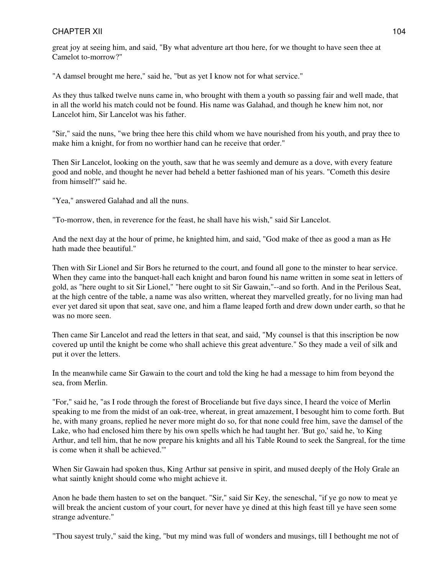great joy at seeing him, and said, "By what adventure art thou here, for we thought to have seen thee at Camelot to-morrow?"

"A damsel brought me here," said he, "but as yet I know not for what service."

As they thus talked twelve nuns came in, who brought with them a youth so passing fair and well made, that in all the world his match could not be found. His name was Galahad, and though he knew him not, nor Lancelot him, Sir Lancelot was his father.

"Sir," said the nuns, "we bring thee here this child whom we have nourished from his youth, and pray thee to make him a knight, for from no worthier hand can he receive that order."

Then Sir Lancelot, looking on the youth, saw that he was seemly and demure as a dove, with every feature good and noble, and thought he never had beheld a better fashioned man of his years. "Cometh this desire from himself?" said he.

"Yea," answered Galahad and all the nuns.

"To-morrow, then, in reverence for the feast, he shall have his wish," said Sir Lancelot.

And the next day at the hour of prime, he knighted him, and said, "God make of thee as good a man as He hath made thee beautiful."

Then with Sir Lionel and Sir Bors he returned to the court, and found all gone to the minster to hear service. When they came into the banquet-hall each knight and baron found his name written in some seat in letters of gold, as "here ought to sit Sir Lionel," "here ought to sit Sir Gawain,"--and so forth. And in the Perilous Seat, at the high centre of the table, a name was also written, whereat they marvelled greatly, for no living man had ever yet dared sit upon that seat, save one, and him a flame leaped forth and drew down under earth, so that he was no more seen.

Then came Sir Lancelot and read the letters in that seat, and said, "My counsel is that this inscription be now covered up until the knight be come who shall achieve this great adventure." So they made a veil of silk and put it over the letters.

In the meanwhile came Sir Gawain to the court and told the king he had a message to him from beyond the sea, from Merlin.

"For," said he, "as I rode through the forest of Broceliande but five days since, I heard the voice of Merlin speaking to me from the midst of an oak-tree, whereat, in great amazement, I besought him to come forth. But he, with many groans, replied he never more might do so, for that none could free him, save the damsel of the Lake, who had enclosed him there by his own spells which he had taught her. 'But go,' said he, 'to King Arthur, and tell him, that he now prepare his knights and all his Table Round to seek the Sangreal, for the time is come when it shall be achieved.'"

When Sir Gawain had spoken thus, King Arthur sat pensive in spirit, and mused deeply of the Holy Grale an what saintly knight should come who might achieve it.

Anon he bade them hasten to set on the banquet. "Sir," said Sir Key, the seneschal, "if ye go now to meat ye will break the ancient custom of your court, for never have ye dined at this high feast till ye have seen some strange adventure."

"Thou sayest truly," said the king, "but my mind was full of wonders and musings, till I bethought me not of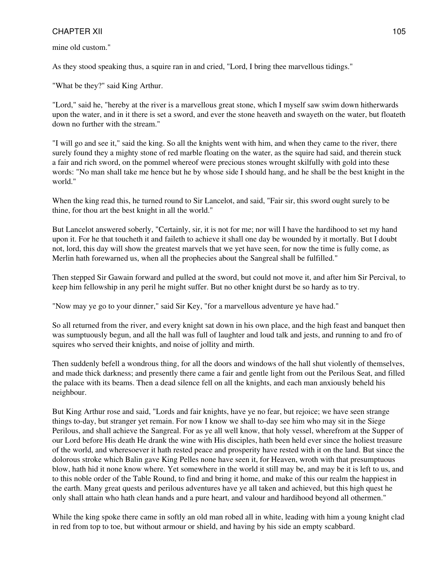mine old custom."

As they stood speaking thus, a squire ran in and cried, "Lord, I bring thee marvellous tidings."

"What be they?" said King Arthur.

"Lord," said he, "hereby at the river is a marvellous great stone, which I myself saw swim down hitherwards upon the water, and in it there is set a sword, and ever the stone heaveth and swayeth on the water, but floateth down no further with the stream."

"I will go and see it," said the king. So all the knights went with him, and when they came to the river, there surely found they a mighty stone of red marble floating on the water, as the squire had said, and therein stuck a fair and rich sword, on the pommel whereof were precious stones wrought skilfully with gold into these words: "No man shall take me hence but he by whose side I should hang, and he shall be the best knight in the world."

When the king read this, he turned round to Sir Lancelot, and said, "Fair sir, this sword ought surely to be thine, for thou art the best knight in all the world."

But Lancelot answered soberly, "Certainly, sir, it is not for me; nor will I have the hardihood to set my hand upon it. For he that toucheth it and faileth to achieve it shall one day be wounded by it mortally. But I doubt not, lord, this day will show the greatest marvels that we yet have seen, for now the time is fully come, as Merlin hath forewarned us, when all the prophecies about the Sangreal shall be fulfilled."

Then stepped Sir Gawain forward and pulled at the sword, but could not move it, and after him Sir Percival, to keep him fellowship in any peril he might suffer. But no other knight durst be so hardy as to try.

"Now may ye go to your dinner," said Sir Key, "for a marvellous adventure ye have had."

So all returned from the river, and every knight sat down in his own place, and the high feast and banquet then was sumptuously begun, and all the hall was full of laughter and loud talk and jests, and running to and fro of squires who served their knights, and noise of jollity and mirth.

Then suddenly befell a wondrous thing, for all the doors and windows of the hall shut violently of themselves, and made thick darkness; and presently there came a fair and gentle light from out the Perilous Seat, and filled the palace with its beams. Then a dead silence fell on all the knights, and each man anxiously beheld his neighbour.

But King Arthur rose and said, "Lords and fair knights, have ye no fear, but rejoice; we have seen strange things to-day, but stranger yet remain. For now I know we shall to-day see him who may sit in the Siege Perilous, and shall achieve the Sangreal. For as ye all well know, that holy vessel, wherefrom at the Supper of our Lord before His death He drank the wine with His disciples, hath been held ever since the holiest treasure of the world, and wheresoever it hath rested peace and prosperity have rested with it on the land. But since the dolorous stroke which Balin gave King Pelles none have seen it, for Heaven, wroth with that presumptuous blow, hath hid it none know where. Yet somewhere in the world it still may be, and may be it is left to us, and to this noble order of the Table Round, to find and bring it home, and make of this our realm the happiest in the earth. Many great quests and perilous adventures have ye all taken and achieved, but this high quest he only shall attain who hath clean hands and a pure heart, and valour and hardihood beyond all othermen."

While the king spoke there came in softly an old man robed all in white, leading with him a young knight clad in red from top to toe, but without armour or shield, and having by his side an empty scabbard.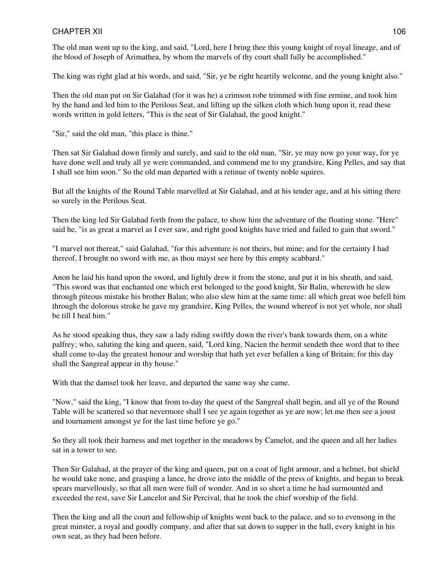The old man went up to the king, and said, "Lord, here I bring thee this young knight of royal lineage, and of the blood of Joseph of Arimathea, by whom the marvels of thy court shall fully be accomplished."

The king was right glad at his words, and said, "Sir, ye be right heartily welcome, and the young knight also."

Then the old man put on Sir Galahad (for it was he) a crimson robe trimmed with fine ermine, and took him by the hand and led him to the Perilous Seat, and lifting up the silken cloth which hung upon it, read these words written in gold letters, "This is the seat of Sir Galahad, the good knight."

"Sir," said the old man, "this place is thine."

Then sat Sir Galahad down firmly and surely, and said to the old man, "Sir, ye may now go your way, for ye have done well and truly all ye were commanded, and commend me to my grandsire, King Pelles, and say that I shall see him soon." So the old man departed with a retinue of twenty noble squires.

But all the knights of the Round Table marvelled at Sir Galahad, and at his tender age, and at his sitting there so surely in the Perilous Seat.

Then the king led Sir Galahad forth from the palace, to show him the adventure of the floating stone. "Here" said he, "is as great a marvel as I ever saw, and right good knights have tried and failed to gain that sword."

"I marvel not thereat," said Galahad, "for this adventure is not theirs, but mine; and for the certainty I had thereof, I brought no sword with me, as thou mayst see here by this empty scabbard."

Anon he laid his hand upon the sword, and lightly drew it from the stone, and put it in his sheath, and said, "This sword was that enchanted one which erst belonged to the good knight, Sir Balin, wherewith he slew through piteous mistake his brother Balan; who also slew him at the same time: all which great woe befell him through the dolorous stroke he gave my grandsire, King Pelles, the wound whereof is not yet whole, nor shall be till I heal him."

As he stood speaking thus, they saw a lady riding swiftly down the river's bank towards them, on a white palfrey; who, saluting the king and queen, said, "Lord king, Nacien the hermit sendeth thee word that to thee shall come to-day the greatest honour and worship that hath yet ever befallen a king of Britain; for this day shall the Sangreal appear in thy house."

With that the damsel took her leave, and departed the same way she came.

"Now," said the king, "I know that from to-day the quest of the Sangreal shall begin, and all ye of the Round Table will be scattered so that nevermore shall I see ye again together as ye are now; let me then see a joust and tournament amongst ye for the last time before ye go."

So they all took their harness and met together in the meadows by Camelot, and the queen and all her ladies sat in a tower to see.

Then Sir Galahad, at the prayer of the king and queen, put on a coat of light armour, and a helmet, but shield he would take none, and grasping a lance, he drove into the middle of the press of knights, and began to break spears marvellously, so that all men were full of wonder. And in so short a time he had surmounted and exceeded the rest, save Sir Lancelot and Sir Percival, that he took the chief worship of the field.

Then the king and all the court and fellowship of knights went back to the palace, and so to evensong in the great minster, a royal and goodly company, and after that sat down to supper in the hall, every knight in his own seat, as they had been before.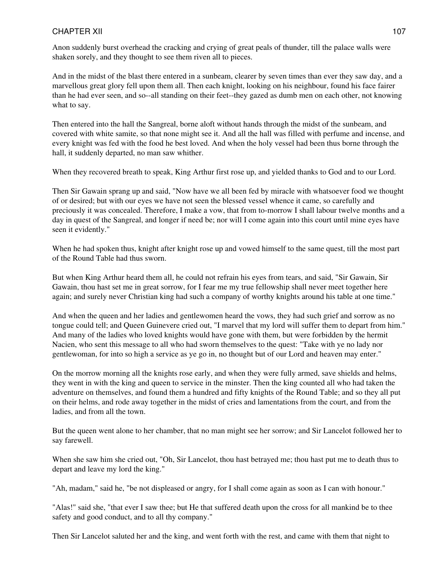Anon suddenly burst overhead the cracking and crying of great peals of thunder, till the palace walls were shaken sorely, and they thought to see them riven all to pieces.

And in the midst of the blast there entered in a sunbeam, clearer by seven times than ever they saw day, and a marvellous great glory fell upon them all. Then each knight, looking on his neighbour, found his face fairer than he had ever seen, and so--all standing on their feet--they gazed as dumb men on each other, not knowing what to say.

Then entered into the hall the Sangreal, borne aloft without hands through the midst of the sunbeam, and covered with white samite, so that none might see it. And all the hall was filled with perfume and incense, and every knight was fed with the food he best loved. And when the holy vessel had been thus borne through the hall, it suddenly departed, no man saw whither.

When they recovered breath to speak, King Arthur first rose up, and yielded thanks to God and to our Lord.

Then Sir Gawain sprang up and said, "Now have we all been fed by miracle with whatsoever food we thought of or desired; but with our eyes we have not seen the blessed vessel whence it came, so carefully and preciously it was concealed. Therefore, I make a vow, that from to-morrow I shall labour twelve months and a day in quest of the Sangreal, and longer if need be; nor will I come again into this court until mine eyes have seen it evidently."

When he had spoken thus, knight after knight rose up and vowed himself to the same quest, till the most part of the Round Table had thus sworn.

But when King Arthur heard them all, he could not refrain his eyes from tears, and said, "Sir Gawain, Sir Gawain, thou hast set me in great sorrow, for I fear me my true fellowship shall never meet together here again; and surely never Christian king had such a company of worthy knights around his table at one time."

And when the queen and her ladies and gentlewomen heard the vows, they had such grief and sorrow as no tongue could tell; and Queen Guinevere cried out, "I marvel that my lord will suffer them to depart from him." And many of the ladies who loved knights would have gone with them, but were forbidden by the hermit Nacien, who sent this message to all who had sworn themselves to the quest: "Take with ye no lady nor gentlewoman, for into so high a service as ye go in, no thought but of our Lord and heaven may enter."

On the morrow morning all the knights rose early, and when they were fully armed, save shields and helms, they went in with the king and queen to service in the minster. Then the king counted all who had taken the adventure on themselves, and found them a hundred and fifty knights of the Round Table; and so they all put on their helms, and rode away together in the midst of cries and lamentations from the court, and from the ladies, and from all the town.

But the queen went alone to her chamber, that no man might see her sorrow; and Sir Lancelot followed her to say farewell.

When she saw him she cried out, "Oh, Sir Lancelot, thou hast betrayed me; thou hast put me to death thus to depart and leave my lord the king."

"Ah, madam," said he, "be not displeased or angry, for I shall come again as soon as I can with honour."

"Alas!" said she, "that ever I saw thee; but He that suffered death upon the cross for all mankind be to thee safety and good conduct, and to all thy company."

Then Sir Lancelot saluted her and the king, and went forth with the rest, and came with them that night to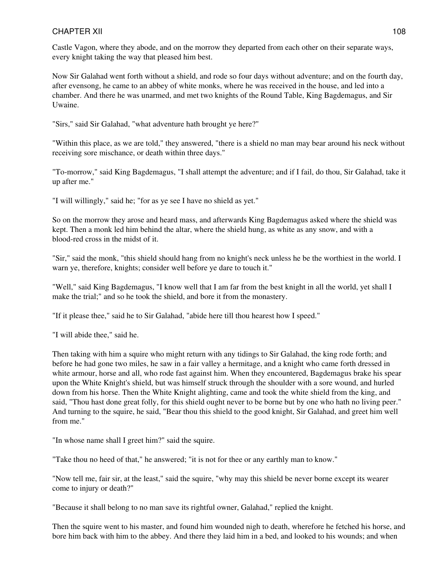Castle Vagon, where they abode, and on the morrow they departed from each other on their separate ways, every knight taking the way that pleased him best.

Now Sir Galahad went forth without a shield, and rode so four days without adventure; and on the fourth day, after evensong, he came to an abbey of white monks, where he was received in the house, and led into a chamber. And there he was unarmed, and met two knights of the Round Table, King Bagdemagus, and Sir Uwaine.

"Sirs," said Sir Galahad, "what adventure hath brought ye here?"

"Within this place, as we are told," they answered, "there is a shield no man may bear around his neck without receiving sore mischance, or death within three days."

"To-morrow," said King Bagdemagus, "I shall attempt the adventure; and if I fail, do thou, Sir Galahad, take it up after me."

"I will willingly," said he; "for as ye see I have no shield as yet."

So on the morrow they arose and heard mass, and afterwards King Bagdemagus asked where the shield was kept. Then a monk led him behind the altar, where the shield hung, as white as any snow, and with a blood-red cross in the midst of it.

"Sir," said the monk, "this shield should hang from no knight's neck unless he be the worthiest in the world. I warn ye, therefore, knights; consider well before ye dare to touch it."

"Well," said King Bagdemagus, "I know well that I am far from the best knight in all the world, yet shall I make the trial;" and so he took the shield, and bore it from the monastery.

"If it please thee," said he to Sir Galahad, "abide here till thou hearest how I speed."

"I will abide thee," said he.

Then taking with him a squire who might return with any tidings to Sir Galahad, the king rode forth; and before he had gone two miles, he saw in a fair valley a hermitage, and a knight who came forth dressed in white armour, horse and all, who rode fast against him. When they encountered, Bagdemagus brake his spear upon the White Knight's shield, but was himself struck through the shoulder with a sore wound, and hurled down from his horse. Then the White Knight alighting, came and took the white shield from the king, and said, "Thou hast done great folly, for this shield ought never to be borne but by one who hath no living peer." And turning to the squire, he said, "Bear thou this shield to the good knight, Sir Galahad, and greet him well from me."

"In whose name shall I greet him?" said the squire.

"Take thou no heed of that," he answered; "it is not for thee or any earthly man to know."

"Now tell me, fair sir, at the least," said the squire, "why may this shield be never borne except its wearer come to injury or death?"

"Because it shall belong to no man save its rightful owner, Galahad," replied the knight.

Then the squire went to his master, and found him wounded nigh to death, wherefore he fetched his horse, and bore him back with him to the abbey. And there they laid him in a bed, and looked to his wounds; and when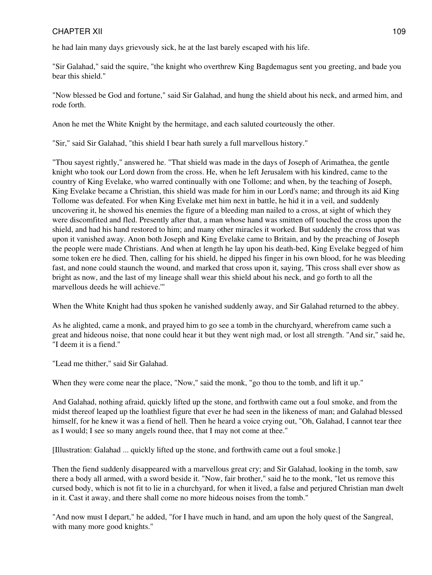he had lain many days grievously sick, he at the last barely escaped with his life.

"Sir Galahad," said the squire, "the knight who overthrew King Bagdemagus sent you greeting, and bade you bear this shield."

"Now blessed be God and fortune," said Sir Galahad, and hung the shield about his neck, and armed him, and rode forth.

Anon he met the White Knight by the hermitage, and each saluted courteously the other.

"Sir," said Sir Galahad, "this shield I bear hath surely a full marvellous history."

"Thou sayest rightly," answered he. "That shield was made in the days of Joseph of Arimathea, the gentle knight who took our Lord down from the cross. He, when he left Jerusalem with his kindred, came to the country of King Evelake, who warred continually with one Tollome; and when, by the teaching of Joseph, King Evelake became a Christian, this shield was made for him in our Lord's name; and through its aid King Tollome was defeated. For when King Evelake met him next in battle, he hid it in a veil, and suddenly uncovering it, he showed his enemies the figure of a bleeding man nailed to a cross, at sight of which they were discomfited and fled. Presently after that, a man whose hand was smitten off touched the cross upon the shield, and had his hand restored to him; and many other miracles it worked. But suddenly the cross that was upon it vanished away. Anon both Joseph and King Evelake came to Britain, and by the preaching of Joseph the people were made Christians. And when at length he lay upon his death-bed, King Evelake begged of him some token ere he died. Then, calling for his shield, he dipped his finger in his own blood, for he was bleeding fast, and none could staunch the wound, and marked that cross upon it, saying, 'This cross shall ever show as bright as now, and the last of my lineage shall wear this shield about his neck, and go forth to all the marvellous deeds he will achieve.'"

When the White Knight had thus spoken he vanished suddenly away, and Sir Galahad returned to the abbey.

As he alighted, came a monk, and prayed him to go see a tomb in the churchyard, wherefrom came such a great and hideous noise, that none could hear it but they went nigh mad, or lost all strength. "And sir," said he, "I deem it is a fiend."

"Lead me thither," said Sir Galahad.

When they were come near the place, "Now," said the monk, "go thou to the tomb, and lift it up."

And Galahad, nothing afraid, quickly lifted up the stone, and forthwith came out a foul smoke, and from the midst thereof leaped up the loathliest figure that ever he had seen in the likeness of man; and Galahad blessed himself, for he knew it was a fiend of hell. Then he heard a voice crying out, "Oh, Galahad, I cannot tear thee as I would; I see so many angels round thee, that I may not come at thee."

[Illustration: Galahad ... quickly lifted up the stone, and forthwith came out a foul smoke.]

Then the fiend suddenly disappeared with a marvellous great cry; and Sir Galahad, looking in the tomb, saw there a body all armed, with a sword beside it. "Now, fair brother," said he to the monk, "let us remove this cursed body, which is not fit to lie in a churchyard, for when it lived, a false and perjured Christian man dwelt in it. Cast it away, and there shall come no more hideous noises from the tomb."

"And now must I depart," he added, "for I have much in hand, and am upon the holy quest of the Sangreal, with many more good knights."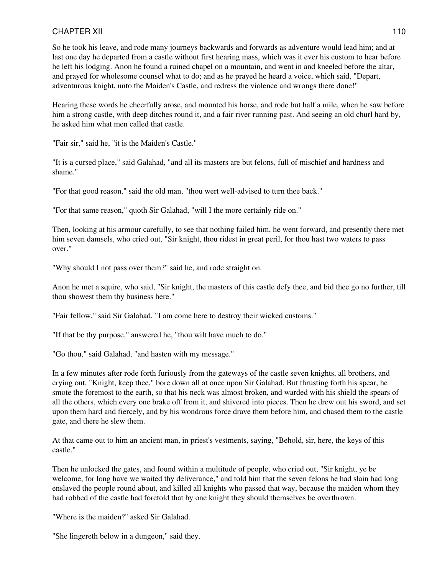So he took his leave, and rode many journeys backwards and forwards as adventure would lead him; and at last one day he departed from a castle without first hearing mass, which was it ever his custom to hear before he left his lodging. Anon he found a ruined chapel on a mountain, and went in and kneeled before the altar, and prayed for wholesome counsel what to do; and as he prayed he heard a voice, which said, "Depart, adventurous knight, unto the Maiden's Castle, and redress the violence and wrongs there done!"

Hearing these words he cheerfully arose, and mounted his horse, and rode but half a mile, when he saw before him a strong castle, with deep ditches round it, and a fair river running past. And seeing an old churl hard by, he asked him what men called that castle.

"Fair sir," said he, "it is the Maiden's Castle."

"It is a cursed place," said Galahad, "and all its masters are but felons, full of mischief and hardness and shame."

"For that good reason," said the old man, "thou wert well-advised to turn thee back."

"For that same reason," quoth Sir Galahad, "will I the more certainly ride on."

Then, looking at his armour carefully, to see that nothing failed him, he went forward, and presently there met him seven damsels, who cried out, "Sir knight, thou ridest in great peril, for thou hast two waters to pass over."

"Why should I not pass over them?" said he, and rode straight on.

Anon he met a squire, who said, "Sir knight, the masters of this castle defy thee, and bid thee go no further, till thou showest them thy business here."

"Fair fellow," said Sir Galahad, "I am come here to destroy their wicked customs."

"If that be thy purpose," answered he, "thou wilt have much to do."

"Go thou," said Galahad, "and hasten with my message."

In a few minutes after rode forth furiously from the gateways of the castle seven knights, all brothers, and crying out, "Knight, keep thee," bore down all at once upon Sir Galahad. But thrusting forth his spear, he smote the foremost to the earth, so that his neck was almost broken, and warded with his shield the spears of all the others, which every one brake off from it, and shivered into pieces. Then he drew out his sword, and set upon them hard and fiercely, and by his wondrous force drave them before him, and chased them to the castle gate, and there he slew them.

At that came out to him an ancient man, in priest's vestments, saying, "Behold, sir, here, the keys of this castle."

Then he unlocked the gates, and found within a multitude of people, who cried out, "Sir knight, ye be welcome, for long have we waited thy deliverance," and told him that the seven felons he had slain had long enslaved the people round about, and killed all knights who passed that way, because the maiden whom they had robbed of the castle had foretold that by one knight they should themselves be overthrown.

"Where is the maiden?" asked Sir Galahad.

"She lingereth below in a dungeon," said they.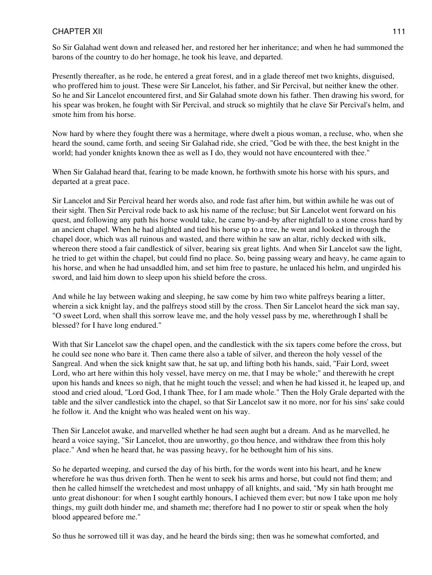So Sir Galahad went down and released her, and restored her her inheritance; and when he had summoned the barons of the country to do her homage, he took his leave, and departed.

Presently thereafter, as he rode, he entered a great forest, and in a glade thereof met two knights, disguised, who proffered him to joust. These were Sir Lancelot, his father, and Sir Percival, but neither knew the other. So he and Sir Lancelot encountered first, and Sir Galahad smote down his father. Then drawing his sword, for his spear was broken, he fought with Sir Percival, and struck so mightily that he clave Sir Percival's helm, and smote him from his horse.

Now hard by where they fought there was a hermitage, where dwelt a pious woman, a recluse, who, when she heard the sound, came forth, and seeing Sir Galahad ride, she cried, "God be with thee, the best knight in the world; had yonder knights known thee as well as I do, they would not have encountered with thee."

When Sir Galahad heard that, fearing to be made known, he forthwith smote his horse with his spurs, and departed at a great pace.

Sir Lancelot and Sir Percival heard her words also, and rode fast after him, but within awhile he was out of their sight. Then Sir Percival rode back to ask his name of the recluse; but Sir Lancelot went forward on his quest, and following any path his horse would take, he came by-and-by after nightfall to a stone cross hard by an ancient chapel. When he had alighted and tied his horse up to a tree, he went and looked in through the chapel door, which was all ruinous and wasted, and there within he saw an altar, richly decked with silk, whereon there stood a fair candlestick of silver, bearing six great lights. And when Sir Lancelot saw the light, he tried to get within the chapel, but could find no place. So, being passing weary and heavy, he came again to his horse, and when he had unsaddled him, and set him free to pasture, he unlaced his helm, and ungirded his sword, and laid him down to sleep upon his shield before the cross.

And while he lay between waking and sleeping, he saw come by him two white palfreys bearing a litter, wherein a sick knight lay, and the palfreys stood still by the cross. Then Sir Lancelot heard the sick man say, "O sweet Lord, when shall this sorrow leave me, and the holy vessel pass by me, wherethrough I shall be blessed? for I have long endured."

With that Sir Lancelot saw the chapel open, and the candlestick with the six tapers come before the cross, but he could see none who bare it. Then came there also a table of silver, and thereon the holy vessel of the Sangreal. And when the sick knight saw that, he sat up, and lifting both his hands, said, "Fair Lord, sweet Lord, who art here within this holy vessel, have mercy on me, that I may be whole;" and therewith he crept upon his hands and knees so nigh, that he might touch the vessel; and when he had kissed it, he leaped up, and stood and cried aloud, "Lord God, I thank Thee, for I am made whole." Then the Holy Grale departed with the table and the silver candlestick into the chapel, so that Sir Lancelot saw it no more, nor for his sins' sake could he follow it. And the knight who was healed went on his way.

Then Sir Lancelot awake, and marvelled whether he had seen aught but a dream. And as he marvelled, he heard a voice saying, "Sir Lancelot, thou are unworthy, go thou hence, and withdraw thee from this holy place." And when he heard that, he was passing heavy, for he bethought him of his sins.

So he departed weeping, and cursed the day of his birth, for the words went into his heart, and he knew wherefore he was thus driven forth. Then he went to seek his arms and horse, but could not find them; and then he called himself the wretchedest and most unhappy of all knights, and said, "My sin hath brought me unto great dishonour: for when I sought earthly honours, I achieved them ever; but now I take upon me holy things, my guilt doth hinder me, and shameth me; therefore had I no power to stir or speak when the holy blood appeared before me."

So thus he sorrowed till it was day, and he heard the birds sing; then was he somewhat comforted, and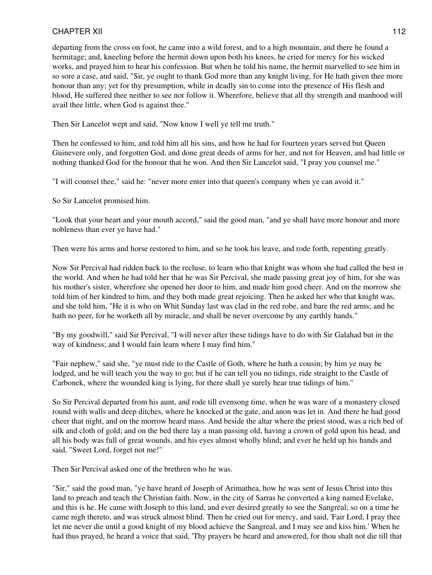departing from the cross on foot, he came into a wild forest, and to a high mountain, and there he found a hermitage; and, kneeling before the hermit down upon both his knees, he cried for mercy for his wicked works, and prayed him to hear his confession. But when he told his name, the hermit marvelled to see him in so sore a case, and said, "Sir, ye ought to thank God more than any knight living, for He hath given thee more honour than any; yet for thy presumption, while in deadly sin to come into the presence of His flesh and blood, He suffered thee neither to see nor follow it. Wherefore, believe that all thy strength and manhood will avail thee little, when God is against thee."

Then Sir Lancelot wept and said, "Now know I well ye tell me truth."

Then he confessed to him, and told him all his sins, and how he had for fourteen years served but Queen Guinevere only, and forgotten God, and done great deeds of arms for her, and not for Heaven, and had little or nothing thanked God for the honour that he won. And then Sir Lancelot said, "I pray you counsel me."

"I will counsel thee," said he: "never more enter into that queen's company when ye can avoid it."

So Sir Lancelot promised him.

"Look that your heart and your mouth accord," said the good man, "and ye shall have more honour and more nobleness than ever ye have had."

Then were his arms and horse restored to him, and so he took his leave, and rode forth, repenting greatly.

Now Sir Percival had ridden back to the recluse, to learn who that knight was whom she had called the best in the world. And when he had told her that he was Sir Percival, she made passing great joy of him, for she was his mother's sister, wherefore she opened her door to him, and made him good cheer. And on the morrow she told him of her kindred to him, and they both made great rejoicing. Then he asked her who that knight was, and she told him, "He it is who on Whit Sunday last was clad in the red robe, and bare the red arms; and he hath no peer, for he worketh all by miracle, and shall be never overcome by any earthly hands."

"By my goodwill," said Sir Percival, "I will never after these tidings have to do with Sir Galahad but in the way of kindness; and I would fain learn where I may find him."

"Fair nephew," said she, "ye must ride to the Castle of Goth, where he hath a cousin; by him ye may be lodged, and he will teach you the way to go; but if he can tell you no tidings, ride straight to the Castle of Carbonek, where the wounded king is lying, for there shall ye surely hear true tidings of him."

So Sir Percival departed from his aunt, and rode till evensong time, when he was ware of a monastery closed round with walls and deep ditches, where he knocked at the gate, and anon was let in. And there he had good cheer that night, and on the morrow heard mass. And beside the altar where the priest stood, was a rich bed of silk and cloth of gold; and on the bed there lay a man passing old, having a crown of gold upon his head, and all his body was full of great wounds, and his eyes almost wholly blind; and ever he held up his hands and said, "Sweet Lord, forget not me!"

Then Sir Percival asked one of the brethren who he was.

"Sir," said the good man, "ye have heard of Joseph of Arimathea, how he was sent of Jesus Christ into this land to preach and teach the Christian faith. Now, in the city of Sarras he converted a king named Evelake, and this is he. He came with Joseph to this land, and ever desired greatly to see the Sangreal; so on a time he came nigh thereto, and was struck almost blind. Then he cried out for mercy, and said, 'Fair Lord, I pray thee let me never die until a good knight of my blood achieve the Sangreal, and I may see and kiss him.' When he had thus prayed, he heard a voice that said, 'Thy prayers be heard and answered, for thou shalt not die till that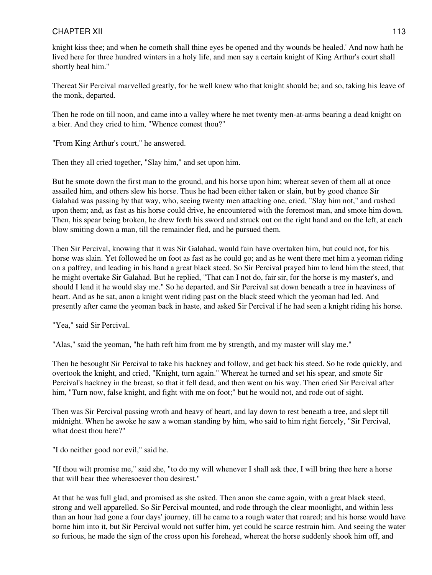knight kiss thee; and when he cometh shall thine eyes be opened and thy wounds be healed.' And now hath he lived here for three hundred winters in a holy life, and men say a certain knight of King Arthur's court shall shortly heal him."

Thereat Sir Percival marvelled greatly, for he well knew who that knight should be; and so, taking his leave of the monk, departed.

Then he rode on till noon, and came into a valley where he met twenty men-at-arms bearing a dead knight on a bier. And they cried to him, "Whence comest thou?"

"From King Arthur's court," he answered.

Then they all cried together, "Slay him," and set upon him.

But he smote down the first man to the ground, and his horse upon him; whereat seven of them all at once assailed him, and others slew his horse. Thus he had been either taken or slain, but by good chance Sir Galahad was passing by that way, who, seeing twenty men attacking one, cried, "Slay him not," and rushed upon them; and, as fast as his horse could drive, he encountered with the foremost man, and smote him down. Then, his spear being broken, he drew forth his sword and struck out on the right hand and on the left, at each blow smiting down a man, till the remainder fled, and he pursued them.

Then Sir Percival, knowing that it was Sir Galahad, would fain have overtaken him, but could not, for his horse was slain. Yet followed he on foot as fast as he could go; and as he went there met him a yeoman riding on a palfrey, and leading in his hand a great black steed. So Sir Percival prayed him to lend him the steed, that he might overtake Sir Galahad. But he replied, "That can I not do, fair sir, for the horse is my master's, and should I lend it he would slay me." So he departed, and Sir Percival sat down beneath a tree in heaviness of heart. And as he sat, anon a knight went riding past on the black steed which the yeoman had led. And presently after came the yeoman back in haste, and asked Sir Percival if he had seen a knight riding his horse.

"Yea," said Sir Percival.

"Alas," said the yeoman, "he hath reft him from me by strength, and my master will slay me."

Then he besought Sir Percival to take his hackney and follow, and get back his steed. So he rode quickly, and overtook the knight, and cried, "Knight, turn again." Whereat he turned and set his spear, and smote Sir Percival's hackney in the breast, so that it fell dead, and then went on his way. Then cried Sir Percival after him, "Turn now, false knight, and fight with me on foot;" but he would not, and rode out of sight.

Then was Sir Percival passing wroth and heavy of heart, and lay down to rest beneath a tree, and slept till midnight. When he awoke he saw a woman standing by him, who said to him right fiercely, "Sir Percival, what doest thou here?"

"I do neither good nor evil," said he.

"If thou wilt promise me," said she, "to do my will whenever I shall ask thee, I will bring thee here a horse that will bear thee wheresoever thou desirest."

At that he was full glad, and promised as she asked. Then anon she came again, with a great black steed, strong and well apparelled. So Sir Percival mounted, and rode through the clear moonlight, and within less than an hour had gone a four days' journey, till he came to a rough water that roared; and his horse would have borne him into it, but Sir Percival would not suffer him, yet could he scarce restrain him. And seeing the water so furious, he made the sign of the cross upon his forehead, whereat the horse suddenly shook him off, and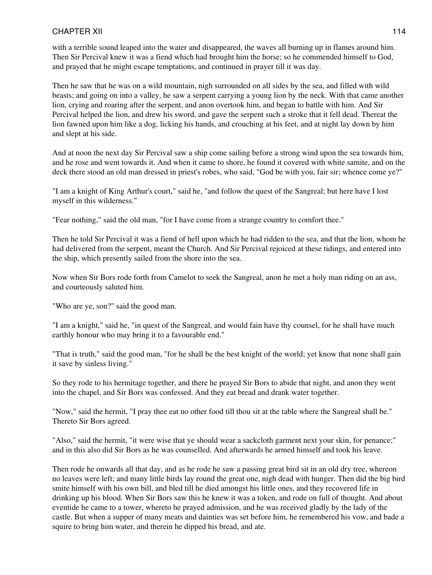with a terrible sound leaped into the water and disappeared, the waves all burning up in flames around him. Then Sir Percival knew it was a fiend which had brought him the horse; so he commended himself to God, and prayed that he might escape temptations, and continued in prayer till it was day.

Then he saw that he was on a wild mountain, nigh surrounded on all sides by the sea, and filled with wild beasts; and going on into a valley, he saw a serpent carrying a young lion by the neck. With that came another lion, crying and roaring after the serpent, and anon overtook him, and began to battle with him. And Sir Percival helped the lion, and drew his sword, and gave the serpent such a stroke that it fell dead. Thereat the lion fawned upon him like a dog, licking his hands, and crouching at his feet, and at night lay down by him and slept at his side.

And at noon the next day Sir Percival saw a ship come sailing before a strong wind upon the sea towards him, and he rose and went towards it. And when it came to shore, he found it covered with white samite, and on the deck there stood an old man dressed in priest's robes, who said, "God be with you, fair sir; whence come ye?"

"I am a knight of King Arthur's court," said he, "and follow the quest of the Sangreal; but here have I lost myself in this wilderness."

"Fear nothing," said the old man, "for I have come from a strange country to comfort thee."

Then he told Sir Percival it was a fiend of hell upon which he had ridden to the sea, and that the lion, whom he had delivered from the serpent, meant the Church. And Sir Percival rejoiced at these tidings, and entered into the ship, which presently sailed from the shore into the sea.

Now when Sir Bors rode forth from Camelot to seek the Sangreal, anon he met a holy man riding on an ass, and courteously saluted him.

"Who are ye, son?" said the good man.

"I am a knight," said he, "in quest of the Sangreal, and would fain have thy counsel, for he shall have much earthly honour who may bring it to a favourable end."

"That is truth," said the good man, "for he shall be the best knight of the world; yet know that none shall gain it save by sinless living."

So they rode to his hermitage together, and there he prayed Sir Bors to abide that night, and anon they went into the chapel, and Sir Bors was confessed. And they eat bread and drank water together.

"Now," said the hermit, "I pray thee eat no other food till thou sit at the table where the Sangreal shall be." Thereto Sir Bors agreed.

"Also," said the hermit, "it were wise that ye should wear a sackcloth garment next your skin, for penance;" and in this also did Sir Bors as he was counselled. And afterwards he armed himself and took his leave.

Then rode he onwards all that day, and as he rode he saw a passing great bird sit in an old dry tree, whereon no leaves were left; and many little birds lay round the great one, nigh dead with hunger. Then did the big bird smite himself with his own bill, and bled till he died amongst his little ones, and they recovered life in drinking up his blood. When Sir Bors saw this he knew it was a token, and rode on full of thought. And about eventide he came to a tower, whereto he prayed admission, and he was received gladly by the lady of the castle. But when a supper of many meats and dainties was set before him, he remembered his vow, and bade a squire to bring him water, and therein he dipped his bread, and ate.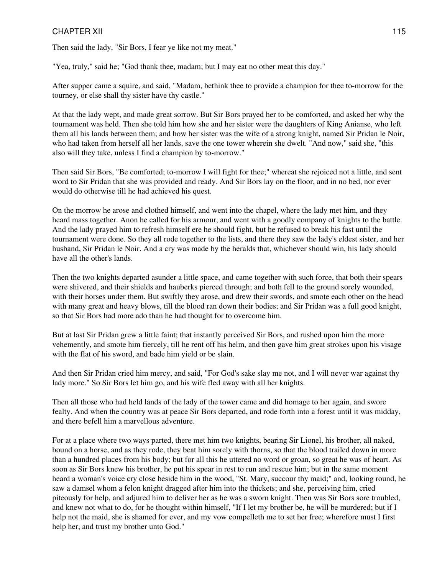Then said the lady, "Sir Bors, I fear ye like not my meat."

"Yea, truly," said he; "God thank thee, madam; but I may eat no other meat this day."

After supper came a squire, and said, "Madam, bethink thee to provide a champion for thee to-morrow for the tourney, or else shall thy sister have thy castle."

At that the lady wept, and made great sorrow. But Sir Bors prayed her to be comforted, and asked her why the tournament was held. Then she told him how she and her sister were the daughters of King Anianse, who left them all his lands between them; and how her sister was the wife of a strong knight, named Sir Pridan le Noir, who had taken from herself all her lands, save the one tower wherein she dwelt. "And now," said she, "this also will they take, unless I find a champion by to-morrow."

Then said Sir Bors, "Be comforted; to-morrow I will fight for thee;" whereat she rejoiced not a little, and sent word to Sir Pridan that she was provided and ready. And Sir Bors lay on the floor, and in no bed, nor ever would do otherwise till he had achieved his quest.

On the morrow he arose and clothed himself, and went into the chapel, where the lady met him, and they heard mass together. Anon he called for his armour, and went with a goodly company of knights to the battle. And the lady prayed him to refresh himself ere he should fight, but he refused to break his fast until the tournament were done. So they all rode together to the lists, and there they saw the lady's eldest sister, and her husband, Sir Pridan le Noir. And a cry was made by the heralds that, whichever should win, his lady should have all the other's lands.

Then the two knights departed asunder a little space, and came together with such force, that both their spears were shivered, and their shields and hauberks pierced through; and both fell to the ground sorely wounded, with their horses under them. But swiftly they arose, and drew their swords, and smote each other on the head with many great and heavy blows, till the blood ran down their bodies; and Sir Pridan was a full good knight, so that Sir Bors had more ado than he had thought for to overcome him.

But at last Sir Pridan grew a little faint; that instantly perceived Sir Bors, and rushed upon him the more vehemently, and smote him fiercely, till he rent off his helm, and then gave him great strokes upon his visage with the flat of his sword, and bade him yield or be slain.

And then Sir Pridan cried him mercy, and said, "For God's sake slay me not, and I will never war against thy lady more." So Sir Bors let him go, and his wife fled away with all her knights.

Then all those who had held lands of the lady of the tower came and did homage to her again, and swore fealty. And when the country was at peace Sir Bors departed, and rode forth into a forest until it was midday, and there befell him a marvellous adventure.

For at a place where two ways parted, there met him two knights, bearing Sir Lionel, his brother, all naked, bound on a horse, and as they rode, they beat him sorely with thorns, so that the blood trailed down in more than a hundred places from his body; but for all this he uttered no word or groan, so great he was of heart. As soon as Sir Bors knew his brother, he put his spear in rest to run and rescue him; but in the same moment heard a woman's voice cry close beside him in the wood, "St. Mary, succour thy maid;" and, looking round, he saw a damsel whom a felon knight dragged after him into the thickets; and she, perceiving him, cried piteously for help, and adjured him to deliver her as he was a sworn knight. Then was Sir Bors sore troubled, and knew not what to do, for he thought within himself, "If I let my brother be, he will be murdered; but if I help not the maid, she is shamed for ever, and my vow compelleth me to set her free; wherefore must I first help her, and trust my brother unto God."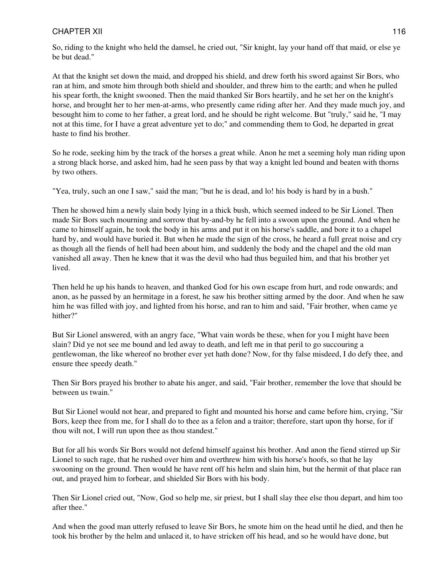So, riding to the knight who held the damsel, he cried out, "Sir knight, lay your hand off that maid, or else ye be but dead."

At that the knight set down the maid, and dropped his shield, and drew forth his sword against Sir Bors, who ran at him, and smote him through both shield and shoulder, and threw him to the earth; and when he pulled his spear forth, the knight swooned. Then the maid thanked Sir Bors heartily, and he set her on the knight's horse, and brought her to her men-at-arms, who presently came riding after her. And they made much joy, and besought him to come to her father, a great lord, and he should be right welcome. But "truly," said he, "I may not at this time, for I have a great adventure yet to do;" and commending them to God, he departed in great haste to find his brother.

So he rode, seeking him by the track of the horses a great while. Anon he met a seeming holy man riding upon a strong black horse, and asked him, had he seen pass by that way a knight led bound and beaten with thorns by two others.

"Yea, truly, such an one I saw," said the man; "but he is dead, and lo! his body is hard by in a bush."

Then he showed him a newly slain body lying in a thick bush, which seemed indeed to be Sir Lionel. Then made Sir Bors such mourning and sorrow that by-and-by he fell into a swoon upon the ground. And when he came to himself again, he took the body in his arms and put it on his horse's saddle, and bore it to a chapel hard by, and would have buried it. But when he made the sign of the cross, he heard a full great noise and cry as though all the fiends of hell had been about him, and suddenly the body and the chapel and the old man vanished all away. Then he knew that it was the devil who had thus beguiled him, and that his brother yet lived.

Then held he up his hands to heaven, and thanked God for his own escape from hurt, and rode onwards; and anon, as he passed by an hermitage in a forest, he saw his brother sitting armed by the door. And when he saw him he was filled with joy, and lighted from his horse, and ran to him and said, "Fair brother, when came ye hither?"

But Sir Lionel answered, with an angry face, "What vain words be these, when for you I might have been slain? Did ye not see me bound and led away to death, and left me in that peril to go succouring a gentlewoman, the like whereof no brother ever yet hath done? Now, for thy false misdeed, I do defy thee, and ensure thee speedy death."

Then Sir Bors prayed his brother to abate his anger, and said, "Fair brother, remember the love that should be between us twain."

But Sir Lionel would not hear, and prepared to fight and mounted his horse and came before him, crying, "Sir Bors, keep thee from me, for I shall do to thee as a felon and a traitor; therefore, start upon thy horse, for if thou wilt not, I will run upon thee as thou standest."

But for all his words Sir Bors would not defend himself against his brother. And anon the fiend stirred up Sir Lionel to such rage, that he rushed over him and overthrew him with his horse's hoofs, so that he lay swooning on the ground. Then would he have rent off his helm and slain him, but the hermit of that place ran out, and prayed him to forbear, and shielded Sir Bors with his body.

Then Sir Lionel cried out, "Now, God so help me, sir priest, but I shall slay thee else thou depart, and him too after thee."

And when the good man utterly refused to leave Sir Bors, he smote him on the head until he died, and then he took his brother by the helm and unlaced it, to have stricken off his head, and so he would have done, but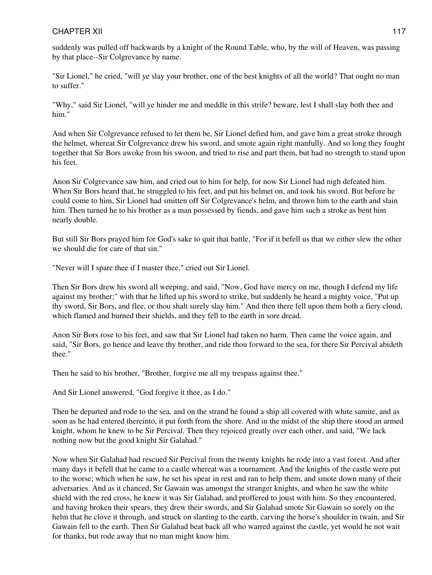suddenly was pulled off backwards by a knight of the Round Table, who, by the will of Heaven, was passing by that place--Sir Colgrevance by name.

"Sir Lionel," he cried, "will ye slay your brother, one of the best knights of all the world? That ought no man to suffer."

"Why," said Sir Lionel, "will ye hinder me and meddle in this strife? beware, lest I shall slay both thee and him."

And when Sir Colgrevance refused to let them be, Sir Lionel defied him, and gave him a great stroke through the helmet, whereat Sir Colgrevance drew his sword, and smote again right manfully. And so long they fought together that Sir Bors awoke from his swoon, and tried to rise and part them, but had no strength to stand upon his feet.

Anon Sir Colgrevance saw him, and cried out to him for help, for now Sir Lionel had nigh defeated him. When Sir Bors heard that, he struggled to his feet, and put his helmet on, and took his sword. But before he could come to him, Sir Lionel had smitten off Sir Colgrevance's helm, and thrown him to the earth and slain him. Then turned he to his brother as a man possessed by fiends, and gave him such a stroke as bent him nearly double.

But still Sir Bors prayed him for God's sake to quit that battle, "For if it befell us that we either slew the other we should die for care of that sin."

"Never will I spare thee if I master thee," cried out Sir Lionel.

Then Sir Bors drew his sword all weeping, and said, "Now, God have mercy on me, though I defend my life against my brother;" with that he lifted up his sword to strike, but suddenly he heard a mighty voice, "Put up thy sword, Sir Bors, and flee, or thou shalt surely slay him." And then there fell upon them both a fiery cloud, which flamed and burned their shields, and they fell to the earth in sore dread.

Anon Sir Bors rose to his feet, and saw that Sir Lionel had taken no harm. Then came the voice again, and said, "Sir Bors, go hence and leave thy brother, and ride thou forward to the sea, for there Sir Percival abideth thee."

Then he said to his brother, "Brother, forgive me all my trespass against thee."

And Sir Lionel answered, "God forgive it thee, as I do."

Then he departed and rode to the sea, and on the strand he found a ship all covered with white samite, and as soon as he had entered thereinto, it put forth from the shore. And in the midst of the ship there stood an armed knight, whom he knew to be Sir Percival. Then they rejoiced greatly over each other, and said, "We lack nothing now but the good knight Sir Galahad."

Now when Sir Galahad had rescued Sir Percival from the twenty knights he rode into a vast forest. And after many days it befell that he came to a castle whereat was a tournament. And the knights of the castle were put to the worse; which when he saw, he set his spear in rest and ran to help them, and smote down many of their adversaries. And as it chanced, Sir Gawain was amongst the stranger knights, and when he saw the white shield with the red cross, he knew it was Sir Galahad, and proffered to joust with him. So they encountered, and having broken their spears, they drew their swords, and Sir Galahad smote Sir Gawain so sorely on the helm that he clove it through, and struck on slanting to the earth, carving the horse's shoulder in twain, and Sir Gawain fell to the earth. Then Sir Galahad beat back all who warred against the castle, yet would he not wait for thanks, but rode away that no man might know him.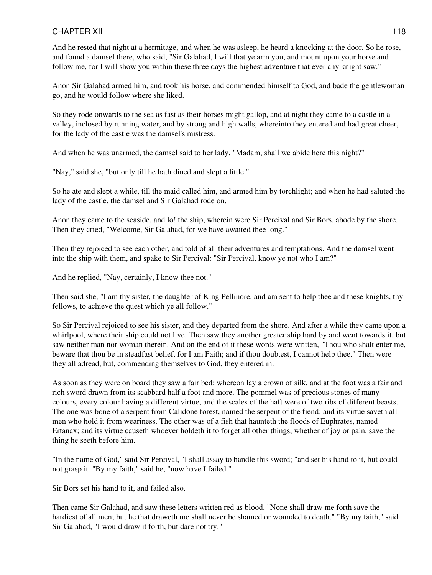And he rested that night at a hermitage, and when he was asleep, he heard a knocking at the door. So he rose, and found a damsel there, who said, "Sir Galahad, I will that ye arm you, and mount upon your horse and follow me, for I will show you within these three days the highest adventure that ever any knight saw."

Anon Sir Galahad armed him, and took his horse, and commended himself to God, and bade the gentlewoman go, and he would follow where she liked.

So they rode onwards to the sea as fast as their horses might gallop, and at night they came to a castle in a valley, inclosed by running water, and by strong and high walls, whereinto they entered and had great cheer, for the lady of the castle was the damsel's mistress.

And when he was unarmed, the damsel said to her lady, "Madam, shall we abide here this night?"

"Nay," said she, "but only till he hath dined and slept a little."

So he ate and slept a while, till the maid called him, and armed him by torchlight; and when he had saluted the lady of the castle, the damsel and Sir Galahad rode on.

Anon they came to the seaside, and lo! the ship, wherein were Sir Percival and Sir Bors, abode by the shore. Then they cried, "Welcome, Sir Galahad, for we have awaited thee long."

Then they rejoiced to see each other, and told of all their adventures and temptations. And the damsel went into the ship with them, and spake to Sir Percival: "Sir Percival, know ye not who I am?"

And he replied, "Nay, certainly, I know thee not."

Then said she, "I am thy sister, the daughter of King Pellinore, and am sent to help thee and these knights, thy fellows, to achieve the quest which ye all follow."

So Sir Percival rejoiced to see his sister, and they departed from the shore. And after a while they came upon a whirlpool, where their ship could not live. Then saw they another greater ship hard by and went towards it, but saw neither man nor woman therein. And on the end of it these words were written, "Thou who shalt enter me, beware that thou be in steadfast belief, for I am Faith; and if thou doubtest, I cannot help thee." Then were they all adread, but, commending themselves to God, they entered in.

As soon as they were on board they saw a fair bed; whereon lay a crown of silk, and at the foot was a fair and rich sword drawn from its scabbard half a foot and more. The pommel was of precious stones of many colours, every colour having a different virtue, and the scales of the haft were of two ribs of different beasts. The one was bone of a serpent from Calidone forest, named the serpent of the fiend; and its virtue saveth all men who hold it from weariness. The other was of a fish that haunteth the floods of Euphrates, named Ertanax; and its virtue causeth whoever holdeth it to forget all other things, whether of joy or pain, save the thing he seeth before him.

"In the name of God," said Sir Percival, "I shall assay to handle this sword; "and set his hand to it, but could not grasp it. "By my faith," said he, "now have I failed."

Sir Bors set his hand to it, and failed also.

Then came Sir Galahad, and saw these letters written red as blood, "None shall draw me forth save the hardiest of all men; but he that draweth me shall never be shamed or wounded to death." "By my faith," said Sir Galahad, "I would draw it forth, but dare not try."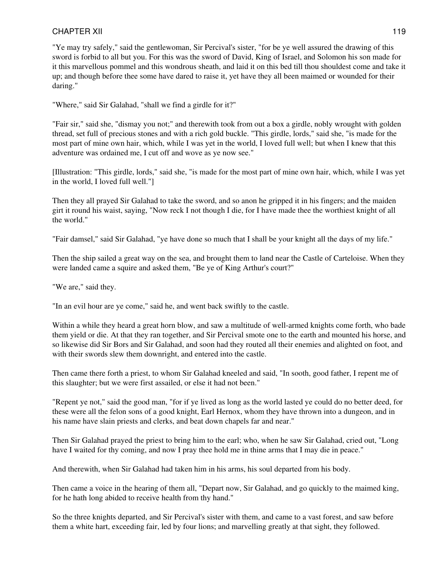"Ye may try safely," said the gentlewoman, Sir Percival's sister, "for be ye well assured the drawing of this sword is forbid to all but you. For this was the sword of David, King of Israel, and Solomon his son made for it this marvellous pommel and this wondrous sheath, and laid it on this bed till thou shouldest come and take it up; and though before thee some have dared to raise it, yet have they all been maimed or wounded for their daring."

"Where," said Sir Galahad, "shall we find a girdle for it?"

"Fair sir," said she, "dismay you not;" and therewith took from out a box a girdle, nobly wrought with golden thread, set full of precious stones and with a rich gold buckle. "This girdle, lords," said she, "is made for the most part of mine own hair, which, while I was yet in the world, I loved full well; but when I knew that this adventure was ordained me, I cut off and wove as ye now see."

[Illustration: "This girdle, lords," said she, "is made for the most part of mine own hair, which, while I was yet in the world, I loved full well."]

Then they all prayed Sir Galahad to take the sword, and so anon he gripped it in his fingers; and the maiden girt it round his waist, saying, "Now reck I not though I die, for I have made thee the worthiest knight of all the world."

"Fair damsel," said Sir Galahad, "ye have done so much that I shall be your knight all the days of my life."

Then the ship sailed a great way on the sea, and brought them to land near the Castle of Carteloise. When they were landed came a squire and asked them, "Be ye of King Arthur's court?"

"We are," said they.

"In an evil hour are ye come," said he, and went back swiftly to the castle.

Within a while they heard a great horn blow, and saw a multitude of well-armed knights come forth, who bade them yield or die. At that they ran together, and Sir Percival smote one to the earth and mounted his horse, and so likewise did Sir Bors and Sir Galahad, and soon had they routed all their enemies and alighted on foot, and with their swords slew them downright, and entered into the castle.

Then came there forth a priest, to whom Sir Galahad kneeled and said, "In sooth, good father, I repent me of this slaughter; but we were first assailed, or else it had not been."

"Repent ye not," said the good man, "for if ye lived as long as the world lasted ye could do no better deed, for these were all the felon sons of a good knight, Earl Hernox, whom they have thrown into a dungeon, and in his name have slain priests and clerks, and beat down chapels far and near."

Then Sir Galahad prayed the priest to bring him to the earl; who, when he saw Sir Galahad, cried out, "Long have I waited for thy coming, and now I pray thee hold me in thine arms that I may die in peace."

And therewith, when Sir Galahad had taken him in his arms, his soul departed from his body.

Then came a voice in the hearing of them all, "Depart now, Sir Galahad, and go quickly to the maimed king, for he hath long abided to receive health from thy hand."

So the three knights departed, and Sir Percival's sister with them, and came to a vast forest, and saw before them a white hart, exceeding fair, led by four lions; and marvelling greatly at that sight, they followed.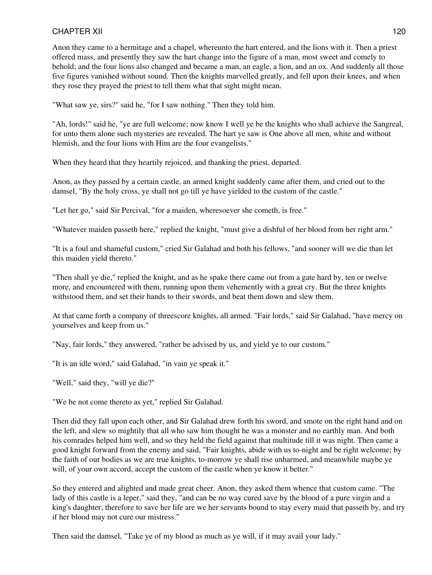Anon they came to a hermitage and a chapel, whereunto the hart entered, and the lions with it. Then a priest offered mass, and presently they saw the hart change into the figure of a man, most sweet and comely to behold; and the four lions also changed and became a man, an eagle, a lion, and an ox. And suddenly all those five figures vanished without sound. Then the knights marvelled greatly, and fell upon their knees, and when they rose they prayed the priest to tell them what that sight might mean.

"What saw ye, sirs?" said he, "for I saw nothing." Then they told him.

"Ah, lords!" said he, "ye are full welcome; now know I well ye be the knights who shall achieve the Sangreal, for unto them alone such mysteries are revealed. The hart ye saw is One above all men, white and without blemish, and the four lions with Him are the four evangelists."

When they heard that they heartily rejoiced, and thanking the priest, departed.

Anon, as they passed by a certain castle, an armed knight suddenly came after them, and cried out to the damsel, "By the holy cross, ye shall not go till ye have yielded to the custom of the castle."

"Let her go," said Sir Percival, "for a maiden, wheresoever she cometh, is free."

"Whatever maiden passeth here," replied the knight, "must give a dishful of her blood from her right arm."

"It is a foul and shameful custom," cried Sir Galahad and both his fellows, "and sooner will we die than let this maiden yield thereto."

"Then shall ye die," replied the knight, and as he spake there came out from a gate hard by, ten or twelve more, and encountered with them, running upon them vehemently with a great cry. But the three knights withstood them, and set their hands to their swords, and beat them down and slew them.

At that came forth a company of threescore knights, all armed. "Fair lords," said Sir Galahad, "have mercy on yourselves and keep from us."

"Nay, fair lords," they answered, "rather be advised by us, and yield ye to our custom."

"It is an idle word," said Galahad, "in vain ye speak it."

"Well," said they, "will ye die?"

"We be not come thereto as yet," replied Sir Galahad.

Then did they fall upon each other, and Sir Galahad drew forth his sword, and smote on the right hand and on the left, and slew so mightily that all who saw him thought he was a monster and no earthly man. And both his comrades helped him well, and so they held the field against that multitude till it was night. Then came a good knight forward from the enemy and said, "Fair knights, abide with us to-night and be right welcome; by the faith of our bodies as we are true knights, to-morrow ye shall rise unharmed, and meanwhile maybe ye will, of your own accord, accept the custom of the castle when ye know it better."

So they entered and alighted and made great cheer. Anon, they asked them whence that custom came. "The lady of this castle is a leper," said they, "and can be no way cured save by the blood of a pure virgin and a king's daughter; therefore to save her life are we her servants bound to stay every maid that passeth by, and try if her blood may not cure our mistress."

Then said the damsel, "Take ye of my blood as much as ye will, if it may avail your lady."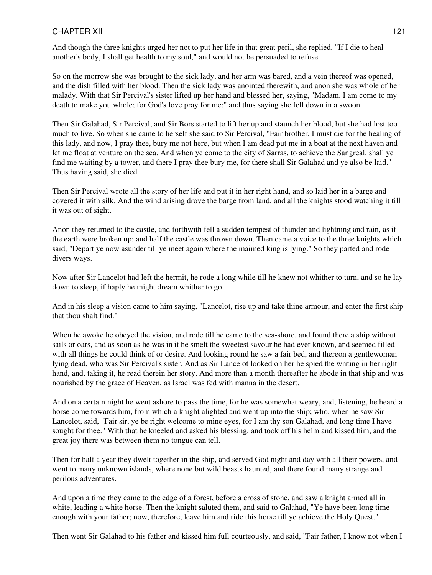And though the three knights urged her not to put her life in that great peril, she replied, "If I die to heal another's body, I shall get health to my soul," and would not be persuaded to refuse.

So on the morrow she was brought to the sick lady, and her arm was bared, and a vein thereof was opened, and the dish filled with her blood. Then the sick lady was anointed therewith, and anon she was whole of her malady. With that Sir Percival's sister lifted up her hand and blessed her, saying, "Madam, I am come to my death to make you whole; for God's love pray for me;" and thus saying she fell down in a swoon.

Then Sir Galahad, Sir Percival, and Sir Bors started to lift her up and staunch her blood, but she had lost too much to live. So when she came to herself she said to Sir Percival, "Fair brother, I must die for the healing of this lady, and now, I pray thee, bury me not here, but when I am dead put me in a boat at the next haven and let me float at venture on the sea. And when ye come to the city of Sarras, to achieve the Sangreal, shall ye find me waiting by a tower, and there I pray thee bury me, for there shall Sir Galahad and ye also be laid." Thus having said, she died.

Then Sir Percival wrote all the story of her life and put it in her right hand, and so laid her in a barge and covered it with silk. And the wind arising drove the barge from land, and all the knights stood watching it till it was out of sight.

Anon they returned to the castle, and forthwith fell a sudden tempest of thunder and lightning and rain, as if the earth were broken up: and half the castle was thrown down. Then came a voice to the three knights which said, "Depart ye now asunder till ye meet again where the maimed king is lying." So they parted and rode divers ways.

Now after Sir Lancelot had left the hermit, he rode a long while till he knew not whither to turn, and so he lay down to sleep, if haply he might dream whither to go.

And in his sleep a vision came to him saying, "Lancelot, rise up and take thine armour, and enter the first ship that thou shalt find."

When he awoke he obeyed the vision, and rode till he came to the sea-shore, and found there a ship without sails or oars, and as soon as he was in it he smelt the sweetest savour he had ever known, and seemed filled with all things he could think of or desire. And looking round he saw a fair bed, and thereon a gentlewoman lying dead, who was Sir Percival's sister. And as Sir Lancelot looked on her he spied the writing in her right hand, and, taking it, he read therein her story. And more than a month thereafter he abode in that ship and was nourished by the grace of Heaven, as Israel was fed with manna in the desert.

And on a certain night he went ashore to pass the time, for he was somewhat weary, and, listening, he heard a horse come towards him, from which a knight alighted and went up into the ship; who, when he saw Sir Lancelot, said, "Fair sir, ye be right welcome to mine eyes, for I am thy son Galahad, and long time I have sought for thee." With that he kneeled and asked his blessing, and took off his helm and kissed him, and the great joy there was between them no tongue can tell.

Then for half a year they dwelt together in the ship, and served God night and day with all their powers, and went to many unknown islands, where none but wild beasts haunted, and there found many strange and perilous adventures.

And upon a time they came to the edge of a forest, before a cross of stone, and saw a knight armed all in white, leading a white horse. Then the knight saluted them, and said to Galahad, "Ye have been long time enough with your father; now, therefore, leave him and ride this horse till ye achieve the Holy Quest."

Then went Sir Galahad to his father and kissed him full courteously, and said, "Fair father, I know not when I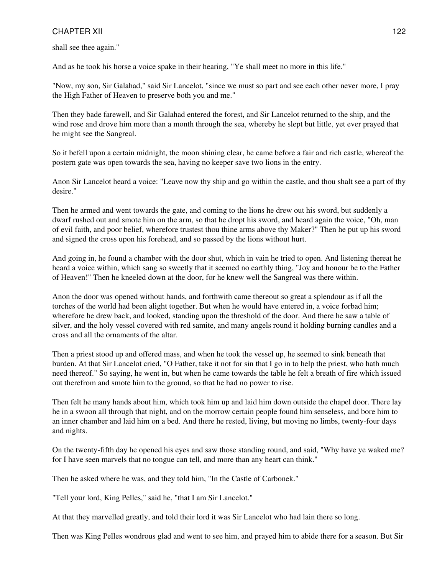shall see thee again."

And as he took his horse a voice spake in their hearing, "Ye shall meet no more in this life."

"Now, my son, Sir Galahad," said Sir Lancelot, "since we must so part and see each other never more, I pray the High Father of Heaven to preserve both you and me."

Then they bade farewell, and Sir Galahad entered the forest, and Sir Lancelot returned to the ship, and the wind rose and drove him more than a month through the sea, whereby he slept but little, yet ever prayed that he might see the Sangreal.

So it befell upon a certain midnight, the moon shining clear, he came before a fair and rich castle, whereof the postern gate was open towards the sea, having no keeper save two lions in the entry.

Anon Sir Lancelot heard a voice: "Leave now thy ship and go within the castle, and thou shalt see a part of thy desire."

Then he armed and went towards the gate, and coming to the lions he drew out his sword, but suddenly a dwarf rushed out and smote him on the arm, so that he dropt his sword, and heard again the voice, "Oh, man of evil faith, and poor belief, wherefore trustest thou thine arms above thy Maker?" Then he put up his sword and signed the cross upon his forehead, and so passed by the lions without hurt.

And going in, he found a chamber with the door shut, which in vain he tried to open. And listening thereat he heard a voice within, which sang so sweetly that it seemed no earthly thing, "Joy and honour be to the Father of Heaven!" Then he kneeled down at the door, for he knew well the Sangreal was there within.

Anon the door was opened without hands, and forthwith came thereout so great a splendour as if all the torches of the world had been alight together. But when he would have entered in, a voice forbad him; wherefore he drew back, and looked, standing upon the threshold of the door. And there he saw a table of silver, and the holy vessel covered with red samite, and many angels round it holding burning candles and a cross and all the ornaments of the altar.

Then a priest stood up and offered mass, and when he took the vessel up, he seemed to sink beneath that burden. At that Sir Lancelot cried, "O Father, take it not for sin that I go in to help the priest, who hath much need thereof." So saying, he went in, but when he came towards the table he felt a breath of fire which issued out therefrom and smote him to the ground, so that he had no power to rise.

Then felt he many hands about him, which took him up and laid him down outside the chapel door. There lay he in a swoon all through that night, and on the morrow certain people found him senseless, and bore him to an inner chamber and laid him on a bed. And there he rested, living, but moving no limbs, twenty-four days and nights.

On the twenty-fifth day he opened his eyes and saw those standing round, and said, "Why have ye waked me? for I have seen marvels that no tongue can tell, and more than any heart can think."

Then he asked where he was, and they told him, "In the Castle of Carbonek."

"Tell your lord, King Pelles," said he, "that I am Sir Lancelot."

At that they marvelled greatly, and told their lord it was Sir Lancelot who had lain there so long.

Then was King Pelles wondrous glad and went to see him, and prayed him to abide there for a season. But Sir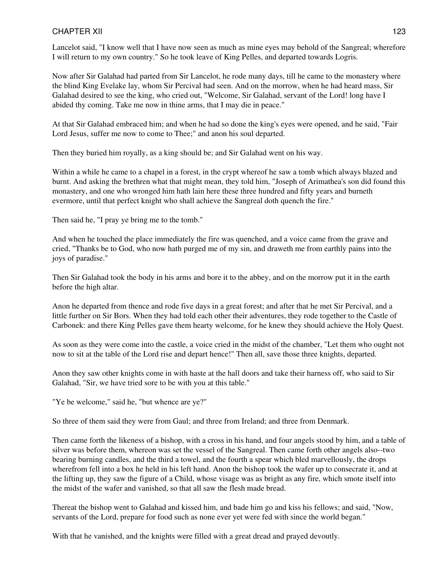Lancelot said, "I know well that I have now seen as much as mine eyes may behold of the Sangreal; wherefore I will return to my own country." So he took leave of King Pelles, and departed towards Logris.

Now after Sir Galahad had parted from Sir Lancelot, he rode many days, till he came to the monastery where the blind King Evelake lay, whom Sir Percival had seen. And on the morrow, when he had heard mass, Sir Galahad desired to see the king, who cried out, "Welcome, Sir Galahad, servant of the Lord! long have I abided thy coming. Take me now in thine arms, that I may die in peace."

At that Sir Galahad embraced him; and when he had so done the king's eyes were opened, and he said, "Fair Lord Jesus, suffer me now to come to Thee;" and anon his soul departed.

Then they buried him royally, as a king should be; and Sir Galahad went on his way.

Within a while he came to a chapel in a forest, in the crypt whereof he saw a tomb which always blazed and burnt. And asking the brethren what that might mean, they told him, "Joseph of Arimathea's son did found this monastery, and one who wronged him hath lain here these three hundred and fifty years and burneth evermore, until that perfect knight who shall achieve the Sangreal doth quench the fire."

Then said he, "I pray ye bring me to the tomb."

And when he touched the place immediately the fire was quenched, and a voice came from the grave and cried, "Thanks be to God, who now hath purged me of my sin, and draweth me from earthly pains into the joys of paradise."

Then Sir Galahad took the body in his arms and bore it to the abbey, and on the morrow put it in the earth before the high altar.

Anon he departed from thence and rode five days in a great forest; and after that he met Sir Percival, and a little further on Sir Bors. When they had told each other their adventures, they rode together to the Castle of Carbonek: and there King Pelles gave them hearty welcome, for he knew they should achieve the Holy Quest.

As soon as they were come into the castle, a voice cried in the midst of the chamber, "Let them who ought not now to sit at the table of the Lord rise and depart hence!" Then all, save those three knights, departed.

Anon they saw other knights come in with haste at the hall doors and take their harness off, who said to Sir Galahad, "Sir, we have tried sore to be with you at this table."

"Ye be welcome," said he, "but whence are ye?"

So three of them said they were from Gaul; and three from Ireland; and three from Denmark.

Then came forth the likeness of a bishop, with a cross in his hand, and four angels stood by him, and a table of silver was before them, whereon was set the vessel of the Sangreal. Then came forth other angels also--two bearing burning candles, and the third a towel, and the fourth a spear which bled marvellously, the drops wherefrom fell into a box he held in his left hand. Anon the bishop took the wafer up to consecrate it, and at the lifting up, they saw the figure of a Child, whose visage was as bright as any fire, which smote itself into the midst of the wafer and vanished, so that all saw the flesh made bread.

Thereat the bishop went to Galahad and kissed him, and bade him go and kiss his fellows; and said, "Now, servants of the Lord, prepare for food such as none ever yet were fed with since the world began."

With that he vanished, and the knights were filled with a great dread and prayed devoutly.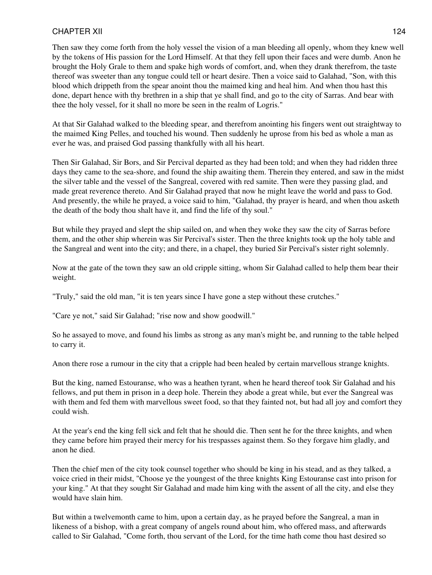Then saw they come forth from the holy vessel the vision of a man bleeding all openly, whom they knew well by the tokens of His passion for the Lord Himself. At that they fell upon their faces and were dumb. Anon he brought the Holy Grale to them and spake high words of comfort, and, when they drank therefrom, the taste thereof was sweeter than any tongue could tell or heart desire. Then a voice said to Galahad, "Son, with this blood which drippeth from the spear anoint thou the maimed king and heal him. And when thou hast this done, depart hence with thy brethren in a ship that ye shall find, and go to the city of Sarras. And bear with thee the holy vessel, for it shall no more be seen in the realm of Logris."

At that Sir Galahad walked to the bleeding spear, and therefrom anointing his fingers went out straightway to the maimed King Pelles, and touched his wound. Then suddenly he uprose from his bed as whole a man as ever he was, and praised God passing thankfully with all his heart.

Then Sir Galahad, Sir Bors, and Sir Percival departed as they had been told; and when they had ridden three days they came to the sea-shore, and found the ship awaiting them. Therein they entered, and saw in the midst the silver table and the vessel of the Sangreal, covered with red samite. Then were they passing glad, and made great reverence thereto. And Sir Galahad prayed that now he might leave the world and pass to God. And presently, the while he prayed, a voice said to him, "Galahad, thy prayer is heard, and when thou asketh the death of the body thou shalt have it, and find the life of thy soul."

But while they prayed and slept the ship sailed on, and when they woke they saw the city of Sarras before them, and the other ship wherein was Sir Percival's sister. Then the three knights took up the holy table and the Sangreal and went into the city; and there, in a chapel, they buried Sir Percival's sister right solemnly.

Now at the gate of the town they saw an old cripple sitting, whom Sir Galahad called to help them bear their weight.

"Truly," said the old man, "it is ten years since I have gone a step without these crutches."

"Care ye not," said Sir Galahad; "rise now and show goodwill."

So he assayed to move, and found his limbs as strong as any man's might be, and running to the table helped to carry it.

Anon there rose a rumour in the city that a cripple had been healed by certain marvellous strange knights.

But the king, named Estouranse, who was a heathen tyrant, when he heard thereof took Sir Galahad and his fellows, and put them in prison in a deep hole. Therein they abode a great while, but ever the Sangreal was with them and fed them with marvellous sweet food, so that they fainted not, but had all joy and comfort they could wish.

At the year's end the king fell sick and felt that he should die. Then sent he for the three knights, and when they came before him prayed their mercy for his trespasses against them. So they forgave him gladly, and anon he died.

Then the chief men of the city took counsel together who should be king in his stead, and as they talked, a voice cried in their midst, "Choose ye the youngest of the three knights King Estouranse cast into prison for your king." At that they sought Sir Galahad and made him king with the assent of all the city, and else they would have slain him.

But within a twelvemonth came to him, upon a certain day, as he prayed before the Sangreal, a man in likeness of a bishop, with a great company of angels round about him, who offered mass, and afterwards called to Sir Galahad, "Come forth, thou servant of the Lord, for the time hath come thou hast desired so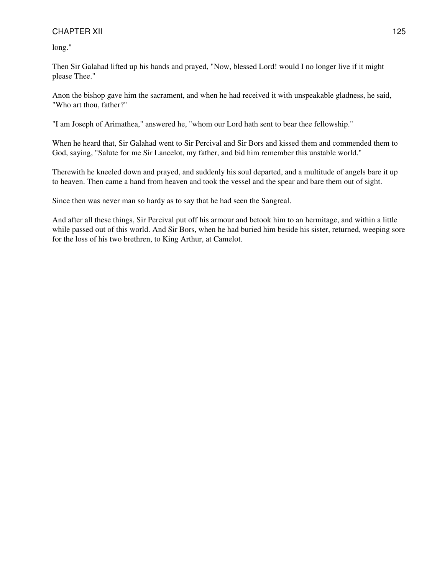long."

Then Sir Galahad lifted up his hands and prayed, "Now, blessed Lord! would I no longer live if it might please Thee."

Anon the bishop gave him the sacrament, and when he had received it with unspeakable gladness, he said, "Who art thou, father?"

"I am Joseph of Arimathea," answered he, "whom our Lord hath sent to bear thee fellowship."

When he heard that, Sir Galahad went to Sir Percival and Sir Bors and kissed them and commended them to God, saying, "Salute for me Sir Lancelot, my father, and bid him remember this unstable world."

Therewith he kneeled down and prayed, and suddenly his soul departed, and a multitude of angels bare it up to heaven. Then came a hand from heaven and took the vessel and the spear and bare them out of sight.

Since then was never man so hardy as to say that he had seen the Sangreal.

And after all these things, Sir Percival put off his armour and betook him to an hermitage, and within a little while passed out of this world. And Sir Bors, when he had buried him beside his sister, returned, weeping sore for the loss of his two brethren, to King Arthur, at Camelot.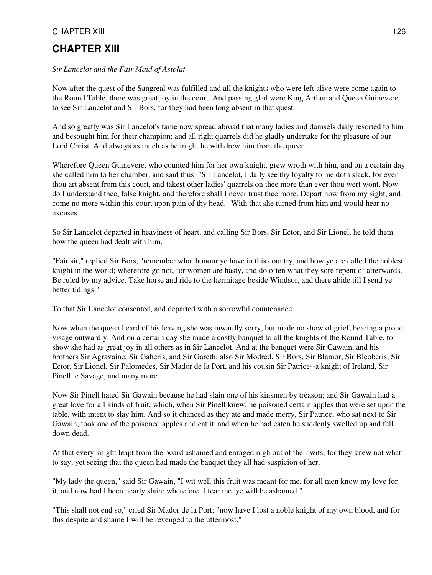# **CHAPTER XIII**

#### *Sir Lancelot and the Fair Maid of Astolat*

Now after the quest of the Sangreal was fulfilled and all the knights who were left alive were come again to the Round Table, there was great joy in the court. And passing glad were King Arthur and Queen Guinevere to see Sir Lancelot and Sir Bors, for they had been long absent in that quest.

And so greatly was Sir Lancelot's fame now spread abroad that many ladies and damsels daily resorted to him and besought him for their champion; and all right quarrels did he gladly undertake for the pleasure of our Lord Christ. And always as much as he might he withdrew him from the queen.

Wherefore Queen Guinevere, who counted him for her own knight, grew wroth with him, and on a certain day she called him to her chamber, and said thus: "Sir Lancelot, I daily see thy loyalty to me doth slack, for ever thou art absent from this court, and takest other ladies' quarrels on thee more than ever thou wert wont. Now do I understand thee, false knight, and therefore shall I never trust thee more. Depart now from my sight, and come no more within this court upon pain of thy head." With that she turned from him and would hear no excuses.

So Sir Lancelot departed in heaviness of heart, and calling Sir Bors, Sir Ector, and Sir Lionel, he told them how the queen had dealt with him.

"Fair sir," replied Sir Bors, "remember what honour ye have in this country, and how ye are called the noblest knight in the world; wherefore go not, for women are hasty, and do often what they sore repent of afterwards. Be ruled by my advice. Take horse and ride to the hermitage beside Windsor, and there abide till I send ye better tidings."

To that Sir Lancelot consented, and departed with a sorrowful countenance.

Now when the queen heard of his leaving she was inwardly sorry, but made no show of grief, bearing a proud visage outwardly. And on a certain day she made a costly banquet to all the knights of the Round Table, to show she had as great joy in all others as in Sir Lancelot. And at the banquet were Sir Gawain, and his brothers Sir Agravaine, Sir Gaheris, and Sir Gareth; also Sir Modred, Sir Bors, Sir Blamor, Sir Bleoberis, Sir Ector, Sir Lionel, Sir Palomedes, Sir Mador de la Port, and his cousin Sir Patrice--a knight of Ireland, Sir Pinell le Savage, and many more.

Now Sir Pinell hated Sir Gawain because he had slain one of his kinsmen by treason; and Sir Gawain had a great love for all kinds of fruit, which, when Sir Pinell knew, he poisoned certain apples that were set upon the table, with intent to slay him. And so it chanced as they ate and made merry, Sir Patrice, who sat next to Sir Gawain, took one of the poisoned apples and eat it, and when he had eaten he suddenly swelled up and fell down dead.

At that every knight leapt from the board ashamed and enraged nigh out of their wits, for they knew not what to say, yet seeing that the queen had made the banquet they all had suspicion of her.

"My lady the queen," said Sir Gawain, "I wit well this fruit was meant for me, for all men know my love for it, and now had I been nearly slain; wherefore, I fear me, ye will be ashamed."

"This shall not end so," cried Sir Mador de la Port; "now have I lost a noble knight of my own blood, and for this despite and shame I will be revenged to the uttermost."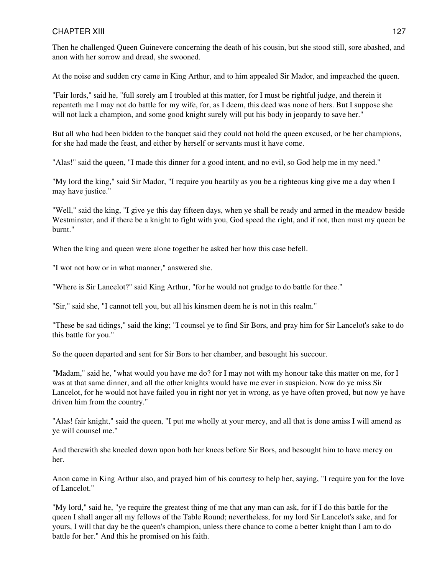Then he challenged Queen Guinevere concerning the death of his cousin, but she stood still, sore abashed, and anon with her sorrow and dread, she swooned.

At the noise and sudden cry came in King Arthur, and to him appealed Sir Mador, and impeached the queen.

"Fair lords," said he, "full sorely am I troubled at this matter, for I must be rightful judge, and therein it repenteth me I may not do battle for my wife, for, as I deem, this deed was none of hers. But I suppose she will not lack a champion, and some good knight surely will put his body in jeopardy to save her."

But all who had been bidden to the banquet said they could not hold the queen excused, or be her champions, for she had made the feast, and either by herself or servants must it have come.

"Alas!" said the queen, "I made this dinner for a good intent, and no evil, so God help me in my need."

"My lord the king," said Sir Mador, "I require you heartily as you be a righteous king give me a day when I may have justice."

"Well," said the king, "I give ye this day fifteen days, when ye shall be ready and armed in the meadow beside Westminster, and if there be a knight to fight with you, God speed the right, and if not, then must my queen be burnt."

When the king and queen were alone together he asked her how this case befell.

"I wot not how or in what manner," answered she.

"Where is Sir Lancelot?" said King Arthur, "for he would not grudge to do battle for thee."

"Sir," said she, "I cannot tell you, but all his kinsmen deem he is not in this realm."

"These be sad tidings," said the king; "I counsel ye to find Sir Bors, and pray him for Sir Lancelot's sake to do this battle for you."

So the queen departed and sent for Sir Bors to her chamber, and besought his succour.

"Madam," said he, "what would you have me do? for I may not with my honour take this matter on me, for I was at that same dinner, and all the other knights would have me ever in suspicion. Now do ye miss Sir Lancelot, for he would not have failed you in right nor yet in wrong, as ye have often proved, but now ye have driven him from the country."

"Alas! fair knight," said the queen, "I put me wholly at your mercy, and all that is done amiss I will amend as ye will counsel me."

And therewith she kneeled down upon both her knees before Sir Bors, and besought him to have mercy on her.

Anon came in King Arthur also, and prayed him of his courtesy to help her, saying, "I require you for the love of Lancelot."

"My lord," said he, "ye require the greatest thing of me that any man can ask, for if I do this battle for the queen I shall anger all my fellows of the Table Round; nevertheless, for my lord Sir Lancelot's sake, and for yours, I will that day be the queen's champion, unless there chance to come a better knight than I am to do battle for her." And this he promised on his faith.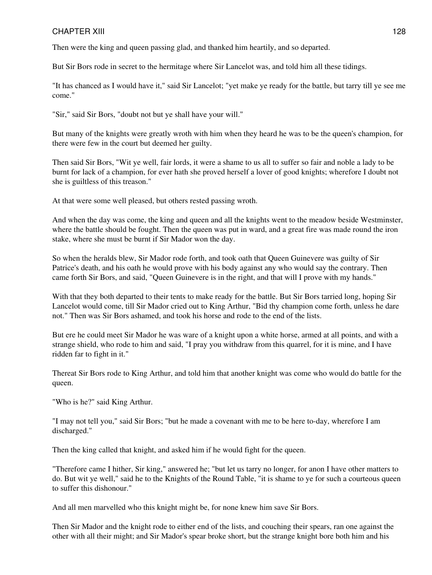Then were the king and queen passing glad, and thanked him heartily, and so departed.

But Sir Bors rode in secret to the hermitage where Sir Lancelot was, and told him all these tidings.

"It has chanced as I would have it," said Sir Lancelot; "yet make ye ready for the battle, but tarry till ye see me come."

"Sir," said Sir Bors, "doubt not but ye shall have your will."

But many of the knights were greatly wroth with him when they heard he was to be the queen's champion, for there were few in the court but deemed her guilty.

Then said Sir Bors, "Wit ye well, fair lords, it were a shame to us all to suffer so fair and noble a lady to be burnt for lack of a champion, for ever hath she proved herself a lover of good knights; wherefore I doubt not she is guiltless of this treason."

At that were some well pleased, but others rested passing wroth.

And when the day was come, the king and queen and all the knights went to the meadow beside Westminster, where the battle should be fought. Then the queen was put in ward, and a great fire was made round the iron stake, where she must be burnt if Sir Mador won the day.

So when the heralds blew, Sir Mador rode forth, and took oath that Queen Guinevere was guilty of Sir Patrice's death, and his oath he would prove with his body against any who would say the contrary. Then came forth Sir Bors, and said, "Queen Guinevere is in the right, and that will I prove with my hands."

With that they both departed to their tents to make ready for the battle. But Sir Bors tarried long, hoping Sir Lancelot would come, till Sir Mador cried out to King Arthur, "Bid thy champion come forth, unless he dare not." Then was Sir Bors ashamed, and took his horse and rode to the end of the lists.

But ere he could meet Sir Mador he was ware of a knight upon a white horse, armed at all points, and with a strange shield, who rode to him and said, "I pray you withdraw from this quarrel, for it is mine, and I have ridden far to fight in it."

Thereat Sir Bors rode to King Arthur, and told him that another knight was come who would do battle for the queen.

"Who is he?" said King Arthur.

"I may not tell you," said Sir Bors; "but he made a covenant with me to be here to-day, wherefore I am discharged."

Then the king called that knight, and asked him if he would fight for the queen.

"Therefore came I hither, Sir king," answered he; "but let us tarry no longer, for anon I have other matters to do. But wit ye well," said he to the Knights of the Round Table, "it is shame to ye for such a courteous queen to suffer this dishonour."

And all men marvelled who this knight might be, for none knew him save Sir Bors.

Then Sir Mador and the knight rode to either end of the lists, and couching their spears, ran one against the other with all their might; and Sir Mador's spear broke short, but the strange knight bore both him and his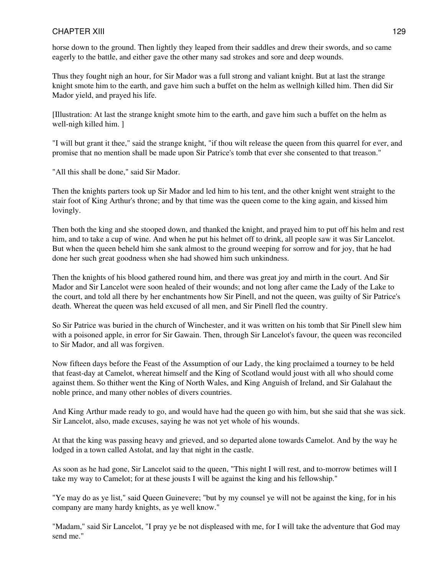horse down to the ground. Then lightly they leaped from their saddles and drew their swords, and so came eagerly to the battle, and either gave the other many sad strokes and sore and deep wounds.

Thus they fought nigh an hour, for Sir Mador was a full strong and valiant knight. But at last the strange knight smote him to the earth, and gave him such a buffet on the helm as wellnigh killed him. Then did Sir Mador yield, and prayed his life.

[Illustration: At last the strange knight smote him to the earth, and gave him such a buffet on the helm as well-nigh killed him. ]

"I will but grant it thee," said the strange knight, "if thou wilt release the queen from this quarrel for ever, and promise that no mention shall be made upon Sir Patrice's tomb that ever she consented to that treason."

"All this shall be done," said Sir Mador.

Then the knights parters took up Sir Mador and led him to his tent, and the other knight went straight to the stair foot of King Arthur's throne; and by that time was the queen come to the king again, and kissed him lovingly.

Then both the king and she stooped down, and thanked the knight, and prayed him to put off his helm and rest him, and to take a cup of wine. And when he put his helmet off to drink, all people saw it was Sir Lancelot. But when the queen beheld him she sank almost to the ground weeping for sorrow and for joy, that he had done her such great goodness when she had showed him such unkindness.

Then the knights of his blood gathered round him, and there was great joy and mirth in the court. And Sir Mador and Sir Lancelot were soon healed of their wounds; and not long after came the Lady of the Lake to the court, and told all there by her enchantments how Sir Pinell, and not the queen, was guilty of Sir Patrice's death. Whereat the queen was held excused of all men, and Sir Pinell fled the country.

So Sir Patrice was buried in the church of Winchester, and it was written on his tomb that Sir Pinell slew him with a poisoned apple, in error for Sir Gawain. Then, through Sir Lancelot's favour, the queen was reconciled to Sir Mador, and all was forgiven.

Now fifteen days before the Feast of the Assumption of our Lady, the king proclaimed a tourney to be held that feast-day at Camelot, whereat himself and the King of Scotland would joust with all who should come against them. So thither went the King of North Wales, and King Anguish of Ireland, and Sir Galahaut the noble prince, and many other nobles of divers countries.

And King Arthur made ready to go, and would have had the queen go with him, but she said that she was sick. Sir Lancelot, also, made excuses, saying he was not yet whole of his wounds.

At that the king was passing heavy and grieved, and so departed alone towards Camelot. And by the way he lodged in a town called Astolat, and lay that night in the castle.

As soon as he had gone, Sir Lancelot said to the queen, "This night I will rest, and to-morrow betimes will I take my way to Camelot; for at these jousts I will be against the king and his fellowship."

"Ye may do as ye list," said Queen Guinevere; "but by my counsel ye will not be against the king, for in his company are many hardy knights, as ye well know."

"Madam," said Sir Lancelot, "I pray ye be not displeased with me, for I will take the adventure that God may send me."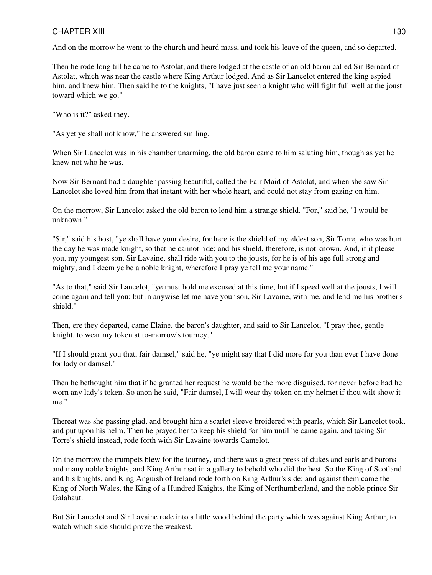And on the morrow he went to the church and heard mass, and took his leave of the queen, and so departed.

Then he rode long till he came to Astolat, and there lodged at the castle of an old baron called Sir Bernard of Astolat, which was near the castle where King Arthur lodged. And as Sir Lancelot entered the king espied him, and knew him. Then said he to the knights, "I have just seen a knight who will fight full well at the joust toward which we go."

"Who is it?" asked they.

"As yet ye shall not know," he answered smiling.

When Sir Lancelot was in his chamber unarming, the old baron came to him saluting him, though as yet he knew not who he was.

Now Sir Bernard had a daughter passing beautiful, called the Fair Maid of Astolat, and when she saw Sir Lancelot she loved him from that instant with her whole heart, and could not stay from gazing on him.

On the morrow, Sir Lancelot asked the old baron to lend him a strange shield. "For," said he, "I would be unknown."

"Sir," said his host, "ye shall have your desire, for here is the shield of my eldest son, Sir Torre, who was hurt the day he was made knight, so that he cannot ride; and his shield, therefore, is not known. And, if it please you, my youngest son, Sir Lavaine, shall ride with you to the jousts, for he is of his age full strong and mighty; and I deem ye be a noble knight, wherefore I pray ye tell me your name."

"As to that," said Sir Lancelot, "ye must hold me excused at this time, but if I speed well at the jousts, I will come again and tell you; but in anywise let me have your son, Sir Lavaine, with me, and lend me his brother's shield."

Then, ere they departed, came Elaine, the baron's daughter, and said to Sir Lancelot, "I pray thee, gentle knight, to wear my token at to-morrow's tourney."

"If I should grant you that, fair damsel," said he, "ye might say that I did more for you than ever I have done for lady or damsel."

Then he bethought him that if he granted her request he would be the more disguised, for never before had he worn any lady's token. So anon he said, "Fair damsel, I will wear thy token on my helmet if thou wilt show it me."

Thereat was she passing glad, and brought him a scarlet sleeve broidered with pearls, which Sir Lancelot took, and put upon his helm. Then he prayed her to keep his shield for him until he came again, and taking Sir Torre's shield instead, rode forth with Sir Lavaine towards Camelot.

On the morrow the trumpets blew for the tourney, and there was a great press of dukes and earls and barons and many noble knights; and King Arthur sat in a gallery to behold who did the best. So the King of Scotland and his knights, and King Anguish of Ireland rode forth on King Arthur's side; and against them came the King of North Wales, the King of a Hundred Knights, the King of Northumberland, and the noble prince Sir Galahaut.

But Sir Lancelot and Sir Lavaine rode into a little wood behind the party which was against King Arthur, to watch which side should prove the weakest.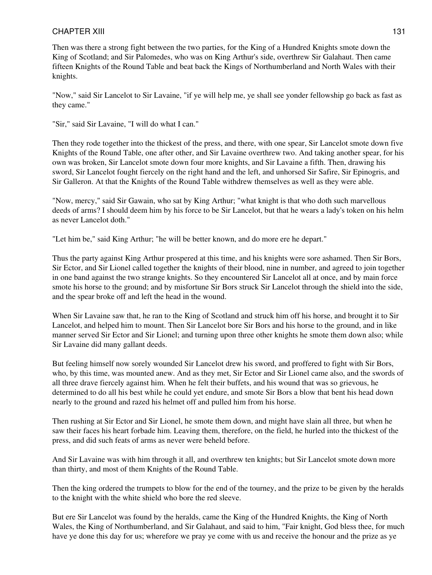Then was there a strong fight between the two parties, for the King of a Hundred Knights smote down the King of Scotland; and Sir Palomedes, who was on King Arthur's side, overthrew Sir Galahaut. Then came fifteen Knights of the Round Table and beat back the Kings of Northumberland and North Wales with their knights.

"Now," said Sir Lancelot to Sir Lavaine, "if ye will help me, ye shall see yonder fellowship go back as fast as they came."

"Sir," said Sir Lavaine, "I will do what I can."

Then they rode together into the thickest of the press, and there, with one spear, Sir Lancelot smote down five Knights of the Round Table, one after other, and Sir Lavaine overthrew two. And taking another spear, for his own was broken, Sir Lancelot smote down four more knights, and Sir Lavaine a fifth. Then, drawing his sword, Sir Lancelot fought fiercely on the right hand and the left, and unhorsed Sir Safire, Sir Epinogris, and Sir Galleron. At that the Knights of the Round Table withdrew themselves as well as they were able.

"Now, mercy," said Sir Gawain, who sat by King Arthur; "what knight is that who doth such marvellous deeds of arms? I should deem him by his force to be Sir Lancelot, but that he wears a lady's token on his helm as never Lancelot doth."

"Let him be," said King Arthur; "he will be better known, and do more ere he depart."

Thus the party against King Arthur prospered at this time, and his knights were sore ashamed. Then Sir Bors, Sir Ector, and Sir Lionel called together the knights of their blood, nine in number, and agreed to join together in one band against the two strange knights. So they encountered Sir Lancelot all at once, and by main force smote his horse to the ground; and by misfortune Sir Bors struck Sir Lancelot through the shield into the side, and the spear broke off and left the head in the wound.

When Sir Lavaine saw that, he ran to the King of Scotland and struck him off his horse, and brought it to Sir Lancelot, and helped him to mount. Then Sir Lancelot bore Sir Bors and his horse to the ground, and in like manner served Sir Ector and Sir Lionel; and turning upon three other knights he smote them down also; while Sir Lavaine did many gallant deeds.

But feeling himself now sorely wounded Sir Lancelot drew his sword, and proffered to fight with Sir Bors, who, by this time, was mounted anew. And as they met, Sir Ector and Sir Lionel came also, and the swords of all three drave fiercely against him. When he felt their buffets, and his wound that was so grievous, he determined to do all his best while he could yet endure, and smote Sir Bors a blow that bent his head down nearly to the ground and razed his helmet off and pulled him from his horse.

Then rushing at Sir Ector and Sir Lionel, he smote them down, and might have slain all three, but when he saw their faces his heart forbade him. Leaving them, therefore, on the field, he hurled into the thickest of the press, and did such feats of arms as never were beheld before.

And Sir Lavaine was with him through it all, and overthrew ten knights; but Sir Lancelot smote down more than thirty, and most of them Knights of the Round Table.

Then the king ordered the trumpets to blow for the end of the tourney, and the prize to be given by the heralds to the knight with the white shield who bore the red sleeve.

But ere Sir Lancelot was found by the heralds, came the King of the Hundred Knights, the King of North Wales, the King of Northumberland, and Sir Galahaut, and said to him, "Fair knight, God bless thee, for much have ye done this day for us; wherefore we pray ye come with us and receive the honour and the prize as ye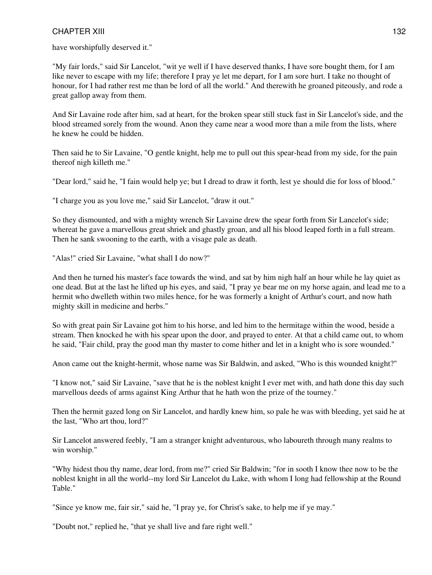have worshipfully deserved it."

"My fair lords," said Sir Lancelot, "wit ye well if I have deserved thanks, I have sore bought them, for I am like never to escape with my life; therefore I pray ye let me depart, for I am sore hurt. I take no thought of honour, for I had rather rest me than be lord of all the world." And therewith he groaned piteously, and rode a great gallop away from them.

And Sir Lavaine rode after him, sad at heart, for the broken spear still stuck fast in Sir Lancelot's side, and the blood streamed sorely from the wound. Anon they came near a wood more than a mile from the lists, where he knew he could be hidden.

Then said he to Sir Lavaine, "O gentle knight, help me to pull out this spear-head from my side, for the pain thereof nigh killeth me."

"Dear lord," said he, "I fain would help ye; but I dread to draw it forth, lest ye should die for loss of blood."

"I charge you as you love me," said Sir Lancelot, "draw it out."

So they dismounted, and with a mighty wrench Sir Lavaine drew the spear forth from Sir Lancelot's side; whereat he gave a marvellous great shriek and ghastly groan, and all his blood leaped forth in a full stream. Then he sank swooning to the earth, with a visage pale as death.

"Alas!" cried Sir Lavaine, "what shall I do now?"

And then he turned his master's face towards the wind, and sat by him nigh half an hour while he lay quiet as one dead. But at the last he lifted up his eyes, and said, "I pray ye bear me on my horse again, and lead me to a hermit who dwelleth within two miles hence, for he was formerly a knight of Arthur's court, and now hath mighty skill in medicine and herbs."

So with great pain Sir Lavaine got him to his horse, and led him to the hermitage within the wood, beside a stream. Then knocked he with his spear upon the door, and prayed to enter. At that a child came out, to whom he said, "Fair child, pray the good man thy master to come hither and let in a knight who is sore wounded."

Anon came out the knight-hermit, whose name was Sir Baldwin, and asked, "Who is this wounded knight?"

"I know not," said Sir Lavaine, "save that he is the noblest knight I ever met with, and hath done this day such marvellous deeds of arms against King Arthur that he hath won the prize of the tourney."

Then the hermit gazed long on Sir Lancelot, and hardly knew him, so pale he was with bleeding, yet said he at the last, "Who art thou, lord?"

Sir Lancelot answered feebly, "I am a stranger knight adventurous, who laboureth through many realms to win worship."

"Why hidest thou thy name, dear lord, from me?" cried Sir Baldwin; "for in sooth I know thee now to be the noblest knight in all the world--my lord Sir Lancelot du Lake, with whom I long had fellowship at the Round Table."

"Since ye know me, fair sir," said he, "I pray ye, for Christ's sake, to help me if ye may."

"Doubt not," replied he, "that ye shall live and fare right well."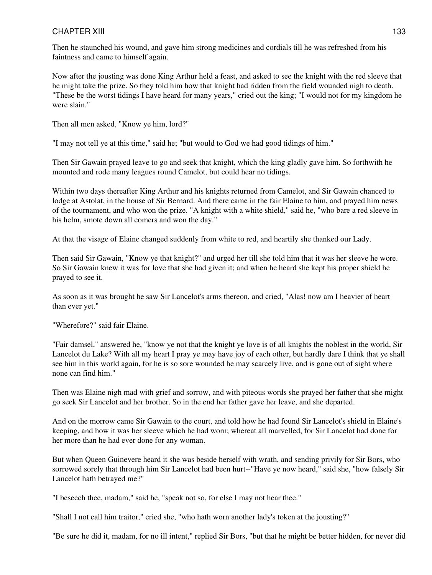Then he staunched his wound, and gave him strong medicines and cordials till he was refreshed from his faintness and came to himself again.

Now after the jousting was done King Arthur held a feast, and asked to see the knight with the red sleeve that he might take the prize. So they told him how that knight had ridden from the field wounded nigh to death. "These be the worst tidings I have heard for many years," cried out the king; "I would not for my kingdom he were slain."

Then all men asked, "Know ye him, lord?"

"I may not tell ye at this time," said he; "but would to God we had good tidings of him."

Then Sir Gawain prayed leave to go and seek that knight, which the king gladly gave him. So forthwith he mounted and rode many leagues round Camelot, but could hear no tidings.

Within two days thereafter King Arthur and his knights returned from Camelot, and Sir Gawain chanced to lodge at Astolat, in the house of Sir Bernard. And there came in the fair Elaine to him, and prayed him news of the tournament, and who won the prize. "A knight with a white shield," said he, "who bare a red sleeve in his helm, smote down all comers and won the day."

At that the visage of Elaine changed suddenly from white to red, and heartily she thanked our Lady.

Then said Sir Gawain, "Know ye that knight?" and urged her till she told him that it was her sleeve he wore. So Sir Gawain knew it was for love that she had given it; and when he heard she kept his proper shield he prayed to see it.

As soon as it was brought he saw Sir Lancelot's arms thereon, and cried, "Alas! now am I heavier of heart than ever yet."

"Wherefore?" said fair Elaine.

"Fair damsel," answered he, "know ye not that the knight ye love is of all knights the noblest in the world, Sir Lancelot du Lake? With all my heart I pray ye may have joy of each other, but hardly dare I think that ye shall see him in this world again, for he is so sore wounded he may scarcely live, and is gone out of sight where none can find him."

Then was Elaine nigh mad with grief and sorrow, and with piteous words she prayed her father that she might go seek Sir Lancelot and her brother. So in the end her father gave her leave, and she departed.

And on the morrow came Sir Gawain to the court, and told how he had found Sir Lancelot's shield in Elaine's keeping, and how it was her sleeve which he had worn; whereat all marvelled, for Sir Lancelot had done for her more than he had ever done for any woman.

But when Queen Guinevere heard it she was beside herself with wrath, and sending privily for Sir Bors, who sorrowed sorely that through him Sir Lancelot had been hurt--"Have ye now heard," said she, "how falsely Sir Lancelot hath betrayed me?"

"I beseech thee, madam," said he, "speak not so, for else I may not hear thee."

"Shall I not call him traitor," cried she, "who hath worn another lady's token at the jousting?"

"Be sure he did it, madam, for no ill intent," replied Sir Bors, "but that he might be better hidden, for never did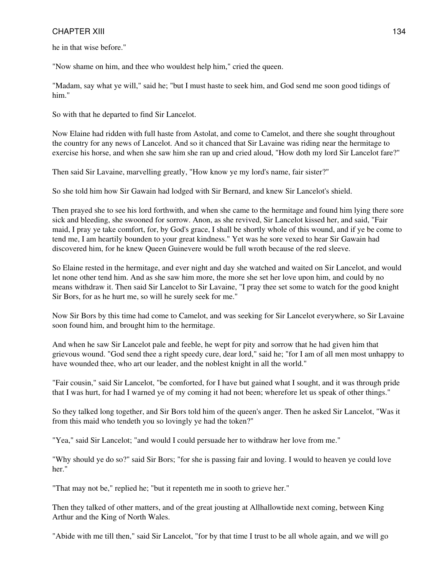he in that wise before."

"Now shame on him, and thee who wouldest help him," cried the queen.

"Madam, say what ye will," said he; "but I must haste to seek him, and God send me soon good tidings of him."

So with that he departed to find Sir Lancelot.

Now Elaine had ridden with full haste from Astolat, and come to Camelot, and there she sought throughout the country for any news of Lancelot. And so it chanced that Sir Lavaine was riding near the hermitage to exercise his horse, and when she saw him she ran up and cried aloud, "How doth my lord Sir Lancelot fare?"

Then said Sir Lavaine, marvelling greatly, "How know ye my lord's name, fair sister?"

So she told him how Sir Gawain had lodged with Sir Bernard, and knew Sir Lancelot's shield.

Then prayed she to see his lord forthwith, and when she came to the hermitage and found him lying there sore sick and bleeding, she swooned for sorrow. Anon, as she revived, Sir Lancelot kissed her, and said, "Fair maid, I pray ye take comfort, for, by God's grace, I shall be shortly whole of this wound, and if ye be come to tend me, I am heartily bounden to your great kindness." Yet was he sore vexed to hear Sir Gawain had discovered him, for he knew Queen Guinevere would be full wroth because of the red sleeve.

So Elaine rested in the hermitage, and ever night and day she watched and waited on Sir Lancelot, and would let none other tend him. And as she saw him more, the more she set her love upon him, and could by no means withdraw it. Then said Sir Lancelot to Sir Lavaine, "I pray thee set some to watch for the good knight Sir Bors, for as he hurt me, so will he surely seek for me."

Now Sir Bors by this time had come to Camelot, and was seeking for Sir Lancelot everywhere, so Sir Lavaine soon found him, and brought him to the hermitage.

And when he saw Sir Lancelot pale and feeble, he wept for pity and sorrow that he had given him that grievous wound. "God send thee a right speedy cure, dear lord," said he; "for I am of all men most unhappy to have wounded thee, who art our leader, and the noblest knight in all the world."

"Fair cousin," said Sir Lancelot, "be comforted, for I have but gained what I sought, and it was through pride that I was hurt, for had I warned ye of my coming it had not been; wherefore let us speak of other things."

So they talked long together, and Sir Bors told him of the queen's anger. Then he asked Sir Lancelot, "Was it from this maid who tendeth you so lovingly ye had the token?"

"Yea," said Sir Lancelot; "and would I could persuade her to withdraw her love from me."

"Why should ye do so?" said Sir Bors; "for she is passing fair and loving. I would to heaven ye could love her."

"That may not be," replied he; "but it repenteth me in sooth to grieve her."

Then they talked of other matters, and of the great jousting at Allhallowtide next coming, between King Arthur and the King of North Wales.

"Abide with me till then," said Sir Lancelot, "for by that time I trust to be all whole again, and we will go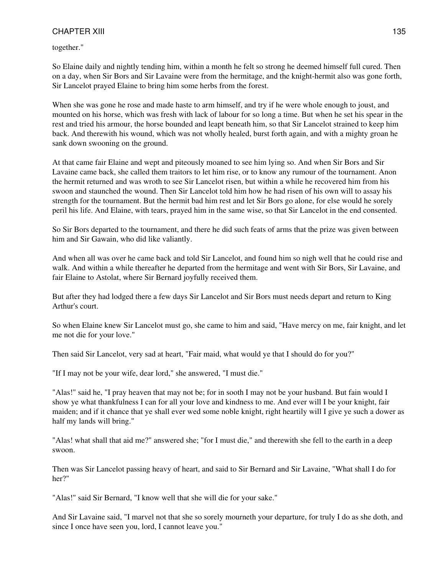together."

So Elaine daily and nightly tending him, within a month he felt so strong he deemed himself full cured. Then on a day, when Sir Bors and Sir Lavaine were from the hermitage, and the knight-hermit also was gone forth, Sir Lancelot prayed Elaine to bring him some herbs from the forest.

When she was gone he rose and made haste to arm himself, and try if he were whole enough to joust, and mounted on his horse, which was fresh with lack of labour for so long a time. But when he set his spear in the rest and tried his armour, the horse bounded and leapt beneath him, so that Sir Lancelot strained to keep him back. And therewith his wound, which was not wholly healed, burst forth again, and with a mighty groan he sank down swooning on the ground.

At that came fair Elaine and wept and piteously moaned to see him lying so. And when Sir Bors and Sir Lavaine came back, she called them traitors to let him rise, or to know any rumour of the tournament. Anon the hermit returned and was wroth to see Sir Lancelot risen, but within a while he recovered him from his swoon and staunched the wound. Then Sir Lancelot told him how he had risen of his own will to assay his strength for the tournament. But the hermit bad him rest and let Sir Bors go alone, for else would he sorely peril his life. And Elaine, with tears, prayed him in the same wise, so that Sir Lancelot in the end consented.

So Sir Bors departed to the tournament, and there he did such feats of arms that the prize was given between him and Sir Gawain, who did like valiantly.

And when all was over he came back and told Sir Lancelot, and found him so nigh well that he could rise and walk. And within a while thereafter he departed from the hermitage and went with Sir Bors, Sir Lavaine, and fair Elaine to Astolat, where Sir Bernard joyfully received them.

But after they had lodged there a few days Sir Lancelot and Sir Bors must needs depart and return to King Arthur's court.

So when Elaine knew Sir Lancelot must go, she came to him and said, "Have mercy on me, fair knight, and let me not die for your love."

Then said Sir Lancelot, very sad at heart, "Fair maid, what would ye that I should do for you?"

"If I may not be your wife, dear lord," she answered, "I must die."

"Alas!" said he, "I pray heaven that may not be; for in sooth I may not be your husband. But fain would I show ye what thankfulness I can for all your love and kindness to me. And ever will I be your knight, fair maiden; and if it chance that ye shall ever wed some noble knight, right heartily will I give ye such a dower as half my lands will bring."

"Alas! what shall that aid me?" answered she; "for I must die," and therewith she fell to the earth in a deep swoon.

Then was Sir Lancelot passing heavy of heart, and said to Sir Bernard and Sir Lavaine, "What shall I do for her?"

"Alas!" said Sir Bernard, "I know well that she will die for your sake."

And Sir Lavaine said, "I marvel not that she so sorely mourneth your departure, for truly I do as she doth, and since I once have seen you, lord, I cannot leave you."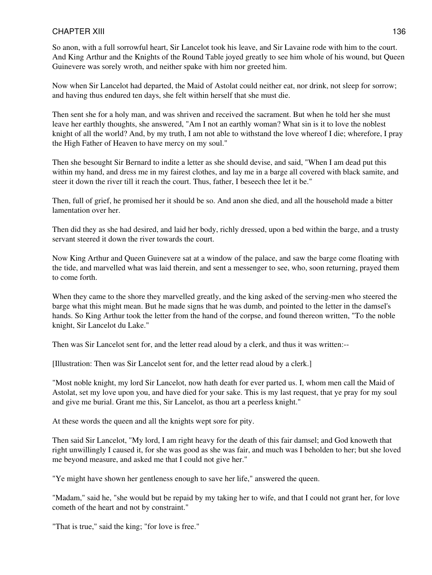So anon, with a full sorrowful heart, Sir Lancelot took his leave, and Sir Lavaine rode with him to the court. And King Arthur and the Knights of the Round Table joyed greatly to see him whole of his wound, but Queen Guinevere was sorely wroth, and neither spake with him nor greeted him.

Now when Sir Lancelot had departed, the Maid of Astolat could neither eat, nor drink, not sleep for sorrow; and having thus endured ten days, she felt within herself that she must die.

Then sent she for a holy man, and was shriven and received the sacrament. But when he told her she must leave her earthly thoughts, she answered, "Am I not an earthly woman? What sin is it to love the noblest knight of all the world? And, by my truth, I am not able to withstand the love whereof I die; wherefore, I pray the High Father of Heaven to have mercy on my soul."

Then she besought Sir Bernard to indite a letter as she should devise, and said, "When I am dead put this within my hand, and dress me in my fairest clothes, and lay me in a barge all covered with black samite, and steer it down the river till it reach the court. Thus, father, I beseech thee let it be."

Then, full of grief, he promised her it should be so. And anon she died, and all the household made a bitter lamentation over her.

Then did they as she had desired, and laid her body, richly dressed, upon a bed within the barge, and a trusty servant steered it down the river towards the court.

Now King Arthur and Queen Guinevere sat at a window of the palace, and saw the barge come floating with the tide, and marvelled what was laid therein, and sent a messenger to see, who, soon returning, prayed them to come forth.

When they came to the shore they marvelled greatly, and the king asked of the serving-men who steered the barge what this might mean. But he made signs that he was dumb, and pointed to the letter in the damsel's hands. So King Arthur took the letter from the hand of the corpse, and found thereon written, "To the noble knight, Sir Lancelot du Lake."

Then was Sir Lancelot sent for, and the letter read aloud by a clerk, and thus it was written:--

[Illustration: Then was Sir Lancelot sent for, and the letter read aloud by a clerk.]

"Most noble knight, my lord Sir Lancelot, now hath death for ever parted us. I, whom men call the Maid of Astolat, set my love upon you, and have died for your sake. This is my last request, that ye pray for my soul and give me burial. Grant me this, Sir Lancelot, as thou art a peerless knight."

At these words the queen and all the knights wept sore for pity.

Then said Sir Lancelot, "My lord, I am right heavy for the death of this fair damsel; and God knoweth that right unwillingly I caused it, for she was good as she was fair, and much was I beholden to her; but she loved me beyond measure, and asked me that I could not give her."

"Ye might have shown her gentleness enough to save her life," answered the queen.

"Madam," said he, "she would but be repaid by my taking her to wife, and that I could not grant her, for love cometh of the heart and not by constraint."

"That is true," said the king; "for love is free."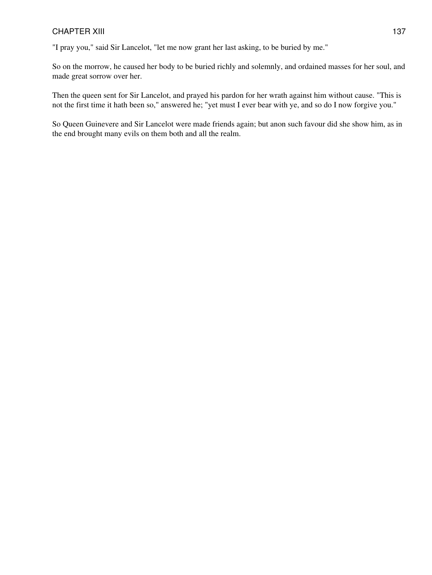"I pray you," said Sir Lancelot, "let me now grant her last asking, to be buried by me."

So on the morrow, he caused her body to be buried richly and solemnly, and ordained masses for her soul, and made great sorrow over her.

Then the queen sent for Sir Lancelot, and prayed his pardon for her wrath against him without cause. "This is not the first time it hath been so," answered he; "yet must I ever bear with ye, and so do I now forgive you."

So Queen Guinevere and Sir Lancelot were made friends again; but anon such favour did she show him, as in the end brought many evils on them both and all the realm.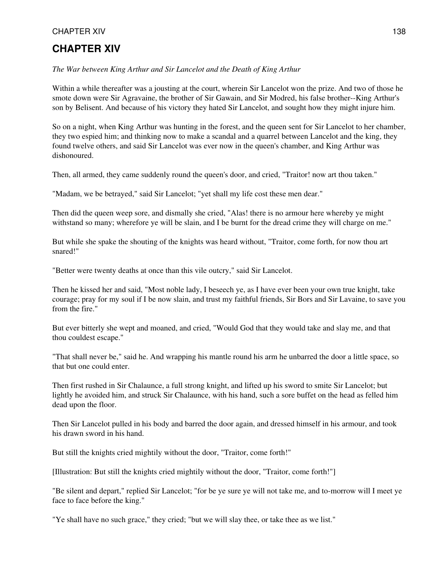# **CHAPTER XIV**

*The War between King Arthur and Sir Lancelot and the Death of King Arthur*

Within a while thereafter was a jousting at the court, wherein Sir Lancelot won the prize. And two of those he smote down were Sir Agravaine, the brother of Sir Gawain, and Sir Modred, his false brother--King Arthur's son by Belisent. And because of his victory they hated Sir Lancelot, and sought how they might injure him.

So on a night, when King Arthur was hunting in the forest, and the queen sent for Sir Lancelot to her chamber, they two espied him; and thinking now to make a scandal and a quarrel between Lancelot and the king, they found twelve others, and said Sir Lancelot was ever now in the queen's chamber, and King Arthur was dishonoured.

Then, all armed, they came suddenly round the queen's door, and cried, "Traitor! now art thou taken."

"Madam, we be betrayed," said Sir Lancelot; "yet shall my life cost these men dear."

Then did the queen weep sore, and dismally she cried, "Alas! there is no armour here whereby ye might withstand so many; wherefore ye will be slain, and I be burnt for the dread crime they will charge on me."

But while she spake the shouting of the knights was heard without, "Traitor, come forth, for now thou art snared!"

"Better were twenty deaths at once than this vile outcry," said Sir Lancelot.

Then he kissed her and said, "Most noble lady, I beseech ye, as I have ever been your own true knight, take courage; pray for my soul if I be now slain, and trust my faithful friends, Sir Bors and Sir Lavaine, to save you from the fire."

But ever bitterly she wept and moaned, and cried, "Would God that they would take and slay me, and that thou couldest escape."

"That shall never be," said he. And wrapping his mantle round his arm he unbarred the door a little space, so that but one could enter.

Then first rushed in Sir Chalaunce, a full strong knight, and lifted up his sword to smite Sir Lancelot; but lightly he avoided him, and struck Sir Chalaunce, with his hand, such a sore buffet on the head as felled him dead upon the floor.

Then Sir Lancelot pulled in his body and barred the door again, and dressed himself in his armour, and took his drawn sword in his hand.

But still the knights cried mightily without the door, "Traitor, come forth!"

[Illustration: But still the knights cried mightily without the door, "Traitor, come forth!"]

"Be silent and depart," replied Sir Lancelot; "for be ye sure ye will not take me, and to-morrow will I meet ye face to face before the king."

"Ye shall have no such grace," they cried; "but we will slay thee, or take thee as we list."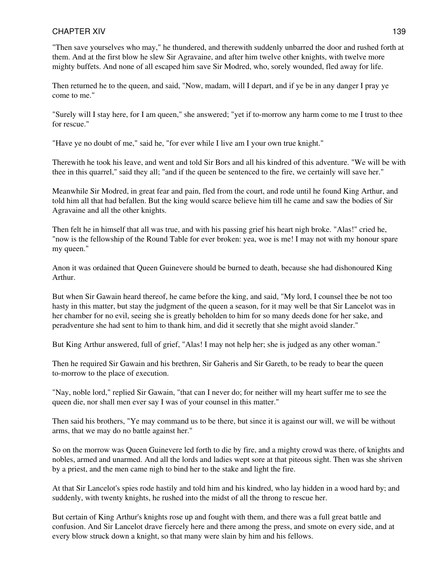"Then save yourselves who may," he thundered, and therewith suddenly unbarred the door and rushed forth at them. And at the first blow he slew Sir Agravaine, and after him twelve other knights, with twelve more mighty buffets. And none of all escaped him save Sir Modred, who, sorely wounded, fled away for life.

Then returned he to the queen, and said, "Now, madam, will I depart, and if ye be in any danger I pray ye come to me."

"Surely will I stay here, for I am queen," she answered; "yet if to-morrow any harm come to me I trust to thee for rescue."

"Have ye no doubt of me," said he, "for ever while I live am I your own true knight."

Therewith he took his leave, and went and told Sir Bors and all his kindred of this adventure. "We will be with thee in this quarrel," said they all; "and if the queen be sentenced to the fire, we certainly will save her."

Meanwhile Sir Modred, in great fear and pain, fled from the court, and rode until he found King Arthur, and told him all that had befallen. But the king would scarce believe him till he came and saw the bodies of Sir Agravaine and all the other knights.

Then felt he in himself that all was true, and with his passing grief his heart nigh broke. "Alas!" cried he, "now is the fellowship of the Round Table for ever broken: yea, woe is me! I may not with my honour spare my queen."

Anon it was ordained that Queen Guinevere should be burned to death, because she had dishonoured King Arthur.

But when Sir Gawain heard thereof, he came before the king, and said, "My lord, I counsel thee be not too hasty in this matter, but stay the judgment of the queen a season, for it may well be that Sir Lancelot was in her chamber for no evil, seeing she is greatly beholden to him for so many deeds done for her sake, and peradventure she had sent to him to thank him, and did it secretly that she might avoid slander."

But King Arthur answered, full of grief, "Alas! I may not help her; she is judged as any other woman."

Then he required Sir Gawain and his brethren, Sir Gaheris and Sir Gareth, to be ready to bear the queen to-morrow to the place of execution.

"Nay, noble lord," replied Sir Gawain, "that can I never do; for neither will my heart suffer me to see the queen die, nor shall men ever say I was of your counsel in this matter."

Then said his brothers, "Ye may command us to be there, but since it is against our will, we will be without arms, that we may do no battle against her."

So on the morrow was Queen Guinevere led forth to die by fire, and a mighty crowd was there, of knights and nobles, armed and unarmed. And all the lords and ladies wept sore at that piteous sight. Then was she shriven by a priest, and the men came nigh to bind her to the stake and light the fire.

At that Sir Lancelot's spies rode hastily and told him and his kindred, who lay hidden in a wood hard by; and suddenly, with twenty knights, he rushed into the midst of all the throng to rescue her.

But certain of King Arthur's knights rose up and fought with them, and there was a full great battle and confusion. And Sir Lancelot drave fiercely here and there among the press, and smote on every side, and at every blow struck down a knight, so that many were slain by him and his fellows.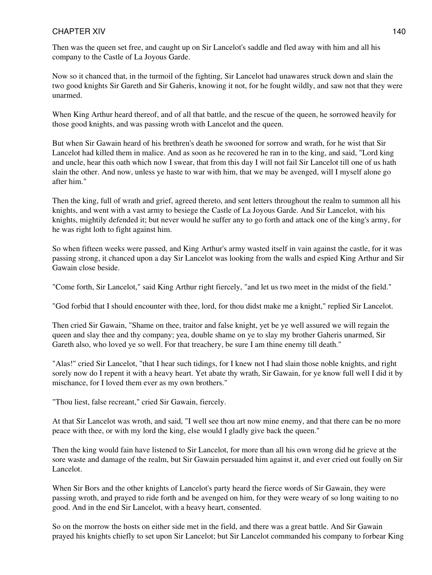Then was the queen set free, and caught up on Sir Lancelot's saddle and fled away with him and all his company to the Castle of La Joyous Garde.

Now so it chanced that, in the turmoil of the fighting, Sir Lancelot had unawares struck down and slain the two good knights Sir Gareth and Sir Gaheris, knowing it not, for he fought wildly, and saw not that they were unarmed.

When King Arthur heard thereof, and of all that battle, and the rescue of the queen, he sorrowed heavily for those good knights, and was passing wroth with Lancelot and the queen.

But when Sir Gawain heard of his brethren's death he swooned for sorrow and wrath, for he wist that Sir Lancelot had killed them in malice. And as soon as he recovered he ran in to the king, and said, "Lord king and uncle, hear this oath which now I swear, that from this day I will not fail Sir Lancelot till one of us hath slain the other. And now, unless ye haste to war with him, that we may be avenged, will I myself alone go after him."

Then the king, full of wrath and grief, agreed thereto, and sent letters throughout the realm to summon all his knights, and went with a vast army to besiege the Castle of La Joyous Garde. And Sir Lancelot, with his knights, mightily defended it; but never would he suffer any to go forth and attack one of the king's army, for he was right loth to fight against him.

So when fifteen weeks were passed, and King Arthur's army wasted itself in vain against the castle, for it was passing strong, it chanced upon a day Sir Lancelot was looking from the walls and espied King Arthur and Sir Gawain close beside.

"Come forth, Sir Lancelot," said King Arthur right fiercely, "and let us two meet in the midst of the field."

"God forbid that I should encounter with thee, lord, for thou didst make me a knight," replied Sir Lancelot.

Then cried Sir Gawain, "Shame on thee, traitor and false knight, yet be ye well assured we will regain the queen and slay thee and thy company; yea, double shame on ye to slay my brother Gaheris unarmed, Sir Gareth also, who loved ye so well. For that treachery, be sure I am thine enemy till death."

"Alas!" cried Sir Lancelot, "that I hear such tidings, for I knew not I had slain those noble knights, and right sorely now do I repent it with a heavy heart. Yet abate thy wrath, Sir Gawain, for ye know full well I did it by mischance, for I loved them ever as my own brothers."

"Thou liest, false recreant," cried Sir Gawain, fiercely.

At that Sir Lancelot was wroth, and said, "I well see thou art now mine enemy, and that there can be no more peace with thee, or with my lord the king, else would I gladly give back the queen."

Then the king would fain have listened to Sir Lancelot, for more than all his own wrong did he grieve at the sore waste and damage of the realm, but Sir Gawain persuaded him against it, and ever cried out foully on Sir Lancelot.

When Sir Bors and the other knights of Lancelot's party heard the fierce words of Sir Gawain, they were passing wroth, and prayed to ride forth and be avenged on him, for they were weary of so long waiting to no good. And in the end Sir Lancelot, with a heavy heart, consented.

So on the morrow the hosts on either side met in the field, and there was a great battle. And Sir Gawain prayed his knights chiefly to set upon Sir Lancelot; but Sir Lancelot commanded his company to forbear King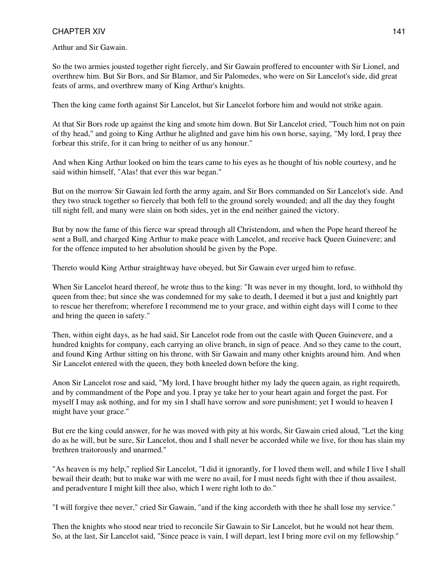Arthur and Sir Gawain.

So the two armies jousted together right fiercely, and Sir Gawain proffered to encounter with Sir Lionel, and overthrew him. But Sir Bors, and Sir Blamor, and Sir Palomedes, who were on Sir Lancelot's side, did great feats of arms, and overthrew many of King Arthur's knights.

Then the king came forth against Sir Lancelot, but Sir Lancelot forbore him and would not strike again.

At that Sir Bors rode up against the king and smote him down. But Sir Lancelot cried, "Touch him not on pain of thy head," and going to King Arthur he alighted and gave him his own horse, saying, "My lord, I pray thee forbear this strife, for it can bring to neither of us any honour."

And when King Arthur looked on him the tears came to his eyes as he thought of his noble courtesy, and he said within himself, "Alas! that ever this war began."

But on the morrow Sir Gawain led forth the army again, and Sir Bors commanded on Sir Lancelot's side. And they two struck together so fiercely that both fell to the ground sorely wounded; and all the day they fought till night fell, and many were slain on both sides, yet in the end neither gained the victory.

But by now the fame of this fierce war spread through all Christendom, and when the Pope heard thereof he sent a Bull, and charged King Arthur to make peace with Lancelot, and receive back Queen Guinevere; and for the offence imputed to her absolution should be given by the Pope.

Thereto would King Arthur straightway have obeyed, but Sir Gawain ever urged him to refuse.

When Sir Lancelot heard thereof, he wrote thus to the king: "It was never in my thought, lord, to withhold thy queen from thee; but since she was condemned for my sake to death, I deemed it but a just and knightly part to rescue her therefrom; wherefore I recommend me to your grace, and within eight days will I come to thee and bring the queen in safety."

Then, within eight days, as he had said, Sir Lancelot rode from out the castle with Queen Guinevere, and a hundred knights for company, each carrying an olive branch, in sign of peace. And so they came to the court, and found King Arthur sitting on his throne, with Sir Gawain and many other knights around him. And when Sir Lancelot entered with the queen, they both kneeled down before the king.

Anon Sir Lancelot rose and said, "My lord, I have brought hither my lady the queen again, as right requireth, and by commandment of the Pope and you. I pray ye take her to your heart again and forget the past. For myself I may ask nothing, and for my sin I shall have sorrow and sore punishment; yet I would to heaven I might have your grace."

But ere the king could answer, for he was moved with pity at his words, Sir Gawain cried aloud, "Let the king do as he will, but be sure, Sir Lancelot, thou and I shall never be accorded while we live, for thou has slain my brethren traitorously and unarmed."

"As heaven is my help," replied Sir Lancelot, "I did it ignorantly, for I loved them well, and while I live I shall bewail their death; but to make war with me were no avail, for I must needs fight with thee if thou assailest, and peradventure I might kill thee also, which I were right loth to do."

"I will forgive thee never," cried Sir Gawain, "and if the king accordeth with thee he shall lose my service."

Then the knights who stood near tried to reconcile Sir Gawain to Sir Lancelot, but he would not hear them. So, at the last, Sir Lancelot said, "Since peace is vain, I will depart, lest I bring more evil on my fellowship."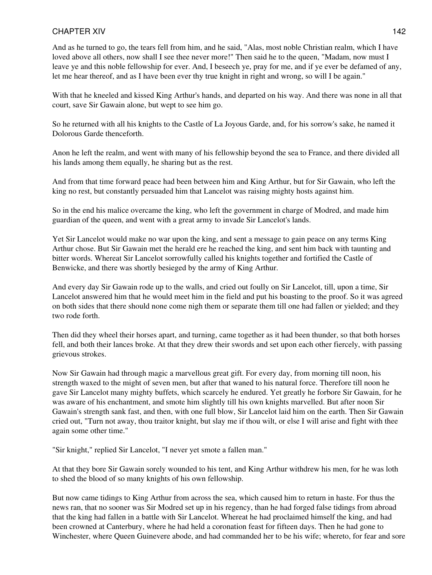And as he turned to go, the tears fell from him, and he said, "Alas, most noble Christian realm, which I have loved above all others, now shall I see thee never more!" Then said he to the queen, "Madam, now must I leave ye and this noble fellowship for ever. And, I beseech ye, pray for me, and if ye ever be defamed of any, let me hear thereof, and as I have been ever thy true knight in right and wrong, so will I be again."

With that he kneeled and kissed King Arthur's hands, and departed on his way. And there was none in all that court, save Sir Gawain alone, but wept to see him go.

So he returned with all his knights to the Castle of La Joyous Garde, and, for his sorrow's sake, he named it Dolorous Garde thenceforth.

Anon he left the realm, and went with many of his fellowship beyond the sea to France, and there divided all his lands among them equally, he sharing but as the rest.

And from that time forward peace had been between him and King Arthur, but for Sir Gawain, who left the king no rest, but constantly persuaded him that Lancelot was raising mighty hosts against him.

So in the end his malice overcame the king, who left the government in charge of Modred, and made him guardian of the queen, and went with a great army to invade Sir Lancelot's lands.

Yet Sir Lancelot would make no war upon the king, and sent a message to gain peace on any terms King Arthur chose. But Sir Gawain met the herald ere he reached the king, and sent him back with taunting and bitter words. Whereat Sir Lancelot sorrowfully called his knights together and fortified the Castle of Benwicke, and there was shortly besieged by the army of King Arthur.

And every day Sir Gawain rode up to the walls, and cried out foully on Sir Lancelot, till, upon a time, Sir Lancelot answered him that he would meet him in the field and put his boasting to the proof. So it was agreed on both sides that there should none come nigh them or separate them till one had fallen or yielded; and they two rode forth.

Then did they wheel their horses apart, and turning, came together as it had been thunder, so that both horses fell, and both their lances broke. At that they drew their swords and set upon each other fiercely, with passing grievous strokes.

Now Sir Gawain had through magic a marvellous great gift. For every day, from morning till noon, his strength waxed to the might of seven men, but after that waned to his natural force. Therefore till noon he gave Sir Lancelot many mighty buffets, which scarcely he endured. Yet greatly he forbore Sir Gawain, for he was aware of his enchantment, and smote him slightly till his own knights marvelled. But after noon Sir Gawain's strength sank fast, and then, with one full blow, Sir Lancelot laid him on the earth. Then Sir Gawain cried out, "Turn not away, thou traitor knight, but slay me if thou wilt, or else I will arise and fight with thee again some other time."

"Sir knight," replied Sir Lancelot, "I never yet smote a fallen man."

At that they bore Sir Gawain sorely wounded to his tent, and King Arthur withdrew his men, for he was loth to shed the blood of so many knights of his own fellowship.

But now came tidings to King Arthur from across the sea, which caused him to return in haste. For thus the news ran, that no sooner was Sir Modred set up in his regency, than he had forged false tidings from abroad that the king had fallen in a battle with Sir Lancelot. Whereat he had proclaimed himself the king, and had been crowned at Canterbury, where he had held a coronation feast for fifteen days. Then he had gone to Winchester, where Queen Guinevere abode, and had commanded her to be his wife; whereto, for fear and sore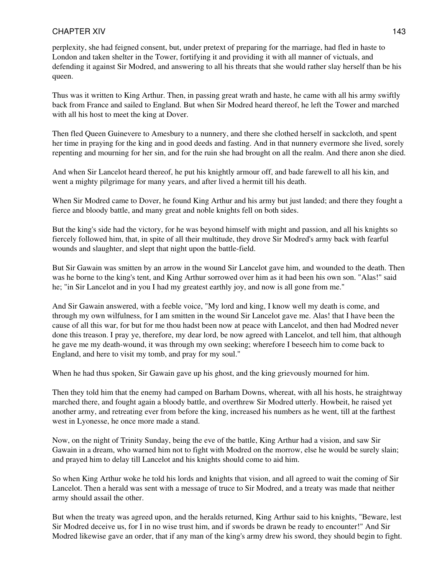perplexity, she had feigned consent, but, under pretext of preparing for the marriage, had fled in haste to London and taken shelter in the Tower, fortifying it and providing it with all manner of victuals, and defending it against Sir Modred, and answering to all his threats that she would rather slay herself than be his queen.

Thus was it written to King Arthur. Then, in passing great wrath and haste, he came with all his army swiftly back from France and sailed to England. But when Sir Modred heard thereof, he left the Tower and marched with all his host to meet the king at Dover.

Then fled Queen Guinevere to Amesbury to a nunnery, and there she clothed herself in sackcloth, and spent her time in praying for the king and in good deeds and fasting. And in that nunnery evermore she lived, sorely repenting and mourning for her sin, and for the ruin she had brought on all the realm. And there anon she died.

And when Sir Lancelot heard thereof, he put his knightly armour off, and bade farewell to all his kin, and went a mighty pilgrimage for many years, and after lived a hermit till his death.

When Sir Modred came to Dover, he found King Arthur and his army but just landed; and there they fought a fierce and bloody battle, and many great and noble knights fell on both sides.

But the king's side had the victory, for he was beyond himself with might and passion, and all his knights so fiercely followed him, that, in spite of all their multitude, they drove Sir Modred's army back with fearful wounds and slaughter, and slept that night upon the battle-field.

But Sir Gawain was smitten by an arrow in the wound Sir Lancelot gave him, and wounded to the death. Then was he borne to the king's tent, and King Arthur sorrowed over him as it had been his own son. "Alas!" said he; "in Sir Lancelot and in you I had my greatest earthly joy, and now is all gone from me."

And Sir Gawain answered, with a feeble voice, "My lord and king, I know well my death is come, and through my own wilfulness, for I am smitten in the wound Sir Lancelot gave me. Alas! that I have been the cause of all this war, for but for me thou hadst been now at peace with Lancelot, and then had Modred never done this treason. I pray ye, therefore, my dear lord, be now agreed with Lancelot, and tell him, that although he gave me my death-wound, it was through my own seeking; wherefore I beseech him to come back to England, and here to visit my tomb, and pray for my soul."

When he had thus spoken, Sir Gawain gave up his ghost, and the king grievously mourned for him.

Then they told him that the enemy had camped on Barham Downs, whereat, with all his hosts, he straightway marched there, and fought again a bloody battle, and overthrew Sir Modred utterly. Howbeit, he raised yet another army, and retreating ever from before the king, increased his numbers as he went, till at the farthest west in Lyonesse, he once more made a stand.

Now, on the night of Trinity Sunday, being the eve of the battle, King Arthur had a vision, and saw Sir Gawain in a dream, who warned him not to fight with Modred on the morrow, else he would be surely slain; and prayed him to delay till Lancelot and his knights should come to aid him.

So when King Arthur woke he told his lords and knights that vision, and all agreed to wait the coming of Sir Lancelot. Then a herald was sent with a message of truce to Sir Modred, and a treaty was made that neither army should assail the other.

But when the treaty was agreed upon, and the heralds returned, King Arthur said to his knights, "Beware, lest Sir Modred deceive us, for I in no wise trust him, and if swords be drawn be ready to encounter!" And Sir Modred likewise gave an order, that if any man of the king's army drew his sword, they should begin to fight.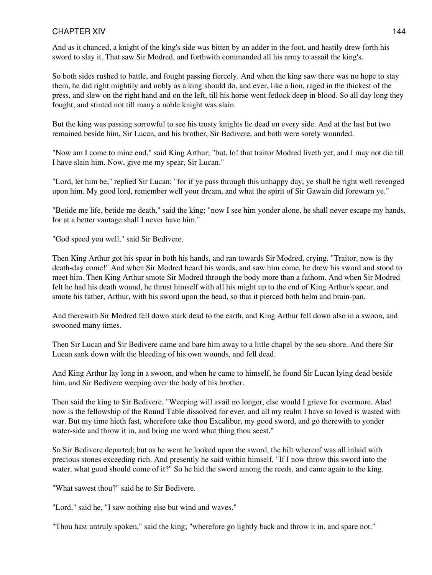And as it chanced, a knight of the king's side was bitten by an adder in the foot, and hastily drew forth his sword to slay it. That saw Sir Modred, and forthwith commanded all his army to assail the king's.

So both sides rushed to battle, and fought passing fiercely. And when the king saw there was no hope to stay them, he did right mightily and nobly as a king should do, and ever, like a lion, raged in the thickest of the press, and slew on the right hand and on the left, till his horse went fetlock deep in blood. So all day long they fought, and stinted not till many a noble knight was slain.

But the king was passing sorrowful to see his trusty knights lie dead on every side. And at the last but two remained beside him, Sir Lucan, and his brother, Sir Bedivere, and both were sorely wounded.

"Now am I come to mine end," said King Arthur; "but, lo! that traitor Modred liveth yet, and I may not die till I have slain him. Now, give me my spear, Sir Lucan."

"Lord, let him be," replied Sir Lucan; "for if ye pass through this unhappy day, ye shall be right well revenged upon him. My good lord, remember well your dream, and what the spirit of Sir Gawain did forewarn ye."

"Betide me life, betide me death," said the king; "now I see him yonder alone, he shall never escape my hands, for at a better vantage shall I never have him."

"God speed you well," said Sir Bedivere.

Then King Arthur got his spear in both his hands, and ran towards Sir Modred, crying, "Traitor, now is thy death-day come!" And when Sir Modred heard his words, and saw him come, he drew his sword and stood to meet him. Then King Arthur smote Sir Modred through the body more than a fathom. And when Sir Modred felt he had his death wound, he thrust himself with all his might up to the end of King Arthur's spear, and smote his father, Arthur, with his sword upon the head, so that it pierced both helm and brain-pan.

And therewith Sir Modred fell down stark dead to the earth, and King Arthur fell down also in a swoon, and swooned many times.

Then Sir Lucan and Sir Bedivere came and bare him away to a little chapel by the sea-shore. And there Sir Lucan sank down with the bleeding of his own wounds, and fell dead.

And King Arthur lay long in a swoon, and when he came to himself, he found Sir Lucan lying dead beside him, and Sir Bedivere weeping over the body of his brother.

Then said the king to Sir Bedivere, "Weeping will avail no longer, else would I grieve for evermore. Alas! now is the fellowship of the Round Table dissolved for ever, and all my realm I have so loved is wasted with war. But my time hieth fast, wherefore take thou Excalibur, my good sword, and go therewith to yonder water-side and throw it in, and bring me word what thing thou seest."

So Sir Bedivere departed; but as he went he looked upon the sword, the hilt whereof was all inlaid with precious stones exceeding rich. And presently he said within himself, "If I now throw this sword into the water, what good should come of it?" So he hid the sword among the reeds, and came again to the king.

"What sawest thou?" said he to Sir Bedivere.

"Lord," said he, "I saw nothing else but wind and waves."

"Thou hast untruly spoken," said the king; "wherefore go lightly back and throw it in, and spare not."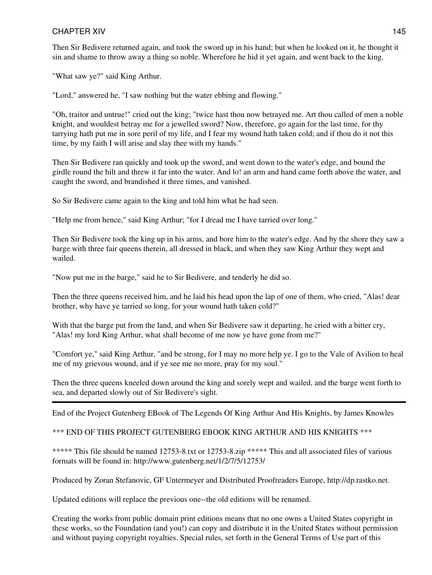Then Sir Bedivere returned again, and took the sword up in his hand; but when he looked on it, he thought it sin and shame to throw away a thing so noble. Wherefore he hid it yet again, and went back to the king.

"What saw ye?" said King Arthur.

"Lord," answered he, "I saw nothing but the water ebbing and flowing."

"Oh, traitor and untrue!" cried out the king; "twice hast thou now betrayed me. Art thou called of men a noble knight, and wouldest betray me for a jewelled sword? Now, therefore, go again for the last time, for thy tarrying hath put me in sore peril of my life, and I fear my wound hath taken cold; and if thou do it not this time, by my faith I will arise and slay thee with my hands."

Then Sir Bedivere ran quickly and took up the sword, and went down to the water's edge, and bound the girdle round the hilt and threw it far into the water. And lo! an arm and hand came forth above the water, and caught the sword, and brandished it three times, and vanished.

So Sir Bedivere came again to the king and told him what he had seen.

"Help me from hence," said King Arthur; "for I dread me I have tarried over long."

Then Sir Bedivere took the king up in his arms, and bore him to the water's edge. And by the shore they saw a barge with three fair queens therein, all dressed in black, and when they saw King Arthur they wept and wailed.

"Now put me in the barge," said he to Sir Bedivere, and tenderly he did so.

Then the three queens received him, and he laid his head upon the lap of one of them, who cried, "Alas! dear brother, why have ye tarried so long, for your wound hath taken cold?"

With that the barge put from the land, and when Sir Bedivere saw it departing, he cried with a bitter cry, "Alas! my lord King Arthur, what shall become of me now ye have gone from me?"

"Comfort ye," said King Arthur, "and be strong, for I may no more help ye. I go to the Vale of Avilion to heal me of my grievous wound, and if ye see me no more, pray for my soul."

Then the three queens kneeled down around the king and sorely wept and wailed, and the barge went forth to sea, and departed slowly out of Sir Bedivere's sight.

End of the Project Gutenberg EBook of The Legends Of King Arthur And His Knights, by James Knowles

#### \*\*\* END OF THIS PROJECT GUTENBERG EBOOK KING ARTHUR AND HIS KNIGHTS \*\*\*

\*\*\*\*\* This file should be named 12753-8.txt or 12753-8.zip \*\*\*\*\* This and all associated files of various formats will be found in: http://www.gutenberg.net/1/2/7/5/12753/

Produced by Zoran Stefanovic, GF Untermeyer and Distributed Proofreaders Europe, http://dp.rastko.net.

Updated editions will replace the previous one--the old editions will be renamed.

Creating the works from public domain print editions means that no one owns a United States copyright in these works, so the Foundation (and you!) can copy and distribute it in the United States without permission and without paying copyright royalties. Special rules, set forth in the General Terms of Use part of this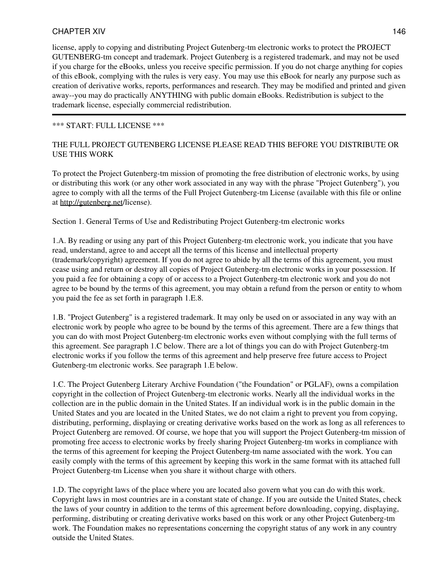license, apply to copying and distributing Project Gutenberg-tm electronic works to protect the PROJECT GUTENBERG-tm concept and trademark. Project Gutenberg is a registered trademark, and may not be used if you charge for the eBooks, unless you receive specific permission. If you do not charge anything for copies of this eBook, complying with the rules is very easy. You may use this eBook for nearly any purpose such as creation of derivative works, reports, performances and research. They may be modified and printed and given away--you may do practically ANYTHING with public domain eBooks. Redistribution is subject to the trademark license, especially commercial redistribution.

#### \*\*\* START: FULL LICENSE \*\*\*

#### THE FULL PROJECT GUTENBERG LICENSE PLEASE READ THIS BEFORE YOU DISTRIBUTE OR USE THIS WORK

To protect the Project Gutenberg-tm mission of promoting the free distribution of electronic works, by using or distributing this work (or any other work associated in any way with the phrase "Project Gutenberg"), you agree to comply with all the terms of the Full Project Gutenberg-tm License (available with this file or online at <http://gutenberg.net>/license).

Section 1. General Terms of Use and Redistributing Project Gutenberg-tm electronic works

1.A. By reading or using any part of this Project Gutenberg-tm electronic work, you indicate that you have read, understand, agree to and accept all the terms of this license and intellectual property (trademark/copyright) agreement. If you do not agree to abide by all the terms of this agreement, you must cease using and return or destroy all copies of Project Gutenberg-tm electronic works in your possession. If you paid a fee for obtaining a copy of or access to a Project Gutenberg-tm electronic work and you do not agree to be bound by the terms of this agreement, you may obtain a refund from the person or entity to whom you paid the fee as set forth in paragraph 1.E.8.

1.B. "Project Gutenberg" is a registered trademark. It may only be used on or associated in any way with an electronic work by people who agree to be bound by the terms of this agreement. There are a few things that you can do with most Project Gutenberg-tm electronic works even without complying with the full terms of this agreement. See paragraph 1.C below. There are a lot of things you can do with Project Gutenberg-tm electronic works if you follow the terms of this agreement and help preserve free future access to Project Gutenberg-tm electronic works. See paragraph 1.E below.

1.C. The Project Gutenberg Literary Archive Foundation ("the Foundation" or PGLAF), owns a compilation copyright in the collection of Project Gutenberg-tm electronic works. Nearly all the individual works in the collection are in the public domain in the United States. If an individual work is in the public domain in the United States and you are located in the United States, we do not claim a right to prevent you from copying, distributing, performing, displaying or creating derivative works based on the work as long as all references to Project Gutenberg are removed. Of course, we hope that you will support the Project Gutenberg-tm mission of promoting free access to electronic works by freely sharing Project Gutenberg-tm works in compliance with the terms of this agreement for keeping the Project Gutenberg-tm name associated with the work. You can easily comply with the terms of this agreement by keeping this work in the same format with its attached full Project Gutenberg-tm License when you share it without charge with others.

1.D. The copyright laws of the place where you are located also govern what you can do with this work. Copyright laws in most countries are in a constant state of change. If you are outside the United States, check the laws of your country in addition to the terms of this agreement before downloading, copying, displaying, performing, distributing or creating derivative works based on this work or any other Project Gutenberg-tm work. The Foundation makes no representations concerning the copyright status of any work in any country outside the United States.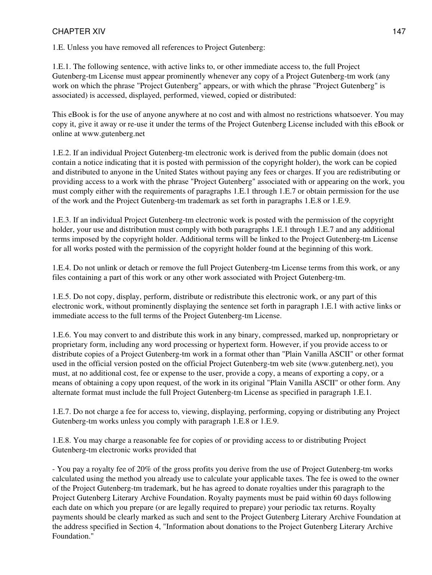1.E. Unless you have removed all references to Project Gutenberg:

1.E.1. The following sentence, with active links to, or other immediate access to, the full Project Gutenberg-tm License must appear prominently whenever any copy of a Project Gutenberg-tm work (any work on which the phrase "Project Gutenberg" appears, or with which the phrase "Project Gutenberg" is associated) is accessed, displayed, performed, viewed, copied or distributed:

This eBook is for the use of anyone anywhere at no cost and with almost no restrictions whatsoever. You may copy it, give it away or re-use it under the terms of the Project Gutenberg License included with this eBook or online at www.gutenberg.net

1.E.2. If an individual Project Gutenberg-tm electronic work is derived from the public domain (does not contain a notice indicating that it is posted with permission of the copyright holder), the work can be copied and distributed to anyone in the United States without paying any fees or charges. If you are redistributing or providing access to a work with the phrase "Project Gutenberg" associated with or appearing on the work, you must comply either with the requirements of paragraphs 1.E.1 through 1.E.7 or obtain permission for the use of the work and the Project Gutenberg-tm trademark as set forth in paragraphs 1.E.8 or 1.E.9.

1.E.3. If an individual Project Gutenberg-tm electronic work is posted with the permission of the copyright holder, your use and distribution must comply with both paragraphs 1.E.1 through 1.E.7 and any additional terms imposed by the copyright holder. Additional terms will be linked to the Project Gutenberg-tm License for all works posted with the permission of the copyright holder found at the beginning of this work.

1.E.4. Do not unlink or detach or remove the full Project Gutenberg-tm License terms from this work, or any files containing a part of this work or any other work associated with Project Gutenberg-tm.

1.E.5. Do not copy, display, perform, distribute or redistribute this electronic work, or any part of this electronic work, without prominently displaying the sentence set forth in paragraph 1.E.1 with active links or immediate access to the full terms of the Project Gutenberg-tm License.

1.E.6. You may convert to and distribute this work in any binary, compressed, marked up, nonproprietary or proprietary form, including any word processing or hypertext form. However, if you provide access to or distribute copies of a Project Gutenberg-tm work in a format other than "Plain Vanilla ASCII" or other format used in the official version posted on the official Project Gutenberg-tm web site (www.gutenberg.net), you must, at no additional cost, fee or expense to the user, provide a copy, a means of exporting a copy, or a means of obtaining a copy upon request, of the work in its original "Plain Vanilla ASCII" or other form. Any alternate format must include the full Project Gutenberg-tm License as specified in paragraph 1.E.1.

1.E.7. Do not charge a fee for access to, viewing, displaying, performing, copying or distributing any Project Gutenberg-tm works unless you comply with paragraph 1.E.8 or 1.E.9.

1.E.8. You may charge a reasonable fee for copies of or providing access to or distributing Project Gutenberg-tm electronic works provided that

- You pay a royalty fee of 20% of the gross profits you derive from the use of Project Gutenberg-tm works calculated using the method you already use to calculate your applicable taxes. The fee is owed to the owner of the Project Gutenberg-tm trademark, but he has agreed to donate royalties under this paragraph to the Project Gutenberg Literary Archive Foundation. Royalty payments must be paid within 60 days following each date on which you prepare (or are legally required to prepare) your periodic tax returns. Royalty payments should be clearly marked as such and sent to the Project Gutenberg Literary Archive Foundation at the address specified in Section 4, "Information about donations to the Project Gutenberg Literary Archive Foundation."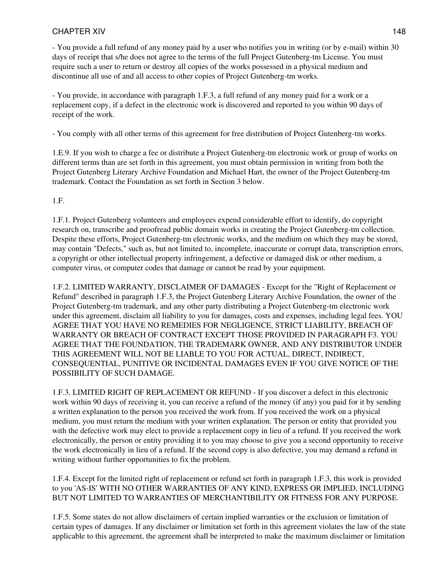- You provide a full refund of any money paid by a user who notifies you in writing (or by e-mail) within 30 days of receipt that s/he does not agree to the terms of the full Project Gutenberg-tm License. You must require such a user to return or destroy all copies of the works possessed in a physical medium and discontinue all use of and all access to other copies of Project Gutenberg-tm works.

- You provide, in accordance with paragraph 1.F.3, a full refund of any money paid for a work or a replacement copy, if a defect in the electronic work is discovered and reported to you within 90 days of receipt of the work.

- You comply with all other terms of this agreement for free distribution of Project Gutenberg-tm works.

1.E.9. If you wish to charge a fee or distribute a Project Gutenberg-tm electronic work or group of works on different terms than are set forth in this agreement, you must obtain permission in writing from both the Project Gutenberg Literary Archive Foundation and Michael Hart, the owner of the Project Gutenberg-tm trademark. Contact the Foundation as set forth in Section 3 below.

1.F.

1.F.1. Project Gutenberg volunteers and employees expend considerable effort to identify, do copyright research on, transcribe and proofread public domain works in creating the Project Gutenberg-tm collection. Despite these efforts, Project Gutenberg-tm electronic works, and the medium on which they may be stored, may contain "Defects," such as, but not limited to, incomplete, inaccurate or corrupt data, transcription errors, a copyright or other intellectual property infringement, a defective or damaged disk or other medium, a computer virus, or computer codes that damage or cannot be read by your equipment.

1.F.2. LIMITED WARRANTY, DISCLAIMER OF DAMAGES - Except for the "Right of Replacement or Refund" described in paragraph 1.F.3, the Project Gutenberg Literary Archive Foundation, the owner of the Project Gutenberg-tm trademark, and any other party distributing a Project Gutenberg-tm electronic work under this agreement, disclaim all liability to you for damages, costs and expenses, including legal fees. YOU AGREE THAT YOU HAVE NO REMEDIES FOR NEGLIGENCE, STRICT LIABILITY, BREACH OF WARRANTY OR BREACH OF CONTRACT EXCEPT THOSE PROVIDED IN PARAGRAPH F3. YOU AGREE THAT THE FOUNDATION, THE TRADEMARK OWNER, AND ANY DISTRIBUTOR UNDER THIS AGREEMENT WILL NOT BE LIABLE TO YOU FOR ACTUAL, DIRECT, INDIRECT, CONSEQUENTIAL, PUNITIVE OR INCIDENTAL DAMAGES EVEN IF YOU GIVE NOTICE OF THE POSSIBILITY OF SUCH DAMAGE.

1.F.3. LIMITED RIGHT OF REPLACEMENT OR REFUND - If you discover a defect in this electronic work within 90 days of receiving it, you can receive a refund of the money (if any) you paid for it by sending a written explanation to the person you received the work from. If you received the work on a physical medium, you must return the medium with your written explanation. The person or entity that provided you with the defective work may elect to provide a replacement copy in lieu of a refund. If you received the work electronically, the person or entity providing it to you may choose to give you a second opportunity to receive the work electronically in lieu of a refund. If the second copy is also defective, you may demand a refund in writing without further opportunities to fix the problem.

1.F.4. Except for the limited right of replacement or refund set forth in paragraph 1.F.3, this work is provided to you 'AS-IS' WITH NO OTHER WARRANTIES OF ANY KIND, EXPRESS OR IMPLIED, INCLUDING BUT NOT LIMITED TO WARRANTIES OF MERCHANTIBILITY OR FITNESS FOR ANY PURPOSE.

1.F.5. Some states do not allow disclaimers of certain implied warranties or the exclusion or limitation of certain types of damages. If any disclaimer or limitation set forth in this agreement violates the law of the state applicable to this agreement, the agreement shall be interpreted to make the maximum disclaimer or limitation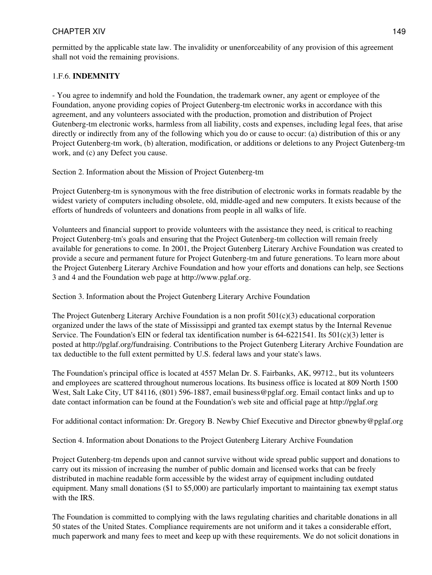# 1.F.6. **INDEMNITY**

- You agree to indemnify and hold the Foundation, the trademark owner, any agent or employee of the Foundation, anyone providing copies of Project Gutenberg-tm electronic works in accordance with this agreement, and any volunteers associated with the production, promotion and distribution of Project Gutenberg-tm electronic works, harmless from all liability, costs and expenses, including legal fees, that arise directly or indirectly from any of the following which you do or cause to occur: (a) distribution of this or any Project Gutenberg-tm work, (b) alteration, modification, or additions or deletions to any Project Gutenberg-tm work, and (c) any Defect you cause.

Section 2. Information about the Mission of Project Gutenberg-tm

Project Gutenberg-tm is synonymous with the free distribution of electronic works in formats readable by the widest variety of computers including obsolete, old, middle-aged and new computers. It exists because of the efforts of hundreds of volunteers and donations from people in all walks of life.

Volunteers and financial support to provide volunteers with the assistance they need, is critical to reaching Project Gutenberg-tm's goals and ensuring that the Project Gutenberg-tm collection will remain freely available for generations to come. In 2001, the Project Gutenberg Literary Archive Foundation was created to provide a secure and permanent future for Project Gutenberg-tm and future generations. To learn more about the Project Gutenberg Literary Archive Foundation and how your efforts and donations can help, see Sections 3 and 4 and the Foundation web page at http://www.pglaf.org.

Section 3. Information about the Project Gutenberg Literary Archive Foundation

The Project Gutenberg Literary Archive Foundation is a non profit  $501(c)(3)$  educational corporation organized under the laws of the state of Mississippi and granted tax exempt status by the Internal Revenue Service. The Foundation's EIN or federal tax identification number is  $64-6221541$ . Its  $501(c)(3)$  letter is posted at http://pglaf.org/fundraising. Contributions to the Project Gutenberg Literary Archive Foundation are tax deductible to the full extent permitted by U.S. federal laws and your state's laws.

The Foundation's principal office is located at 4557 Melan Dr. S. Fairbanks, AK, 99712., but its volunteers and employees are scattered throughout numerous locations. Its business office is located at 809 North 1500 West, Salt Lake City, UT 84116, (801) 596-1887, email business@pglaf.org. Email contact links and up to date contact information can be found at the Foundation's web site and official page at http://pglaf.org

For additional contact information: Dr. Gregory B. Newby Chief Executive and Director gbnewby@pglaf.org

Section 4. Information about Donations to the Project Gutenberg Literary Archive Foundation

Project Gutenberg-tm depends upon and cannot survive without wide spread public support and donations to carry out its mission of increasing the number of public domain and licensed works that can be freely distributed in machine readable form accessible by the widest array of equipment including outdated equipment. Many small donations (\$1 to \$5,000) are particularly important to maintaining tax exempt status with the IRS.

The Foundation is committed to complying with the laws regulating charities and charitable donations in all 50 states of the United States. Compliance requirements are not uniform and it takes a considerable effort, much paperwork and many fees to meet and keep up with these requirements. We do not solicit donations in